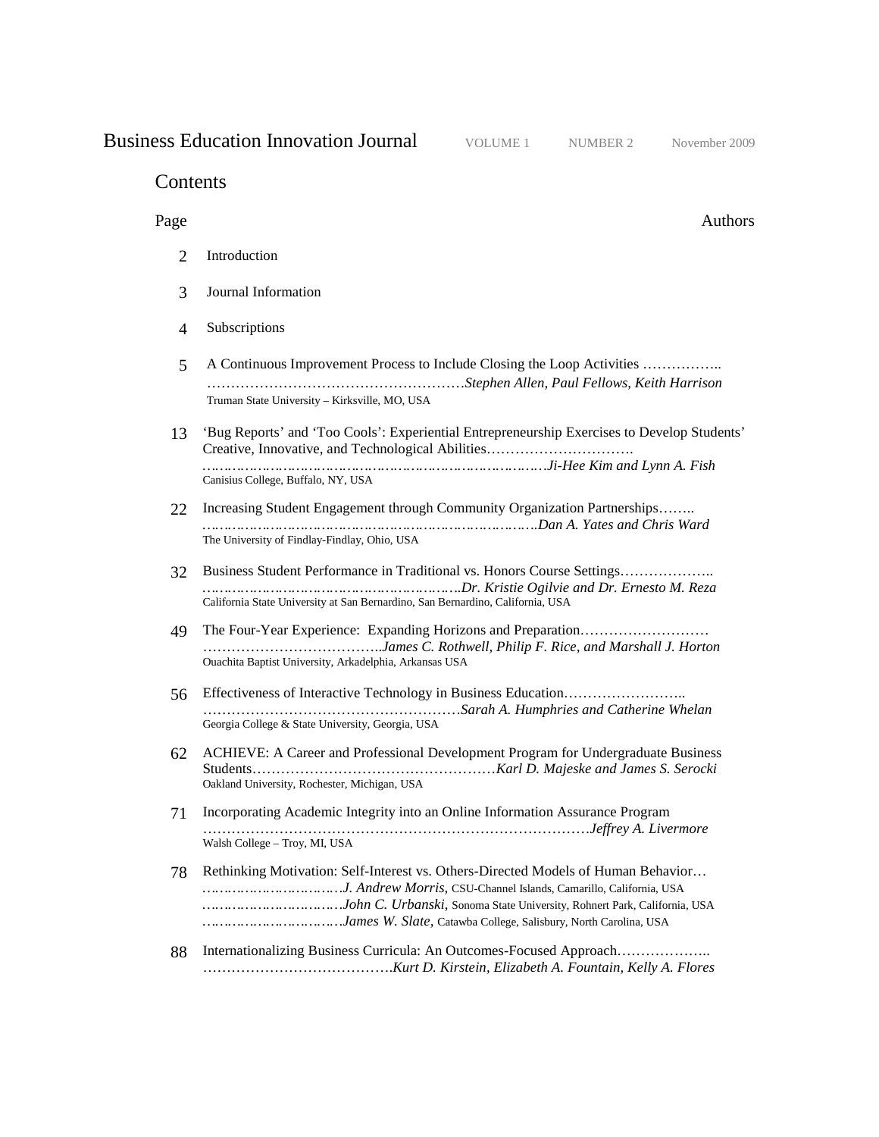# **Business Education Innovation Journal** VOLUME 1 NUMBER 2 November 2009

# Contents

# Page Authors

- 2 Introduction
- 3 Journal Information
- 4 Subscriptions
- 5 A Continuous Improvement Process to Include Closing the Loop Activities …………….. ………………………………………………*Stephen Allen, Paul Fellows, Keith Harrison* Truman State University – Kirksville, MO, USA
- 13 'Bug Reports' and 'Too Cools': Experiential Entrepreneurship Exercises to Develop Students' Creative, Innovative, and Technological Abilities…………………………. *………………………………………………………………………Ji-Hee Kim and Lynn A. Fish*  Canisius College, Buffalo, NY, USA
- 22 Increasing Student Engagement through Community Organization Partnerships…….. *…………………………………………………………………….Dan A. Yates and Chris Ward* The University of Findlay-Findlay, Ohio, USA
- 32 Business Student Performance in Traditional vs. Honors Course Settings……………….. *…………………………………………………….Dr. Kristie Ogilvie and Dr. Ernesto M. Reza*  California State University at San Bernardino, San Bernardino, California, USA
- 49 The Four-Year Experience: Expanding Horizons and Preparation……………………… ………………………………..*James C. Rothwell, Philip F. Rice, and Marshall J. Horton* Ouachita Baptist University, Arkadelphia, Arkansas USA
- 56 Effectiveness of Interactive Technology in Business Education…………………….. ………………………………………………*Sarah A. Humphries and Catherine Whelan* Georgia College & State University, Georgia, USA
- 62 ACHIEVE: A Career and Professional Development Program for Undergraduate Business Students……………………………………………*Karl D. Majeske and James S. Serocki* Oakland University, Rochester, Michigan, USA
- 71 Incorporating Academic Integrity into an Online Information Assurance Program ………………………………………………………………………*Jeffrey A. Livermore* Walsh College – Troy, MI, USA
- 78 Rethinking Motivation: Self-Interest vs. Others-Directed Models of Human Behavior… *……………………………J. Andrew Morris,* CSU-Channel Islands, Camarillo, California, USA *……………………………John C. Urbanski*, Sonoma State University, Rohnert Park, California, USA *……………………………James W. Slate,* Catawba College, Salisbury, North Carolina, USA
- 88 Internationalizing Business Curricula: An Outcomes-Focused Approach……………….. ………………………………….*Kurt D. Kirstein, Elizabeth A. Fountain, Kelly A. Flores*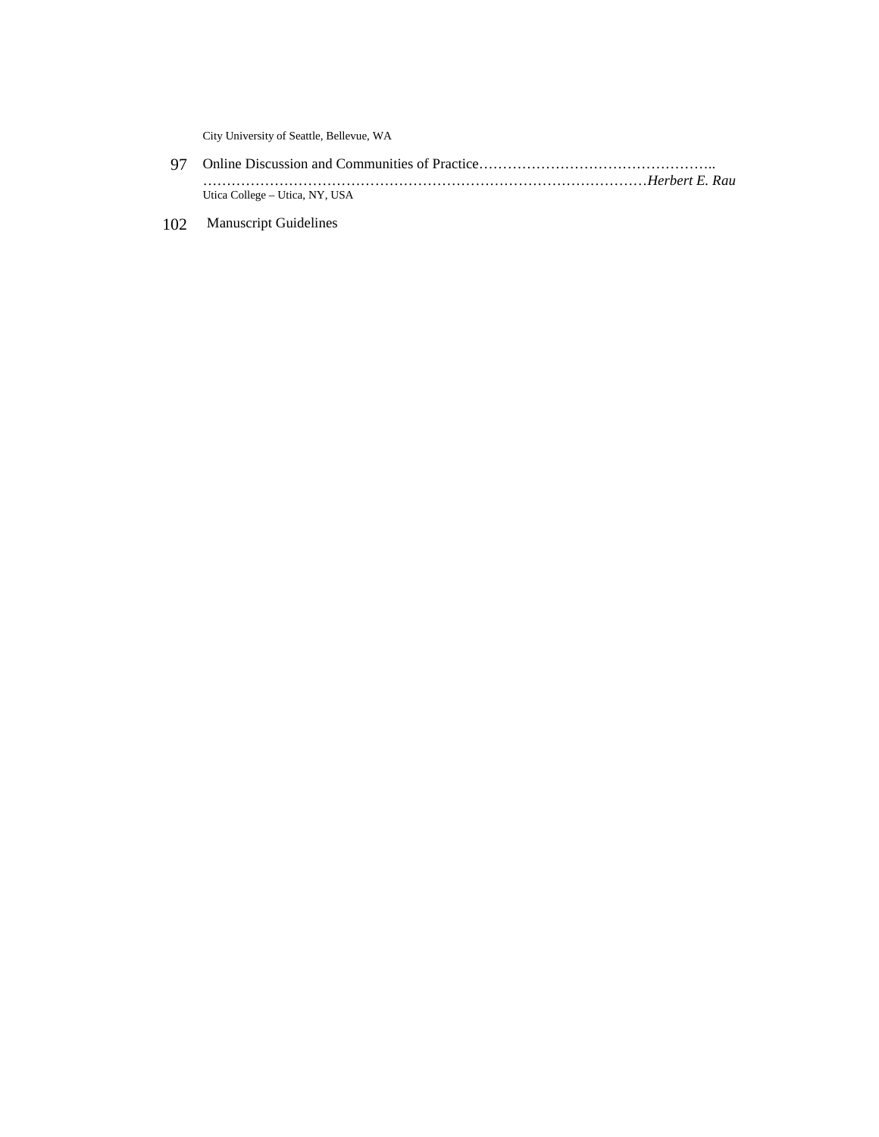City University of Seattle, Bellevue, WA

- 97 Online Discussion and Communities of Practice…………………………………………………………………………………… …………………………………………………………………………………*Herbert E. Rau* Utica College – Utica, NY, USA
- 102 Manuscript Guidelines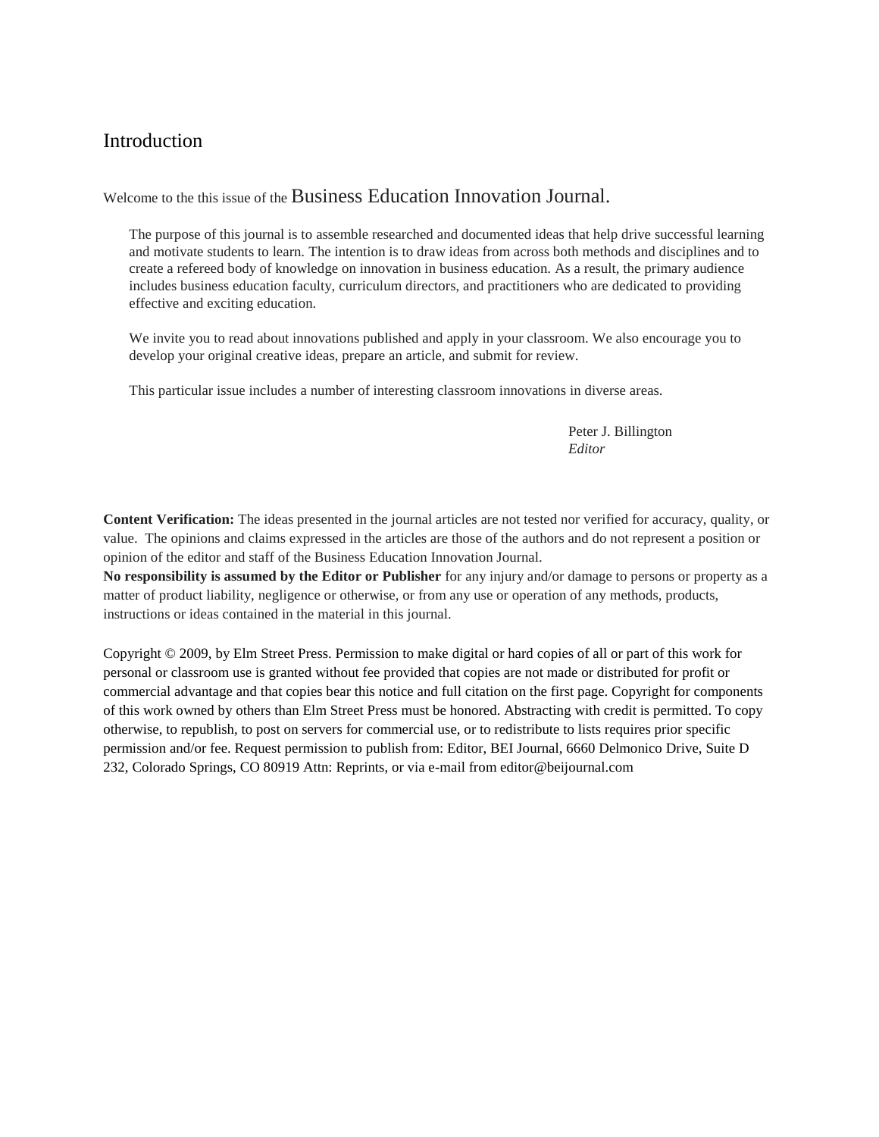# Introduction

Welcome to the this issue of the Business Education Innovation Journal.

The purpose of this journal is to assemble researched and documented ideas that help drive successful learning and motivate students to learn. The intention is to draw ideas from across both methods and disciplines and to create a refereed body of knowledge on innovation in business education. As a result, the primary audience includes business education faculty, curriculum directors, and practitioners who are dedicated to providing effective and exciting education.

We invite you to read about innovations published and apply in your classroom. We also encourage you to develop your original creative ideas, prepare an article, and submit for review.

This particular issue includes a number of interesting classroom innovations in diverse areas.

Peter J. Billington *Editor* 

**Content Verification:** The ideas presented in the journal articles are not tested nor verified for accuracy, quality, or value. The opinions and claims expressed in the articles are those of the authors and do not represent a position or opinion of the editor and staff of the Business Education Innovation Journal.

**No responsibility is assumed by the Editor or Publisher** for any injury and/or damage to persons or property as a matter of product liability, negligence or otherwise, or from any use or operation of any methods, products, instructions or ideas contained in the material in this journal.

Copyright © 2009, by Elm Street Press. Permission to make digital or hard copies of all or part of this work for personal or classroom use is granted without fee provided that copies are not made or distributed for profit or commercial advantage and that copies bear this notice and full citation on the first page. Copyright for components of this work owned by others than Elm Street Press must be honored. Abstracting with credit is permitted. To copy otherwise, to republish, to post on servers for commercial use, or to redistribute to lists requires prior specific permission and/or fee. Request permission to publish from: Editor, BEI Journal, 6660 Delmonico Drive, Suite D 232, Colorado Springs, CO 80919 Attn: Reprints, or via e-mail from editor@beijournal.com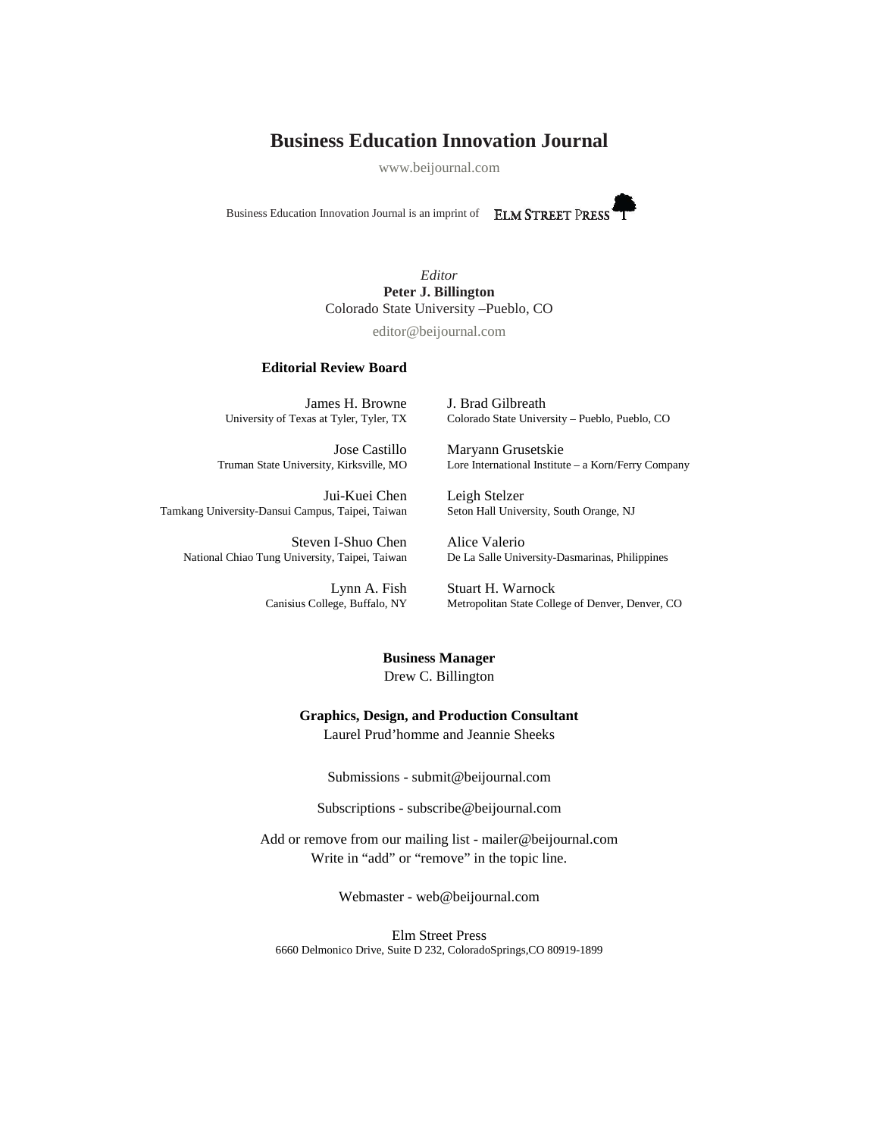# **Business Education Innovation Journal**

www.beijournal.com

Business Education Innovation Journal is an imprint of



*Editor*  **Peter J. Billington**  Colorado State University –Pueblo, CO

editor@beijournal.com

#### **Editorial Review Board**

James H. Browne University of Texas at Tyler, Tyler, TX

Jose Castillo Truman State University, Kirksville, MO

Jui-Kuei Chen Tamkang University-Dansui Campus, Taipei, Taiwan

Steven I-Shuo Chen National Chiao Tung University, Taipei, Taiwan

> Lynn A. Fish Canisius College, Buffalo, NY

J. Brad Gilbreath Colorado State University – Pueblo, Pueblo, CO

Maryann Grusetskie Lore International Institute – a Korn/Ferry Company

Leigh Stelzer Seton Hall University, South Orange, NJ

Alice Valerio De La Salle University-Dasmarinas, Philippines

Stuart H. Warnock Metropolitan State College of Denver, Denver, CO

# **Business Manager**

Drew C. Billington

#### **Graphics, Design, and Production Consultant**

Laurel Prud'homme and Jeannie Sheeks

Submissions - [submit@beijournal.com](mailto:-%20submit@beijournal.com)

Subscriptions - [subscribe@beijournal.com](mailto:subscribe@beijournal.com)

Add or remove from our mailing list - [mailer@beijournal.com](mailto:mailer@beijournal.com) Write in "add" or "remove" in the topic line.

Webmaster - [web@beijournal.com](mailto:web@beijournal.com)

Elm Street Press 6660 Delmonico Drive, Suite D 232, ColoradoSprings,CO 80919-1899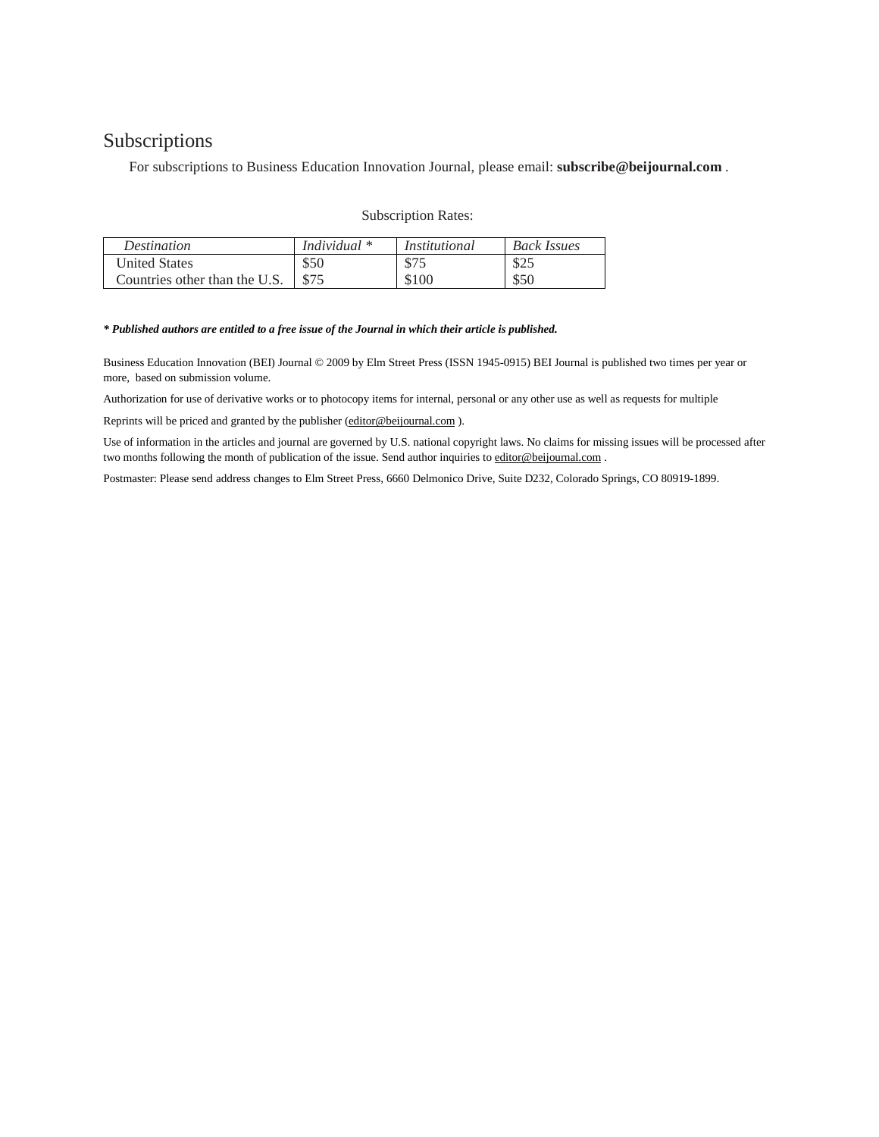# Subscriptions

For subscriptions to Business Education Innovation Journal, please email: **subscribe@beijournal.com** .

| <b>Subscription Rates:</b> |  |  |
|----------------------------|--|--|
|----------------------------|--|--|

| <i>Destination</i>            | Individual $*$ | Institutional | <b>Back Issues</b> |
|-------------------------------|----------------|---------------|--------------------|
| <b>United States</b>          | \$50           | \$75          | \$25               |
| Countries other than the U.S. | \$75           | \$100         | \$50               |

#### *\* Published authors are entitled to a free issue of the Journal in which their article is published.*

Business Education Innovation (BEI) Journal © 2009 by Elm Street Press (ISSN 1945-0915) BEI Journal is published two times per year or more, based on submission volume.

Authorization for use of derivative works or to photocopy items for internal, personal or any other use as well as requests for multiple

Reprints will be priced and granted by the publisher (editor@beijournal.com).

Use of information in the articles and journal are governed by U.S. national copyright laws. No claims for missing issues will be processed after two months following the month of publication of the issue. Send author inquiries to editor@beijournal.com .

Postmaster: Please send address changes to Elm Street Press, 6660 Delmonico Drive, Suite D232, Colorado Springs, CO 80919-1899.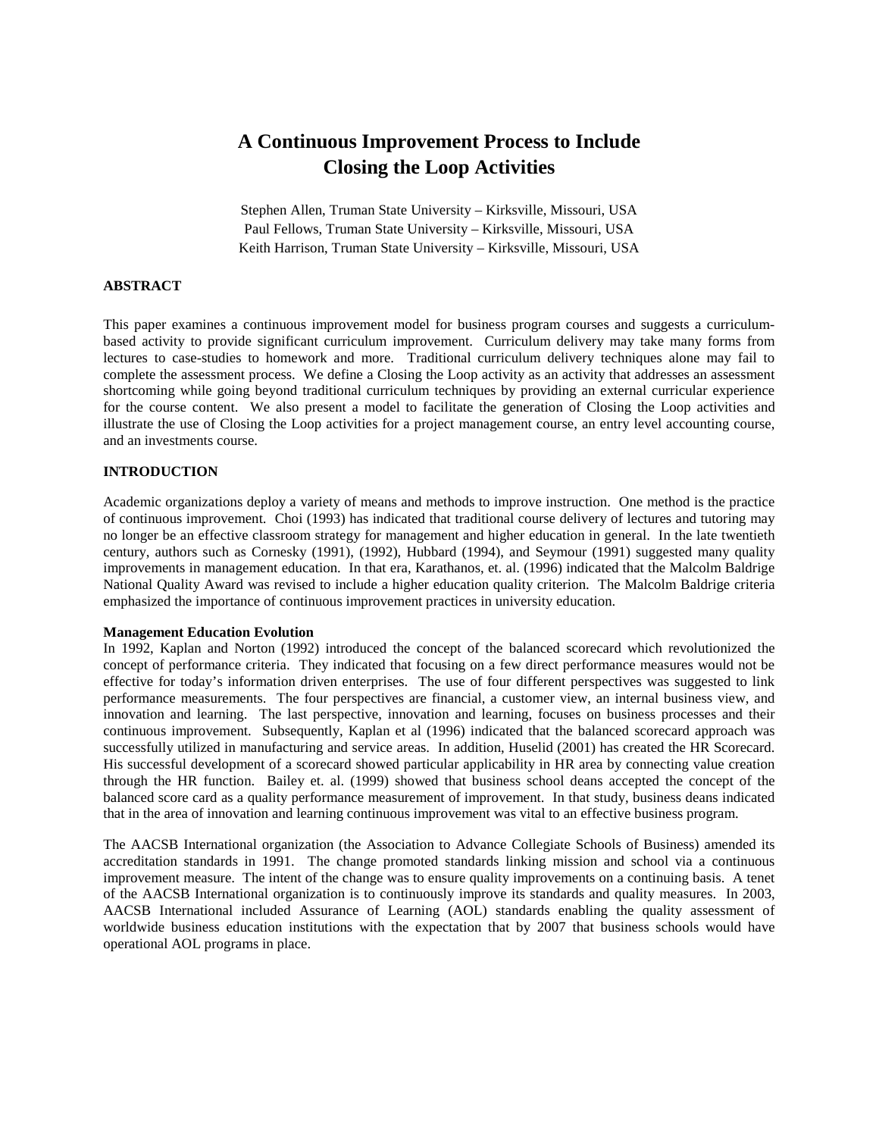# **A Continuous Improvement Process to Include Closing the Loop Activities**

Stephen Allen, Truman State University – Kirksville, Missouri, USA Paul Fellows, Truman State University – Kirksville, Missouri, USA Keith Harrison, Truman State University – Kirksville, Missouri, USA

# **ABSTRACT**

This paper examines a continuous improvement model for business program courses and suggests a curriculumbased activity to provide significant curriculum improvement. Curriculum delivery may take many forms from lectures to case-studies to homework and more. Traditional curriculum delivery techniques alone may fail to complete the assessment process. We define a Closing the Loop activity as an activity that addresses an assessment shortcoming while going beyond traditional curriculum techniques by providing an external curricular experience for the course content. We also present a model to facilitate the generation of Closing the Loop activities and illustrate the use of Closing the Loop activities for a project management course, an entry level accounting course, and an investments course.

### **INTRODUCTION**

Academic organizations deploy a variety of means and methods to improve instruction. One method is the practice of continuous improvement. Choi (1993) has indicated that traditional course delivery of lectures and tutoring may no longer be an effective classroom strategy for management and higher education in general. In the late twentieth century, authors such as Cornesky (1991), (1992), Hubbard (1994), and Seymour (1991) suggested many quality improvements in management education. In that era, Karathanos, et. al. (1996) indicated that the Malcolm Baldrige National Quality Award was revised to include a higher education quality criterion. The Malcolm Baldrige criteria emphasized the importance of continuous improvement practices in university education.

#### **Management Education Evolution**

In 1992, Kaplan and Norton (1992) introduced the concept of the balanced scorecard which revolutionized the concept of performance criteria. They indicated that focusing on a few direct performance measures would not be effective for today's information driven enterprises. The use of four different perspectives was suggested to link performance measurements. The four perspectives are financial, a customer view, an internal business view, and innovation and learning. The last perspective, innovation and learning, focuses on business processes and their continuous improvement. Subsequently, Kaplan et al (1996) indicated that the balanced scorecard approach was successfully utilized in manufacturing and service areas. In addition, Huselid (2001) has created the HR Scorecard. His successful development of a scorecard showed particular applicability in HR area by connecting value creation through the HR function. Bailey et. al. (1999) showed that business school deans accepted the concept of the balanced score card as a quality performance measurement of improvement. In that study, business deans indicated that in the area of innovation and learning continuous improvement was vital to an effective business program.

The AACSB International organization (the Association to Advance Collegiate Schools of Business) amended its accreditation standards in 1991. The change promoted standards linking mission and school via a continuous improvement measure. The intent of the change was to ensure quality improvements on a continuing basis. A tenet of the AACSB International organization is to continuously improve its standards and quality measures. In 2003, AACSB International included Assurance of Learning (AOL) standards enabling the quality assessment of worldwide business education institutions with the expectation that by 2007 that business schools would have operational AOL programs in place.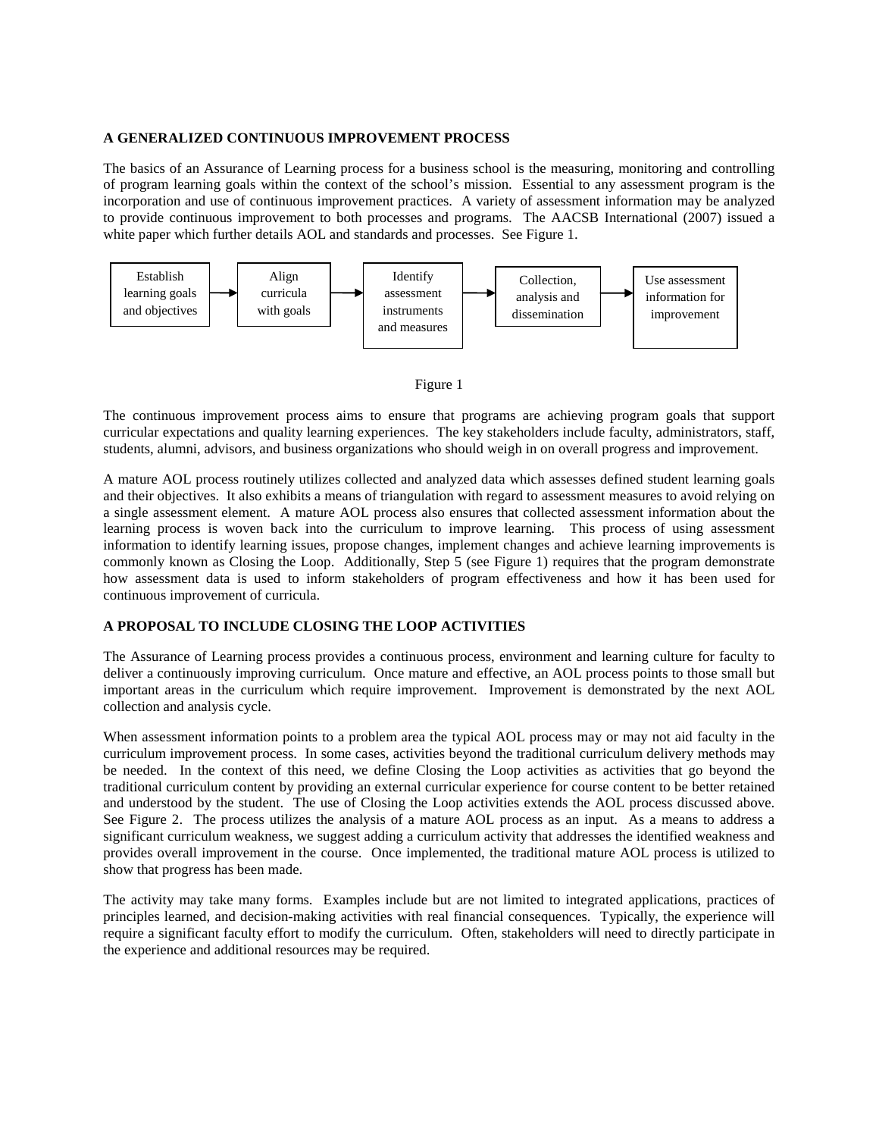#### **A GENERALIZED CONTINUOUS IMPROVEMENT PROCESS**

The basics of an Assurance of Learning process for a business school is the measuring, monitoring and controlling of program learning goals within the context of the school's mission. Essential to any assessment program is the incorporation and use of continuous improvement practices. A variety of assessment information may be analyzed to provide continuous improvement to both processes and programs. The AACSB International (2007) issued a white paper which further details AOL and standards and processes. See Figure 1.





The continuous improvement process aims to ensure that programs are achieving program goals that support curricular expectations and quality learning experiences. The key stakeholders include faculty, administrators, staff, students, alumni, advisors, and business organizations who should weigh in on overall progress and improvement.

A mature AOL process routinely utilizes collected and analyzed data which assesses defined student learning goals and their objectives. It also exhibits a means of triangulation with regard to assessment measures to avoid relying on a single assessment element. A mature AOL process also ensures that collected assessment information about the learning process is woven back into the curriculum to improve learning. This process of using assessment information to identify learning issues, propose changes, implement changes and achieve learning improvements is commonly known as Closing the Loop. Additionally, Step 5 (see Figure 1) requires that the program demonstrate how assessment data is used to inform stakeholders of program effectiveness and how it has been used for continuous improvement of curricula.

#### **A PROPOSAL TO INCLUDE CLOSING THE LOOP ACTIVITIES**

The Assurance of Learning process provides a continuous process, environment and learning culture for faculty to deliver a continuously improving curriculum. Once mature and effective, an AOL process points to those small but important areas in the curriculum which require improvement. Improvement is demonstrated by the next AOL collection and analysis cycle.

When assessment information points to a problem area the typical AOL process may or may not aid faculty in the curriculum improvement process. In some cases, activities beyond the traditional curriculum delivery methods may be needed. In the context of this need, we define Closing the Loop activities as activities that go beyond the traditional curriculum content by providing an external curricular experience for course content to be better retained and understood by the student. The use of Closing the Loop activities extends the AOL process discussed above. See Figure 2. The process utilizes the analysis of a mature AOL process as an input. As a means to address a significant curriculum weakness, we suggest adding a curriculum activity that addresses the identified weakness and provides overall improvement in the course. Once implemented, the traditional mature AOL process is utilized to show that progress has been made.

The activity may take many forms. Examples include but are not limited to integrated applications, practices of principles learned, and decision-making activities with real financial consequences. Typically, the experience will require a significant faculty effort to modify the curriculum. Often, stakeholders will need to directly participate in the experience and additional resources may be required.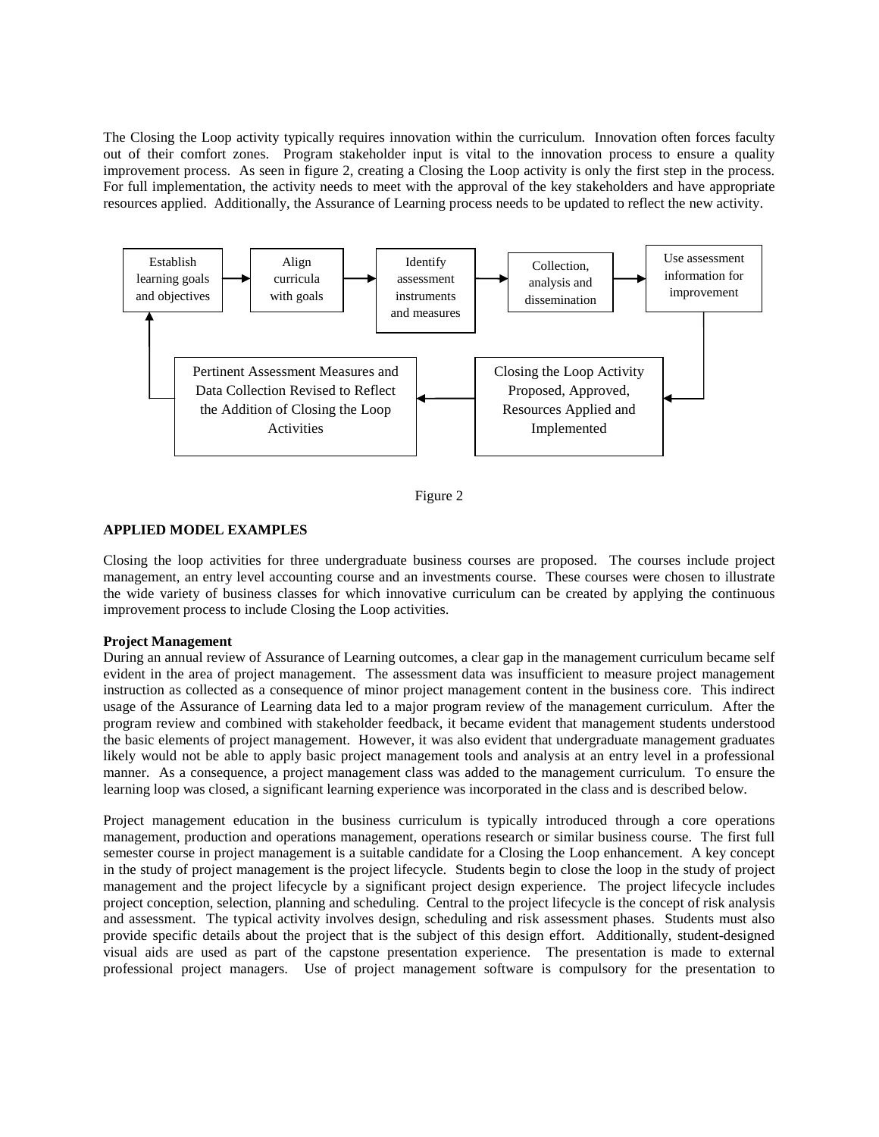The Closing the Loop activity typically requires innovation within the curriculum. Innovation often forces faculty out of their comfort zones. Program stakeholder input is vital to the innovation process to ensure a quality improvement process. As seen in figure 2, creating a Closing the Loop activity is only the first step in the process. For full implementation, the activity needs to meet with the approval of the key stakeholders and have appropriate resources applied. Additionally, the Assurance of Learning process needs to be updated to reflect the new activity.



Figure 2

## **APPLIED MODEL EXAMPLES**

Closing the loop activities for three undergraduate business courses are proposed. The courses include project management, an entry level accounting course and an investments course. These courses were chosen to illustrate the wide variety of business classes for which innovative curriculum can be created by applying the continuous improvement process to include Closing the Loop activities.

### **Project Management**

During an annual review of Assurance of Learning outcomes, a clear gap in the management curriculum became self evident in the area of project management. The assessment data was insufficient to measure project management instruction as collected as a consequence of minor project management content in the business core. This indirect usage of the Assurance of Learning data led to a major program review of the management curriculum. After the program review and combined with stakeholder feedback, it became evident that management students understood the basic elements of project management. However, it was also evident that undergraduate management graduates likely would not be able to apply basic project management tools and analysis at an entry level in a professional manner. As a consequence, a project management class was added to the management curriculum. To ensure the learning loop was closed, a significant learning experience was incorporated in the class and is described below.

Project management education in the business curriculum is typically introduced through a core operations management, production and operations management, operations research or similar business course. The first full semester course in project management is a suitable candidate for a Closing the Loop enhancement. A key concept in the study of project management is the project lifecycle. Students begin to close the loop in the study of project management and the project lifecycle by a significant project design experience. The project lifecycle includes project conception, selection, planning and scheduling. Central to the project lifecycle is the concept of risk analysis and assessment. The typical activity involves design, scheduling and risk assessment phases. Students must also provide specific details about the project that is the subject of this design effort. Additionally, student-designed visual aids are used as part of the capstone presentation experience. The presentation is made to external professional project managers. Use of project management software is compulsory for the presentation to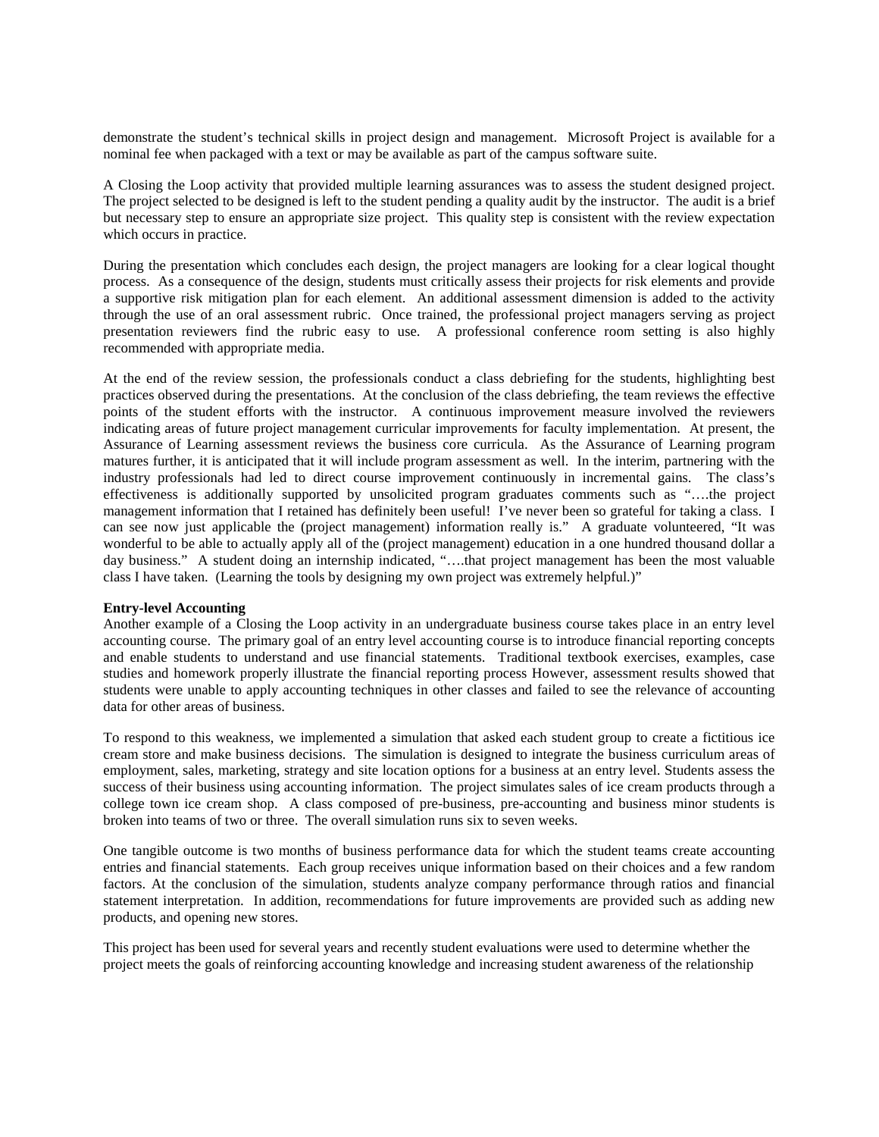demonstrate the student's technical skills in project design and management. Microsoft Project is available for a nominal fee when packaged with a text or may be available as part of the campus software suite.

A Closing the Loop activity that provided multiple learning assurances was to assess the student designed project. The project selected to be designed is left to the student pending a quality audit by the instructor. The audit is a brief but necessary step to ensure an appropriate size project. This quality step is consistent with the review expectation which occurs in practice.

During the presentation which concludes each design, the project managers are looking for a clear logical thought process. As a consequence of the design, students must critically assess their projects for risk elements and provide a supportive risk mitigation plan for each element. An additional assessment dimension is added to the activity through the use of an oral assessment rubric. Once trained, the professional project managers serving as project presentation reviewers find the rubric easy to use. A professional conference room setting is also highly recommended with appropriate media.

At the end of the review session, the professionals conduct a class debriefing for the students, highlighting best practices observed during the presentations. At the conclusion of the class debriefing, the team reviews the effective points of the student efforts with the instructor. A continuous improvement measure involved the reviewers indicating areas of future project management curricular improvements for faculty implementation. At present, the Assurance of Learning assessment reviews the business core curricula. As the Assurance of Learning program matures further, it is anticipated that it will include program assessment as well. In the interim, partnering with the industry professionals had led to direct course improvement continuously in incremental gains. The class's effectiveness is additionally supported by unsolicited program graduates comments such as "….the project management information that I retained has definitely been useful! I've never been so grateful for taking a class. I can see now just applicable the (project management) information really is." A graduate volunteered, "It was wonderful to be able to actually apply all of the (project management) education in a one hundred thousand dollar a day business." A student doing an internship indicated, "….that project management has been the most valuable class I have taken. (Learning the tools by designing my own project was extremely helpful.)"

#### **Entry-level Accounting**

Another example of a Closing the Loop activity in an undergraduate business course takes place in an entry level accounting course. The primary goal of an entry level accounting course is to introduce financial reporting concepts and enable students to understand and use financial statements. Traditional textbook exercises, examples, case studies and homework properly illustrate the financial reporting process However, assessment results showed that students were unable to apply accounting techniques in other classes and failed to see the relevance of accounting data for other areas of business.

To respond to this weakness, we implemented a simulation that asked each student group to create a fictitious ice cream store and make business decisions. The simulation is designed to integrate the business curriculum areas of employment, sales, marketing, strategy and site location options for a business at an entry level. Students assess the success of their business using accounting information. The project simulates sales of ice cream products through a college town ice cream shop. A class composed of pre-business, pre-accounting and business minor students is broken into teams of two or three. The overall simulation runs six to seven weeks.

One tangible outcome is two months of business performance data for which the student teams create accounting entries and financial statements. Each group receives unique information based on their choices and a few random factors. At the conclusion of the simulation, students analyze company performance through ratios and financial statement interpretation. In addition, recommendations for future improvements are provided such as adding new products, and opening new stores.

This project has been used for several years and recently student evaluations were used to determine whether the project meets the goals of reinforcing accounting knowledge and increasing student awareness of the relationship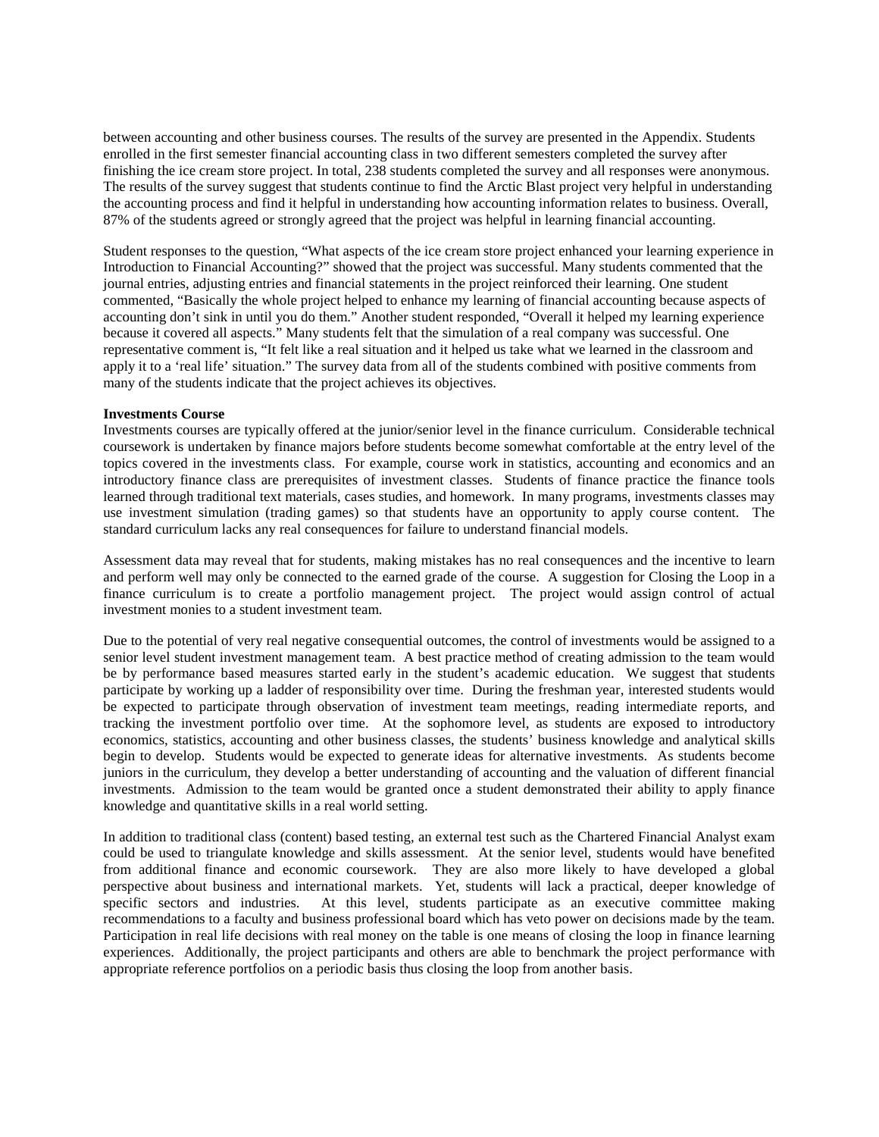between accounting and other business courses. The results of the survey are presented in the Appendix. Students enrolled in the first semester financial accounting class in two different semesters completed the survey after finishing the ice cream store project. In total, 238 students completed the survey and all responses were anonymous. The results of the survey suggest that students continue to find the Arctic Blast project very helpful in understanding the accounting process and find it helpful in understanding how accounting information relates to business. Overall, 87% of the students agreed or strongly agreed that the project was helpful in learning financial accounting.

Student responses to the question, "What aspects of the ice cream store project enhanced your learning experience in Introduction to Financial Accounting?" showed that the project was successful. Many students commented that the journal entries, adjusting entries and financial statements in the project reinforced their learning. One student commented, "Basically the whole project helped to enhance my learning of financial accounting because aspects of accounting don't sink in until you do them." Another student responded, "Overall it helped my learning experience because it covered all aspects." Many students felt that the simulation of a real company was successful. One representative comment is, "It felt like a real situation and it helped us take what we learned in the classroom and apply it to a 'real life' situation." The survey data from all of the students combined with positive comments from many of the students indicate that the project achieves its objectives.

#### **Investments Course**

Investments courses are typically offered at the junior/senior level in the finance curriculum. Considerable technical coursework is undertaken by finance majors before students become somewhat comfortable at the entry level of the topics covered in the investments class. For example, course work in statistics, accounting and economics and an introductory finance class are prerequisites of investment classes. Students of finance practice the finance tools learned through traditional text materials, cases studies, and homework. In many programs, investments classes may use investment simulation (trading games) so that students have an opportunity to apply course content. The standard curriculum lacks any real consequences for failure to understand financial models.

Assessment data may reveal that for students, making mistakes has no real consequences and the incentive to learn and perform well may only be connected to the earned grade of the course. A suggestion for Closing the Loop in a finance curriculum is to create a portfolio management project. The project would assign control of actual investment monies to a student investment team.

Due to the potential of very real negative consequential outcomes, the control of investments would be assigned to a senior level student investment management team. A best practice method of creating admission to the team would be by performance based measures started early in the student's academic education. We suggest that students participate by working up a ladder of responsibility over time. During the freshman year, interested students would be expected to participate through observation of investment team meetings, reading intermediate reports, and tracking the investment portfolio over time. At the sophomore level, as students are exposed to introductory economics, statistics, accounting and other business classes, the students' business knowledge and analytical skills begin to develop. Students would be expected to generate ideas for alternative investments. As students become juniors in the curriculum, they develop a better understanding of accounting and the valuation of different financial investments. Admission to the team would be granted once a student demonstrated their ability to apply finance knowledge and quantitative skills in a real world setting.

In addition to traditional class (content) based testing, an external test such as the Chartered Financial Analyst exam could be used to triangulate knowledge and skills assessment. At the senior level, students would have benefited from additional finance and economic coursework. They are also more likely to have developed a global perspective about business and international markets. Yet, students will lack a practical, deeper knowledge of specific sectors and industries. At this level, students participate as an executive committee making recommendations to a faculty and business professional board which has veto power on decisions made by the team. Participation in real life decisions with real money on the table is one means of closing the loop in finance learning experiences. Additionally, the project participants and others are able to benchmark the project performance with appropriate reference portfolios on a periodic basis thus closing the loop from another basis.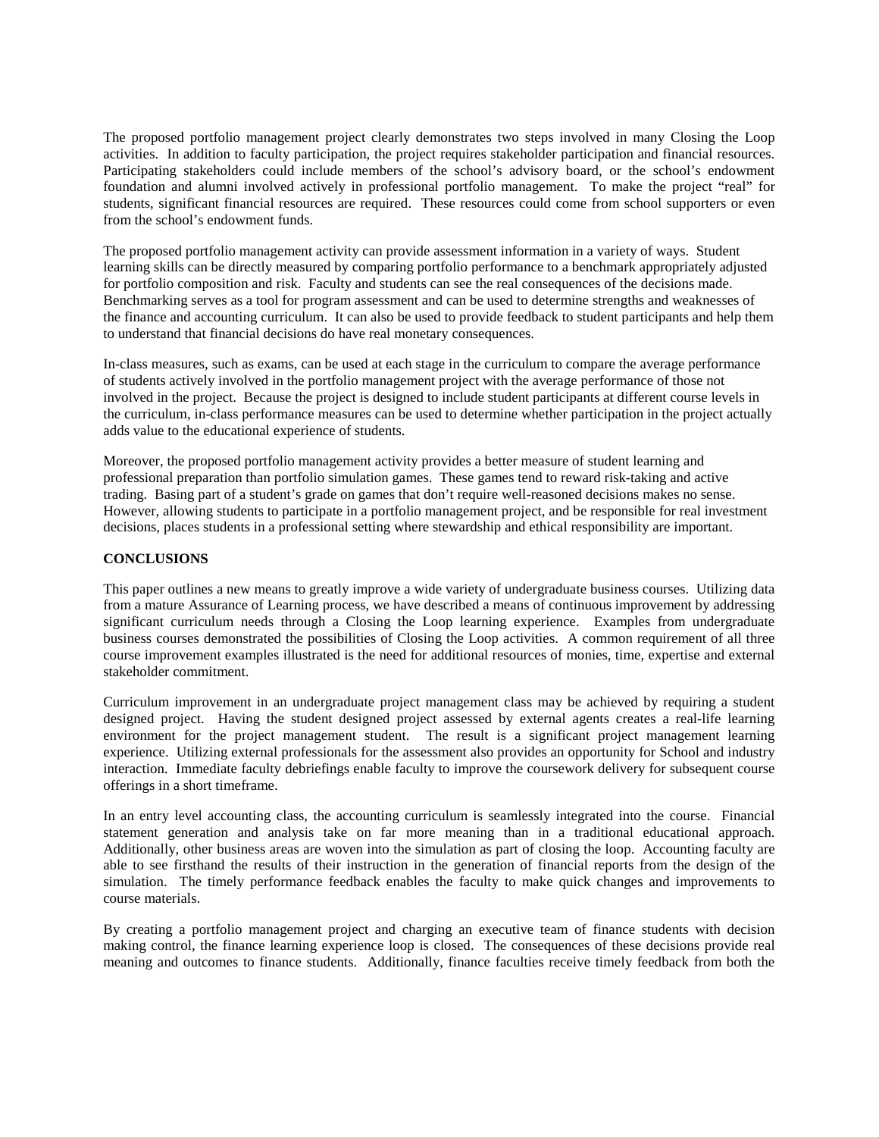The proposed portfolio management project clearly demonstrates two steps involved in many Closing the Loop activities. In addition to faculty participation, the project requires stakeholder participation and financial resources. Participating stakeholders could include members of the school's advisory board, or the school's endowment foundation and alumni involved actively in professional portfolio management. To make the project "real" for students, significant financial resources are required. These resources could come from school supporters or even from the school's endowment funds.

The proposed portfolio management activity can provide assessment information in a variety of ways. Student learning skills can be directly measured by comparing portfolio performance to a benchmark appropriately adjusted for portfolio composition and risk. Faculty and students can see the real consequences of the decisions made. Benchmarking serves as a tool for program assessment and can be used to determine strengths and weaknesses of the finance and accounting curriculum. It can also be used to provide feedback to student participants and help them to understand that financial decisions do have real monetary consequences.

In-class measures, such as exams, can be used at each stage in the curriculum to compare the average performance of students actively involved in the portfolio management project with the average performance of those not involved in the project. Because the project is designed to include student participants at different course levels in the curriculum, in-class performance measures can be used to determine whether participation in the project actually adds value to the educational experience of students.

Moreover, the proposed portfolio management activity provides a better measure of student learning and professional preparation than portfolio simulation games. These games tend to reward risk-taking and active trading. Basing part of a student's grade on games that don't require well-reasoned decisions makes no sense. However, allowing students to participate in a portfolio management project, and be responsible for real investment decisions, places students in a professional setting where stewardship and ethical responsibility are important.

## **CONCLUSIONS**

This paper outlines a new means to greatly improve a wide variety of undergraduate business courses. Utilizing data from a mature Assurance of Learning process, we have described a means of continuous improvement by addressing significant curriculum needs through a Closing the Loop learning experience. Examples from undergraduate business courses demonstrated the possibilities of Closing the Loop activities. A common requirement of all three course improvement examples illustrated is the need for additional resources of monies, time, expertise and external stakeholder commitment.

Curriculum improvement in an undergraduate project management class may be achieved by requiring a student designed project. Having the student designed project assessed by external agents creates a real-life learning environment for the project management student. The result is a significant project management learning experience. Utilizing external professionals for the assessment also provides an opportunity for School and industry interaction. Immediate faculty debriefings enable faculty to improve the coursework delivery for subsequent course offerings in a short timeframe.

In an entry level accounting class, the accounting curriculum is seamlessly integrated into the course. Financial statement generation and analysis take on far more meaning than in a traditional educational approach. Additionally, other business areas are woven into the simulation as part of closing the loop. Accounting faculty are able to see firsthand the results of their instruction in the generation of financial reports from the design of the simulation. The timely performance feedback enables the faculty to make quick changes and improvements to course materials.

By creating a portfolio management project and charging an executive team of finance students with decision making control, the finance learning experience loop is closed. The consequences of these decisions provide real meaning and outcomes to finance students. Additionally, finance faculties receive timely feedback from both the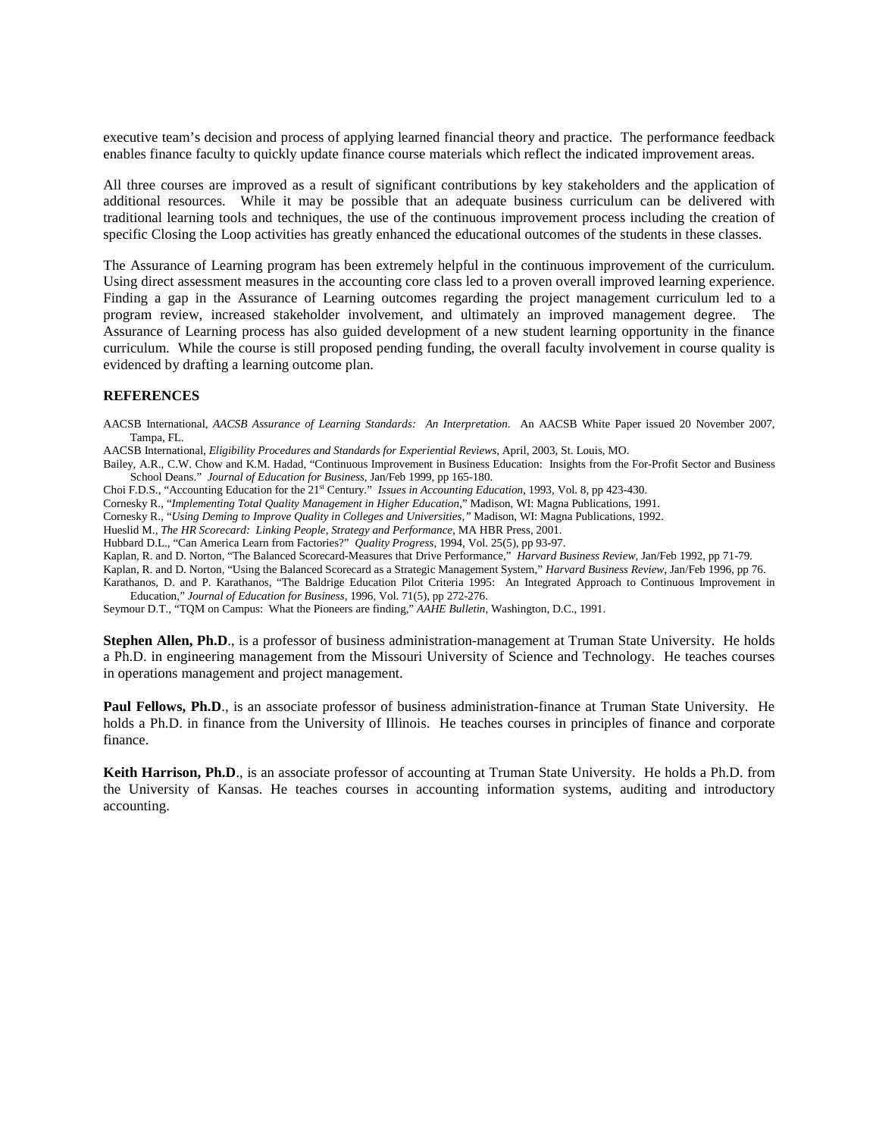executive team's decision and process of applying learned financial theory and practice. The performance feedback enables finance faculty to quickly update finance course materials which reflect the indicated improvement areas.

All three courses are improved as a result of significant contributions by key stakeholders and the application of additional resources. While it may be possible that an adequate business curriculum can be delivered with traditional learning tools and techniques, the use of the continuous improvement process including the creation of specific Closing the Loop activities has greatly enhanced the educational outcomes of the students in these classes.

The Assurance of Learning program has been extremely helpful in the continuous improvement of the curriculum. Using direct assessment measures in the accounting core class led to a proven overall improved learning experience. Finding a gap in the Assurance of Learning outcomes regarding the project management curriculum led to a program review, increased stakeholder involvement, and ultimately an improved management degree. The Assurance of Learning process has also guided development of a new student learning opportunity in the finance curriculum. While the course is still proposed pending funding, the overall faculty involvement in course quality is evidenced by drafting a learning outcome plan.

#### **REFERENCES**

AACSB International, *AACSB Assurance of Learning Standards: An Interpretation*. An AACSB White Paper issued 20 November 2007, Tampa, FL.

- AACSB International, *Eligibility Procedures and Standards for Experiential Reviews*, April, 2003, St. Louis, MO.
- Bailey, A.R., C.W. Chow and K.M. Hadad, "Continuous Improvement in Business Education: Insights from the For-Profit Sector and Business School Deans." *Journal of Education for Business*, Jan/Feb 1999, pp 165-180.
- Choi F.D.S., "Accounting Education for the 21st Century." *Issues in Accounting Education*, 1993, Vol. 8, pp 423-430.
- Cornesky R., "*Implementing Total Quality Management in Higher Education*," Madison, WI: Magna Publications, 1991.

Cornesky R., "*Using Deming to Improve Quality in Colleges and Universities,"* Madison, WI: Magna Publications, 1992.

- Hueslid M., *The HR Scorecard: Linking People, Strategy and Performance*, MA HBR Press, 2001.
- Hubbard D.L., "Can America Learn from Factories?" *Quality Progress*, 1994, Vol. 25(5), pp 93-97.
- Kaplan, R. and D. Norton, "The Balanced Scorecard-Measures that Drive Performance," *Harvard Business Review*, Jan/Feb 1992, pp 71-79.

Kaplan, R. and D. Norton, "Using the Balanced Scorecard as a Strategic Management System," *Harvard Business Review*, Jan/Feb 1996, pp 76. Karathanos, D. and P. Karathanos, "The Baldrige Education Pilot Criteria 1995: An Integrated Approach to Continuous Improvement in Education," *Journal of Education for Business*, 1996, Vol. 71(5), pp 272-276.

Seymour D.T., "TQM on Campus: What the Pioneers are finding," *AAHE Bulletin*, Washington, D.C., 1991.

**Stephen Allen, Ph.D.**, is a professor of business administration-management at Truman State University. He holds a Ph.D. in engineering management from the Missouri University of Science and Technology. He teaches courses in operations management and project management.

**Paul Fellows, Ph.D.**, is an associate professor of business administration-finance at Truman State University. He holds a Ph.D. in finance from the University of Illinois. He teaches courses in principles of finance and corporate finance.

**Keith Harrison, Ph.D**., is an associate professor of accounting at Truman State University. He holds a Ph.D. from the University of Kansas. He teaches courses in accounting information systems, auditing and introductory accounting.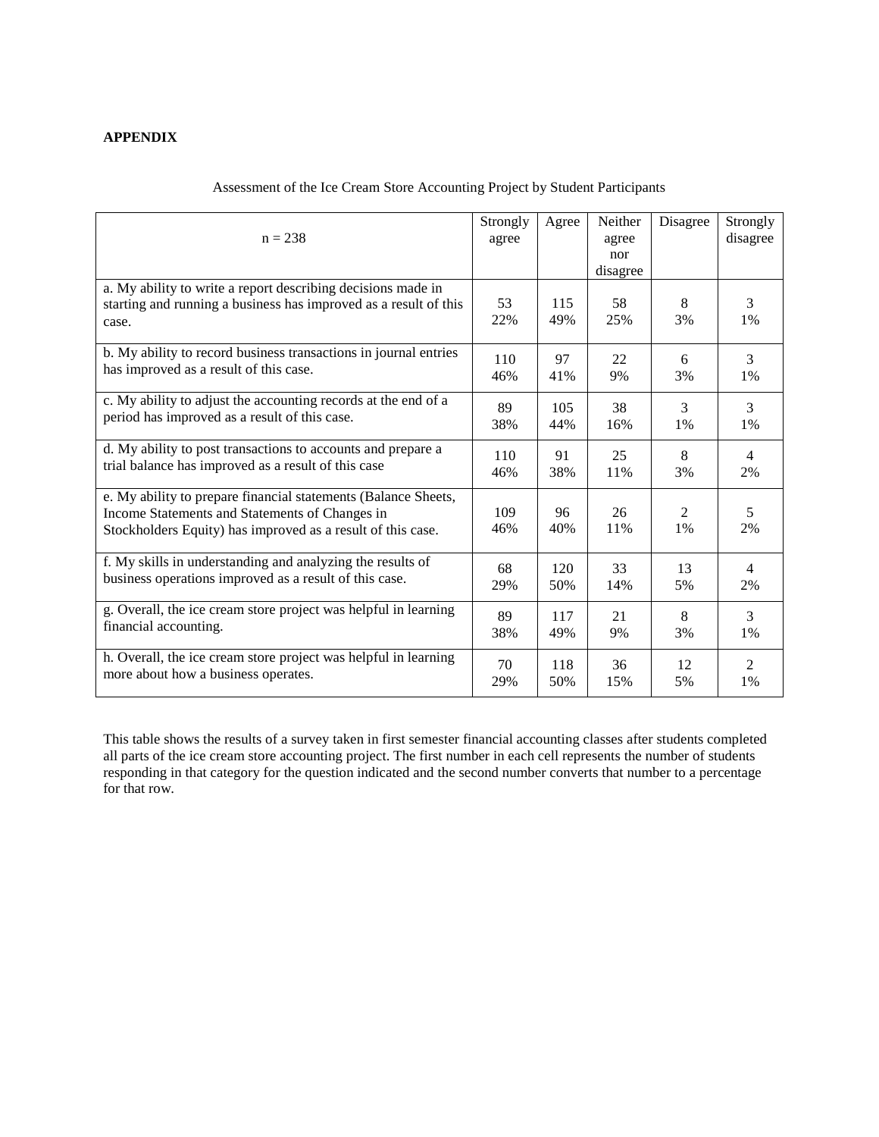# **APPENDIX**

| $n = 238$                                                                                                                                                                       | Strongly<br>agree | Agree      | Neither<br>agree<br>nor<br>disagree | Disagree                | Strongly<br>disagree |
|---------------------------------------------------------------------------------------------------------------------------------------------------------------------------------|-------------------|------------|-------------------------------------|-------------------------|----------------------|
| a. My ability to write a report describing decisions made in<br>starting and running a business has improved as a result of this<br>case.                                       | 53<br>22%         | 115<br>49% | 58<br>25%                           | 8<br>3%                 | 3<br>1%              |
| b. My ability to record business transactions in journal entries                                                                                                                | 110               | 97         | 22                                  | 6                       | $\overline{3}$       |
| has improved as a result of this case.                                                                                                                                          | 46%               | 41%        | 9%                                  | 3%                      | 1%                   |
| c. My ability to adjust the accounting records at the end of a                                                                                                                  | 89                | 105        | 38                                  | 3                       | 3                    |
| period has improved as a result of this case.                                                                                                                                   | 38%               | 44%        | 16%                                 | 1%                      | 1%                   |
| d. My ability to post transactions to accounts and prepare a                                                                                                                    | 110               | 91         | 25                                  | 8                       | $\overline{4}$       |
| trial balance has improved as a result of this case                                                                                                                             | 46%               | 38%        | 11%                                 | 3%                      | 2%                   |
| e. My ability to prepare financial statements (Balance Sheets,<br>Income Statements and Statements of Changes in<br>Stockholders Equity) has improved as a result of this case. | 109<br>46%        | 96<br>40%  | 26<br>11%                           | $\mathfrak{D}$<br>$1\%$ | 5<br>2%              |
| f. My skills in understanding and analyzing the results of                                                                                                                      | 68                | 120        | 33                                  | 13                      | 4                    |
| business operations improved as a result of this case.                                                                                                                          | 29%               | 50%        | 14%                                 | 5%                      | 2%                   |
| g. Overall, the ice cream store project was helpful in learning                                                                                                                 | 89                | 117        | 21                                  | 8                       | 3                    |
| financial accounting.                                                                                                                                                           | 38%               | 49%        | 9%                                  | 3%                      | 1%                   |
| h. Overall, the ice cream store project was helpful in learning                                                                                                                 | 70                | 118        | 36                                  | 12                      | $\overline{2}$       |
| more about how a business operates.                                                                                                                                             | 29%               | 50%        | 15%                                 | 5%                      | 1%                   |

# Assessment of the Ice Cream Store Accounting Project by Student Participants

This table shows the results of a survey taken in first semester financial accounting classes after students completed all parts of the ice cream store accounting project. The first number in each cell represents the number of students responding in that category for the question indicated and the second number converts that number to a percentage for that row.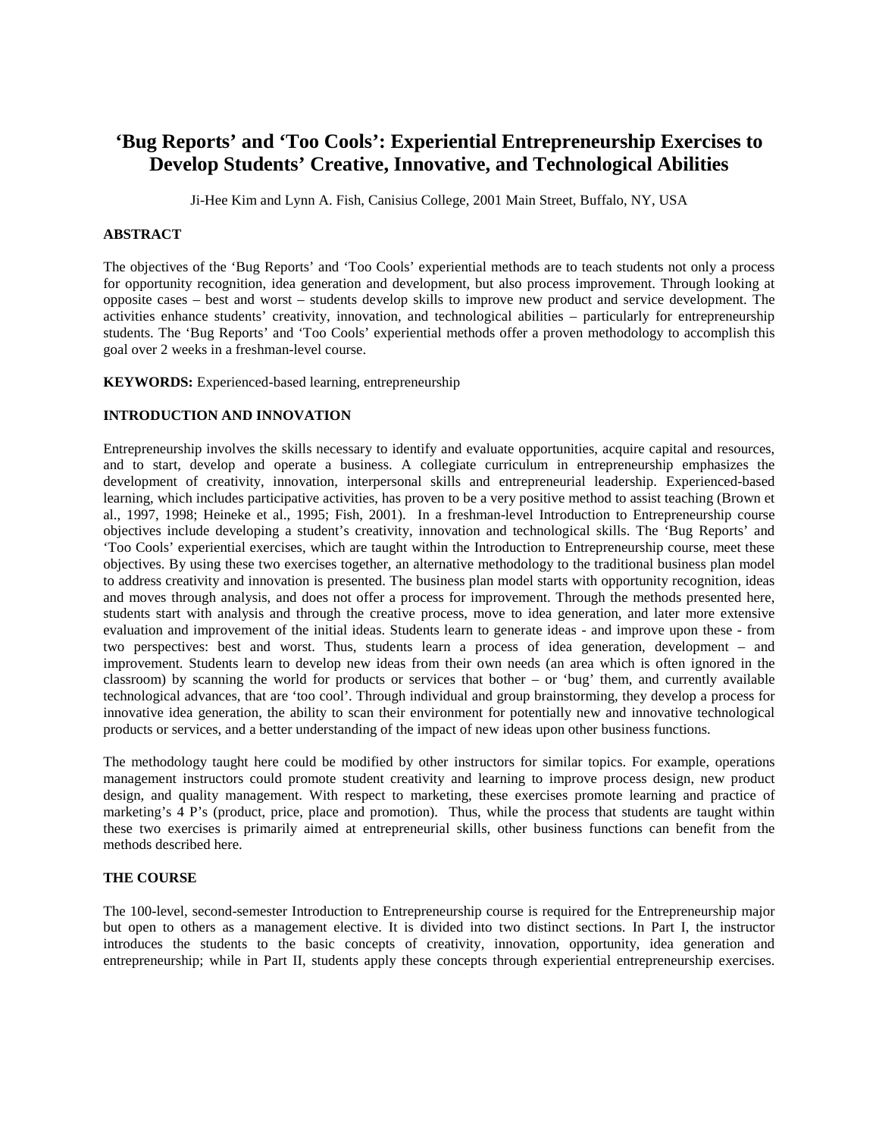# **'Bug Reports' and 'Too Cools': Experiential Entrepreneurship Exercises to Develop Students' Creative, Innovative, and Technological Abilities**

Ji-Hee Kim and Lynn A. Fish, Canisius College, 2001 Main Street, Buffalo, NY, USA

#### **ABSTRACT**

The objectives of the 'Bug Reports' and 'Too Cools' experiential methods are to teach students not only a process for opportunity recognition, idea generation and development, but also process improvement. Through looking at opposite cases – best and worst – students develop skills to improve new product and service development. The activities enhance students' creativity, innovation, and technological abilities – particularly for entrepreneurship students. The 'Bug Reports' and 'Too Cools' experiential methods offer a proven methodology to accomplish this goal over 2 weeks in a freshman-level course.

**KEYWORDS:** Experienced-based learning, entrepreneurship

#### **INTRODUCTION AND INNOVATION**

Entrepreneurship involves the skills necessary to identify and evaluate opportunities, acquire capital and resources, and to start, develop and operate a business. A collegiate curriculum in entrepreneurship emphasizes the development of creativity, innovation, interpersonal skills and entrepreneurial leadership. Experienced-based learning, which includes participative activities, has proven to be a very positive method to assist teaching (Brown et al., 1997, 1998; Heineke et al., 1995; Fish, 2001). In a freshman-level Introduction to Entrepreneurship course objectives include developing a student's creativity, innovation and technological skills. The 'Bug Reports' and 'Too Cools' experiential exercises, which are taught within the Introduction to Entrepreneurship course, meet these objectives. By using these two exercises together, an alternative methodology to the traditional business plan model to address creativity and innovation is presented. The business plan model starts with opportunity recognition, ideas and moves through analysis, and does not offer a process for improvement. Through the methods presented here, students start with analysis and through the creative process, move to idea generation, and later more extensive evaluation and improvement of the initial ideas. Students learn to generate ideas - and improve upon these - from two perspectives: best and worst. Thus, students learn a process of idea generation, development – and improvement. Students learn to develop new ideas from their own needs (an area which is often ignored in the classroom) by scanning the world for products or services that bother – or 'bug' them, and currently available technological advances, that are 'too cool'. Through individual and group brainstorming, they develop a process for innovative idea generation, the ability to scan their environment for potentially new and innovative technological products or services, and a better understanding of the impact of new ideas upon other business functions.

The methodology taught here could be modified by other instructors for similar topics. For example, operations management instructors could promote student creativity and learning to improve process design, new product design, and quality management. With respect to marketing, these exercises promote learning and practice of marketing's  $4$  P's (product, price, place and promotion). Thus, while the process that students are taught within these two exercises is primarily aimed at entrepreneurial skills, other business functions can benefit from the methods described here.

#### **THE COURSE**

The 100-level, second-semester Introduction to Entrepreneurship course is required for the Entrepreneurship major but open to others as a management elective. It is divided into two distinct sections. In Part I, the instructor introduces the students to the basic concepts of creativity, innovation, opportunity, idea generation and entrepreneurship; while in Part II, students apply these concepts through experiential entrepreneurship exercises.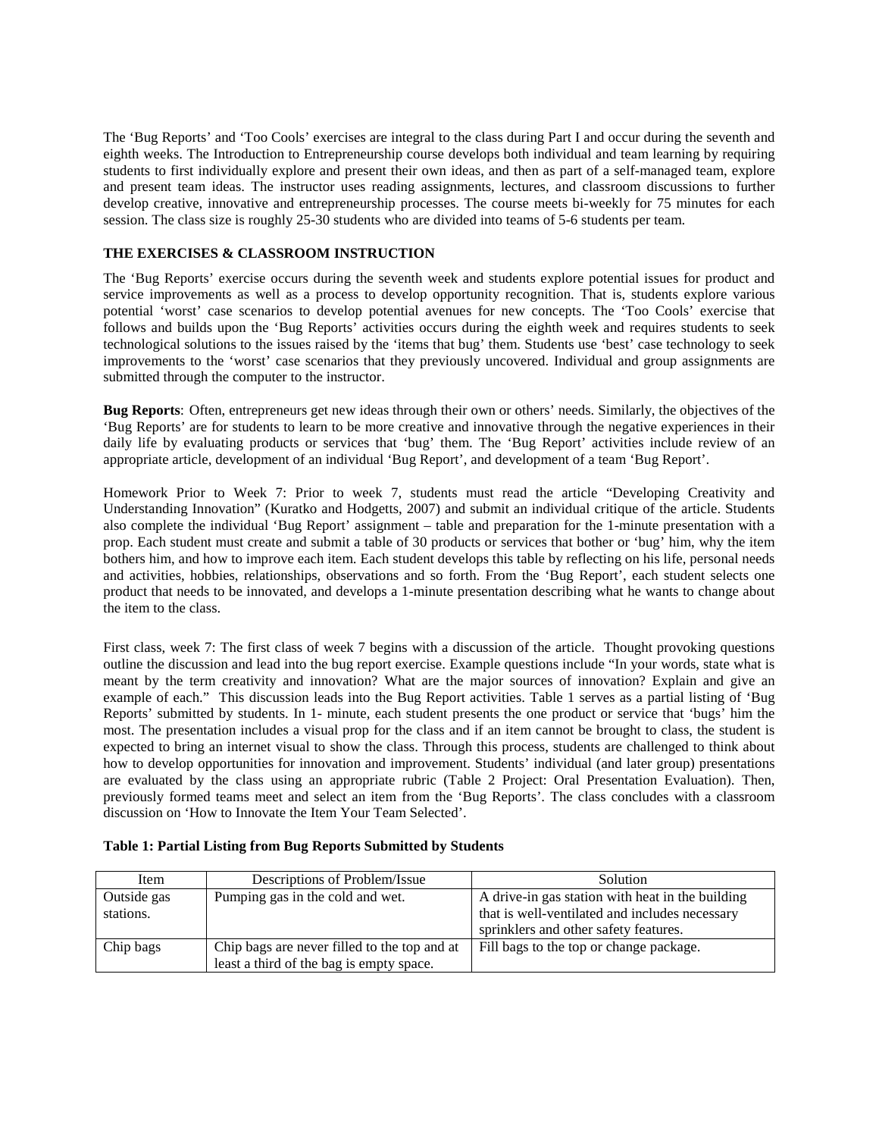The 'Bug Reports' and 'Too Cools' exercises are integral to the class during Part I and occur during the seventh and eighth weeks. The Introduction to Entrepreneurship course develops both individual and team learning by requiring students to first individually explore and present their own ideas, and then as part of a self-managed team, explore and present team ideas. The instructor uses reading assignments, lectures, and classroom discussions to further develop creative, innovative and entrepreneurship processes. The course meets bi-weekly for 75 minutes for each session. The class size is roughly 25-30 students who are divided into teams of 5-6 students per team.

# **THE EXERCISES & CLASSROOM INSTRUCTION**

The 'Bug Reports' exercise occurs during the seventh week and students explore potential issues for product and service improvements as well as a process to develop opportunity recognition. That is, students explore various potential 'worst' case scenarios to develop potential avenues for new concepts. The 'Too Cools' exercise that follows and builds upon the 'Bug Reports' activities occurs during the eighth week and requires students to seek technological solutions to the issues raised by the 'items that bug' them. Students use 'best' case technology to seek improvements to the 'worst' case scenarios that they previously uncovered. Individual and group assignments are submitted through the computer to the instructor.

**Bug Reports**: Often, entrepreneurs get new ideas through their own or others' needs. Similarly, the objectives of the 'Bug Reports' are for students to learn to be more creative and innovative through the negative experiences in their daily life by evaluating products or services that 'bug' them. The 'Bug Report' activities include review of an appropriate article, development of an individual 'Bug Report', and development of a team 'Bug Report'.

Homework Prior to Week 7: Prior to week 7, students must read the article "Developing Creativity and Understanding Innovation" (Kuratko and Hodgetts, 2007) and submit an individual critique of the article. Students also complete the individual 'Bug Report' assignment – table and preparation for the 1-minute presentation with a prop. Each student must create and submit a table of 30 products or services that bother or 'bug' him, why the item bothers him, and how to improve each item. Each student develops this table by reflecting on his life, personal needs and activities, hobbies, relationships, observations and so forth. From the 'Bug Report', each student selects one product that needs to be innovated, and develops a 1-minute presentation describing what he wants to change about the item to the class.

First class, week 7: The first class of week 7 begins with a discussion of the article. Thought provoking questions outline the discussion and lead into the bug report exercise. Example questions include "In your words, state what is meant by the term creativity and innovation? What are the major sources of innovation? Explain and give an example of each." This discussion leads into the Bug Report activities. Table 1 serves as a partial listing of 'Bug Reports' submitted by students. In 1- minute, each student presents the one product or service that 'bugs' him the most. The presentation includes a visual prop for the class and if an item cannot be brought to class, the student is expected to bring an internet visual to show the class. Through this process, students are challenged to think about how to develop opportunities for innovation and improvement. Students' individual (and later group) presentations are evaluated by the class using an appropriate rubric (Table 2 Project: Oral Presentation Evaluation). Then, previously formed teams meet and select an item from the 'Bug Reports'. The class concludes with a classroom discussion on 'How to Innovate the Item Your Team Selected'.

#### **Table 1: Partial Listing from Bug Reports Submitted by Students**

| Item        | Descriptions of Problem/Issue                | <b>Solution</b>                                  |
|-------------|----------------------------------------------|--------------------------------------------------|
| Outside gas | Pumping gas in the cold and wet.             | A drive-in gas station with heat in the building |
| stations.   |                                              | that is well-ventilated and includes necessary   |
|             |                                              | sprinklers and other safety features.            |
| Chip bags   | Chip bags are never filled to the top and at | Fill bags to the top or change package.          |
|             | least a third of the bag is empty space.     |                                                  |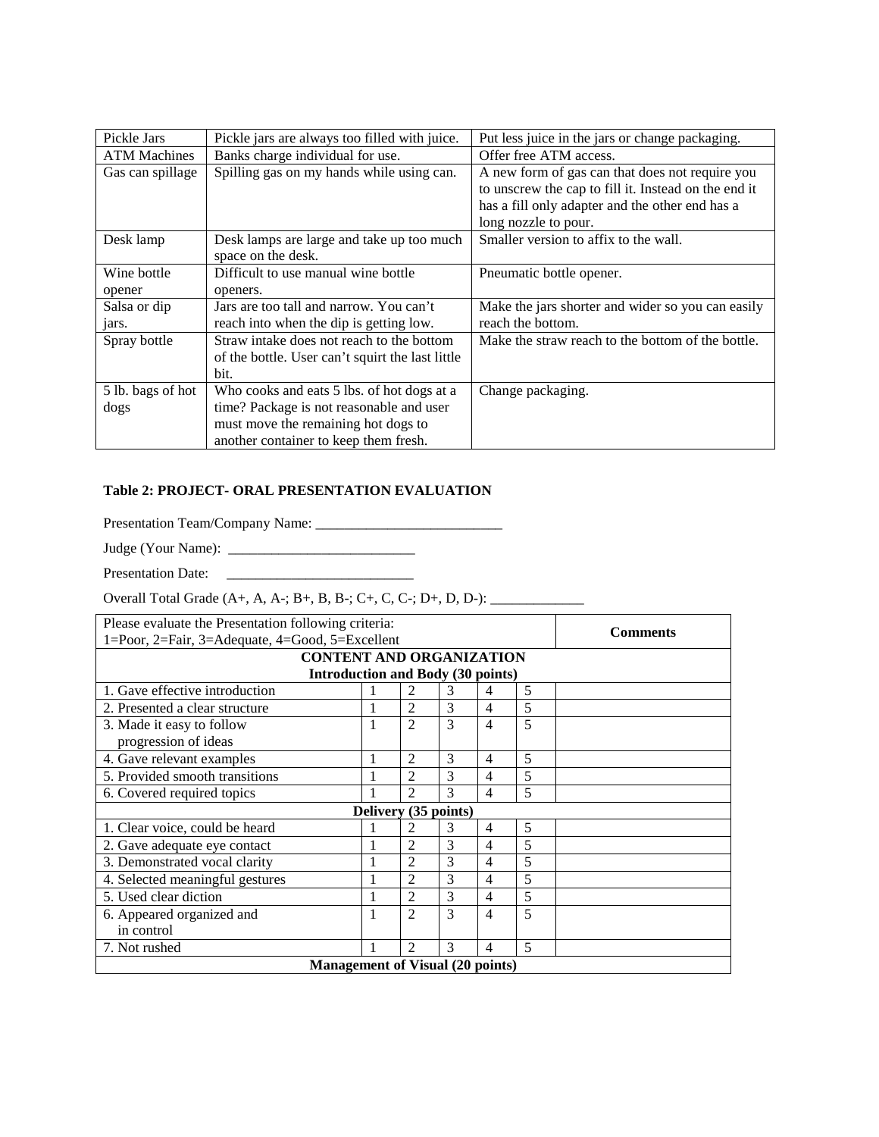| Pickle Jars               | Pickle jars are always too filled with juice.                                                         | Put less juice in the jars or change packaging.                                                                                                                                    |
|---------------------------|-------------------------------------------------------------------------------------------------------|------------------------------------------------------------------------------------------------------------------------------------------------------------------------------------|
| <b>ATM Machines</b>       | Banks charge individual for use.                                                                      | Offer free ATM access.                                                                                                                                                             |
| Gas can spillage          | Spilling gas on my hands while using can.                                                             | A new form of gas can that does not require you<br>to unscrew the cap to fill it. Instead on the end it<br>has a fill only adapter and the other end has a<br>long nozzle to pour. |
| Desk lamp                 | Desk lamps are large and take up too much<br>space on the desk.                                       | Smaller version to affix to the wall.                                                                                                                                              |
| Wine bottle               | Difficult to use manual wine bottle                                                                   | Pneumatic bottle opener.                                                                                                                                                           |
| opener                    | openers.                                                                                              |                                                                                                                                                                                    |
| Salsa or dip<br>jars.     | Jars are too tall and narrow. You can't<br>reach into when the dip is getting low.                    | Make the jars shorter and wider so you can easily<br>reach the bottom.                                                                                                             |
| Spray bottle              | Straw intake does not reach to the bottom<br>of the bottle. User can't squirt the last little<br>bit. | Make the straw reach to the bottom of the bottle.                                                                                                                                  |
| 5 lb. bags of hot<br>dogs | Who cooks and eats 5 lbs. of hot dogs at a<br>time? Package is not reasonable and user                | Change packaging.                                                                                                                                                                  |
|                           | must move the remaining hot dogs to<br>another container to keep them fresh.                          |                                                                                                                                                                                    |

# **Table 2: PROJECT- ORAL PRESENTATION EVALUATION**

Presentation Team/Company Name: \_\_\_\_\_\_\_\_\_\_\_\_\_\_\_\_\_\_\_\_\_\_\_\_\_\_

Judge (Your Name): \_\_\_\_\_\_\_\_\_\_\_\_\_\_\_\_\_\_\_\_\_\_\_\_\_\_

Presentation Date: \_\_\_\_\_\_\_\_\_\_\_\_\_\_\_\_\_\_\_\_\_\_\_\_\_\_

Overall Total Grade (A+, A, A-; B+, B, B-; C+, C, C-; D+, D, D-): \_\_\_\_\_\_\_\_\_\_\_\_\_

| Please evaluate the Presentation following criteria: |                      |                |   |                |   |  |  |  |  |  |  |
|------------------------------------------------------|----------------------|----------------|---|----------------|---|--|--|--|--|--|--|
| 1=Poor, 2=Fair, 3=Adequate, 4=Good, 5=Excellent      | <b>Comments</b>      |                |   |                |   |  |  |  |  |  |  |
| <b>CONTENT AND ORGANIZATION</b>                      |                      |                |   |                |   |  |  |  |  |  |  |
| <b>Introduction and Body (30 points)</b>             |                      |                |   |                |   |  |  |  |  |  |  |
| 5<br>1. Gave effective introduction<br>2<br>3<br>4   |                      |                |   |                |   |  |  |  |  |  |  |
| 2. Presented a clear structure                       |                      | $\overline{2}$ | 3 | 4              | 5 |  |  |  |  |  |  |
| 3. Made it easy to follow                            | 1                    | $\overline{2}$ | 3 | $\overline{4}$ | 5 |  |  |  |  |  |  |
| progression of ideas                                 |                      |                |   |                |   |  |  |  |  |  |  |
| 4. Gave relevant examples                            |                      | 2              | 3 | 4              | 5 |  |  |  |  |  |  |
| 5. Provided smooth transitions                       | $\overline{2}$       | 3              | 4 | 5              |   |  |  |  |  |  |  |
| 6. Covered required topics                           |                      | っ              | 3 | 4              | 5 |  |  |  |  |  |  |
|                                                      | Delivery (35 points) |                |   |                |   |  |  |  |  |  |  |
| 1. Clear voice, could be heard                       |                      | 2              | 3 | 4              | 5 |  |  |  |  |  |  |
| 2. Gave adequate eye contact                         |                      | $\overline{c}$ | 3 | 4              | 5 |  |  |  |  |  |  |
| 3. Demonstrated vocal clarity                        |                      | 2              | 3 | 4              | 5 |  |  |  |  |  |  |
| 4. Selected meaningful gestures                      |                      | 2              | 3 | 4              | 5 |  |  |  |  |  |  |
| 5. Used clear diction                                |                      | $\overline{2}$ | 3 | 4              | 5 |  |  |  |  |  |  |
| 6. Appeared organized and                            |                      | $\mathfrak{D}$ | 3 | 4              | 5 |  |  |  |  |  |  |
| in control                                           |                      |                |   |                |   |  |  |  |  |  |  |
| 7. Not rushed                                        |                      | $\mathfrak{D}$ | 3 | 4              | 5 |  |  |  |  |  |  |
| <b>Management of Visual (20 points)</b>              |                      |                |   |                |   |  |  |  |  |  |  |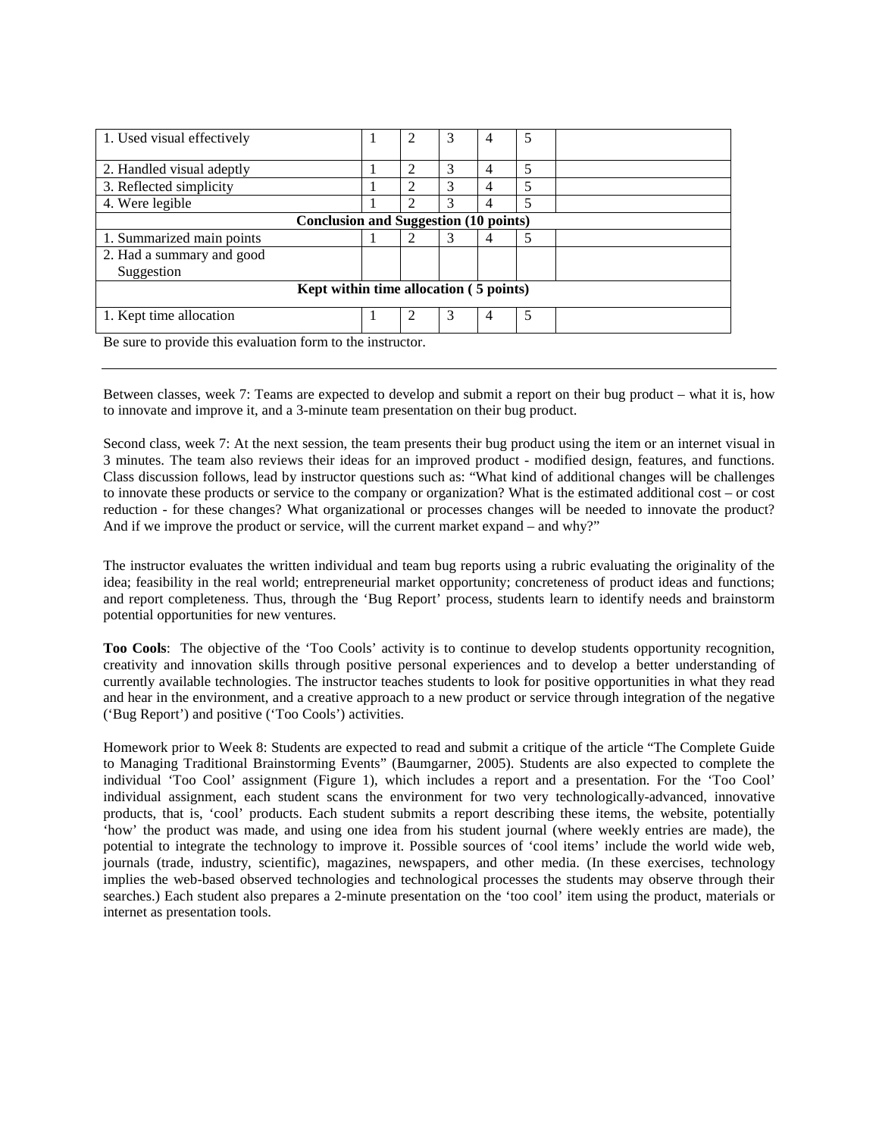| 1. Used visual effectively                   |  |                             | 3 | 4              | 5 |  |  |  |  |
|----------------------------------------------|--|-----------------------------|---|----------------|---|--|--|--|--|
| 2. Handled visual adeptly                    |  | $\mathcal{D}_{\mathcal{L}}$ | 3 | 4              |   |  |  |  |  |
| 3. Reflected simplicity                      |  |                             | 3 | 4              |   |  |  |  |  |
| 4. Were legible                              |  |                             | 3 | 4              |   |  |  |  |  |
| <b>Conclusion and Suggestion (10 points)</b> |  |                             |   |                |   |  |  |  |  |
| 1. Summarized main points                    |  |                             | 3 | 4              |   |  |  |  |  |
| 2. Had a summary and good                    |  |                             |   |                |   |  |  |  |  |
| Suggestion                                   |  |                             |   |                |   |  |  |  |  |
| Kept within time allocation (5 points)       |  |                             |   |                |   |  |  |  |  |
| 1. Kept time allocation                      |  |                             | 3 | $\overline{4}$ | 5 |  |  |  |  |

Be sure to provide this evaluation form to the instructor.

Between classes, week 7: Teams are expected to develop and submit a report on their bug product – what it is, how to innovate and improve it, and a 3-minute team presentation on their bug product.

Second class, week 7: At the next session, the team presents their bug product using the item or an internet visual in 3 minutes. The team also reviews their ideas for an improved product - modified design, features, and functions. Class discussion follows, lead by instructor questions such as: "What kind of additional changes will be challenges to innovate these products or service to the company or organization? What is the estimated additional cost – or cost reduction - for these changes? What organizational or processes changes will be needed to innovate the product? And if we improve the product or service, will the current market expand – and why?"

The instructor evaluates the written individual and team bug reports using a rubric evaluating the originality of the idea; feasibility in the real world; entrepreneurial market opportunity; concreteness of product ideas and functions; and report completeness. Thus, through the 'Bug Report' process, students learn to identify needs and brainstorm potential opportunities for new ventures.

**Too Cools**: The objective of the 'Too Cools' activity is to continue to develop students opportunity recognition, creativity and innovation skills through positive personal experiences and to develop a better understanding of currently available technologies. The instructor teaches students to look for positive opportunities in what they read and hear in the environment, and a creative approach to a new product or service through integration of the negative ('Bug Report') and positive ('Too Cools') activities.

Homework prior to Week 8: Students are expected to read and submit a critique of the article "The Complete Guide to Managing Traditional Brainstorming Events" (Baumgarner, 2005). Students are also expected to complete the individual 'Too Cool' assignment (Figure 1), which includes a report and a presentation. For the 'Too Cool' individual assignment, each student scans the environment for two very technologically-advanced, innovative products, that is, 'cool' products. Each student submits a report describing these items, the website, potentially 'how' the product was made, and using one idea from his student journal (where weekly entries are made), the potential to integrate the technology to improve it. Possible sources of 'cool items' include the world wide web, journals (trade, industry, scientific), magazines, newspapers, and other media. (In these exercises, technology implies the web-based observed technologies and technological processes the students may observe through their searches.) Each student also prepares a 2-minute presentation on the 'too cool' item using the product, materials or internet as presentation tools.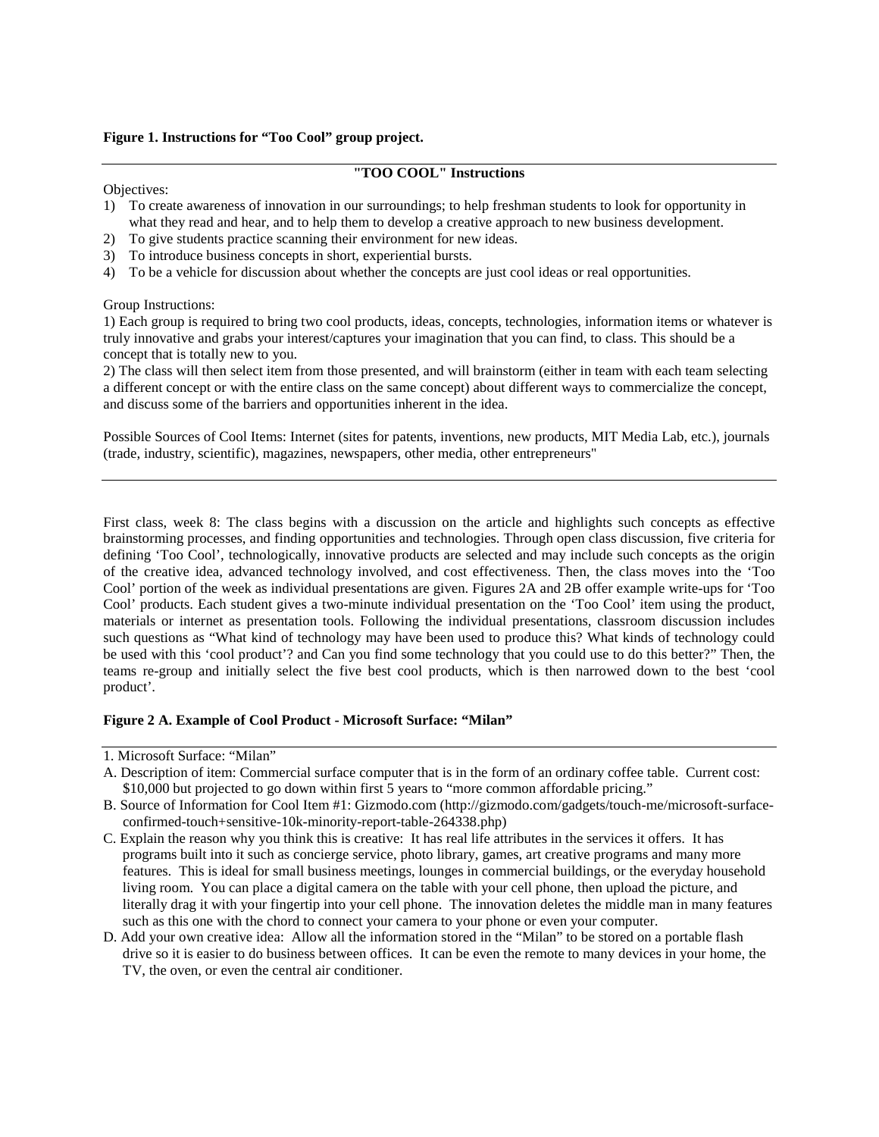# **Figure 1. Instructions for "Too Cool" group project.**

### **"TOO COOL" Instructions**

#### Objectives:

- 1) To create awareness of innovation in our surroundings; to help freshman students to look for opportunity in what they read and hear, and to help them to develop a creative approach to new business development.
- 2) To give students practice scanning their environment for new ideas.
- 3) To introduce business concepts in short, experiential bursts.
- 4) To be a vehicle for discussion about whether the concepts are just cool ideas or real opportunities.

Group Instructions:

1) Each group is required to bring two cool products, ideas, concepts, technologies, information items or whatever is truly innovative and grabs your interest/captures your imagination that you can find, to class. This should be a concept that is totally new to you.

2) The class will then select item from those presented, and will brainstorm (either in team with each team selecting a different concept or with the entire class on the same concept) about different ways to commercialize the concept, and discuss some of the barriers and opportunities inherent in the idea.

Possible Sources of Cool Items: Internet (sites for patents, inventions, new products, MIT Media Lab, etc.), journals (trade, industry, scientific), magazines, newspapers, other media, other entrepreneurs"

First class, week 8: The class begins with a discussion on the article and highlights such concepts as effective brainstorming processes, and finding opportunities and technologies. Through open class discussion, five criteria for defining 'Too Cool', technologically, innovative products are selected and may include such concepts as the origin of the creative idea, advanced technology involved, and cost effectiveness. Then, the class moves into the 'Too Cool' portion of the week as individual presentations are given. Figures 2A and 2B offer example write-ups for 'Too Cool' products. Each student gives a two-minute individual presentation on the 'Too Cool' item using the product, materials or internet as presentation tools. Following the individual presentations, classroom discussion includes such questions as "What kind of technology may have been used to produce this? What kinds of technology could be used with this 'cool product'? and Can you find some technology that you could use to do this better?" Then, the teams re-group and initially select the five best cool products, which is then narrowed down to the best 'cool product'.

#### **Figure 2 A. Example of Cool Product - Microsoft Surface: "Milan"**

- C. Explain the reason why you think this is creative: It has real life attributes in the services it offers. It has programs built into it such as concierge service, photo library, games, art creative programs and many more features. This is ideal for small business meetings, lounges in commercial buildings, or the everyday household living room. You can place a digital camera on the table with your cell phone, then upload the picture, and literally drag it with your fingertip into your cell phone. The innovation deletes the middle man in many features such as this one with the chord to connect your camera to your phone or even your computer.
- D. Add your own creative idea: Allow all the information stored in the "Milan" to be stored on a portable flash drive so it is easier to do business between offices. It can be even the remote to many devices in your home, the TV, the oven, or even the central air conditioner.

<sup>1.</sup> Microsoft Surface: "Milan"

A. Description of item: Commercial surface computer that is in the form of an ordinary coffee table. Current cost: \$10,000 but projected to go down within first 5 years to "more common affordable pricing."

B. Source of Information for Cool Item #1: Gizmodo.com (http://gizmodo.com/gadgets/touch-me/microsoft-surfaceconfirmed-touch+sensitive-10k-minority-report-table-264338.php)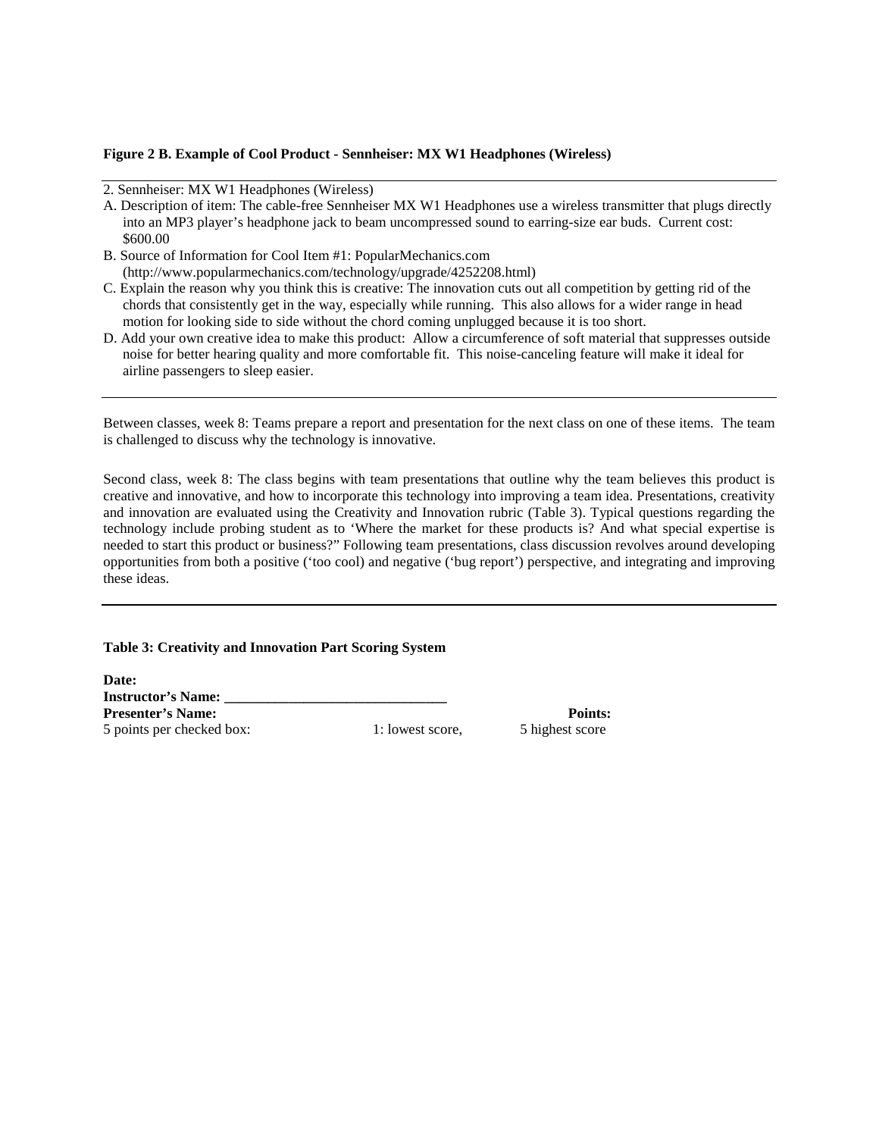## **Figure 2 B. Example of Cool Product - Sennheiser: MX W1 Headphones (Wireless)**

- A. Description of item: The cable-free Sennheiser MX W1 Headphones use a wireless transmitter that plugs directly into an MP3 player's headphone jack to beam uncompressed sound to earring-size ear buds. Current cost: \$600.00
- B. Source of Information for Cool Item #1: PopularMechanics.com (http://www.popularmechanics.com/technology/upgrade/4252208.html)
- C. Explain the reason why you think this is creative: The innovation cuts out all competition by getting rid of the chords that consistently get in the way, especially while running. This also allows for a wider range in head motion for looking side to side without the chord coming unplugged because it is too short.
- D. Add your own creative idea to make this product: Allow a circumference of soft material that suppresses outside noise for better hearing quality and more comfortable fit. This noise-canceling feature will make it ideal for airline passengers to sleep easier.

Between classes, week 8: Teams prepare a report and presentation for the next class on one of these items. The team is challenged to discuss why the technology is innovative.

Second class, week 8: The class begins with team presentations that outline why the team believes this product is creative and innovative, and how to incorporate this technology into improving a team idea. Presentations, creativity and innovation are evaluated using the Creativity and Innovation rubric (Table 3). Typical questions regarding the technology include probing student as to 'Where the market for these products is? And what special expertise is needed to start this product or business?" Following team presentations, class discussion revolves around developing opportunities from both a positive ('too cool) and negative ('bug report') perspective, and integrating and improving these ideas.

## **Table 3: Creativity and Innovation Part Scoring System**

**Date: Instructor's Name: Presenter's Name: Points: Points: Points:** 5 points per checked box: 1: lowest score, 5 highest score

<sup>2.</sup> Sennheiser: MX W1 Headphones (Wireless)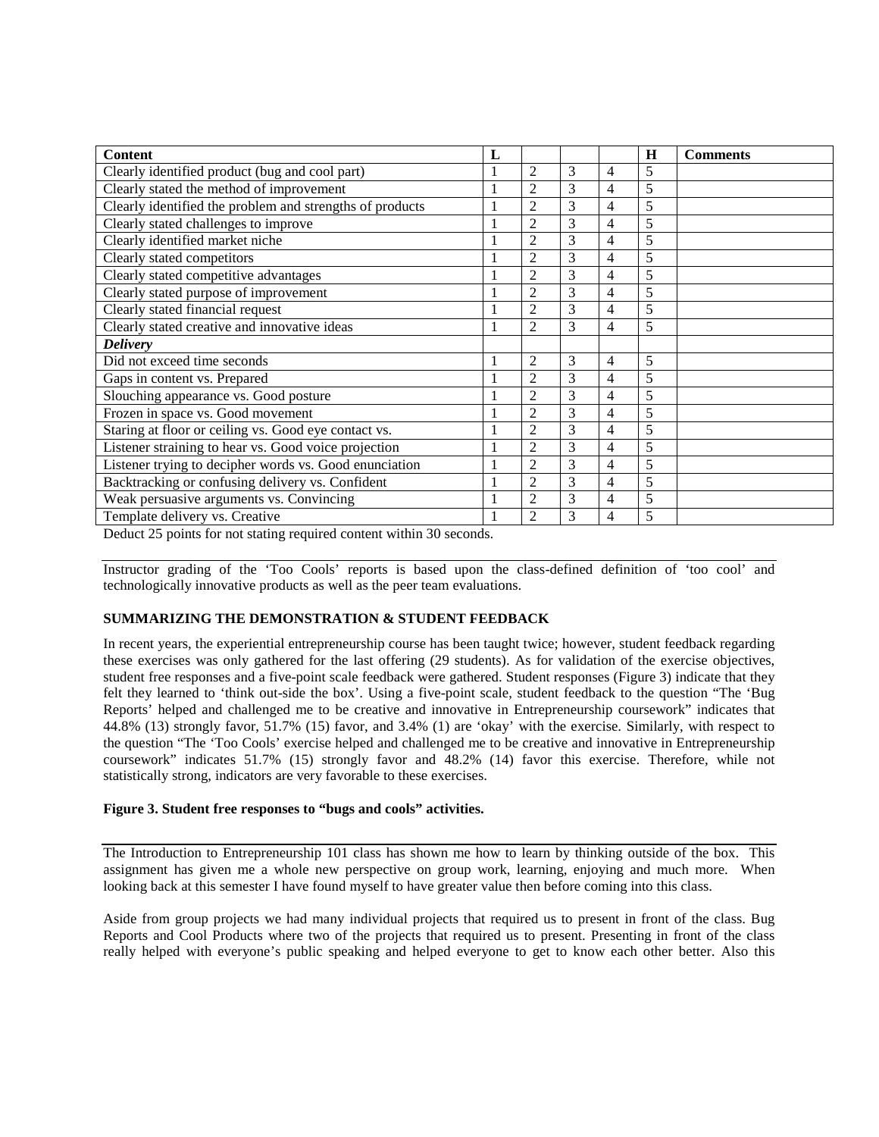| <b>Content</b>                                           | L            |                |   |                | H | <b>Comments</b> |
|----------------------------------------------------------|--------------|----------------|---|----------------|---|-----------------|
| Clearly identified product (bug and cool part)           | 1            | 2              | 3 | 4              | 5 |                 |
| Clearly stated the method of improvement                 |              | $\overline{2}$ | 3 | 4              | 5 |                 |
| Clearly identified the problem and strengths of products | $\mathbf{1}$ | $\overline{2}$ | 3 | 4              | 5 |                 |
| Clearly stated challenges to improve                     | 1            | $\overline{2}$ | 3 | 4              | 5 |                 |
| Clearly identified market niche                          |              | $\overline{2}$ | 3 | $\overline{4}$ | 5 |                 |
| Clearly stated competitors                               | 1            | $\overline{2}$ | 3 | $\overline{4}$ | 5 |                 |
| Clearly stated competitive advantages                    | 1            | $\overline{2}$ | 3 | 4              | 5 |                 |
| Clearly stated purpose of improvement                    |              | $\overline{2}$ | 3 | $\overline{4}$ | 5 |                 |
| Clearly stated financial request                         |              | $\overline{2}$ | 3 | 4              | 5 |                 |
| Clearly stated creative and innovative ideas             | $\mathbf{1}$ | $\overline{2}$ | 3 | 4              | 5 |                 |
| <b>Delivery</b>                                          |              |                |   |                |   |                 |
| Did not exceed time seconds                              | 1            | $\overline{2}$ | 3 | 4              | 5 |                 |
| Gaps in content vs. Prepared                             | $\mathbf{1}$ | $\overline{2}$ | 3 | 4              | 5 |                 |
| Slouching appearance vs. Good posture                    |              | $\overline{c}$ | 3 | $\overline{4}$ | 5 |                 |
| Frozen in space vs. Good movement                        |              | $\overline{2}$ | 3 | 4              | 5 |                 |
| Staring at floor or ceiling vs. Good eye contact vs.     | $\mathbf{1}$ | $\overline{2}$ | 3 | 4              | 5 |                 |
| Listener straining to hear vs. Good voice projection     |              | $\overline{2}$ | 3 | 4              | 5 |                 |
| Listener trying to decipher words vs. Good enunciation   |              | $\overline{2}$ | 3 | 4              | 5 |                 |
| Backtracking or confusing delivery vs. Confident         | $\mathbf{1}$ | $\overline{2}$ | 3 | $\overline{4}$ | 5 |                 |
| Weak persuasive arguments vs. Convincing                 |              | $\overline{2}$ | 3 | $\overline{4}$ | 5 |                 |
| Template delivery vs. Creative                           |              | $\overline{2}$ | 3 | 4              | 5 |                 |

Deduct 25 points for not stating required content within 30 seconds.

Instructor grading of the 'Too Cools' reports is based upon the class-defined definition of 'too cool' and technologically innovative products as well as the peer team evaluations.

# **SUMMARIZING THE DEMONSTRATION & STUDENT FEEDBACK**

In recent years, the experiential entrepreneurship course has been taught twice; however, student feedback regarding these exercises was only gathered for the last offering (29 students). As for validation of the exercise objectives, student free responses and a five-point scale feedback were gathered. Student responses (Figure 3) indicate that they felt they learned to 'think out-side the box'. Using a five-point scale, student feedback to the question "The 'Bug Reports' helped and challenged me to be creative and innovative in Entrepreneurship coursework" indicates that 44.8% (13) strongly favor, 51.7% (15) favor, and 3.4% (1) are 'okay' with the exercise. Similarly, with respect to the question "The 'Too Cools' exercise helped and challenged me to be creative and innovative in Entrepreneurship coursework" indicates 51.7% (15) strongly favor and 48.2% (14) favor this exercise. Therefore, while not statistically strong, indicators are very favorable to these exercises.

#### **Figure 3. Student free responses to "bugs and cools" activities.**

The Introduction to Entrepreneurship 101 class has shown me how to learn by thinking outside of the box. This assignment has given me a whole new perspective on group work, learning, enjoying and much more. When looking back at this semester I have found myself to have greater value then before coming into this class.

Aside from group projects we had many individual projects that required us to present in front of the class. Bug Reports and Cool Products where two of the projects that required us to present. Presenting in front of the class really helped with everyone's public speaking and helped everyone to get to know each other better. Also this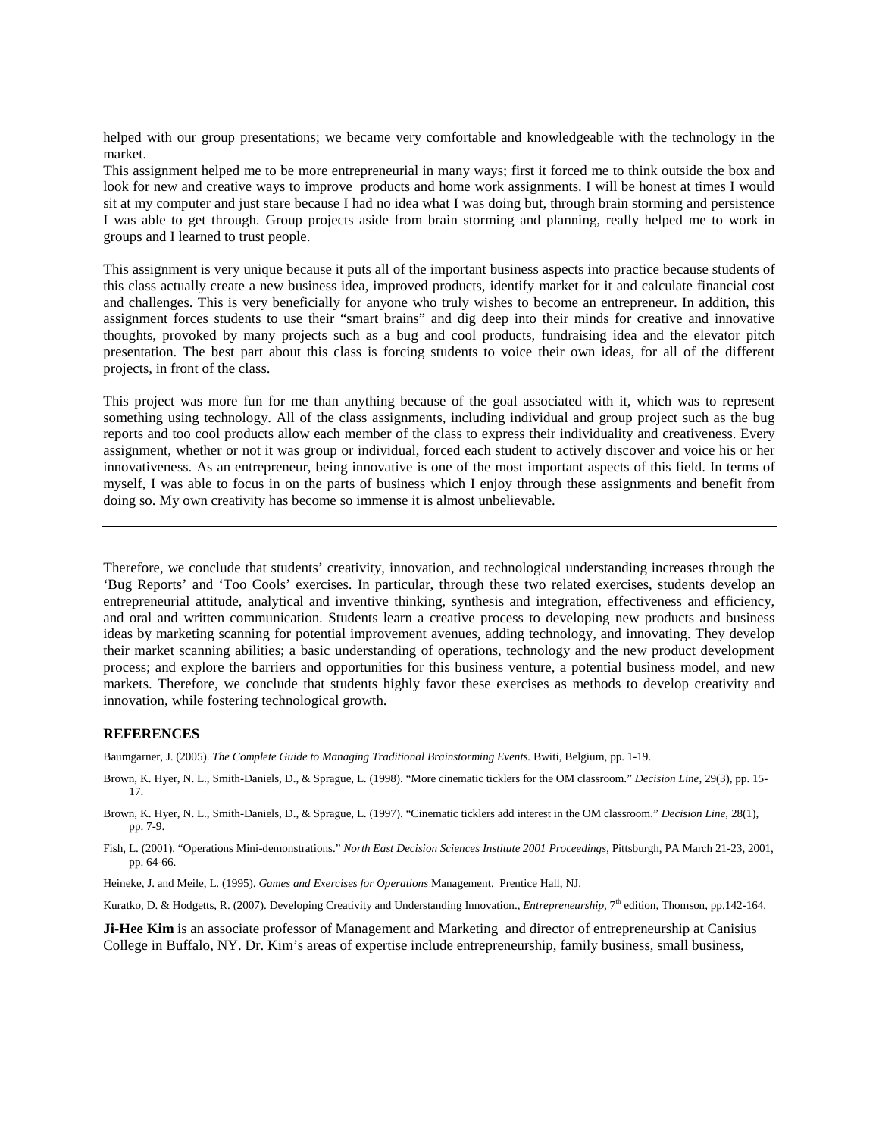helped with our group presentations; we became very comfortable and knowledgeable with the technology in the market.

This assignment helped me to be more entrepreneurial in many ways; first it forced me to think outside the box and look for new and creative ways to improve products and home work assignments. I will be honest at times I would sit at my computer and just stare because I had no idea what I was doing but, through brain storming and persistence I was able to get through. Group projects aside from brain storming and planning, really helped me to work in groups and I learned to trust people.

This assignment is very unique because it puts all of the important business aspects into practice because students of this class actually create a new business idea, improved products, identify market for it and calculate financial cost and challenges. This is very beneficially for anyone who truly wishes to become an entrepreneur. In addition, this assignment forces students to use their "smart brains" and dig deep into their minds for creative and innovative thoughts, provoked by many projects such as a bug and cool products, fundraising idea and the elevator pitch presentation. The best part about this class is forcing students to voice their own ideas, for all of the different projects, in front of the class.

This project was more fun for me than anything because of the goal associated with it, which was to represent something using technology. All of the class assignments, including individual and group project such as the bug reports and too cool products allow each member of the class to express their individuality and creativeness. Every assignment, whether or not it was group or individual, forced each student to actively discover and voice his or her innovativeness. As an entrepreneur, being innovative is one of the most important aspects of this field. In terms of myself, I was able to focus in on the parts of business which I enjoy through these assignments and benefit from doing so. My own creativity has become so immense it is almost unbelievable.

Therefore, we conclude that students' creativity, innovation, and technological understanding increases through the 'Bug Reports' and 'Too Cools' exercises. In particular, through these two related exercises, students develop an entrepreneurial attitude, analytical and inventive thinking, synthesis and integration, effectiveness and efficiency, and oral and written communication. Students learn a creative process to developing new products and business ideas by marketing scanning for potential improvement avenues, adding technology, and innovating. They develop their market scanning abilities; a basic understanding of operations, technology and the new product development process; and explore the barriers and opportunities for this business venture, a potential business model, and new markets. Therefore, we conclude that students highly favor these exercises as methods to develop creativity and innovation, while fostering technological growth.

#### **REFERENCES**

Baumgarner, J. (2005). *The Complete Guide to Managing Traditional Brainstorming Events.* Bwiti, Belgium, pp. 1-19.

- Brown, K. Hyer, N. L., Smith-Daniels, D., & Sprague, L. (1998). "More cinematic ticklers for the OM classroom." *Decision Line*, 29(3), pp. 15- 17.
- Brown, K. Hyer, N. L., Smith-Daniels, D., & Sprague, L. (1997). "Cinematic ticklers add interest in the OM classroom." *Decision Line*, 28(1), pp. 7-9.

Fish, L. (2001). "Operations Mini-demonstrations." *North East Decision Sciences Institute 2001 Proceedings*, Pittsburgh, PA March 21-23, 2001, pp. 64-66.

Heineke, J. and Meile, L. (1995). *Games and Exercises for Operations* Management. Prentice Hall, NJ.

Kuratko, D. & Hodgetts, R. (2007). Developing Creativity and Understanding Innovation., *Entrepreneurship*, 7<sup>th</sup> edition, Thomson, pp.142-164.

**Ji-Hee Kim** is an associate professor of Management and Marketing and director of entrepreneurship at Canisius College in Buffalo, NY. Dr. Kim's areas of expertise include entrepreneurship, family business, small business,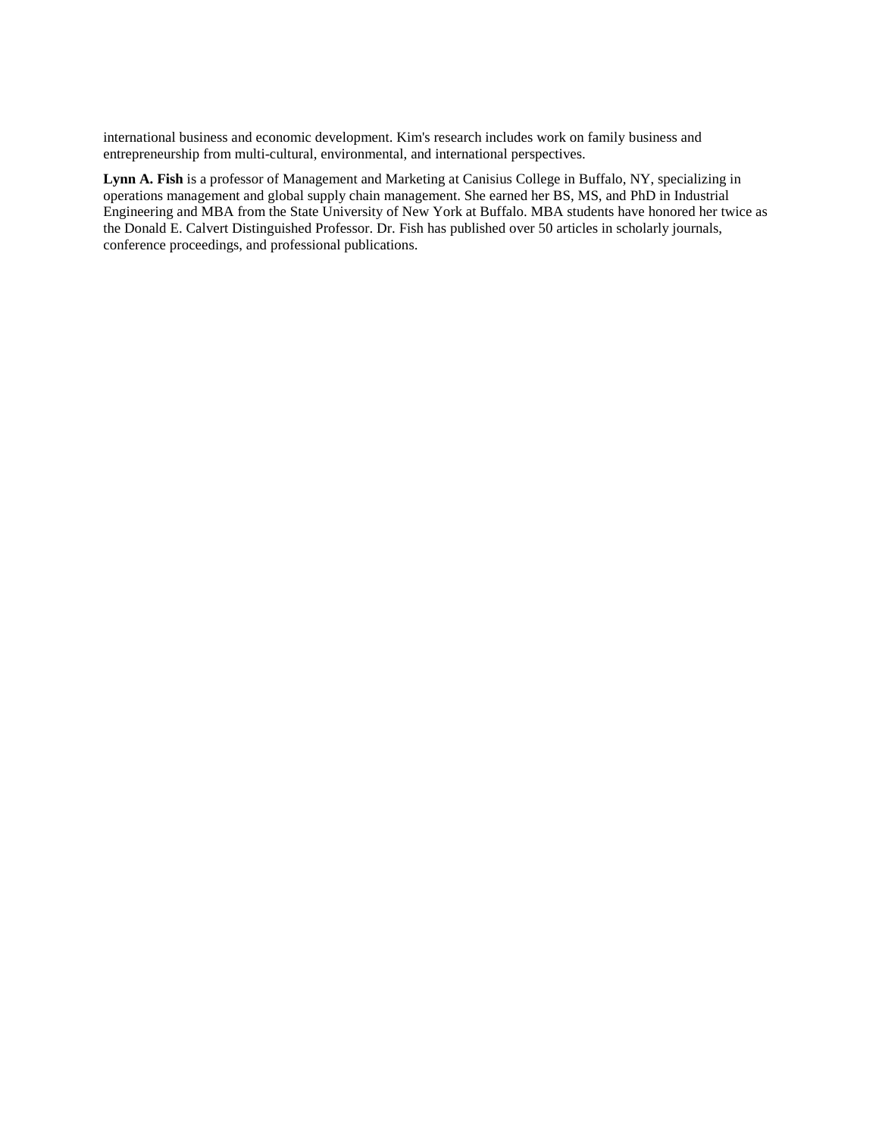international business and economic development. Kim's research includes work on family business and entrepreneurship from multi-cultural, environmental, and international perspectives.

**Lynn A. Fish** is a professor of Management and Marketing at Canisius College in Buffalo, NY, specializing in operations management and global supply chain management. She earned her BS, MS, and PhD in Industrial Engineering and MBA from the State University of New York at Buffalo. MBA students have honored her twice as the Donald E. Calvert Distinguished Professor. Dr. Fish has published over 50 articles in scholarly journals, conference proceedings, and professional publications.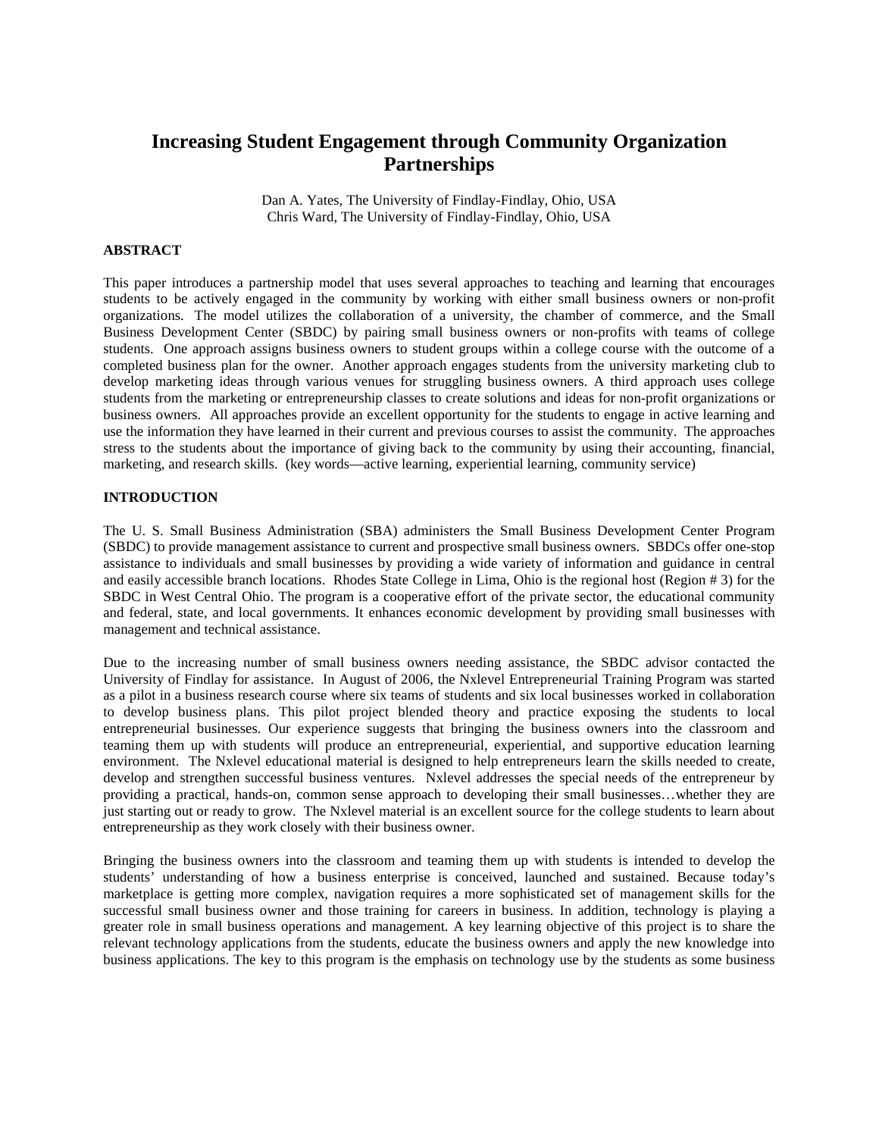# **Increasing Student Engagement through Community Organization Partnerships**

Dan A. Yates, The University of Findlay-Findlay, Ohio, USA Chris Ward, The University of Findlay-Findlay, Ohio, USA

#### **ABSTRACT**

This paper introduces a partnership model that uses several approaches to teaching and learning that encourages students to be actively engaged in the community by working with either small business owners or non-profit organizations. The model utilizes the collaboration of a university, the chamber of commerce, and the Small Business Development Center (SBDC) by pairing small business owners or non-profits with teams of college students. One approach assigns business owners to student groups within a college course with the outcome of a completed business plan for the owner. Another approach engages students from the university marketing club to develop marketing ideas through various venues for struggling business owners. A third approach uses college students from the marketing or entrepreneurship classes to create solutions and ideas for non-profit organizations or business owners. All approaches provide an excellent opportunity for the students to engage in active learning and use the information they have learned in their current and previous courses to assist the community. The approaches stress to the students about the importance of giving back to the community by using their accounting, financial, marketing, and research skills. (key words—active learning, experiential learning, community service)

## **INTRODUCTION**

The U. S. Small Business Administration (SBA) administers the Small Business Development Center Program (SBDC) to provide management assistance to current and prospective small business owners. SBDCs offer one-stop assistance to individuals and small businesses by providing a wide variety of information and guidance in central and easily accessible branch locations. Rhodes State College in Lima, Ohio is the regional host (Region # 3) for the SBDC in West Central Ohio. The program is a cooperative effort of the private sector, the educational community and federal, state, and local governments. It enhances economic development by providing small businesses with management and technical assistance.

Due to the increasing number of small business owners needing assistance, the SBDC advisor contacted the University of Findlay for assistance. In August of 2006, the Nxlevel Entrepreneurial Training Program was started as a pilot in a business research course where six teams of students and six local businesses worked in collaboration to develop business plans. This pilot project blended theory and practice exposing the students to local entrepreneurial businesses. Our experience suggests that bringing the business owners into the classroom and teaming them up with students will produce an entrepreneurial, experiential, and supportive education learning environment. The Nxlevel educational material is designed to help entrepreneurs learn the skills needed to create, develop and strengthen successful business ventures. Nxlevel addresses the special needs of the entrepreneur by providing a practical, hands-on, common sense approach to developing their small businesses…whether they are just starting out or ready to grow. The Nxlevel material is an excellent source for the college students to learn about entrepreneurship as they work closely with their business owner.

Bringing the business owners into the classroom and teaming them up with students is intended to develop the students' understanding of how a business enterprise is conceived, launched and sustained. Because today's marketplace is getting more complex, navigation requires a more sophisticated set of management skills for the successful small business owner and those training for careers in business. In addition, technology is playing a greater role in small business operations and management. A key learning objective of this project is to share the relevant technology applications from the students, educate the business owners and apply the new knowledge into business applications. The key to this program is the emphasis on technology use by the students as some business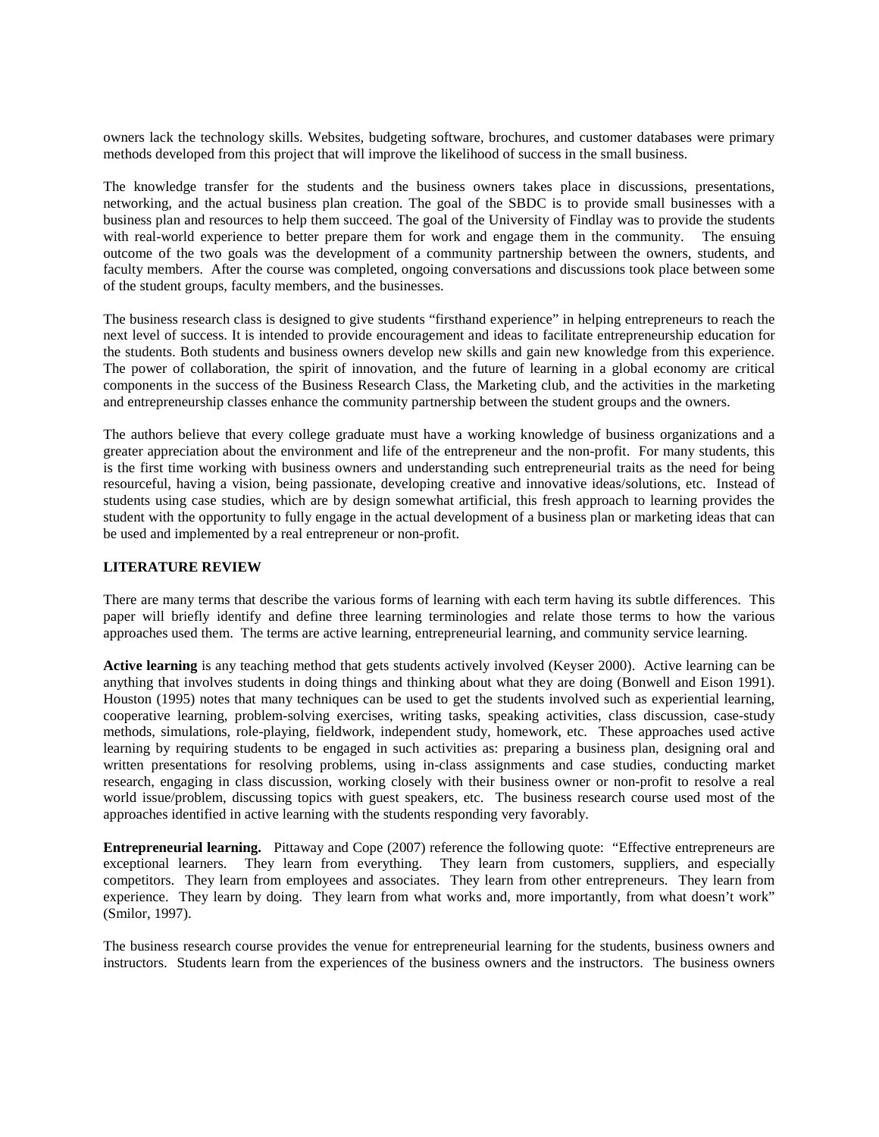owners lack the technology skills. Websites, budgeting software, brochures, and customer databases were primary methods developed from this project that will improve the likelihood of success in the small business.

The knowledge transfer for the students and the business owners takes place in discussions, presentations, networking, and the actual business plan creation. The goal of the SBDC is to provide small businesses with a business plan and resources to help them succeed. The goal of the University of Findlay was to provide the students with real-world experience to better prepare them for work and engage them in the community. The ensuing outcome of the two goals was the development of a community partnership between the owners, students, and faculty members. After the course was completed, ongoing conversations and discussions took place between some of the student groups, faculty members, and the businesses.

The business research class is designed to give students "firsthand experience" in helping entrepreneurs to reach the next level of success. It is intended to provide encouragement and ideas to facilitate entrepreneurship education for the students. Both students and business owners develop new skills and gain new knowledge from this experience. The power of collaboration, the spirit of innovation, and the future of learning in a global economy are critical components in the success of the Business Research Class, the Marketing club, and the activities in the marketing and entrepreneurship classes enhance the community partnership between the student groups and the owners.

The authors believe that every college graduate must have a working knowledge of business organizations and a greater appreciation about the environment and life of the entrepreneur and the non-profit. For many students, this is the first time working with business owners and understanding such entrepreneurial traits as the need for being resourceful, having a vision, being passionate, developing creative and innovative ideas/solutions, etc. Instead of students using case studies, which are by design somewhat artificial, this fresh approach to learning provides the student with the opportunity to fully engage in the actual development of a business plan or marketing ideas that can be used and implemented by a real entrepreneur or non-profit.

### **LITERATURE REVIEW**

There are many terms that describe the various forms of learning with each term having its subtle differences. This paper will briefly identify and define three learning terminologies and relate those terms to how the various approaches used them. The terms are active learning, entrepreneurial learning, and community service learning.

**Active learning** is any teaching method that gets students actively involved (Keyser 2000).Active learning can be anything that involves students in doing things and thinking about what they are doing (Bonwell and Eison 1991). Houston (1995) notes that many techniques can be used to get the students involved such as experiential learning, cooperative learning, problem-solving exercises, writing tasks, speaking activities, class discussion, case-study methods, simulations, role-playing, fieldwork, independent study, homework, etc. These approaches used active learning by requiring students to be engaged in such activities as: preparing a business plan, designing oral and written presentations for resolving problems, using in-class assignments and case studies, conducting market research, engaging in class discussion, working closely with their business owner or non-profit to resolve a real world issue/problem, discussing topics with guest speakers, etc. The business research course used most of the approaches identified in active learning with the students responding very favorably.

**Entrepreneurial learning.** Pittaway and Cope (2007) reference the following quote: "Effective entrepreneurs are exceptional learners. They learn from everything. They learn from customers, suppliers, and especially competitors. They learn from employees and associates. They learn from other entrepreneurs. They learn from experience. They learn by doing. They learn from what works and, more importantly, from what doesn't work" (Smilor, 1997).

The business research course provides the venue for entrepreneurial learning for the students, business owners and instructors. Students learn from the experiences of the business owners and the instructors. The business owners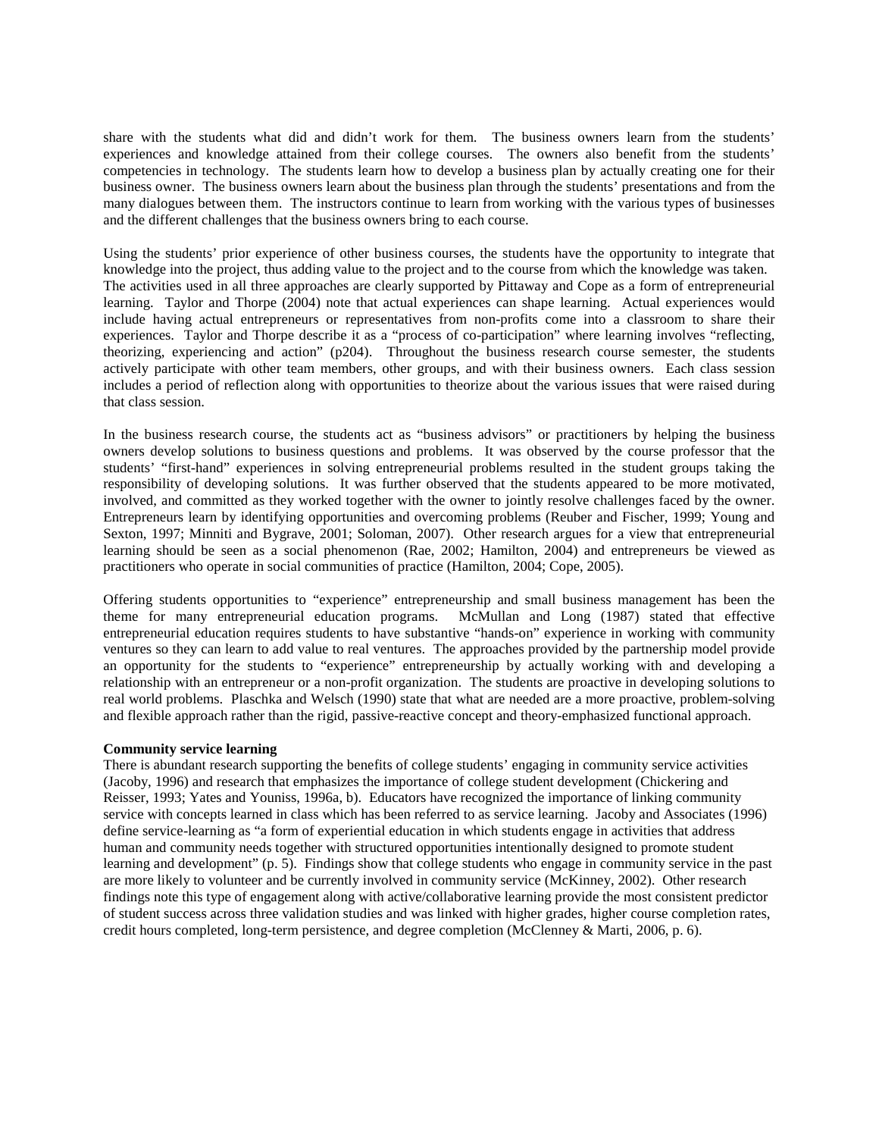share with the students what did and didn't work for them. The business owners learn from the students' experiences and knowledge attained from their college courses. The owners also benefit from the students' competencies in technology. The students learn how to develop a business plan by actually creating one for their business owner. The business owners learn about the business plan through the students' presentations and from the many dialogues between them. The instructors continue to learn from working with the various types of businesses and the different challenges that the business owners bring to each course.

Using the students' prior experience of other business courses, the students have the opportunity to integrate that knowledge into the project, thus adding value to the project and to the course from which the knowledge was taken. The activities used in all three approaches are clearly supported by Pittaway and Cope as a form of entrepreneurial learning. Taylor and Thorpe (2004) note that actual experiences can shape learning. Actual experiences would include having actual entrepreneurs or representatives from non-profits come into a classroom to share their experiences. Taylor and Thorpe describe it as a "process of co-participation" where learning involves "reflecting, theorizing, experiencing and action" (p204). Throughout the business research course semester, the students actively participate with other team members, other groups, and with their business owners. Each class session includes a period of reflection along with opportunities to theorize about the various issues that were raised during that class session.

In the business research course, the students act as "business advisors" or practitioners by helping the business owners develop solutions to business questions and problems. It was observed by the course professor that the students' "first-hand" experiences in solving entrepreneurial problems resulted in the student groups taking the responsibility of developing solutions. It was further observed that the students appeared to be more motivated, involved, and committed as they worked together with the owner to jointly resolve challenges faced by the owner. Entrepreneurs learn by identifying opportunities and overcoming problems (Reuber and Fischer, 1999; Young and Sexton, 1997; Minniti and Bygrave, 2001; Soloman, 2007). Other research argues for a view that entrepreneurial learning should be seen as a social phenomenon (Rae, 2002; Hamilton, 2004) and entrepreneurs be viewed as practitioners who operate in social communities of practice (Hamilton, 2004; Cope, 2005).

Offering students opportunities to "experience" entrepreneurship and small business management has been the theme for many entrepreneurial education programs. McMullan and Long (1987) stated that effective entrepreneurial education requires students to have substantive "hands-on" experience in working with community ventures so they can learn to add value to real ventures. The approaches provided by the partnership model provide an opportunity for the students to "experience" entrepreneurship by actually working with and developing a relationship with an entrepreneur or a non-profit organization. The students are proactive in developing solutions to real world problems. Plaschka and Welsch (1990) state that what are needed are a more proactive, problem-solving and flexible approach rather than the rigid, passive-reactive concept and theory-emphasized functional approach.

#### **Community service learning**

There is abundant research supporting the benefits of college students' engaging in community service activities (Jacoby, 1996) and research that emphasizes the importance of college student development (Chickering and Reisser, 1993; Yates and Youniss, 1996a, b). Educators have recognized the importance of linking community service with concepts learned in class which has been referred to as service learning. Jacoby and Associates (1996) define service-learning as "a form of experiential education in which students engage in activities that address human and community needs together with structured opportunities intentionally designed to promote student learning and development" (p. 5). Findings show that college students who engage in community service in the past are more likely to volunteer and be currently involved in community service (McKinney, 2002). Other research findings note this type of engagement along with active/collaborative learning provide the most consistent predictor of student success across three validation studies and was linked with higher grades, higher course completion rates, credit hours completed, long-term persistence, and degree completion (McClenney & Marti, 2006, p. 6).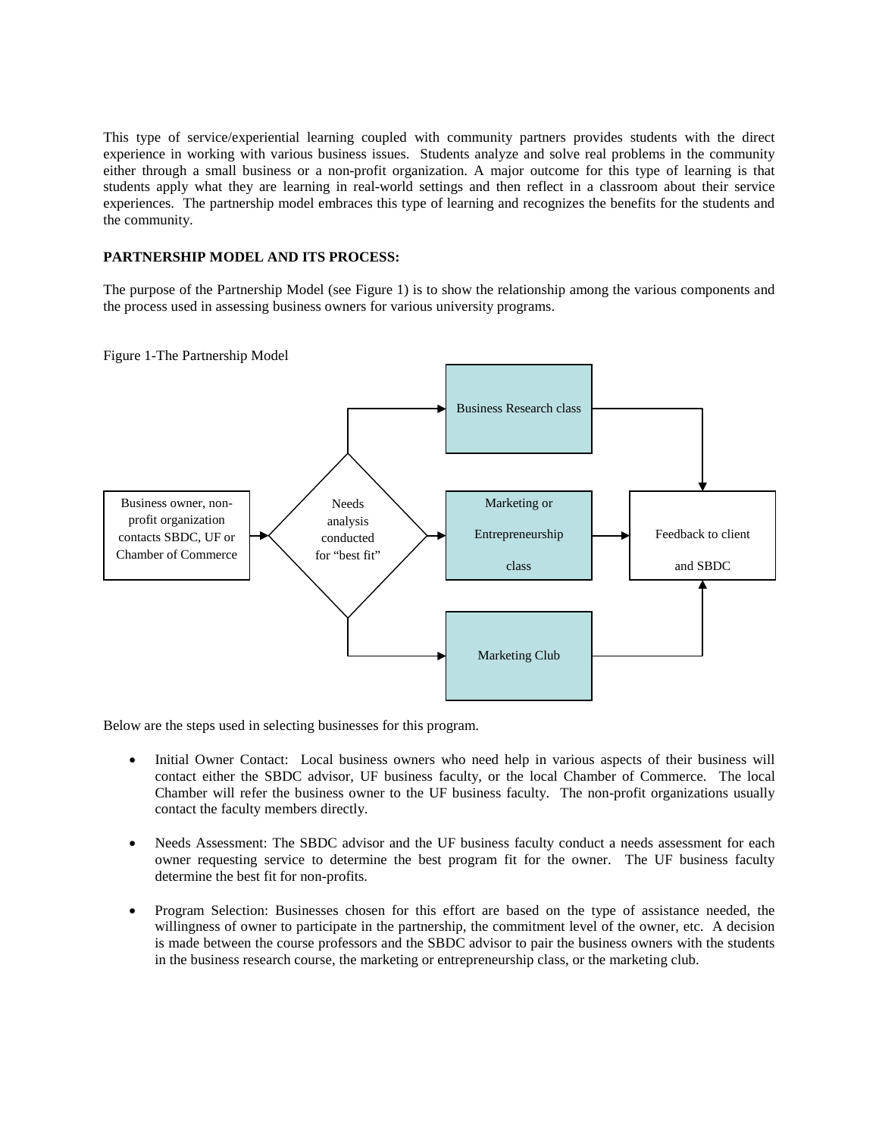This type of service/experiential learning coupled with community partners provides students with the direct experience in working with various business issues. Students analyze and solve real problems in the community either through a small business or a non-profit organization. A major outcome for this type of learning is that students apply what they are learning in real-world settings and then reflect in a classroom about their service experiences. The partnership model embraces this type of learning and recognizes the benefits for the students and the community.

# **PARTNERSHIP MODEL AND ITS PROCESS:**

The purpose of the Partnership Model (see Figure 1) is to show the relationship among the various components and the process used in assessing business owners for various university programs.





Below are the steps used in selecting businesses for this program.

- Initial Owner Contact: Local business owners who need help in various aspects of their business will contact either the SBDC advisor, UF business faculty, or the local Chamber of Commerce. The local Chamber will refer the business owner to the UF business faculty. The non-profit organizations usually contact the faculty members directly.
- Needs Assessment: The SBDC advisor and the UF business faculty conduct a needs assessment for each owner requesting service to determine the best program fit for the owner. The UF business faculty determine the best fit for non-profits.
- Program Selection: Businesses chosen for this effort are based on the type of assistance needed, the willingness of owner to participate in the partnership, the commitment level of the owner, etc. A decision is made between the course professors and the SBDC advisor to pair the business owners with the students in the business research course, the marketing or entrepreneurship class, or the marketing club.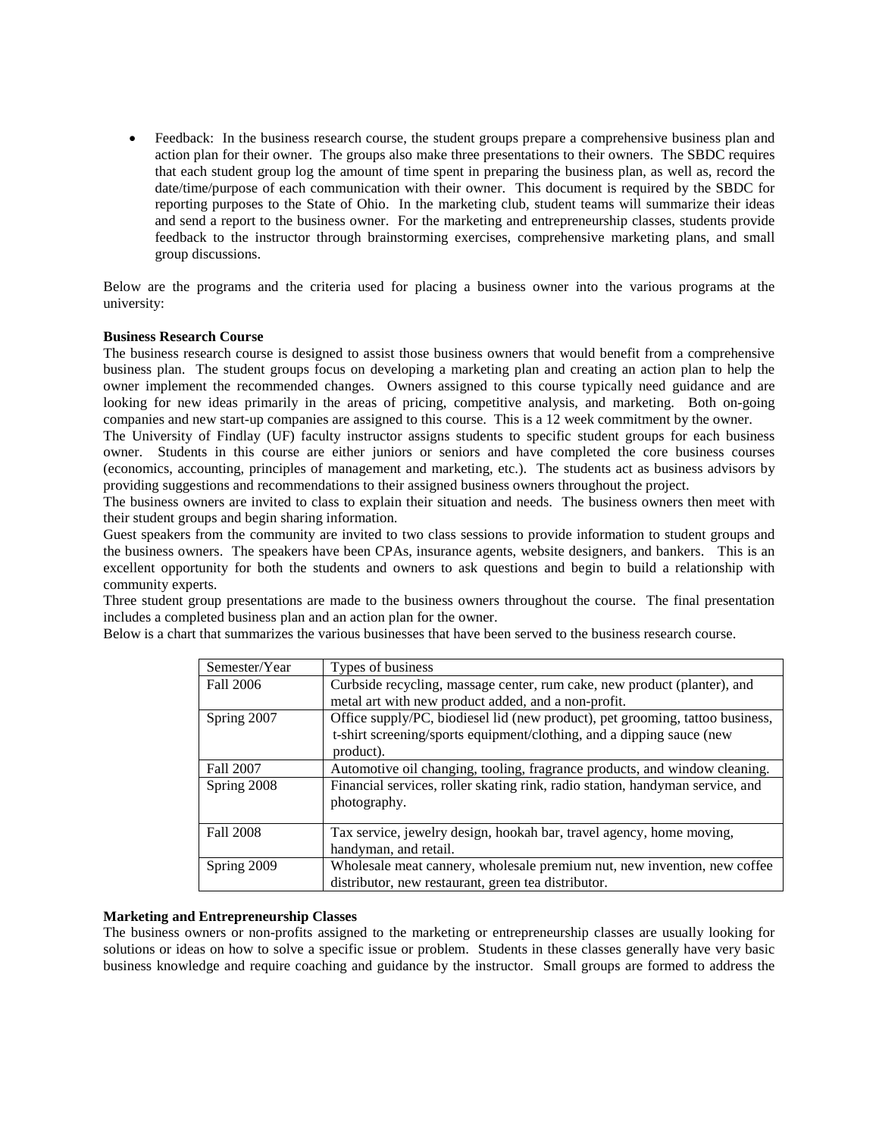• Feedback: In the business research course, the student groups prepare a comprehensive business plan and action plan for their owner. The groups also make three presentations to their owners. The SBDC requires that each student group log the amount of time spent in preparing the business plan, as well as, record the date/time/purpose of each communication with their owner. This document is required by the SBDC for reporting purposes to the State of Ohio. In the marketing club, student teams will summarize their ideas and send a report to the business owner. For the marketing and entrepreneurship classes, students provide feedback to the instructor through brainstorming exercises, comprehensive marketing plans, and small group discussions.

Below are the programs and the criteria used for placing a business owner into the various programs at the university:

#### **Business Research Course**

The business research course is designed to assist those business owners that would benefit from a comprehensive business plan. The student groups focus on developing a marketing plan and creating an action plan to help the owner implement the recommended changes. Owners assigned to this course typically need guidance and are looking for new ideas primarily in the areas of pricing, competitive analysis, and marketing. Both on-going companies and new start-up companies are assigned to this course. This is a 12 week commitment by the owner.

The University of Findlay (UF) faculty instructor assigns students to specific student groups for each business owner. Students in this course are either juniors or seniors and have completed the core business courses (economics, accounting, principles of management and marketing, etc.). The students act as business advisors by providing suggestions and recommendations to their assigned business owners throughout the project.

The business owners are invited to class to explain their situation and needs. The business owners then meet with their student groups and begin sharing information.

Guest speakers from the community are invited to two class sessions to provide information to student groups and the business owners. The speakers have been CPAs, insurance agents, website designers, and bankers. This is an excellent opportunity for both the students and owners to ask questions and begin to build a relationship with community experts.

Three student group presentations are made to the business owners throughout the course. The final presentation includes a completed business plan and an action plan for the owner.

| Semester/Year    | Types of business                                                             |
|------------------|-------------------------------------------------------------------------------|
| Fall 2006        | Curbside recycling, massage center, rum cake, new product (planter), and      |
|                  | metal art with new product added, and a non-profit.                           |
| Spring 2007      | Office supply/PC, biodiesel lid (new product), pet grooming, tattoo business, |
|                  | t-shirt screening/sports equipment/clothing, and a dipping sauce (new         |
|                  | product).                                                                     |
| Fall 2007        | Automotive oil changing, tooling, fragrance products, and window cleaning.    |
| Spring 2008      | Financial services, roller skating rink, radio station, handyman service, and |
|                  | photography.                                                                  |
|                  |                                                                               |
| <b>Fall 2008</b> | Tax service, jewelry design, hookah bar, travel agency, home moving,          |
|                  | handyman, and retail.                                                         |
| Spring 2009      | Wholesale meat cannery, wholesale premium nut, new invention, new coffee      |
|                  | distributor, new restaurant, green tea distributor.                           |

Below is a chart that summarizes the various businesses that have been served to the business research course.

#### **Marketing and Entrepreneurship Classes**

The business owners or non-profits assigned to the marketing or entrepreneurship classes are usually looking for solutions or ideas on how to solve a specific issue or problem. Students in these classes generally have very basic business knowledge and require coaching and guidance by the instructor. Small groups are formed to address the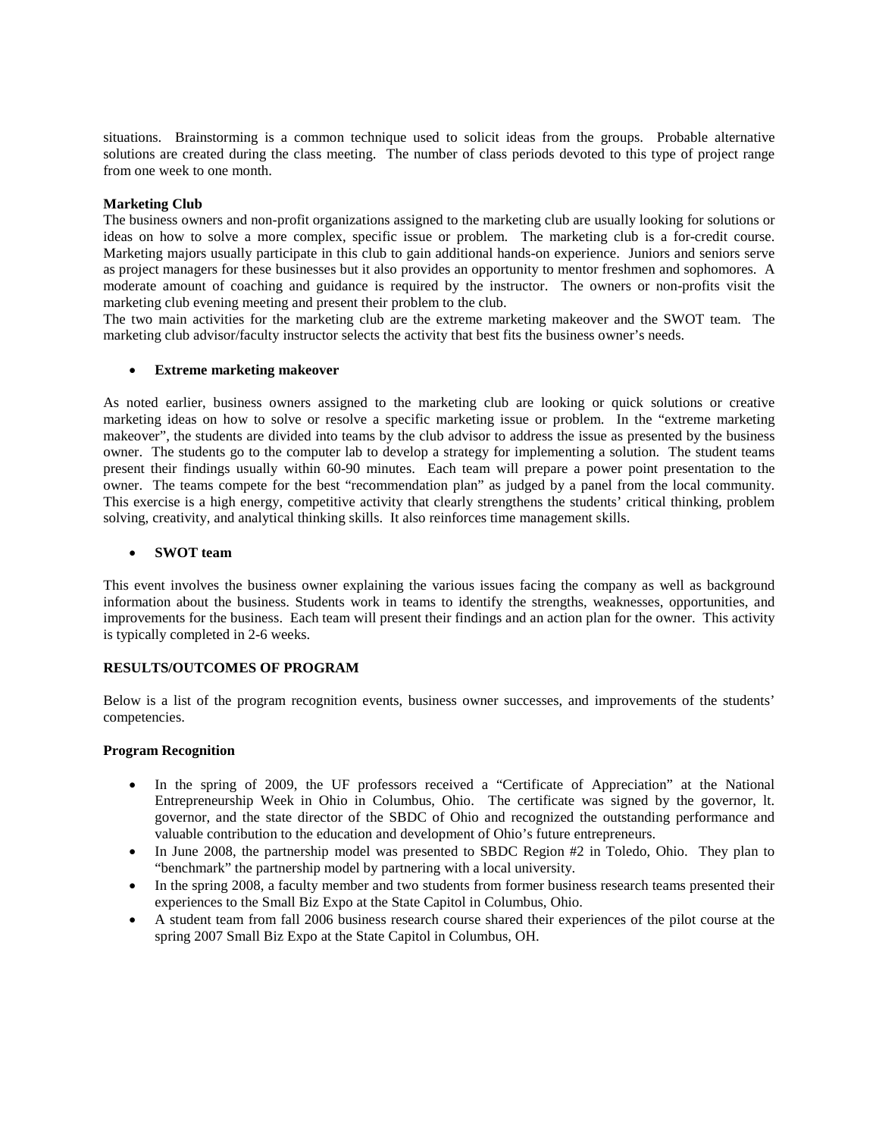situations. Brainstorming is a common technique used to solicit ideas from the groups. Probable alternative solutions are created during the class meeting. The number of class periods devoted to this type of project range from one week to one month.

## **Marketing Club**

The business owners and non-profit organizations assigned to the marketing club are usually looking for solutions or ideas on how to solve a more complex, specific issue or problem. The marketing club is a for-credit course. Marketing majors usually participate in this club to gain additional hands-on experience. Juniors and seniors serve as project managers for these businesses but it also provides an opportunity to mentor freshmen and sophomores. A moderate amount of coaching and guidance is required by the instructor. The owners or non-profits visit the marketing club evening meeting and present their problem to the club.

The two main activities for the marketing club are the extreme marketing makeover and the SWOT team. The marketing club advisor/faculty instructor selects the activity that best fits the business owner's needs.

#### • **Extreme marketing makeover**

As noted earlier, business owners assigned to the marketing club are looking or quick solutions or creative marketing ideas on how to solve or resolve a specific marketing issue or problem. In the "extreme marketing makeover", the students are divided into teams by the club advisor to address the issue as presented by the business owner. The students go to the computer lab to develop a strategy for implementing a solution. The student teams present their findings usually within 60-90 minutes. Each team will prepare a power point presentation to the owner. The teams compete for the best "recommendation plan" as judged by a panel from the local community. This exercise is a high energy, competitive activity that clearly strengthens the students' critical thinking, problem solving, creativity, and analytical thinking skills. It also reinforces time management skills.

#### • **SWOT team**

This event involves the business owner explaining the various issues facing the company as well as background information about the business. Students work in teams to identify the strengths, weaknesses, opportunities, and improvements for the business. Each team will present their findings and an action plan for the owner. This activity is typically completed in 2-6 weeks.

#### **RESULTS/OUTCOMES OF PROGRAM**

Below is a list of the program recognition events, business owner successes, and improvements of the students' competencies.

#### **Program Recognition**

- In the spring of 2009, the UF professors received a "Certificate of Appreciation" at the National Entrepreneurship Week in Ohio in Columbus, Ohio. The certificate was signed by the governor, lt. governor, and the state director of the SBDC of Ohio and recognized the outstanding performance and valuable contribution to the education and development of Ohio's future entrepreneurs.
- In June 2008, the partnership model was presented to SBDC Region #2 in Toledo, Ohio. They plan to "benchmark" the partnership model by partnering with a local university.
- In the spring 2008, a faculty member and two students from former business research teams presented their experiences to the Small Biz Expo at the State Capitol in Columbus, Ohio.
- A student team from fall 2006 business research course shared their experiences of the pilot course at the spring 2007 Small Biz Expo at the State Capitol in Columbus, OH.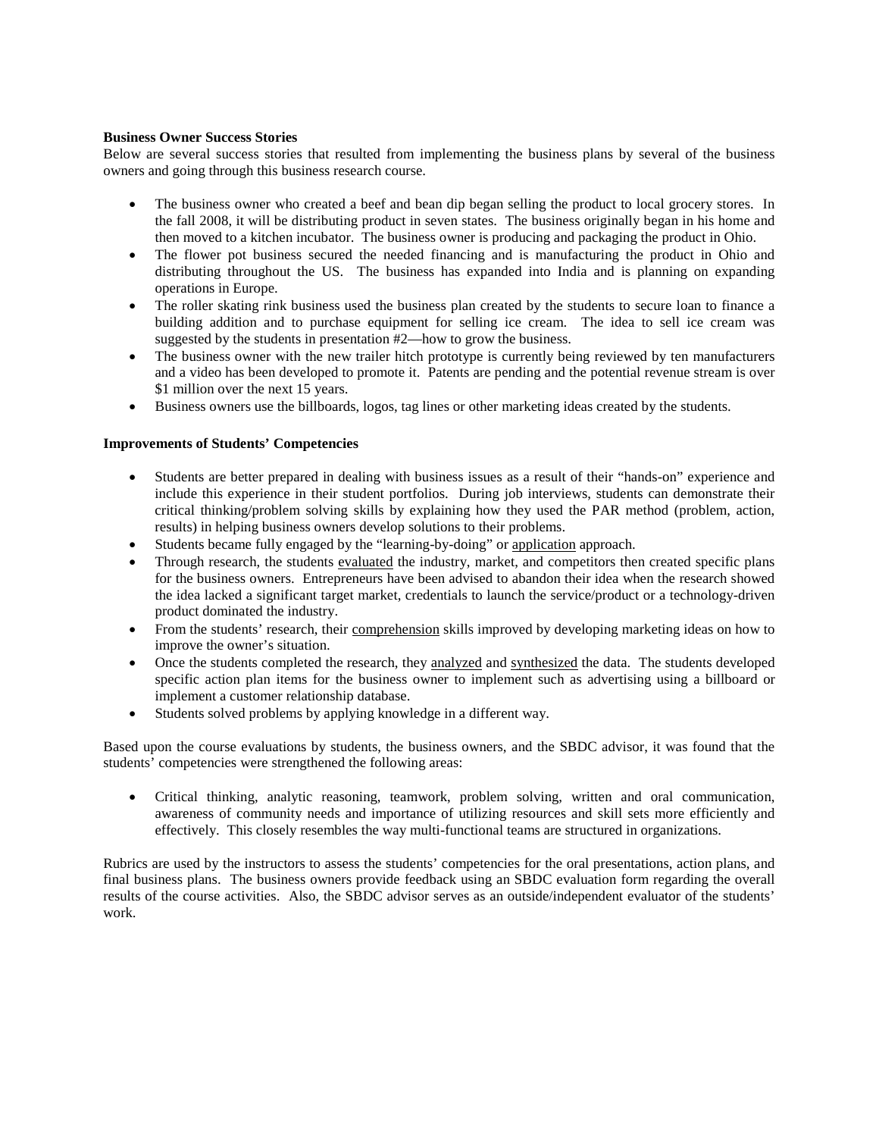## **Business Owner Success Stories**

Below are several success stories that resulted from implementing the business plans by several of the business owners and going through this business research course.

- The business owner who created a beef and bean dip began selling the product to local grocery stores. In the fall 2008, it will be distributing product in seven states. The business originally began in his home and then moved to a kitchen incubator. The business owner is producing and packaging the product in Ohio.
- The flower pot business secured the needed financing and is manufacturing the product in Ohio and distributing throughout the US. The business has expanded into India and is planning on expanding operations in Europe.
- The roller skating rink business used the business plan created by the students to secure loan to finance a building addition and to purchase equipment for selling ice cream. The idea to sell ice cream was suggested by the students in presentation #2—how to grow the business.
- The business owner with the new trailer hitch prototype is currently being reviewed by ten manufacturers and a video has been developed to promote it. Patents are pending and the potential revenue stream is over \$1 million over the next 15 years.
- Business owners use the billboards, logos, tag lines or other marketing ideas created by the students.

#### **Improvements of Students' Competencies**

- Students are better prepared in dealing with business issues as a result of their "hands-on" experience and include this experience in their student portfolios. During job interviews, students can demonstrate their critical thinking/problem solving skills by explaining how they used the PAR method (problem, action, results) in helping business owners develop solutions to their problems.
- Students became fully engaged by the "learning-by-doing" or application approach.
- Through research, the students evaluated the industry, market, and competitors then created specific plans for the business owners. Entrepreneurs have been advised to abandon their idea when the research showed the idea lacked a significant target market, credentials to launch the service/product or a technology-driven product dominated the industry.
- From the students' research, their comprehension skills improved by developing marketing ideas on how to improve the owner's situation.
- Once the students completed the research, they analyzed and synthesized the data. The students developed specific action plan items for the business owner to implement such as advertising using a billboard or implement a customer relationship database.
- Students solved problems by applying knowledge in a different way.

Based upon the course evaluations by students, the business owners, and the SBDC advisor, it was found that the students' competencies were strengthened the following areas:

• Critical thinking, analytic reasoning, teamwork, problem solving, written and oral communication, awareness of community needs and importance of utilizing resources and skill sets more efficiently and effectively. This closely resembles the way multi-functional teams are structured in organizations.

Rubrics are used by the instructors to assess the students' competencies for the oral presentations, action plans, and final business plans. The business owners provide feedback using an SBDC evaluation form regarding the overall results of the course activities. Also, the SBDC advisor serves as an outside/independent evaluator of the students' work.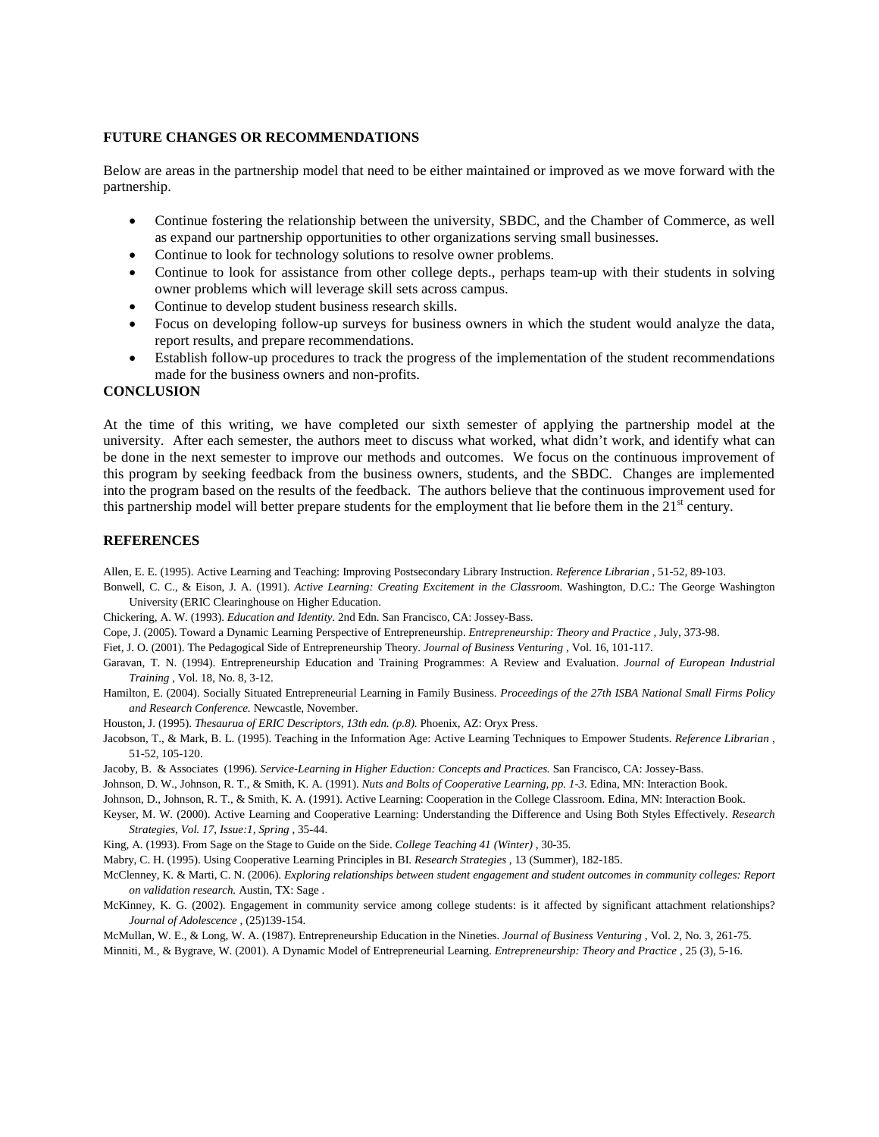#### **FUTURE CHANGES OR RECOMMENDATIONS**

Below are areas in the partnership model that need to be either maintained or improved as we move forward with the partnership.

- Continue fostering the relationship between the university, SBDC, and the Chamber of Commerce, as well as expand our partnership opportunities to other organizations serving small businesses.
- Continue to look for technology solutions to resolve owner problems.
- Continue to look for assistance from other college depts., perhaps team-up with their students in solving owner problems which will leverage skill sets across campus.
- Continue to develop student business research skills.
- Focus on developing follow-up surveys for business owners in which the student would analyze the data, report results, and prepare recommendations.
- Establish follow-up procedures to track the progress of the implementation of the student recommendations made for the business owners and non-profits.

#### **CONCLUSION**

At the time of this writing, we have completed our sixth semester of applying the partnership model at the university. After each semester, the authors meet to discuss what worked, what didn't work, and identify what can be done in the next semester to improve our methods and outcomes. We focus on the continuous improvement of this program by seeking feedback from the business owners, students, and the SBDC. Changes are implemented into the program based on the results of the feedback. The authors believe that the continuous improvement used for this partnership model will better prepare students for the employment that lie before them in the  $21<sup>st</sup>$  century.

#### **REFERENCES**

Allen, E. E. (1995). Active Learning and Teaching: Improving Postsecondary Library Instruction. *Reference Librarian* , 51-52, 89-103.

- Bonwell, C. C., & Eison, J. A. (1991). *Active Learning: Creating Excitement in the Classroom.* Washington, D.C.: The George Washington University (ERIC Clearinghouse on Higher Education.
- Chickering, A. W. (1993). *Education and Identity.* 2nd Edn. San Francisco, CA: Jossey-Bass.
- Cope, J. (2005). Toward a Dynamic Learning Perspective of Entrepreneurship. *Entrepreneurship: Theory and Practice* , July, 373-98.
- Fiet, J. O. (2001). The Pedagogical Side of Entrepreneurship Theory. *Journal of Business Venturing* , Vol. 16, 101-117.

Garavan, T. N. (1994). Entrepreneurship Education and Training Programmes: A Review and Evaluation. *Journal of European Industrial Training* , Vol. 18, No. 8, 3-12.

Hamilton, E. (2004). Socially Situated Entrepreneurial Learning in Family Business. *Proceedings of the 27th ISBA National Small Firms Policy and Research Conference.* Newcastle, November.

Houston, J. (1995). *Thesaurua of ERIC Descriptors, 13th edn. (p.8).* Phoenix, AZ: Oryx Press.

- Jacobson, T., & Mark, B. L. (1995). Teaching in the Information Age: Active Learning Techniques to Empower Students. *Reference Librarian* , 51-52, 105-120.
- Jacoby, B. & Associates (1996). *Service-Learning in Higher Eduction: Concepts and Practices.* San Francisco, CA: Jossey-Bass.

Johnson, D. W., Johnson, R. T., & Smith, K. A. (1991). *Nuts and Bolts of Cooperative Learning, pp. 1-3.* Edina, MN: Interaction Book.

Johnson, D., Johnson, R. T., & Smith, K. A. (1991). Active Learning: Cooperation in the College Classroom. Edina, MN: Interaction Book.

- Keyser, M. W. (2000). Active Learning and Cooperative Learning: Understanding the Difference and Using Both Styles Effectively. *Research Strategies, Vol. 17, Issue:1, Spring* , 35-44.
- King, A. (1993). From Sage on the Stage to Guide on the Side. *College Teaching 41 (Winter)* , 30-35.
- Mabry, C. H. (1995). Using Cooperative Learning Principles in BI. *Research Strategies* , 13 (Summer), 182-185.

McClenney, K. & Marti, C. N. (2006). *Exploring relationships between student engagement and student outcomes in community colleges: Report on validation research.* Austin, TX: Sage .

McKinney, K. G. (2002). Engagement in community service among college students: is it affected by significant attachment relationships? *Journal of Adolescence* , (25)139-154.

McMullan, W. E., & Long, W. A. (1987). Entrepreneurship Education in the Nineties. *Journal of Business Venturing* , Vol. 2, No. 3, 261-75. Minniti, M., & Bygrave, W. (2001). A Dynamic Model of Entrepreneurial Learning. *Entrepreneurship: Theory and Practice* , 25 (3), 5-16.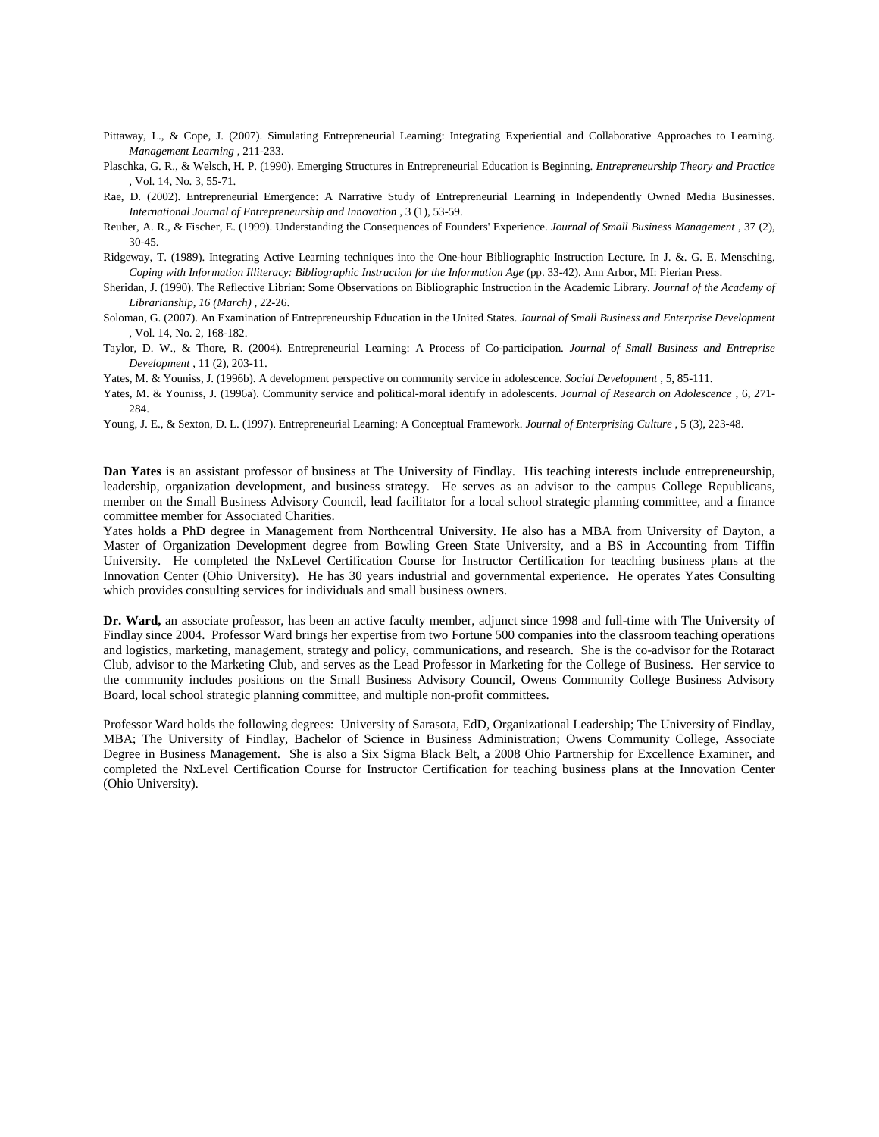Pittaway, L., & Cope, J. (2007). Simulating Entrepreneurial Learning: Integrating Experiential and Collaborative Approaches to Learning. *Management Learning* , 211-233.

Plaschka, G. R., & Welsch, H. P. (1990). Emerging Structures in Entrepreneurial Education is Beginning. *Entrepreneurship Theory and Practice* , Vol. 14, No. 3, 55-71.

- Rae, D. (2002). Entrepreneurial Emergence: A Narrative Study of Entrepreneurial Learning in Independently Owned Media Businesses. *International Journal of Entrepreneurship and Innovation* , 3 (1), 53-59.
- Reuber, A. R., & Fischer, E. (1999). Understanding the Consequences of Founders' Experience. *Journal of Small Business Management* , 37 (2), 30-45.
- Ridgeway, T. (1989). Integrating Active Learning techniques into the One-hour Bibliographic Instruction Lecture. In J. &. G. E. Mensching, *Coping with Information Illiteracy: Bibliographic Instruction for the Information Age* (pp. 33-42). Ann Arbor, MI: Pierian Press.
- Sheridan, J. (1990). The Reflective Librian: Some Observations on Bibliographic Instruction in the Academic Library. *Journal of the Academy of Librarianship, 16 (March)* , 22-26.
- Soloman, G. (2007). An Examination of Entrepreneurship Education in the United States. *Journal of Small Business and Enterprise Development* , Vol. 14, No. 2, 168-182.
- Taylor, D. W., & Thore, R. (2004). Entrepreneurial Learning: A Process of Co-participation. *Journal of Small Business and Entreprise Development* , 11 (2), 203-11.
- Yates, M. & Youniss, J. (1996b). A development perspective on community service in adolescence. *Social Development* , 5, 85-111.
- Yates, M. & Youniss, J. (1996a). Community service and political-moral identify in adolescents. *Journal of Research on Adolescence* , 6, 271- 284.

Young, J. E., & Sexton, D. L. (1997). Entrepreneurial Learning: A Conceptual Framework. *Journal of Enterprising Culture* , 5 (3), 223-48.

**Dan Yates** is an assistant professor of business at The University of Findlay. His teaching interests include entrepreneurship, leadership, organization development, and business strategy. He serves as an advisor to the campus College Republicans, member on the Small Business Advisory Council, lead facilitator for a local school strategic planning committee, and a finance committee member for Associated Charities.

Yates holds a PhD degree in Management from Northcentral University. He also has a MBA from University of Dayton, a Master of Organization Development degree from Bowling Green State University, and a BS in Accounting from Tiffin University. He completed the NxLevel Certification Course for Instructor Certification for teaching business plans at the Innovation Center (Ohio University). He has 30 years industrial and governmental experience. He operates Yates Consulting which provides consulting services for individuals and small business owners.

**Dr. Ward,** an associate professor, has been an active faculty member, adjunct since 1998 and full-time with The University of Findlay since 2004. Professor Ward brings her expertise from two Fortune 500 companies into the classroom teaching operations and logistics, marketing, management, strategy and policy, communications, and research. She is the co-advisor for the Rotaract Club, advisor to the Marketing Club, and serves as the Lead Professor in Marketing for the College of Business. Her service to the community includes positions on the Small Business Advisory Council, Owens Community College Business Advisory Board, local school strategic planning committee, and multiple non-profit committees.

Professor Ward holds the following degrees: University of Sarasota, EdD, Organizational Leadership; The University of Findlay, MBA; The University of Findlay, Bachelor of Science in Business Administration; Owens Community College, Associate Degree in Business Management. She is also a Six Sigma Black Belt, a 2008 Ohio Partnership for Excellence Examiner, and completed the NxLevel Certification Course for Instructor Certification for teaching business plans at the Innovation Center (Ohio University).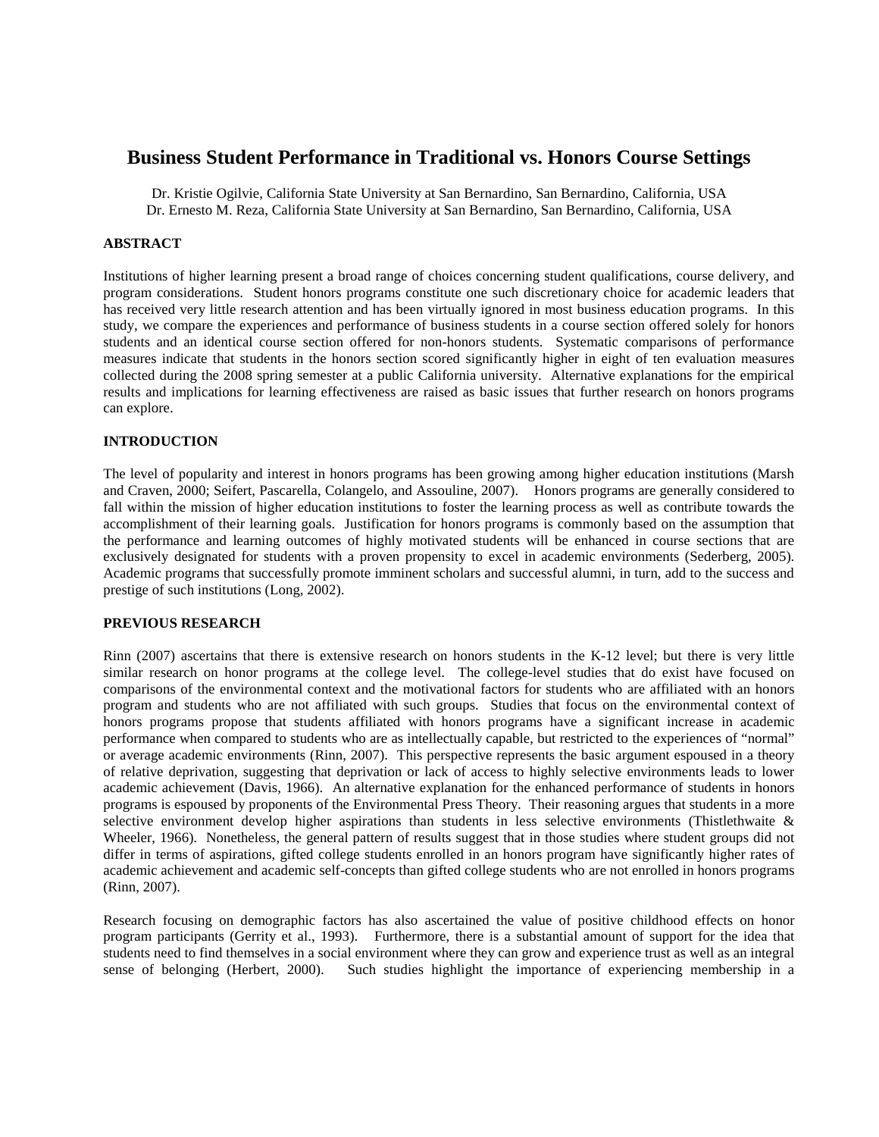# **Business Student Performance in Traditional vs. Honors Course Settings**

Dr. Kristie Ogilvie, California State University at San Bernardino, San Bernardino, California, USA Dr. Ernesto M. Reza, California State University at San Bernardino, San Bernardino, California, USA

### **ABSTRACT**

Institutions of higher learning present a broad range of choices concerning student qualifications, course delivery, and program considerations. Student honors programs constitute one such discretionary choice for academic leaders that has received very little research attention and has been virtually ignored in most business education programs. In this study, we compare the experiences and performance of business students in a course section offered solely for honors students and an identical course section offered for non-honors students. Systematic comparisons of performance measures indicate that students in the honors section scored significantly higher in eight of ten evaluation measures collected during the 2008 spring semester at a public California university. Alternative explanations for the empirical results and implications for learning effectiveness are raised as basic issues that further research on honors programs can explore.

## **INTRODUCTION**

The level of popularity and interest in honors programs has been growing among higher education institutions (Marsh and Craven, 2000; Seifert, Pascarella, Colangelo, and Assouline, 2007). Honors programs are generally considered to fall within the mission of higher education institutions to foster the learning process as well as contribute towards the accomplishment of their learning goals. Justification for honors programs is commonly based on the assumption that the performance and learning outcomes of highly motivated students will be enhanced in course sections that are exclusively designated for students with a proven propensity to excel in academic environments (Sederberg, 2005). Academic programs that successfully promote imminent scholars and successful alumni, in turn, add to the success and prestige of such institutions (Long, 2002).

# **PREVIOUS RESEARCH**

Rinn (2007) ascertains that there is extensive research on honors students in the K-12 level; but there is very little similar research on honor programs at the college level. The college-level studies that do exist have focused on comparisons of the environmental context and the motivational factors for students who are affiliated with an honors program and students who are not affiliated with such groups. Studies that focus on the environmental context of honors programs propose that students affiliated with honors programs have a significant increase in academic performance when compared to students who are as intellectually capable, but restricted to the experiences of "normal" or average academic environments (Rinn, 2007). This perspective represents the basic argument espoused in a theory of relative deprivation, suggesting that deprivation or lack of access to highly selective environments leads to lower academic achievement (Davis, 1966). An alternative explanation for the enhanced performance of students in honors programs is espoused by proponents of the Environmental Press Theory. Their reasoning argues that students in a more selective environment develop higher aspirations than students in less selective environments (Thistlethwaite & Wheeler, 1966). Nonetheless, the general pattern of results suggest that in those studies where student groups did not differ in terms of aspirations, gifted college students enrolled in an honors program have significantly higher rates of academic achievement and academic self-concepts than gifted college students who are not enrolled in honors programs (Rinn, 2007).

Research focusing on demographic factors has also ascertained the value of positive childhood effects on honor program participants (Gerrity et al., 1993). Furthermore, there is a substantial amount of support for the idea that students need to find themselves in a social environment where they can grow and experience trust as well as an integral sense of belonging (Herbert, 2000). Such studies highlight the importance of experiencing membership in a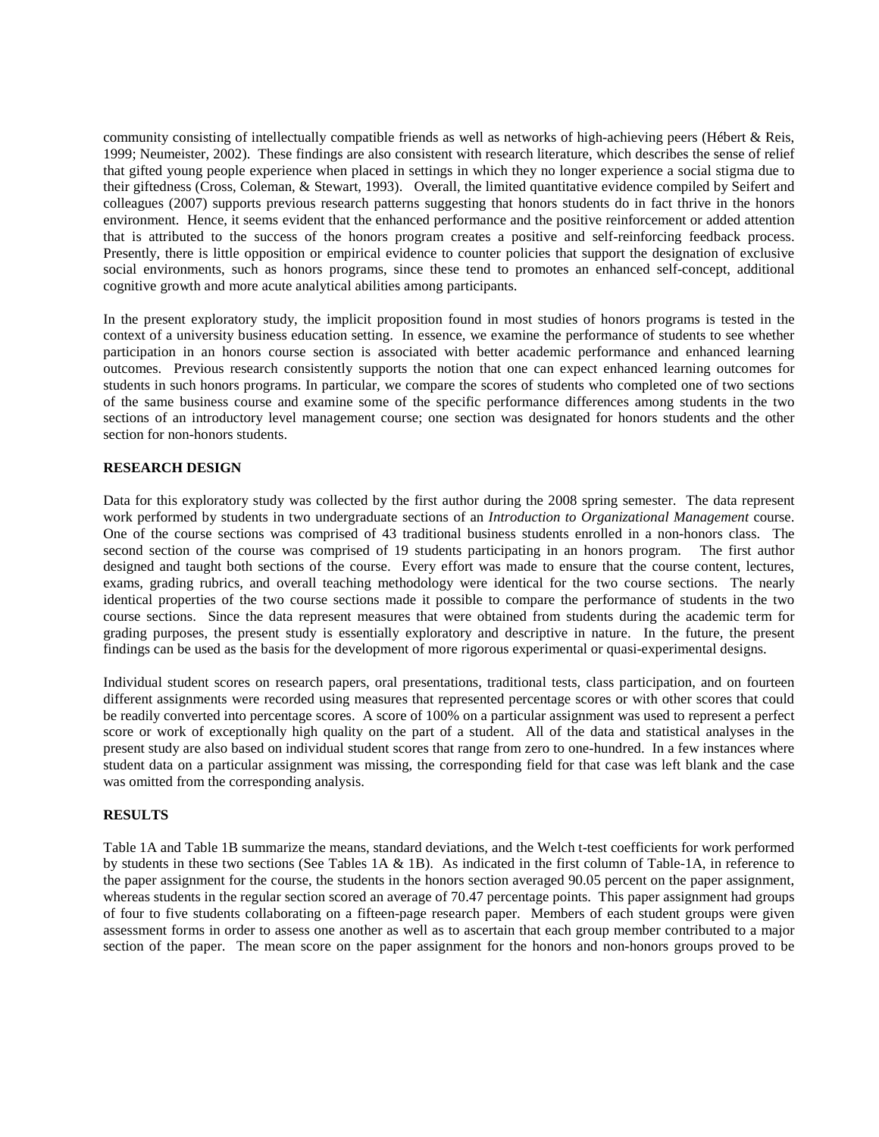community consisting of intellectually compatible friends as well as networks of high-achieving peers (Hébert & Reis, 1999; Neumeister, 2002). These findings are also consistent with research literature, which describes the sense of relief that gifted young people experience when placed in settings in which they no longer experience a social stigma due to their giftedness (Cross, Coleman, & Stewart, 1993). Overall, the limited quantitative evidence compiled by Seifert and colleagues (2007) supports previous research patterns suggesting that honors students do in fact thrive in the honors environment. Hence, it seems evident that the enhanced performance and the positive reinforcement or added attention that is attributed to the success of the honors program creates a positive and self-reinforcing feedback process. Presently, there is little opposition or empirical evidence to counter policies that support the designation of exclusive social environments, such as honors programs, since these tend to promotes an enhanced self-concept, additional cognitive growth and more acute analytical abilities among participants.

In the present exploratory study, the implicit proposition found in most studies of honors programs is tested in the context of a university business education setting. In essence, we examine the performance of students to see whether participation in an honors course section is associated with better academic performance and enhanced learning outcomes. Previous research consistently supports the notion that one can expect enhanced learning outcomes for students in such honors programs. In particular, we compare the scores of students who completed one of two sections of the same business course and examine some of the specific performance differences among students in the two sections of an introductory level management course; one section was designated for honors students and the other section for non-honors students.

#### **RESEARCH DESIGN**

Data for this exploratory study was collected by the first author during the 2008 spring semester. The data represent work performed by students in two undergraduate sections of an *Introduction to Organizational Management* course. One of the course sections was comprised of 43 traditional business students enrolled in a non-honors class. The second section of the course was comprised of 19 students participating in an honors program. The first author designed and taught both sections of the course. Every effort was made to ensure that the course content, lectures, exams, grading rubrics, and overall teaching methodology were identical for the two course sections. The nearly identical properties of the two course sections made it possible to compare the performance of students in the two course sections. Since the data represent measures that were obtained from students during the academic term for grading purposes, the present study is essentially exploratory and descriptive in nature. In the future, the present findings can be used as the basis for the development of more rigorous experimental or quasi-experimental designs.

Individual student scores on research papers, oral presentations, traditional tests, class participation, and on fourteen different assignments were recorded using measures that represented percentage scores or with other scores that could be readily converted into percentage scores. A score of 100% on a particular assignment was used to represent a perfect score or work of exceptionally high quality on the part of a student. All of the data and statistical analyses in the present study are also based on individual student scores that range from zero to one-hundred. In a few instances where student data on a particular assignment was missing, the corresponding field for that case was left blank and the case was omitted from the corresponding analysis.

### **RESULTS**

Table 1A and Table 1B summarize the means, standard deviations, and the Welch t-test coefficients for work performed by students in these two sections (See Tables 1A & 1B). As indicated in the first column of Table-1A, in reference to the paper assignment for the course, the students in the honors section averaged 90.05 percent on the paper assignment, whereas students in the regular section scored an average of 70.47 percentage points. This paper assignment had groups of four to five students collaborating on a fifteen-page research paper. Members of each student groups were given assessment forms in order to assess one another as well as to ascertain that each group member contributed to a major section of the paper. The mean score on the paper assignment for the honors and non-honors groups proved to be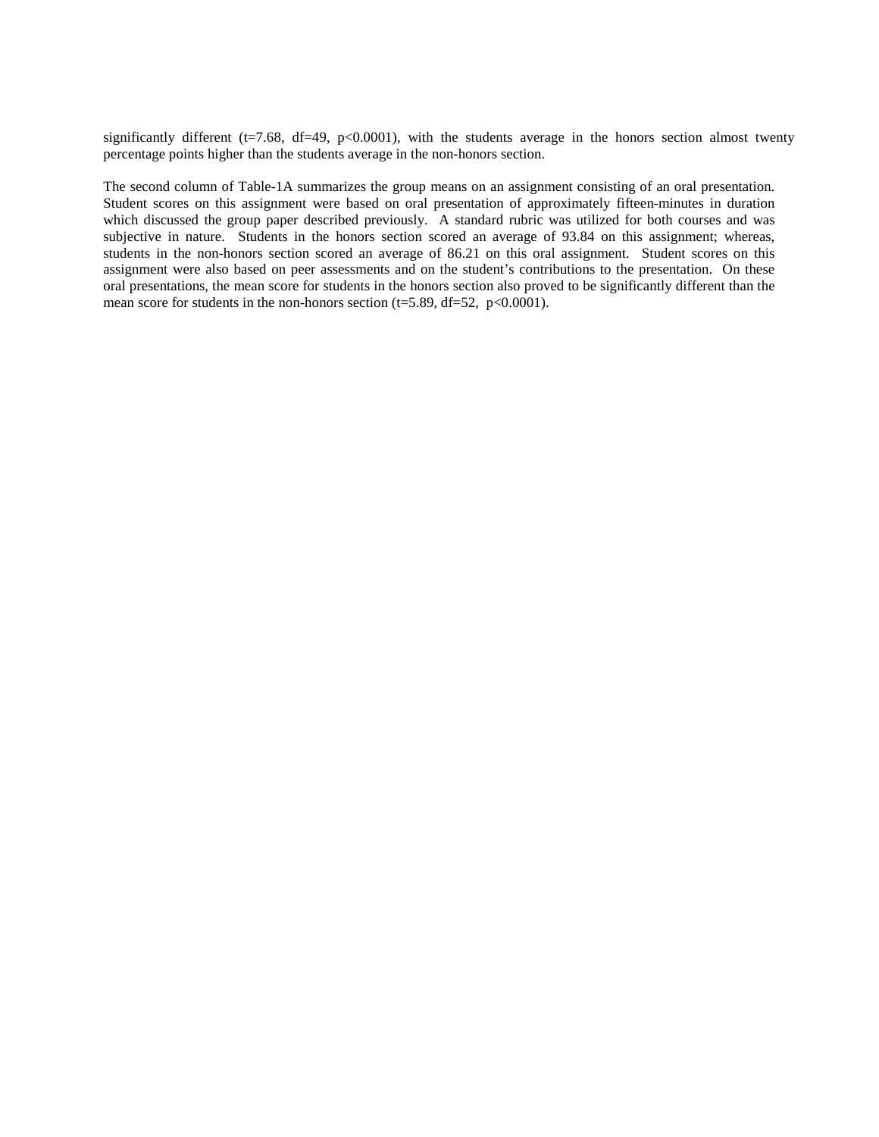significantly different ( $t=7.68$ ,  $df=49$ ,  $p<0.0001$ ), with the students average in the honors section almost twenty percentage points higher than the students average in the non-honors section.

The second column of Table-1A summarizes the group means on an assignment consisting of an oral presentation. Student scores on this assignment were based on oral presentation of approximately fifteen-minutes in duration which discussed the group paper described previously. A standard rubric was utilized for both courses and was subjective in nature. Students in the honors section scored an average of 93.84 on this assignment; whereas, students in the non-honors section scored an average of 86.21 on this oral assignment. Student scores on this assignment were also based on peer assessments and on the student's contributions to the presentation. On these oral presentations, the mean score for students in the honors section also proved to be significantly different than the mean score for students in the non-honors section (t=5.89, df=52,  $p<0.0001$ ).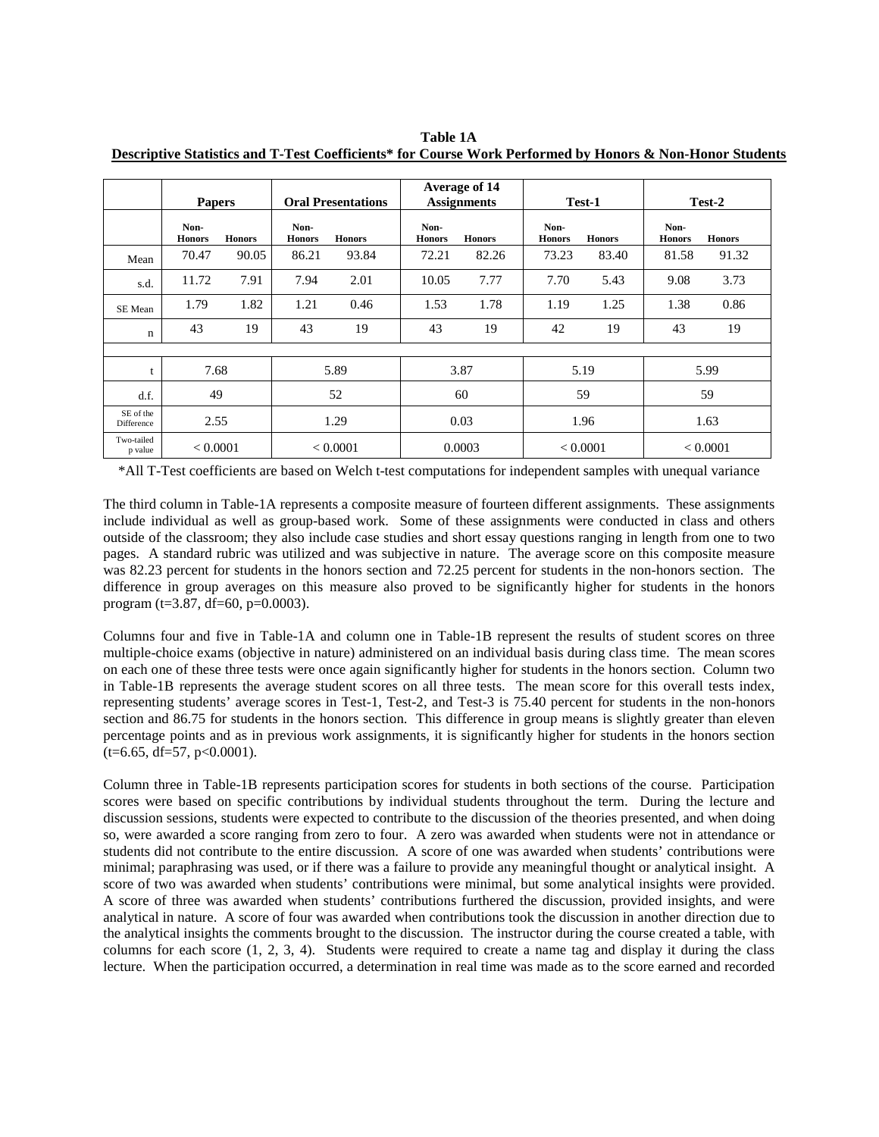|                         | <b>Papers</b>         |               |                       | <b>Oral Presentations</b> |                       | Average of 14<br><b>Assignments</b> | Test-1                |               | Test-2                |               |
|-------------------------|-----------------------|---------------|-----------------------|---------------------------|-----------------------|-------------------------------------|-----------------------|---------------|-----------------------|---------------|
|                         | Non-<br><b>Honors</b> | <b>Honors</b> | Non-<br><b>Honors</b> | <b>Honors</b>             | Non-<br><b>Honors</b> | <b>Honors</b>                       | Non-<br><b>Honors</b> | <b>Honors</b> | Non-<br><b>Honors</b> | <b>Honors</b> |
| Mean                    | 70.47                 | 90.05         | 86.21                 | 93.84                     | 72.21                 | 82.26                               | 73.23                 | 83.40         | 81.58                 | 91.32         |
| s.d.                    | 11.72                 | 7.91          | 7.94                  | 2.01                      | 10.05                 | 7.77                                | 7.70                  | 5.43          | 9.08                  | 3.73          |
| SE Mean                 | 1.79                  | 1.82          | 1.21                  | 0.46                      | 1.53                  | 1.78                                | 1.19                  | 1.25          | 1.38                  | 0.86          |
| $\mathbf n$             | 43                    | 19            | 43                    | 19                        | 43                    | 19                                  | 42                    | 19            | 43                    | 19            |
|                         |                       |               |                       |                           |                       |                                     |                       |               |                       |               |
|                         | 7.68                  |               |                       | 5.89                      |                       | 3.87                                | 5.19                  |               |                       | 5.99          |
| d.f.                    | 49                    |               |                       | 52                        | 60                    |                                     | 59                    |               | 59                    |               |
| SE of the<br>Difference | 2.55                  |               |                       | 1.29                      | 0.03                  |                                     | 1.96                  |               | 1.63                  |               |
| Two-tailed<br>p value   | < 0.0001              |               |                       | < 0.0001                  | 0.0003                |                                     | < 0.0001              |               | < 0.0001              |               |

**Table 1A Descriptive Statistics and T-Test Coefficients\* for Course Work Performed by Honors & Non-Honor Students**

\*All T-Test coefficients are based on Welch t-test computations for independent samples with unequal variance

The third column in Table-1A represents a composite measure of fourteen different assignments. These assignments include individual as well as group-based work. Some of these assignments were conducted in class and others outside of the classroom; they also include case studies and short essay questions ranging in length from one to two pages. A standard rubric was utilized and was subjective in nature. The average score on this composite measure was 82.23 percent for students in the honors section and 72.25 percent for students in the non-honors section. The difference in group averages on this measure also proved to be significantly higher for students in the honors program (t=3.87, df=60, p=0.0003).

Columns four and five in Table-1A and column one in Table-1B represent the results of student scores on three multiple-choice exams (objective in nature) administered on an individual basis during class time. The mean scores on each one of these three tests were once again significantly higher for students in the honors section. Column two in Table-1B represents the average student scores on all three tests. The mean score for this overall tests index, representing students' average scores in Test-1, Test-2, and Test-3 is 75.40 percent for students in the non-honors section and 86.75 for students in the honors section. This difference in group means is slightly greater than eleven percentage points and as in previous work assignments, it is significantly higher for students in the honors section  $(t=6.65, df=57, p<0.0001).$ 

Column three in Table-1B represents participation scores for students in both sections of the course. Participation scores were based on specific contributions by individual students throughout the term. During the lecture and discussion sessions, students were expected to contribute to the discussion of the theories presented, and when doing so, were awarded a score ranging from zero to four. A zero was awarded when students were not in attendance or students did not contribute to the entire discussion. A score of one was awarded when students' contributions were minimal; paraphrasing was used, or if there was a failure to provide any meaningful thought or analytical insight. A score of two was awarded when students' contributions were minimal, but some analytical insights were provided. A score of three was awarded when students' contributions furthered the discussion, provided insights, and were analytical in nature. A score of four was awarded when contributions took the discussion in another direction due to the analytical insights the comments brought to the discussion. The instructor during the course created a table, with columns for each score (1, 2, 3, 4). Students were required to create a name tag and display it during the class lecture. When the participation occurred, a determination in real time was made as to the score earned and recorded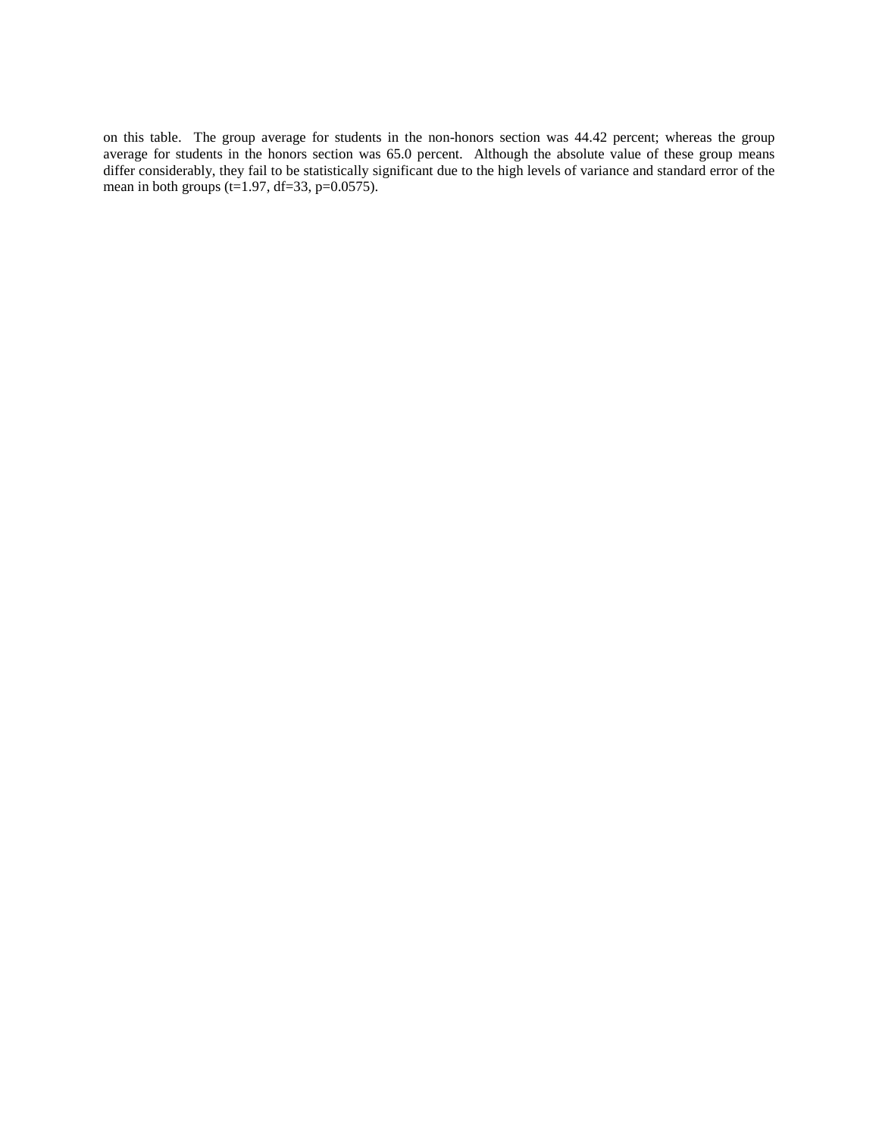on this table. The group average for students in the non-honors section was 44.42 percent; whereas the group average for students in the honors section was 65.0 percent. Although the absolute value of these group means differ considerably, they fail to be statistically significant due to the high levels of variance and standard error of the mean in both groups (t=1.97, df=33, p= $0.0575$ ).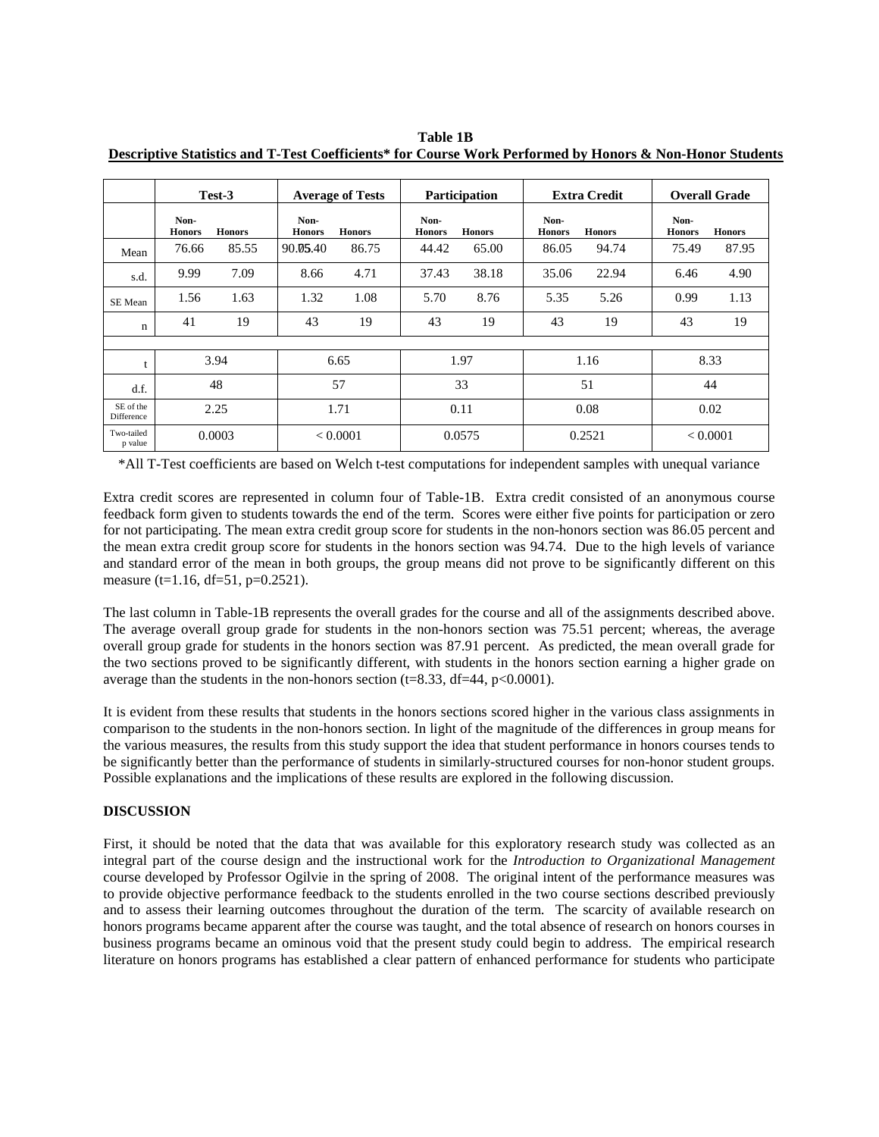|                         | Test-3                |               | <b>Average of Tests</b> |               | <b>Participation</b>  |               | <b>Extra Credit</b>   |               | <b>Overall Grade</b>  |               |
|-------------------------|-----------------------|---------------|-------------------------|---------------|-----------------------|---------------|-----------------------|---------------|-----------------------|---------------|
|                         | Non-<br><b>Honors</b> | <b>Honors</b> | Non-<br><b>Honors</b>   | <b>Honors</b> | Non-<br><b>Honors</b> | <b>Honors</b> | Non-<br><b>Honors</b> | <b>Honors</b> | Non-<br><b>Honors</b> | <b>Honors</b> |
| Mean                    | 76.66                 | 85.55         | 90.05.40                | 86.75         | 44.42                 | 65.00         | 86.05                 | 94.74         | 75.49                 | 87.95         |
| s.d.                    | 9.99                  | 7.09          | 8.66                    | 4.71          | 37.43                 | 38.18         | 35.06                 | 22.94         | 6.46                  | 4.90          |
| SE Mean                 | 1.56                  | 1.63          | 1.32                    | 1.08          | 5.70                  | 8.76          | 5.35                  | 5.26          | 0.99                  | 1.13          |
| n                       | 41                    | 19            | 43                      | 19            | 43                    | 19            | 43                    | 19            | 43                    | 19            |
|                         |                       |               |                         |               |                       |               |                       |               |                       |               |
|                         | 3.94                  |               | 6.65                    |               | 1.97                  |               | 1.16                  |               | 8.33                  |               |
| d.f.                    | 48                    |               | 57                      |               | 33                    |               | 51                    |               | 44                    |               |
| SE of the<br>Difference | 2.25                  |               | 1.71                    |               | 0.11                  |               | 0.08                  |               | 0.02                  |               |
| Two-tailed<br>p value   | 0.0003                |               | < 0.0001                |               | 0.0575                |               | 0.2521                |               | < 0.0001              |               |

**Table 1B Descriptive Statistics and T-Test Coefficients\* for Course Work Performed by Honors & Non-Honor Students**

\*All T-Test coefficients are based on Welch t-test computations for independent samples with unequal variance

Extra credit scores are represented in column four of Table-1B. Extra credit consisted of an anonymous course feedback form given to students towards the end of the term. Scores were either five points for participation or zero for not participating. The mean extra credit group score for students in the non-honors section was 86.05 percent and the mean extra credit group score for students in the honors section was 94.74. Due to the high levels of variance and standard error of the mean in both groups, the group means did not prove to be significantly different on this measure (t=1.16, df=51, p=0.2521).

The last column in Table-1B represents the overall grades for the course and all of the assignments described above. The average overall group grade for students in the non-honors section was 75.51 percent; whereas, the average overall group grade for students in the honors section was 87.91 percent. As predicted, the mean overall grade for the two sections proved to be significantly different, with students in the honors section earning a higher grade on average than the students in the non-honors section (t=8.33, df=44, p<0.0001).

It is evident from these results that students in the honors sections scored higher in the various class assignments in comparison to the students in the non-honors section. In light of the magnitude of the differences in group means for the various measures, the results from this study support the idea that student performance in honors courses tends to be significantly better than the performance of students in similarly-structured courses for non-honor student groups. Possible explanations and the implications of these results are explored in the following discussion.

## **DISCUSSION**

First, it should be noted that the data that was available for this exploratory research study was collected as an integral part of the course design and the instructional work for the *Introduction to Organizational Management* course developed by Professor Ogilvie in the spring of 2008. The original intent of the performance measures was to provide objective performance feedback to the students enrolled in the two course sections described previously and to assess their learning outcomes throughout the duration of the term. The scarcity of available research on honors programs became apparent after the course was taught, and the total absence of research on honors courses in business programs became an ominous void that the present study could begin to address. The empirical research literature on honors programs has established a clear pattern of enhanced performance for students who participate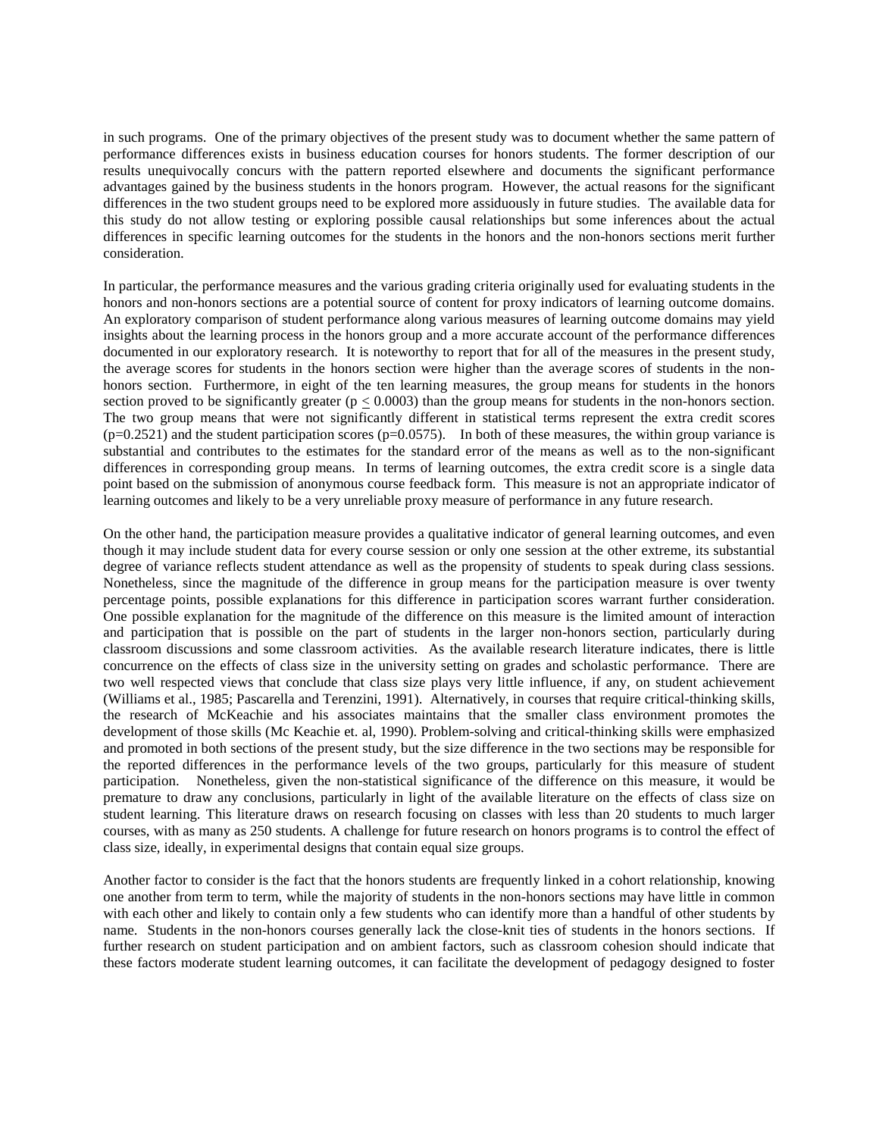in such programs. One of the primary objectives of the present study was to document whether the same pattern of performance differences exists in business education courses for honors students. The former description of our results unequivocally concurs with the pattern reported elsewhere and documents the significant performance advantages gained by the business students in the honors program. However, the actual reasons for the significant differences in the two student groups need to be explored more assiduously in future studies. The available data for this study do not allow testing or exploring possible causal relationships but some inferences about the actual differences in specific learning outcomes for the students in the honors and the non-honors sections merit further consideration.

In particular, the performance measures and the various grading criteria originally used for evaluating students in the honors and non-honors sections are a potential source of content for proxy indicators of learning outcome domains. An exploratory comparison of student performance along various measures of learning outcome domains may yield insights about the learning process in the honors group and a more accurate account of the performance differences documented in our exploratory research. It is noteworthy to report that for all of the measures in the present study, the average scores for students in the honors section were higher than the average scores of students in the nonhonors section. Furthermore, in eight of the ten learning measures, the group means for students in the honors section proved to be significantly greater ( $p \le 0.0003$ ) than the group means for students in the non-honors section. The two group means that were not significantly different in statistical terms represent the extra credit scores  $(p=0.2521)$  and the student participation scores  $(p=0.0575)$ . In both of these measures, the within group variance is substantial and contributes to the estimates for the standard error of the means as well as to the non-significant differences in corresponding group means. In terms of learning outcomes, the extra credit score is a single data point based on the submission of anonymous course feedback form. This measure is not an appropriate indicator of learning outcomes and likely to be a very unreliable proxy measure of performance in any future research.

On the other hand, the participation measure provides a qualitative indicator of general learning outcomes, and even though it may include student data for every course session or only one session at the other extreme, its substantial degree of variance reflects student attendance as well as the propensity of students to speak during class sessions. Nonetheless, since the magnitude of the difference in group means for the participation measure is over twenty percentage points, possible explanations for this difference in participation scores warrant further consideration. One possible explanation for the magnitude of the difference on this measure is the limited amount of interaction and participation that is possible on the part of students in the larger non-honors section, particularly during classroom discussions and some classroom activities. As the available research literature indicates, there is little concurrence on the effects of class size in the university setting on grades and scholastic performance. There are two well respected views that conclude that class size plays very little influence, if any, on student achievement (Williams et al., 1985; Pascarella and Terenzini, 1991). Alternatively, in courses that require critical-thinking skills, the research of McKeachie and his associates maintains that the smaller class environment promotes the development of those skills (Mc Keachie et. al, 1990). Problem-solving and critical-thinking skills were emphasized and promoted in both sections of the present study, but the size difference in the two sections may be responsible for the reported differences in the performance levels of the two groups, particularly for this measure of student participation. Nonetheless, given the non-statistical significance of the difference on this measure, it would be premature to draw any conclusions, particularly in light of the available literature on the effects of class size on student learning. This literature draws on research focusing on classes with less than 20 students to much larger courses, with as many as 250 students. A challenge for future research on honors programs is to control the effect of class size, ideally, in experimental designs that contain equal size groups.

Another factor to consider is the fact that the honors students are frequently linked in a cohort relationship, knowing one another from term to term, while the majority of students in the non-honors sections may have little in common with each other and likely to contain only a few students who can identify more than a handful of other students by name. Students in the non-honors courses generally lack the close-knit ties of students in the honors sections. If further research on student participation and on ambient factors, such as classroom cohesion should indicate that these factors moderate student learning outcomes, it can facilitate the development of pedagogy designed to foster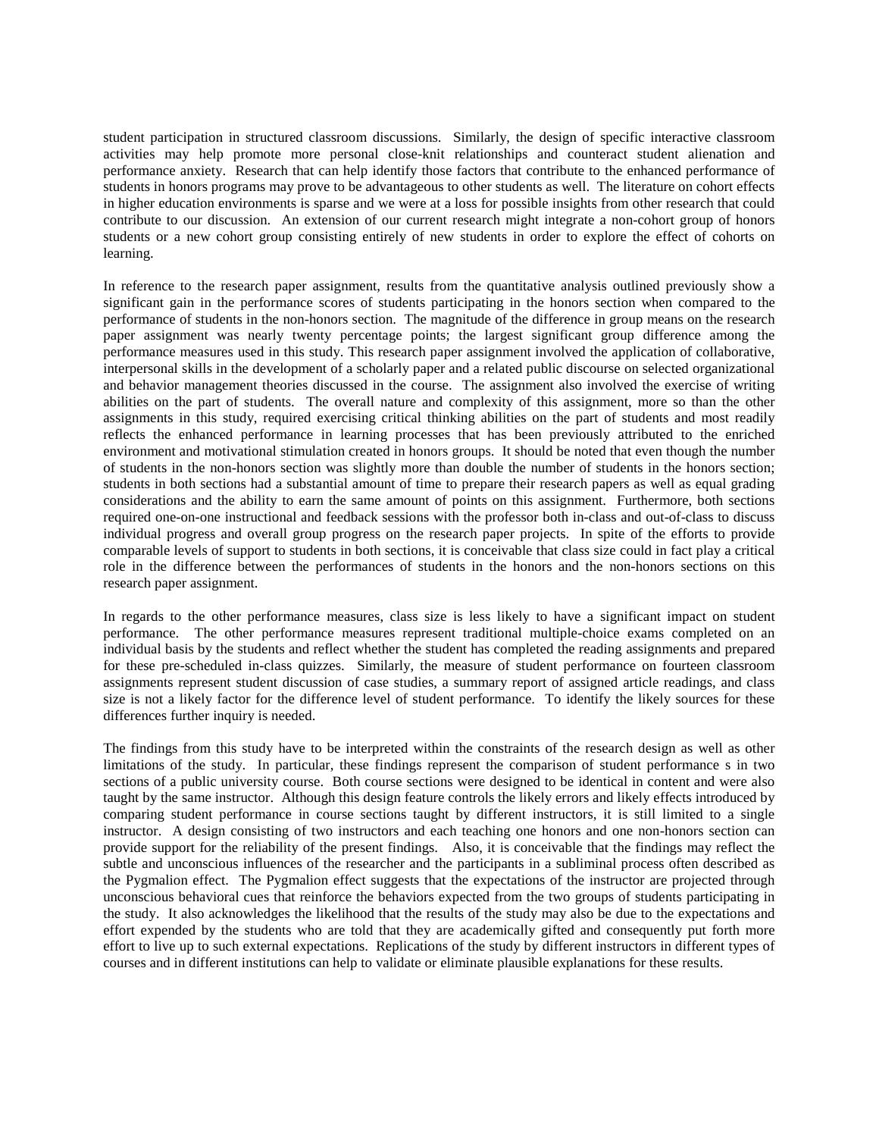student participation in structured classroom discussions. Similarly, the design of specific interactive classroom activities may help promote more personal close-knit relationships and counteract student alienation and performance anxiety. Research that can help identify those factors that contribute to the enhanced performance of students in honors programs may prove to be advantageous to other students as well. The literature on cohort effects in higher education environments is sparse and we were at a loss for possible insights from other research that could contribute to our discussion. An extension of our current research might integrate a non-cohort group of honors students or a new cohort group consisting entirely of new students in order to explore the effect of cohorts on learning.

In reference to the research paper assignment, results from the quantitative analysis outlined previously show a significant gain in the performance scores of students participating in the honors section when compared to the performance of students in the non-honors section. The magnitude of the difference in group means on the research paper assignment was nearly twenty percentage points; the largest significant group difference among the performance measures used in this study. This research paper assignment involved the application of collaborative, interpersonal skills in the development of a scholarly paper and a related public discourse on selected organizational and behavior management theories discussed in the course. The assignment also involved the exercise of writing abilities on the part of students. The overall nature and complexity of this assignment, more so than the other assignments in this study, required exercising critical thinking abilities on the part of students and most readily reflects the enhanced performance in learning processes that has been previously attributed to the enriched environment and motivational stimulation created in honors groups. It should be noted that even though the number of students in the non-honors section was slightly more than double the number of students in the honors section; students in both sections had a substantial amount of time to prepare their research papers as well as equal grading considerations and the ability to earn the same amount of points on this assignment. Furthermore, both sections required one-on-one instructional and feedback sessions with the professor both in-class and out-of-class to discuss individual progress and overall group progress on the research paper projects. In spite of the efforts to provide comparable levels of support to students in both sections, it is conceivable that class size could in fact play a critical role in the difference between the performances of students in the honors and the non-honors sections on this research paper assignment.

In regards to the other performance measures, class size is less likely to have a significant impact on student performance. The other performance measures represent traditional multiple-choice exams completed on an individual basis by the students and reflect whether the student has completed the reading assignments and prepared for these pre-scheduled in-class quizzes. Similarly, the measure of student performance on fourteen classroom assignments represent student discussion of case studies, a summary report of assigned article readings, and class size is not a likely factor for the difference level of student performance. To identify the likely sources for these differences further inquiry is needed.

The findings from this study have to be interpreted within the constraints of the research design as well as other limitations of the study. In particular, these findings represent the comparison of student performance s in two sections of a public university course. Both course sections were designed to be identical in content and were also taught by the same instructor. Although this design feature controls the likely errors and likely effects introduced by comparing student performance in course sections taught by different instructors, it is still limited to a single instructor. A design consisting of two instructors and each teaching one honors and one non-honors section can provide support for the reliability of the present findings. Also, it is conceivable that the findings may reflect the subtle and unconscious influences of the researcher and the participants in a subliminal process often described as the Pygmalion effect. The Pygmalion effect suggests that the expectations of the instructor are projected through unconscious behavioral cues that reinforce the behaviors expected from the two groups of students participating in the study. It also acknowledges the likelihood that the results of the study may also be due to the expectations and effort expended by the students who are told that they are academically gifted and consequently put forth more effort to live up to such external expectations. Replications of the study by different instructors in different types of courses and in different institutions can help to validate or eliminate plausible explanations for these results.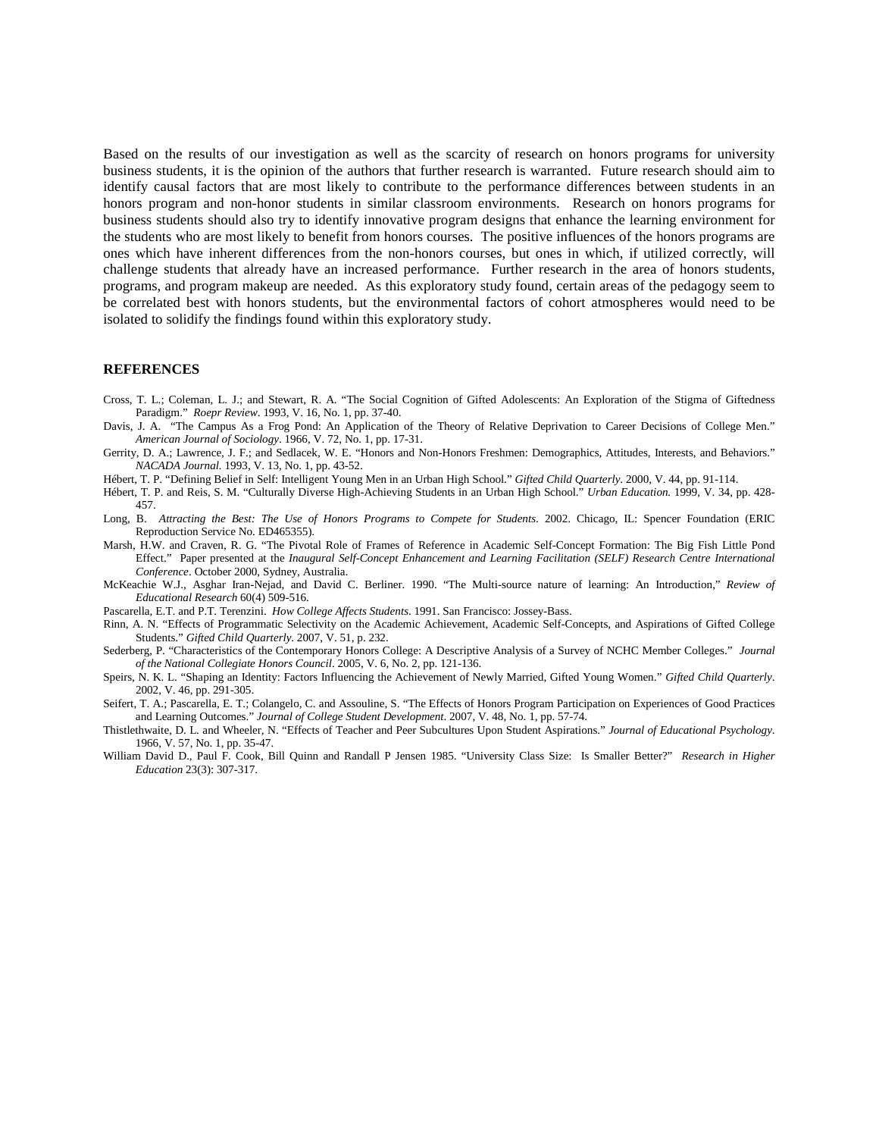Based on the results of our investigation as well as the scarcity of research on honors programs for university business students, it is the opinion of the authors that further research is warranted. Future research should aim to identify causal factors that are most likely to contribute to the performance differences between students in an honors program and non-honor students in similar classroom environments. Research on honors programs for business students should also try to identify innovative program designs that enhance the learning environment for the students who are most likely to benefit from honors courses. The positive influences of the honors programs are ones which have inherent differences from the non-honors courses, but ones in which, if utilized correctly, will challenge students that already have an increased performance. Further research in the area of honors students, programs, and program makeup are needed. As this exploratory study found, certain areas of the pedagogy seem to be correlated best with honors students, but the environmental factors of cohort atmospheres would need to be isolated to solidify the findings found within this exploratory study.

#### **REFERENCES**

- Cross, T. L.; Coleman, L. J.; and Stewart, R. A. "The Social Cognition of Gifted Adolescents: An Exploration of the Stigma of Giftedness Paradigm." *Roepr Review*. 1993, V. 16, No. 1, pp. 37-40.
- Davis, J. A. "The Campus As a Frog Pond: An Application of the Theory of Relative Deprivation to Career Decisions of College Men." *American Journal of Sociology*. 1966, V. 72, No. 1, pp. 17-31.
- Gerrity, D. A.; Lawrence, J. F.; and Sedlacek, W. E. "Honors and Non-Honors Freshmen: Demographics, Attitudes, Interests, and Behaviors." *NACADA Journal.* 1993, V. 13, No. 1, pp. 43-52.
- Hébert, T. P. "Defining Belief in Self: Intelligent Young Men in an Urban High School." *Gifted Child Quarterly*. 2000, V. 44, pp. 91-114.
- Hébert, T. P. and Reis, S. M. "Culturally Diverse High-Achieving Students in an Urban High School." *Urban Education.* 1999, V. 34, pp. 428- 457.
- Long, B. *Attracting the Best: The Use of Honors Programs to Compete for Students*. 2002. Chicago, IL: Spencer Foundation (ERIC Reproduction Service No. ED465355).
- Marsh, H.W. and Craven, R. G. "The Pivotal Role of Frames of Reference in Academic Self-Concept Formation: The Big Fish Little Pond Effect." Paper presented at the *Inaugural Self-Concept Enhancement and Learning Facilitation (SELF) Research Centre International Conference*. October 2000, Sydney, Australia.
- McKeachie W.J., Asghar Iran-Nejad, and David C. Berliner. 1990. "The Multi-source nature of learning: An Introduction," *Review of Educational Research* 60(4) 509-516.
- Pascarella, E.T. and P.T. Terenzini. *How College Affects Students*. 1991. San Francisco: Jossey-Bass.
- Rinn, A. N. "Effects of Programmatic Selectivity on the Academic Achievement, Academic Self-Concepts, and Aspirations of Gifted College Students." *Gifted Child Quarterly*. 2007, V. 51, p. 232.
- Sederberg, P. "Characteristics of the Contemporary Honors College: A Descriptive Analysis of a Survey of NCHC Member Colleges." *Journal of the National Collegiate Honors Council*. 2005, V. 6, No. 2, pp. 121-136.
- Speirs, N. K. L. "Shaping an Identity: Factors Influencing the Achievement of Newly Married, Gifted Young Women." *Gifted Child Quarterly*. 2002, V. 46, pp. 291-305.
- Seifert, T. A.; Pascarella, E. T.; Colangelo, C. and Assouline, S. "The Effects of Honors Program Participation on Experiences of Good Practices and Learning Outcomes." *Journal of College Student Development*. 2007, V. 48, No. 1, pp. 57-74.
- Thistlethwaite, D. L. and Wheeler, N. "Effects of Teacher and Peer Subcultures Upon Student Aspirations." *Journal of Educational Psychology*. 1966, V. 57, No. 1, pp. 35-47.
- William David D., Paul F. Cook, Bill Quinn and Randall P Jensen 1985. "University Class Size: Is Smaller Better?" *Research in Higher Education* 23(3): 307-317.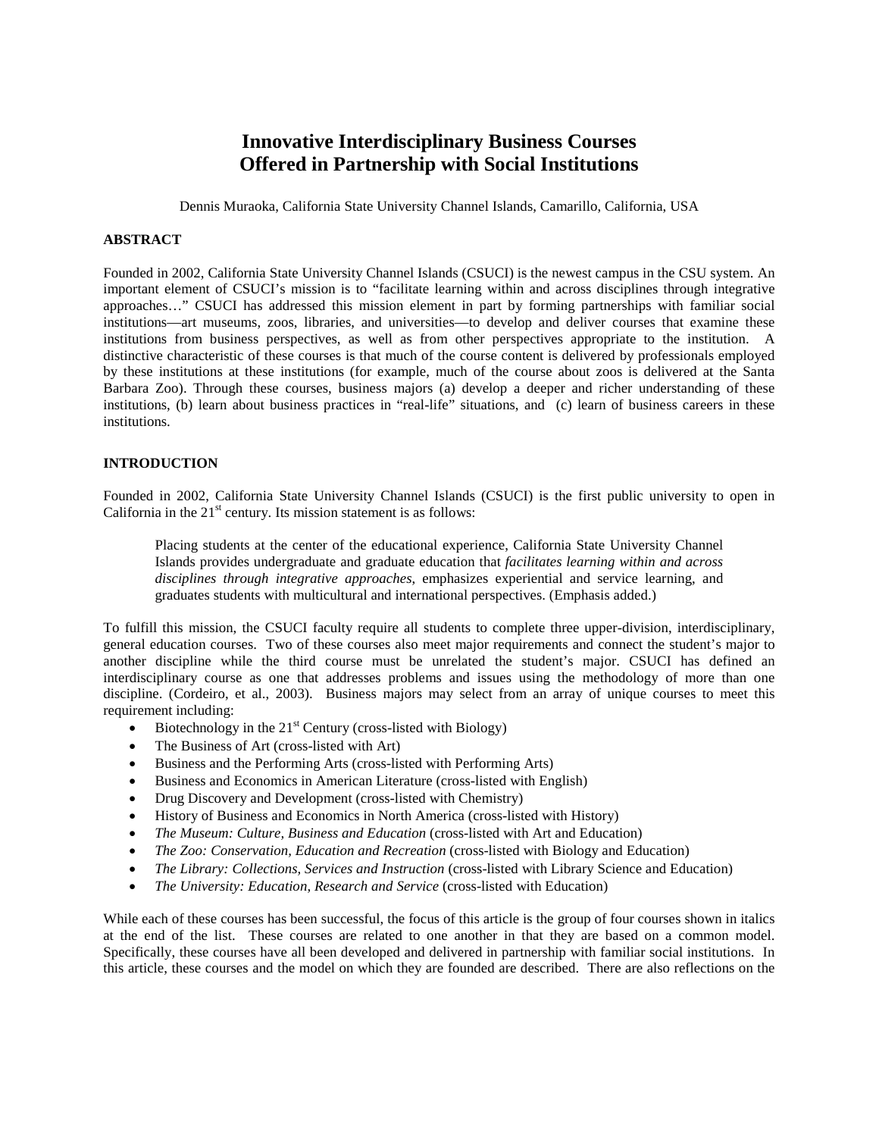# **Innovative Interdisciplinary Business Courses Offered in Partnership with Social Institutions**

Dennis Muraoka, California State University Channel Islands, Camarillo, California, USA

## **ABSTRACT**

Founded in 2002, California State University Channel Islands (CSUCI) is the newest campus in the CSU system. An important element of CSUCI's mission is to "facilitate learning within and across disciplines through integrative approaches…" CSUCI has addressed this mission element in part by forming partnerships with familiar social institutions—art museums, zoos, libraries, and universities—to develop and deliver courses that examine these institutions from business perspectives, as well as from other perspectives appropriate to the institution. A distinctive characteristic of these courses is that much of the course content is delivered by professionals employed by these institutions at these institutions (for example, much of the course about zoos is delivered at the Santa Barbara Zoo). Through these courses, business majors (a) develop a deeper and richer understanding of these institutions, (b) learn about business practices in "real-life" situations, and (c) learn of business careers in these institutions.

## **INTRODUCTION**

Founded in 2002, California State University Channel Islands (CSUCI) is the first public university to open in California in the  $21<sup>st</sup>$  century. Its mission statement is as follows:

Placing students at the center of the educational experience, California State University Channel Islands provides undergraduate and graduate education that *facilitates learning within and across disciplines through integrative approaches*, emphasizes experiential and service learning, and graduates students with multicultural and international perspectives. (Emphasis added.)

To fulfill this mission, the CSUCI faculty require all students to complete three upper-division, interdisciplinary, general education courses. Two of these courses also meet major requirements and connect the student's major to another discipline while the third course must be unrelated the student's major. CSUCI has defined an interdisciplinary course as one that addresses problems and issues using the methodology of more than one discipline. (Cordeiro, et al., 2003). Business majors may select from an array of unique courses to meet this requirement including:

- Biotechnology in the  $21<sup>st</sup>$  Century (cross-listed with Biology)
- The Business of Art (cross-listed with Art)
- Business and the Performing Arts (cross-listed with Performing Arts)
- Business and Economics in American Literature (cross-listed with English)
- Drug Discovery and Development (cross-listed with Chemistry)
- History of Business and Economics in North America (cross-listed with History)
- *The Museum: Culture, Business and Education* (cross-listed with Art and Education)
- *The Zoo: Conservation, Education and Recreation* (cross-listed with Biology and Education)
- *The Library: Collections, Services and Instruction* (cross-listed with Library Science and Education)
- *The University: Education, Research and Service* (cross-listed with Education)

While each of these courses has been successful, the focus of this article is the group of four courses shown in italics at the end of the list. These courses are related to one another in that they are based on a common model. Specifically, these courses have all been developed and delivered in partnership with familiar social institutions. In this article, these courses and the model on which they are founded are described. There are also reflections on the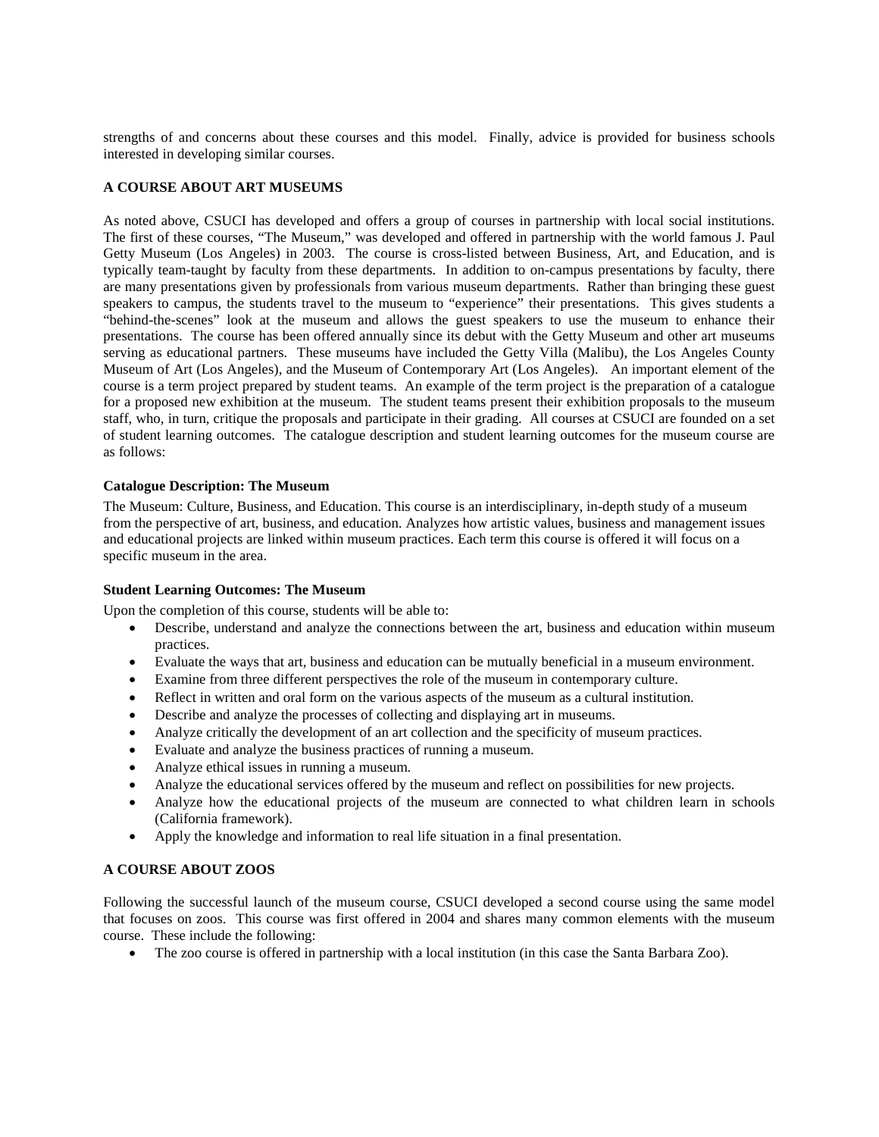strengths of and concerns about these courses and this model. Finally, advice is provided for business schools interested in developing similar courses.

## **A COURSE ABOUT ART MUSEUMS**

As noted above, CSUCI has developed and offers a group of courses in partnership with local social institutions. The first of these courses, "The Museum," was developed and offered in partnership with the world famous J. Paul Getty Museum (Los Angeles) in 2003. The course is cross-listed between Business, Art, and Education, and is typically team-taught by faculty from these departments. In addition to on-campus presentations by faculty, there are many presentations given by professionals from various museum departments. Rather than bringing these guest speakers to campus, the students travel to the museum to "experience" their presentations. This gives students a "behind-the-scenes" look at the museum and allows the guest speakers to use the museum to enhance their presentations. The course has been offered annually since its debut with the Getty Museum and other art museums serving as educational partners. These museums have included the Getty Villa (Malibu), the Los Angeles County Museum of Art (Los Angeles), and the Museum of Contemporary Art (Los Angeles). An important element of the course is a term project prepared by student teams. An example of the term project is the preparation of a catalogue for a proposed new exhibition at the museum. The student teams present their exhibition proposals to the museum staff, who, in turn, critique the proposals and participate in their grading. All courses at CSUCI are founded on a set of student learning outcomes. The catalogue description and student learning outcomes for the museum course are as follows:

## **Catalogue Description: The Museum**

The Museum: Culture, Business, and Education. This course is an interdisciplinary, in-depth study of a museum from the perspective of art, business, and education. Analyzes how artistic values, business and management issues and educational projects are linked within museum practices. Each term this course is offered it will focus on a specific museum in the area.

## **Student Learning Outcomes: The Museum**

Upon the completion of this course, students will be able to:

- Describe, understand and analyze the connections between the art, business and education within museum practices.
- Evaluate the ways that art, business and education can be mutually beneficial in a museum environment.
- Examine from three different perspectives the role of the museum in contemporary culture.
- Reflect in written and oral form on the various aspects of the museum as a cultural institution.
- Describe and analyze the processes of collecting and displaying art in museums.
- Analyze critically the development of an art collection and the specificity of museum practices.
- Evaluate and analyze the business practices of running a museum.
- Analyze ethical issues in running a museum.
- Analyze the educational services offered by the museum and reflect on possibilities for new projects.
- Analyze how the educational projects of the museum are connected to what children learn in schools (California framework).
- Apply the knowledge and information to real life situation in a final presentation.

## **A COURSE ABOUT ZOOS**

Following the successful launch of the museum course, CSUCI developed a second course using the same model that focuses on zoos. This course was first offered in 2004 and shares many common elements with the museum course. These include the following:

• The zoo course is offered in partnership with a local institution (in this case the Santa Barbara Zoo).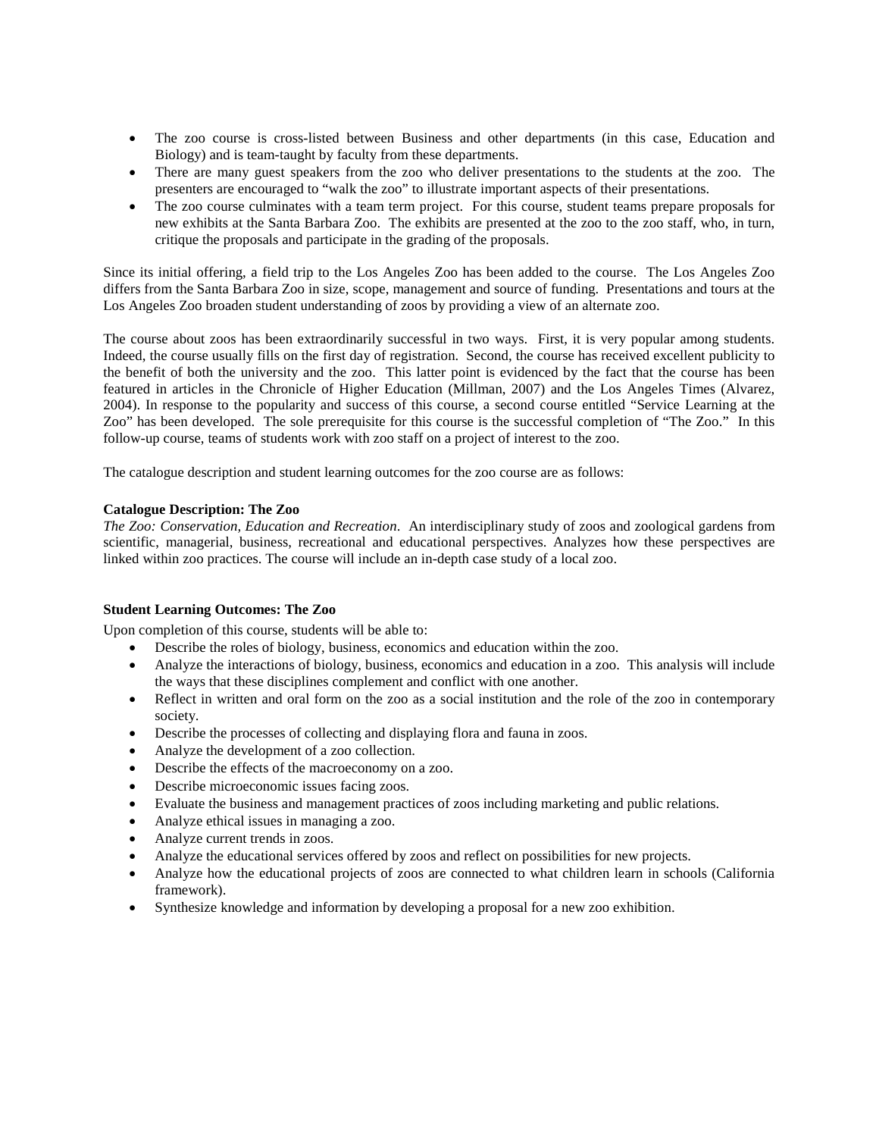- The zoo course is cross-listed between Business and other departments (in this case, Education and Biology) and is team-taught by faculty from these departments.
- There are many guest speakers from the zoo who deliver presentations to the students at the zoo. The presenters are encouraged to "walk the zoo" to illustrate important aspects of their presentations.
- The zoo course culminates with a team term project. For this course, student teams prepare proposals for new exhibits at the Santa Barbara Zoo. The exhibits are presented at the zoo to the zoo staff, who, in turn, critique the proposals and participate in the grading of the proposals.

Since its initial offering, a field trip to the Los Angeles Zoo has been added to the course. The Los Angeles Zoo differs from the Santa Barbara Zoo in size, scope, management and source of funding. Presentations and tours at the Los Angeles Zoo broaden student understanding of zoos by providing a view of an alternate zoo.

The course about zoos has been extraordinarily successful in two ways. First, it is very popular among students. Indeed, the course usually fills on the first day of registration. Second, the course has received excellent publicity to the benefit of both the university and the zoo. This latter point is evidenced by the fact that the course has been featured in articles in the Chronicle of Higher Education (Millman, 2007) and the Los Angeles Times (Alvarez, 2004). In response to the popularity and success of this course, a second course entitled "Service Learning at the Zoo" has been developed. The sole prerequisite for this course is the successful completion of "The Zoo." In this follow-up course, teams of students work with zoo staff on a project of interest to the zoo.

The catalogue description and student learning outcomes for the zoo course are as follows:

# **Catalogue Description: The Zoo**

*The Zoo: Conservation, Education and Recreation*. An interdisciplinary study of zoos and zoological gardens from scientific, managerial, business, recreational and educational perspectives. Analyzes how these perspectives are linked within zoo practices. The course will include an in-depth case study of a local zoo.

# **Student Learning Outcomes: The Zoo**

Upon completion of this course, students will be able to:

- Describe the roles of biology, business, economics and education within the zoo.
- Analyze the interactions of biology, business, economics and education in a zoo. This analysis will include the ways that these disciplines complement and conflict with one another.
- Reflect in written and oral form on the zoo as a social institution and the role of the zoo in contemporary society.
- Describe the processes of collecting and displaying flora and fauna in zoos.
- Analyze the development of a zoo collection.
- Describe the effects of the macroeconomy on a zoo.
- Describe microeconomic issues facing zoos.
- Evaluate the business and management practices of zoos including marketing and public relations.
- Analyze ethical issues in managing a zoo.
- Analyze current trends in zoos.
- Analyze the educational services offered by zoos and reflect on possibilities for new projects.
- Analyze how the educational projects of zoos are connected to what children learn in schools (California framework).
- Synthesize knowledge and information by developing a proposal for a new zoo exhibition.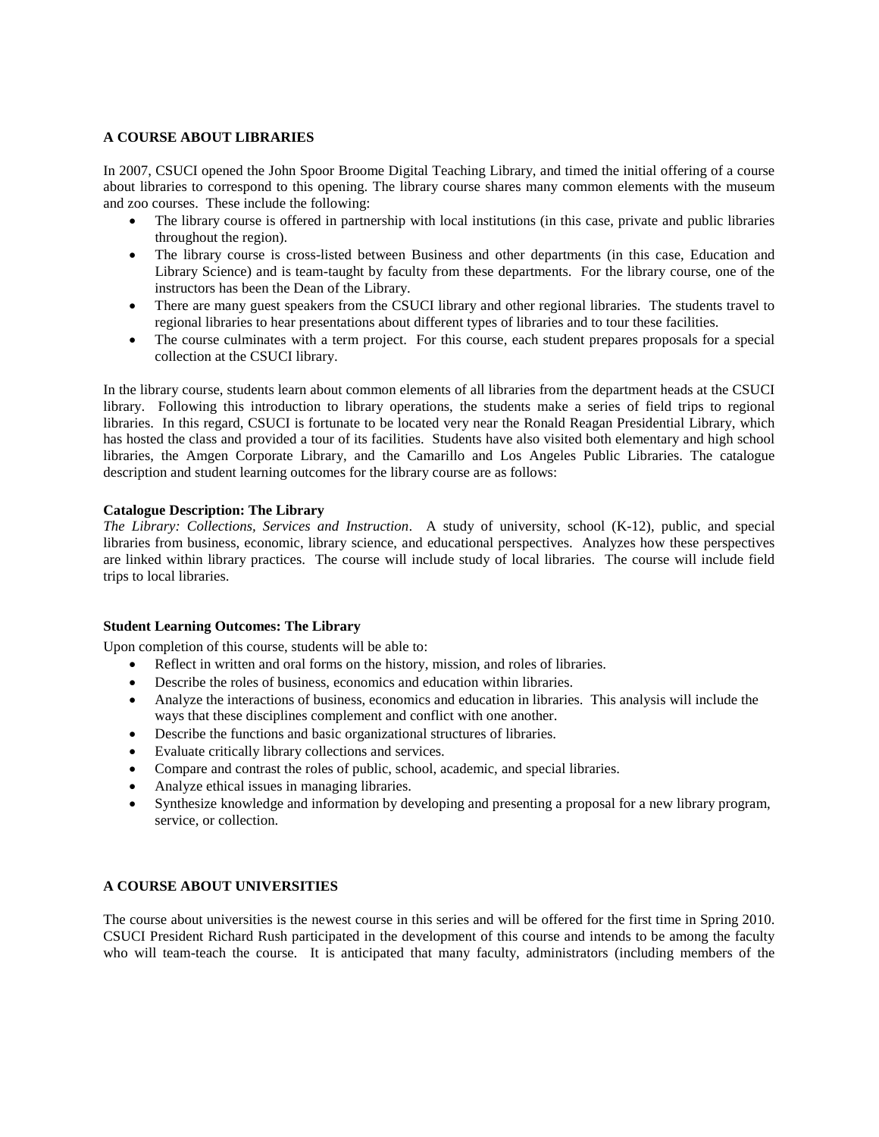## **A COURSE ABOUT LIBRARIES**

In 2007, CSUCI opened the John Spoor Broome Digital Teaching Library, and timed the initial offering of a course about libraries to correspond to this opening. The library course shares many common elements with the museum and zoo courses. These include the following:

- The library course is offered in partnership with local institutions (in this case, private and public libraries throughout the region).
- The library course is cross-listed between Business and other departments (in this case, Education and Library Science) and is team-taught by faculty from these departments. For the library course, one of the instructors has been the Dean of the Library.
- There are many guest speakers from the CSUCI library and other regional libraries. The students travel to regional libraries to hear presentations about different types of libraries and to tour these facilities.
- The course culminates with a term project. For this course, each student prepares proposals for a special collection at the CSUCI library.

In the library course, students learn about common elements of all libraries from the department heads at the CSUCI library. Following this introduction to library operations, the students make a series of field trips to regional libraries. In this regard, CSUCI is fortunate to be located very near the Ronald Reagan Presidential Library, which has hosted the class and provided a tour of its facilities. Students have also visited both elementary and high school libraries, the Amgen Corporate Library, and the Camarillo and Los Angeles Public Libraries. The catalogue description and student learning outcomes for the library course are as follows:

## **Catalogue Description: The Library**

*The Library: Collections, Services and Instruction*. A study of university, school (K-12), public, and special libraries from business, economic, library science, and educational perspectives. Analyzes how these perspectives are linked within library practices. The course will include study of local libraries. The course will include field trips to local libraries.

## **Student Learning Outcomes: The Library**

Upon completion of this course, students will be able to:

- Reflect in written and oral forms on the history, mission, and roles of libraries.
- Describe the roles of business, economics and education within libraries.
- Analyze the interactions of business, economics and education in libraries. This analysis will include the ways that these disciplines complement and conflict with one another.
- Describe the functions and basic organizational structures of libraries.
- Evaluate critically library collections and services.
- Compare and contrast the roles of public, school, academic, and special libraries.
- Analyze ethical issues in managing libraries.
- Synthesize knowledge and information by developing and presenting a proposal for a new library program, service, or collection.

## **A COURSE ABOUT UNIVERSITIES**

The course about universities is the newest course in this series and will be offered for the first time in Spring 2010. CSUCI President Richard Rush participated in the development of this course and intends to be among the faculty who will team-teach the course. It is anticipated that many faculty, administrators (including members of the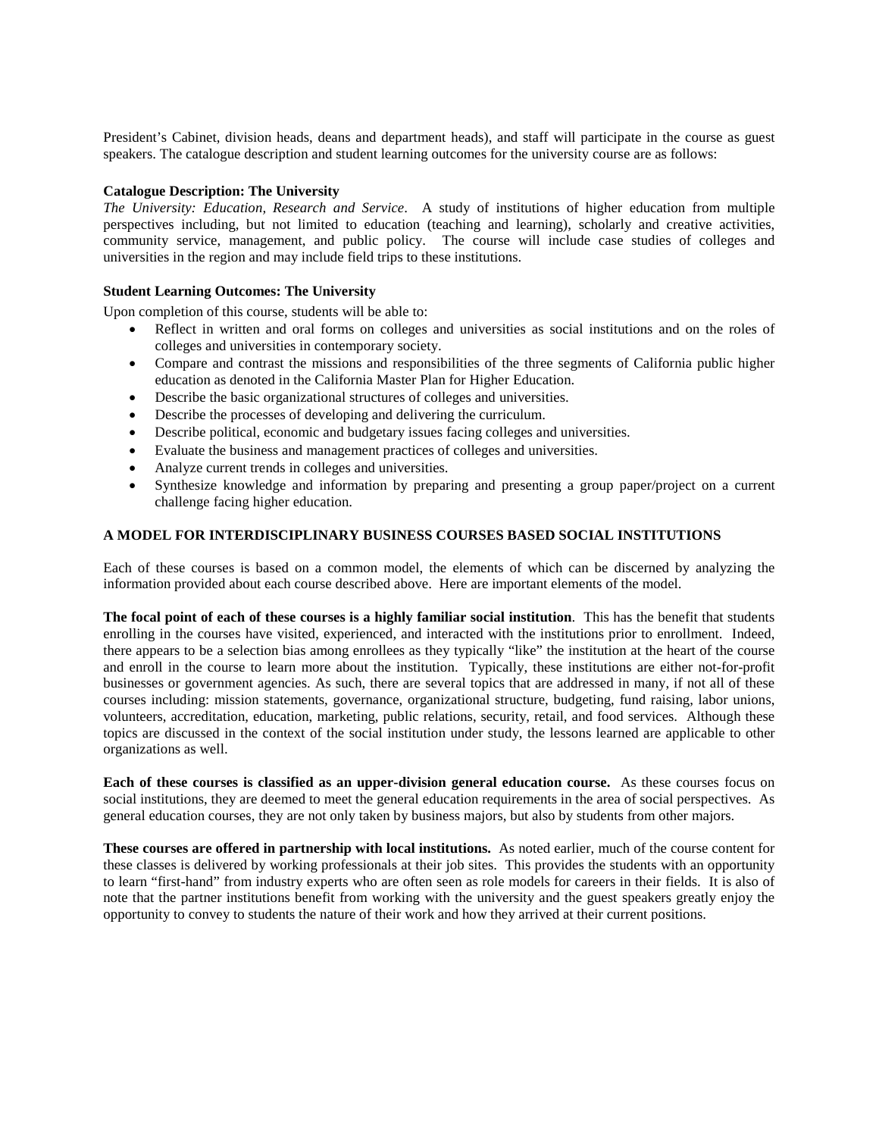President's Cabinet, division heads, deans and department heads), and staff will participate in the course as guest speakers. The catalogue description and student learning outcomes for the university course are as follows:

## **Catalogue Description: The University**

*The University: Education, Research and Service*. A study of institutions of higher education from multiple perspectives including, but not limited to education (teaching and learning), scholarly and creative activities, community service, management, and public policy. The course will include case studies of colleges and universities in the region and may include field trips to these institutions.

# **Student Learning Outcomes: The University**

Upon completion of this course, students will be able to:

- Reflect in written and oral forms on colleges and universities as social institutions and on the roles of colleges and universities in contemporary society.
- Compare and contrast the missions and responsibilities of the three segments of California public higher education as denoted in the California Master Plan for Higher Education.
- Describe the basic organizational structures of colleges and universities.
- Describe the processes of developing and delivering the curriculum.
- Describe political, economic and budgetary issues facing colleges and universities.
- Evaluate the business and management practices of colleges and universities.
- Analyze current trends in colleges and universities.
- Synthesize knowledge and information by preparing and presenting a group paper/project on a current challenge facing higher education.

## **A MODEL FOR INTERDISCIPLINARY BUSINESS COURSES BASED SOCIAL INSTITUTIONS**

Each of these courses is based on a common model, the elements of which can be discerned by analyzing the information provided about each course described above. Here are important elements of the model.

**The focal point of each of these courses is a highly familiar social institution**. This has the benefit that students enrolling in the courses have visited, experienced, and interacted with the institutions prior to enrollment. Indeed, there appears to be a selection bias among enrollees as they typically "like" the institution at the heart of the course and enroll in the course to learn more about the institution. Typically, these institutions are either not-for-profit businesses or government agencies. As such, there are several topics that are addressed in many, if not all of these courses including: mission statements, governance, organizational structure, budgeting, fund raising, labor unions, volunteers, accreditation, education, marketing, public relations, security, retail, and food services. Although these topics are discussed in the context of the social institution under study, the lessons learned are applicable to other organizations as well.

**Each of these courses is classified as an upper-division general education course.** As these courses focus on social institutions, they are deemed to meet the general education requirements in the area of social perspectives. As general education courses, they are not only taken by business majors, but also by students from other majors.

**These courses are offered in partnership with local institutions.** As noted earlier, much of the course content for these classes is delivered by working professionals at their job sites. This provides the students with an opportunity to learn "first-hand" from industry experts who are often seen as role models for careers in their fields. It is also of note that the partner institutions benefit from working with the university and the guest speakers greatly enjoy the opportunity to convey to students the nature of their work and how they arrived at their current positions.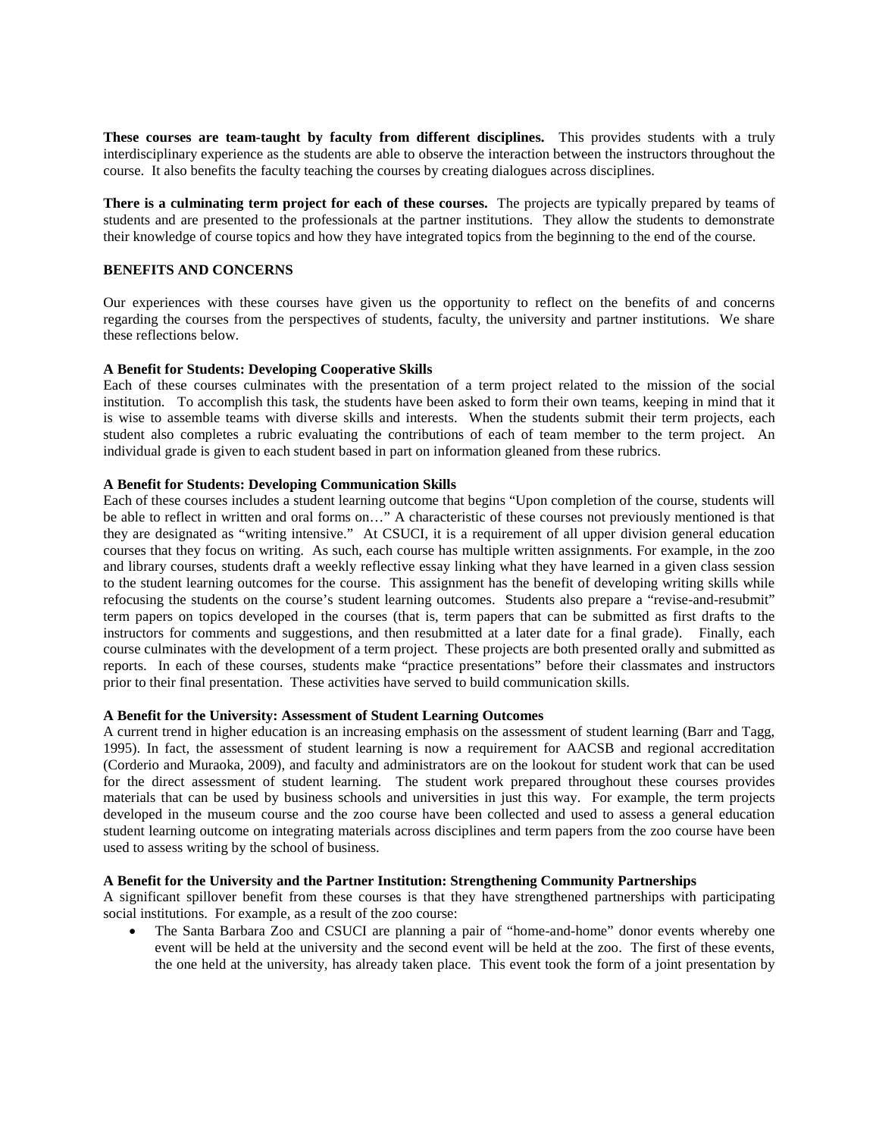**These courses are team-taught by faculty from different disciplines.** This provides students with a truly interdisciplinary experience as the students are able to observe the interaction between the instructors throughout the course. It also benefits the faculty teaching the courses by creating dialogues across disciplines.

**There is a culminating term project for each of these courses.** The projects are typically prepared by teams of students and are presented to the professionals at the partner institutions. They allow the students to demonstrate their knowledge of course topics and how they have integrated topics from the beginning to the end of the course.

## **BENEFITS AND CONCERNS**

Our experiences with these courses have given us the opportunity to reflect on the benefits of and concerns regarding the courses from the perspectives of students, faculty, the university and partner institutions. We share these reflections below.

## **A Benefit for Students: Developing Cooperative Skills**

Each of these courses culminates with the presentation of a term project related to the mission of the social institution. To accomplish this task, the students have been asked to form their own teams, keeping in mind that it is wise to assemble teams with diverse skills and interests. When the students submit their term projects, each student also completes a rubric evaluating the contributions of each of team member to the term project. An individual grade is given to each student based in part on information gleaned from these rubrics.

## **A Benefit for Students: Developing Communication Skills**

Each of these courses includes a student learning outcome that begins "Upon completion of the course, students will be able to reflect in written and oral forms on…" A characteristic of these courses not previously mentioned is that they are designated as "writing intensive." At CSUCI, it is a requirement of all upper division general education courses that they focus on writing. As such, each course has multiple written assignments. For example, in the zoo and library courses, students draft a weekly reflective essay linking what they have learned in a given class session to the student learning outcomes for the course. This assignment has the benefit of developing writing skills while refocusing the students on the course's student learning outcomes. Students also prepare a "revise-and-resubmit" term papers on topics developed in the courses (that is, term papers that can be submitted as first drafts to the instructors for comments and suggestions, and then resubmitted at a later date for a final grade). Finally, each course culminates with the development of a term project. These projects are both presented orally and submitted as reports. In each of these courses, students make "practice presentations" before their classmates and instructors prior to their final presentation. These activities have served to build communication skills.

## **A Benefit for the University: Assessment of Student Learning Outcomes**

A current trend in higher education is an increasing emphasis on the assessment of student learning (Barr and Tagg, 1995). In fact, the assessment of student learning is now a requirement for AACSB and regional accreditation (Corderio and Muraoka, 2009), and faculty and administrators are on the lookout for student work that can be used for the direct assessment of student learning. The student work prepared throughout these courses provides materials that can be used by business schools and universities in just this way. For example, the term projects developed in the museum course and the zoo course have been collected and used to assess a general education student learning outcome on integrating materials across disciplines and term papers from the zoo course have been used to assess writing by the school of business.

## **A Benefit for the University and the Partner Institution: Strengthening Community Partnerships**

A significant spillover benefit from these courses is that they have strengthened partnerships with participating social institutions. For example, as a result of the zoo course:

• The Santa Barbara Zoo and CSUCI are planning a pair of "home-and-home" donor events whereby one event will be held at the university and the second event will be held at the zoo. The first of these events, the one held at the university, has already taken place. This event took the form of a joint presentation by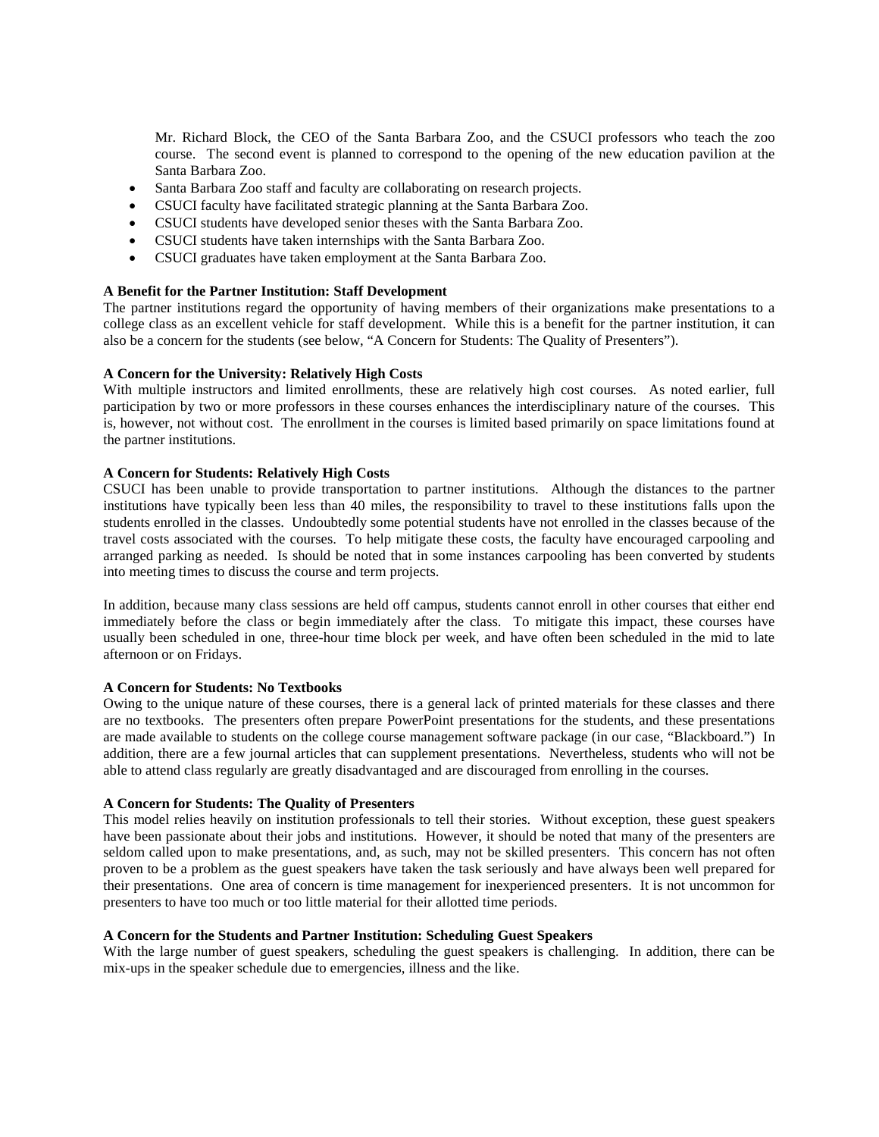Mr. Richard Block, the CEO of the Santa Barbara Zoo, and the CSUCI professors who teach the zoo course. The second event is planned to correspond to the opening of the new education pavilion at the Santa Barbara Zoo.

- Santa Barbara Zoo staff and faculty are collaborating on research projects.
- CSUCI faculty have facilitated strategic planning at the Santa Barbara Zoo.
- CSUCI students have developed senior theses with the Santa Barbara Zoo.
- CSUCI students have taken internships with the Santa Barbara Zoo.
- CSUCI graduates have taken employment at the Santa Barbara Zoo.

## **A Benefit for the Partner Institution: Staff Development**

The partner institutions regard the opportunity of having members of their organizations make presentations to a college class as an excellent vehicle for staff development. While this is a benefit for the partner institution, it can also be a concern for the students (see below, "A Concern for Students: The Quality of Presenters").

## **A Concern for the University: Relatively High Costs**

With multiple instructors and limited enrollments, these are relatively high cost courses. As noted earlier, full participation by two or more professors in these courses enhances the interdisciplinary nature of the courses. This is, however, not without cost. The enrollment in the courses is limited based primarily on space limitations found at the partner institutions.

## **A Concern for Students: Relatively High Costs**

CSUCI has been unable to provide transportation to partner institutions. Although the distances to the partner institutions have typically been less than 40 miles, the responsibility to travel to these institutions falls upon the students enrolled in the classes. Undoubtedly some potential students have not enrolled in the classes because of the travel costs associated with the courses. To help mitigate these costs, the faculty have encouraged carpooling and arranged parking as needed. Is should be noted that in some instances carpooling has been converted by students into meeting times to discuss the course and term projects.

In addition, because many class sessions are held off campus, students cannot enroll in other courses that either end immediately before the class or begin immediately after the class. To mitigate this impact, these courses have usually been scheduled in one, three-hour time block per week, and have often been scheduled in the mid to late afternoon or on Fridays.

## **A Concern for Students: No Textbooks**

Owing to the unique nature of these courses, there is a general lack of printed materials for these classes and there are no textbooks. The presenters often prepare PowerPoint presentations for the students, and these presentations are made available to students on the college course management software package (in our case, "Blackboard.") In addition, there are a few journal articles that can supplement presentations. Nevertheless, students who will not be able to attend class regularly are greatly disadvantaged and are discouraged from enrolling in the courses.

## **A Concern for Students: The Quality of Presenters**

This model relies heavily on institution professionals to tell their stories. Without exception, these guest speakers have been passionate about their jobs and institutions. However, it should be noted that many of the presenters are seldom called upon to make presentations, and, as such, may not be skilled presenters. This concern has not often proven to be a problem as the guest speakers have taken the task seriously and have always been well prepared for their presentations. One area of concern is time management for inexperienced presenters. It is not uncommon for presenters to have too much or too little material for their allotted time periods.

## **A Concern for the Students and Partner Institution: Scheduling Guest Speakers**

With the large number of guest speakers, scheduling the guest speakers is challenging. In addition, there can be mix-ups in the speaker schedule due to emergencies, illness and the like.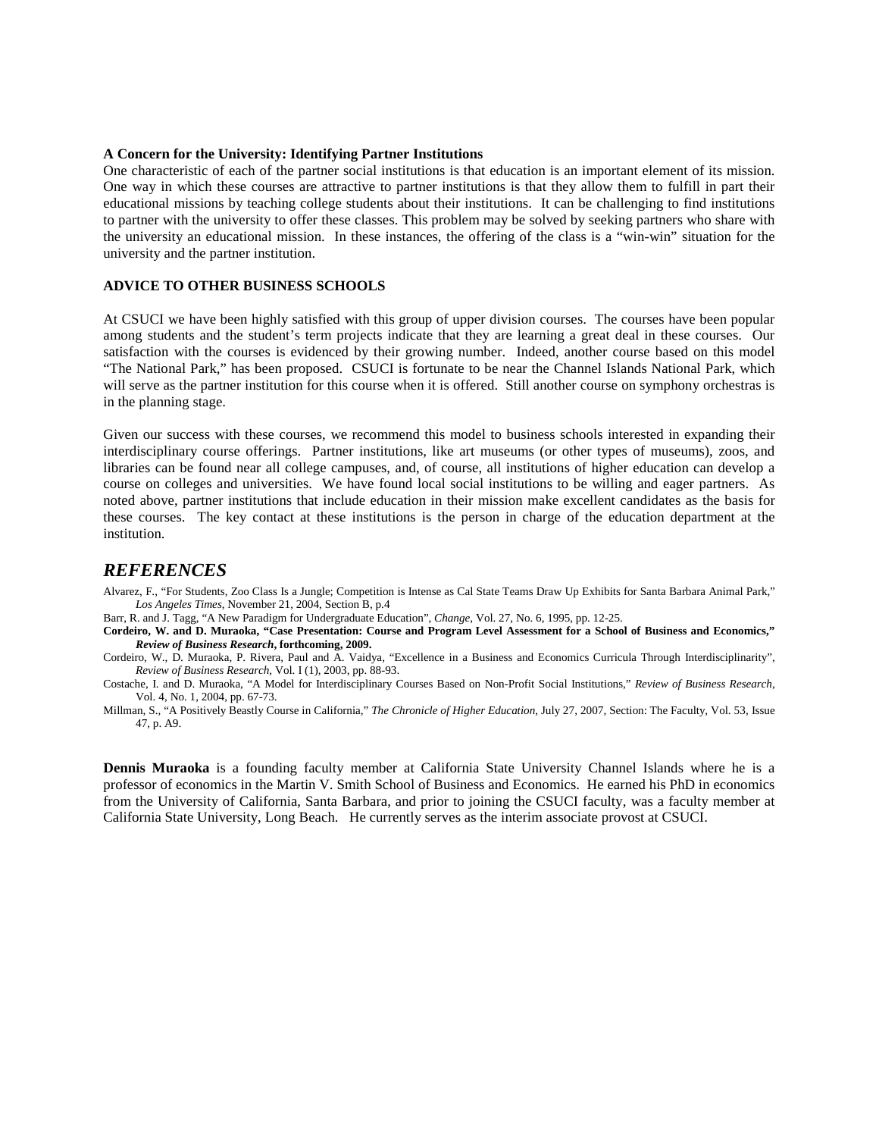#### **A Concern for the University: Identifying Partner Institutions**

One characteristic of each of the partner social institutions is that education is an important element of its mission. One way in which these courses are attractive to partner institutions is that they allow them to fulfill in part their educational missions by teaching college students about their institutions. It can be challenging to find institutions to partner with the university to offer these classes. This problem may be solved by seeking partners who share with the university an educational mission. In these instances, the offering of the class is a "win-win" situation for the university and the partner institution.

## **ADVICE TO OTHER BUSINESS SCHOOLS**

At CSUCI we have been highly satisfied with this group of upper division courses. The courses have been popular among students and the student's term projects indicate that they are learning a great deal in these courses. Our satisfaction with the courses is evidenced by their growing number. Indeed, another course based on this model "The National Park," has been proposed. CSUCI is fortunate to be near the Channel Islands National Park, which will serve as the partner institution for this course when it is offered. Still another course on symphony orchestras is in the planning stage.

Given our success with these courses, we recommend this model to business schools interested in expanding their interdisciplinary course offerings. Partner institutions, like art museums (or other types of museums), zoos, and libraries can be found near all college campuses, and, of course, all institutions of higher education can develop a course on colleges and universities. We have found local social institutions to be willing and eager partners. As noted above, partner institutions that include education in their mission make excellent candidates as the basis for these courses. The key contact at these institutions is the person in charge of the education department at the institution.

# *REFERENCES*

Alvarez, F., "For Students, Zoo Class Is a Jungle; Competition is Intense as Cal State Teams Draw Up Exhibits for Santa Barbara Animal Park," *Los Angeles Times*, November 21, 2004, Section B, p.4

Barr, R. and J. Tagg, "A New Paradigm for Undergraduate Education", *Change*, Vol. 27, No. 6, 1995, pp. 12-25.

**Cordeiro, W. and D. Muraoka, "Case Presentation: Course and Program Level Assessment for a School of Business and Economics,"** *Review of Business Research***, forthcoming, 2009.**

Cordeiro, W., D. Muraoka, P. Rivera, Paul and A. Vaidya, "Excellence in a Business and Economics Curricula Through Interdisciplinarity", *Review of Business Research*, Vol. I (1), 2003, pp. 88-93.

Costache, I. and D. Muraoka, "A Model for Interdisciplinary Courses Based on Non-Profit Social Institutions," *Review of Business Research,*  Vol. 4, No. 1, 2004, pp. 67-73.

Millman, S., "A Positively Beastly Course in California," *The Chronicle of Higher Education*, July 27, 2007, Section: The Faculty, Vol. 53, Issue 47, p. A9.

**Dennis Muraoka** is a founding faculty member at California State University Channel Islands where he is a professor of economics in the Martin V. Smith School of Business and Economics. He earned his PhD in economics from the University of California, Santa Barbara, and prior to joining the CSUCI faculty, was a faculty member at California State University, Long Beach. He currently serves as the interim associate provost at CSUCI.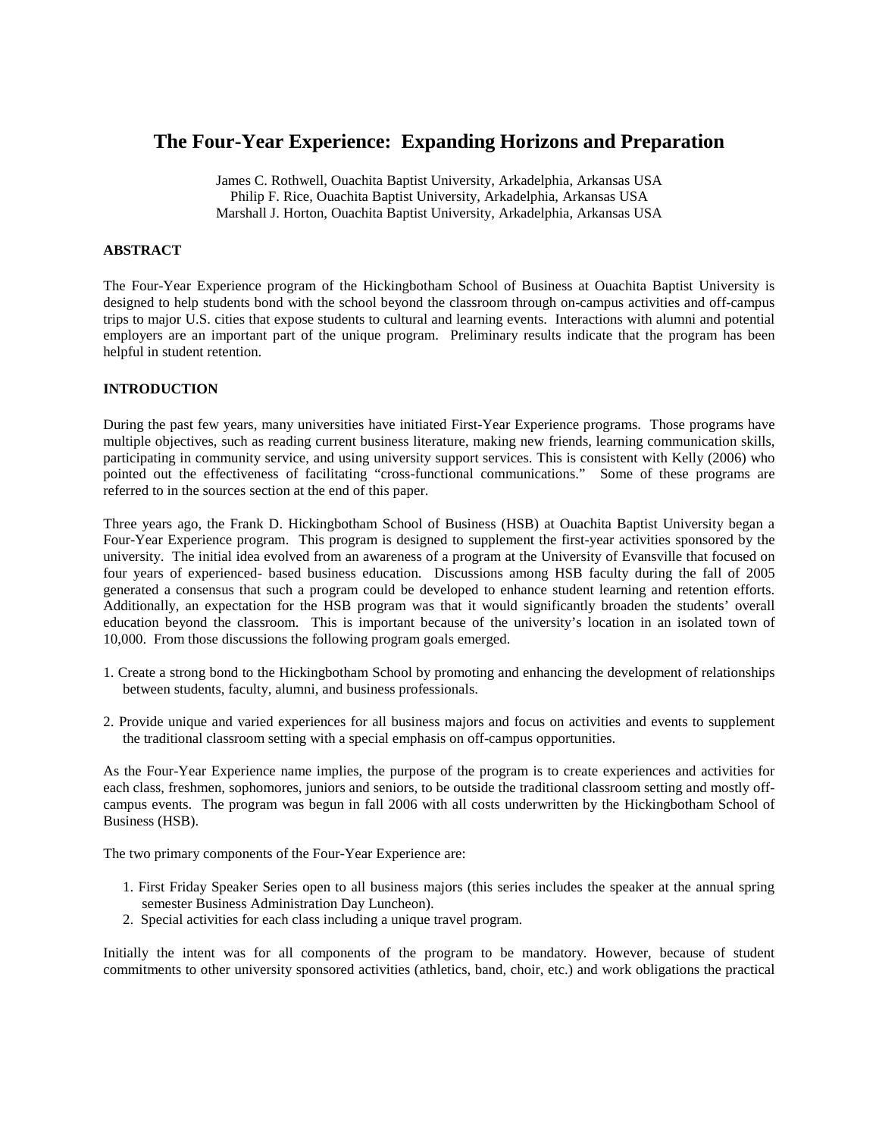# **The Four-Year Experience: Expanding Horizons and Preparation**

James C. Rothwell, Ouachita Baptist University, Arkadelphia, Arkansas USA Philip F. Rice, Ouachita Baptist University, Arkadelphia, Arkansas USA Marshall J. Horton, Ouachita Baptist University, Arkadelphia, Arkansas USA

## **ABSTRACT**

The Four-Year Experience program of the Hickingbotham School of Business at Ouachita Baptist University is designed to help students bond with the school beyond the classroom through on-campus activities and off-campus trips to major U.S. cities that expose students to cultural and learning events. Interactions with alumni and potential employers are an important part of the unique program. Preliminary results indicate that the program has been helpful in student retention.

## **INTRODUCTION**

During the past few years, many universities have initiated First-Year Experience programs. Those programs have multiple objectives, such as reading current business literature, making new friends, learning communication skills, participating in community service, and using university support services. This is consistent with Kelly (2006) who pointed out the effectiveness of facilitating "cross-functional communications." Some of these programs are referred to in the sources section at the end of this paper.

Three years ago, the Frank D. Hickingbotham School of Business (HSB) at Ouachita Baptist University began a Four-Year Experience program. This program is designed to supplement the first-year activities sponsored by the university. The initial idea evolved from an awareness of a program at the University of Evansville that focused on four years of experienced- based business education. Discussions among HSB faculty during the fall of 2005 generated a consensus that such a program could be developed to enhance student learning and retention efforts. Additionally, an expectation for the HSB program was that it would significantly broaden the students' overall education beyond the classroom. This is important because of the university's location in an isolated town of 10,000. From those discussions the following program goals emerged.

- 1. Create a strong bond to the Hickingbotham School by promoting and enhancing the development of relationships between students, faculty, alumni, and business professionals.
- 2. Provide unique and varied experiences for all business majors and focus on activities and events to supplement the traditional classroom setting with a special emphasis on off-campus opportunities.

As the Four-Year Experience name implies, the purpose of the program is to create experiences and activities for each class, freshmen, sophomores, juniors and seniors, to be outside the traditional classroom setting and mostly offcampus events. The program was begun in fall 2006 with all costs underwritten by the Hickingbotham School of Business (HSB).

The two primary components of the Four-Year Experience are:

- 1. First Friday Speaker Series open to all business majors (this series includes the speaker at the annual spring semester Business Administration Day Luncheon).
- 2. Special activities for each class including a unique travel program.

Initially the intent was for all components of the program to be mandatory. However, because of student commitments to other university sponsored activities (athletics, band, choir, etc.) and work obligations the practical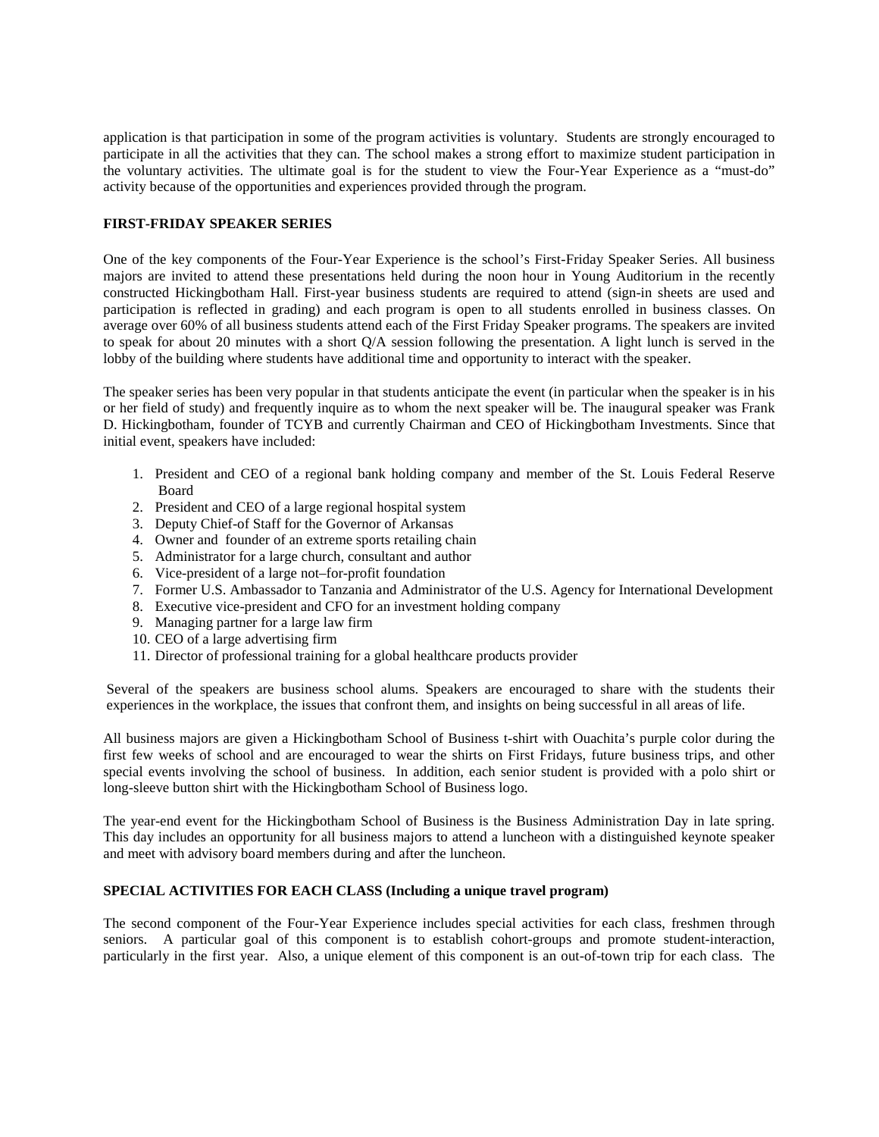application is that participation in some of the program activities is voluntary. Students are strongly encouraged to participate in all the activities that they can. The school makes a strong effort to maximize student participation in the voluntary activities. The ultimate goal is for the student to view the Four-Year Experience as a "must-do" activity because of the opportunities and experiences provided through the program.

## **FIRST-FRIDAY SPEAKER SERIES**

One of the key components of the Four-Year Experience is the school's First-Friday Speaker Series. All business majors are invited to attend these presentations held during the noon hour in Young Auditorium in the recently constructed Hickingbotham Hall. First-year business students are required to attend (sign-in sheets are used and participation is reflected in grading) and each program is open to all students enrolled in business classes. On average over 60% of all business students attend each of the First Friday Speaker programs. The speakers are invited to speak for about 20 minutes with a short Q/A session following the presentation. A light lunch is served in the lobby of the building where students have additional time and opportunity to interact with the speaker.

The speaker series has been very popular in that students anticipate the event (in particular when the speaker is in his or her field of study) and frequently inquire as to whom the next speaker will be. The inaugural speaker was Frank D. Hickingbotham, founder of TCYB and currently Chairman and CEO of Hickingbotham Investments. Since that initial event, speakers have included:

- 1. President and CEO of a regional bank holding company and member of the St. Louis Federal Reserve Board
- 2. President and CEO of a large regional hospital system
- 3. Deputy Chief-of Staff for the Governor of Arkansas
- 4. Owner and founder of an extreme sports retailing chain
- 5. Administrator for a large church, consultant and author
- 6. Vice-president of a large not–for-profit foundation
- 7. Former U.S. Ambassador to Tanzania and Administrator of the U.S. Agency for International Development
- 8. Executive vice-president and CFO for an investment holding company
- 9. Managing partner for a large law firm
- 10. CEO of a large advertising firm
- 11. Director of professional training for a global healthcare products provider

Several of the speakers are business school alums. Speakers are encouraged to share with the students their experiences in the workplace, the issues that confront them, and insights on being successful in all areas of life.

All business majors are given a Hickingbotham School of Business t-shirt with Ouachita's purple color during the first few weeks of school and are encouraged to wear the shirts on First Fridays, future business trips, and other special events involving the school of business. In addition, each senior student is provided with a polo shirt or long-sleeve button shirt with the Hickingbotham School of Business logo.

The year-end event for the Hickingbotham School of Business is the Business Administration Day in late spring. This day includes an opportunity for all business majors to attend a luncheon with a distinguished keynote speaker and meet with advisory board members during and after the luncheon.

# **SPECIAL ACTIVITIES FOR EACH CLASS (Including a unique travel program)**

The second component of the Four-Year Experience includes special activities for each class, freshmen through seniors. A particular goal of this component is to establish cohort-groups and promote student-interaction, particularly in the first year. Also, a unique element of this component is an out-of-town trip for each class. The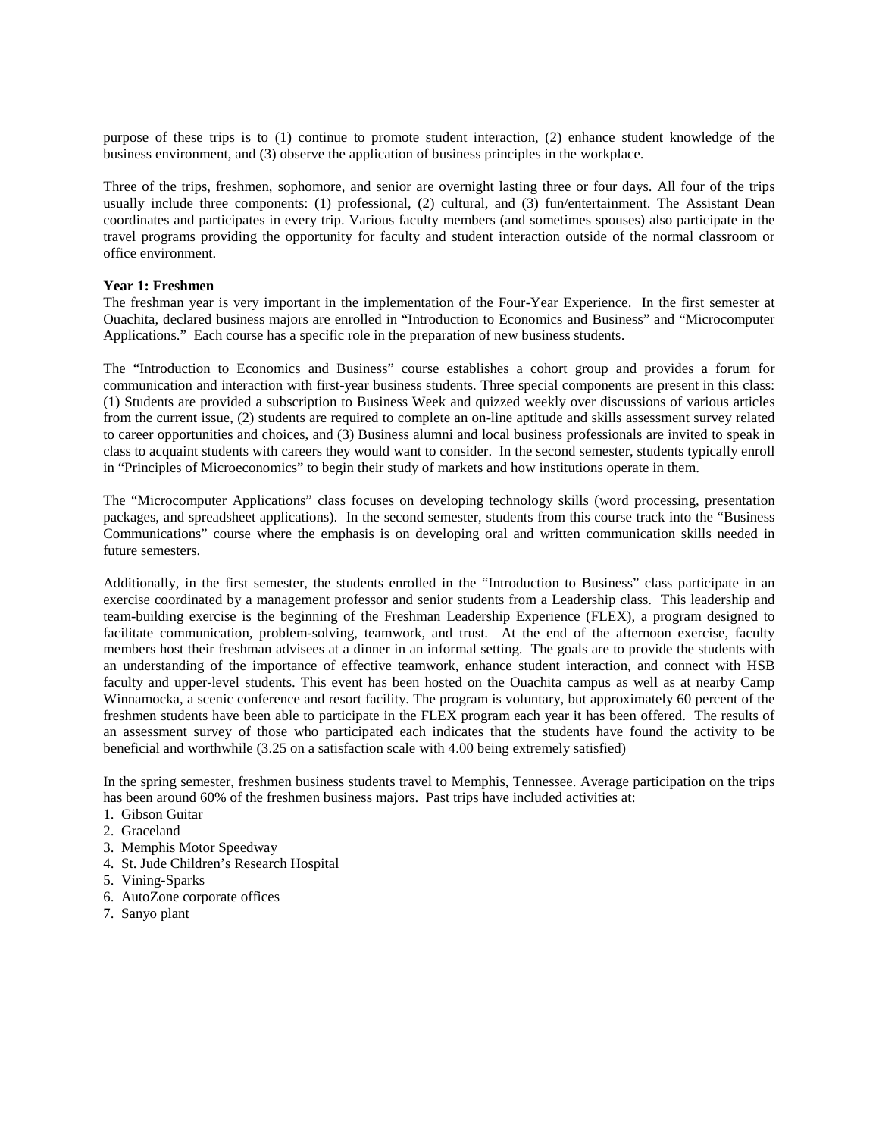purpose of these trips is to (1) continue to promote student interaction, (2) enhance student knowledge of the business environment, and (3) observe the application of business principles in the workplace.

Three of the trips, freshmen, sophomore, and senior are overnight lasting three or four days. All four of the trips usually include three components: (1) professional, (2) cultural, and (3) fun/entertainment. The Assistant Dean coordinates and participates in every trip. Various faculty members (and sometimes spouses) also participate in the travel programs providing the opportunity for faculty and student interaction outside of the normal classroom or office environment.

## **Year 1: Freshmen**

The freshman year is very important in the implementation of the Four-Year Experience. In the first semester at Ouachita, declared business majors are enrolled in "Introduction to Economics and Business" and "Microcomputer Applications." Each course has a specific role in the preparation of new business students.

The "Introduction to Economics and Business" course establishes a cohort group and provides a forum for communication and interaction with first-year business students. Three special components are present in this class: (1) Students are provided a subscription to Business Week and quizzed weekly over discussions of various articles from the current issue, (2) students are required to complete an on-line aptitude and skills assessment survey related to career opportunities and choices, and (3) Business alumni and local business professionals are invited to speak in class to acquaint students with careers they would want to consider. In the second semester, students typically enroll in "Principles of Microeconomics" to begin their study of markets and how institutions operate in them.

The "Microcomputer Applications" class focuses on developing technology skills (word processing, presentation packages, and spreadsheet applications). In the second semester, students from this course track into the "Business Communications" course where the emphasis is on developing oral and written communication skills needed in future semesters.

Additionally, in the first semester, the students enrolled in the "Introduction to Business" class participate in an exercise coordinated by a management professor and senior students from a Leadership class. This leadership and team-building exercise is the beginning of the Freshman Leadership Experience (FLEX), a program designed to facilitate communication, problem-solving, teamwork, and trust. At the end of the afternoon exercise, faculty members host their freshman advisees at a dinner in an informal setting. The goals are to provide the students with an understanding of the importance of effective teamwork, enhance student interaction, and connect with HSB faculty and upper-level students. This event has been hosted on the Ouachita campus as well as at nearby Camp Winnamocka, a scenic conference and resort facility. The program is voluntary, but approximately 60 percent of the freshmen students have been able to participate in the FLEX program each year it has been offered. The results of an assessment survey of those who participated each indicates that the students have found the activity to be beneficial and worthwhile (3.25 on a satisfaction scale with 4.00 being extremely satisfied)

In the spring semester, freshmen business students travel to Memphis, Tennessee. Average participation on the trips has been around 60% of the freshmen business majors. Past trips have included activities at:

- 1. Gibson Guitar
- 2. Graceland
- 3. Memphis Motor Speedway
- 4. St. Jude Children's Research Hospital
- 5. Vining-Sparks
- 6. AutoZone corporate offices
- 7. Sanyo plant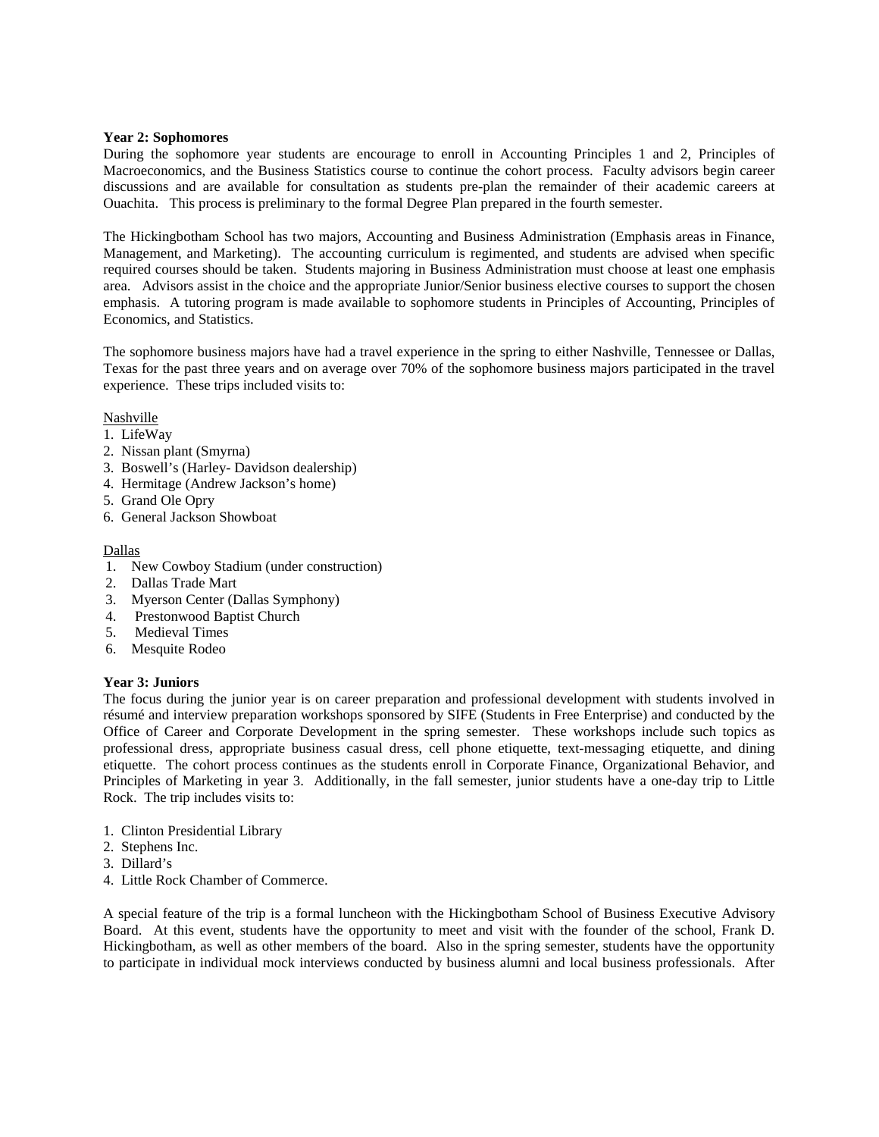## **Year 2: Sophomores**

During the sophomore year students are encourage to enroll in Accounting Principles 1 and 2, Principles of Macroeconomics, and the Business Statistics course to continue the cohort process. Faculty advisors begin career discussions and are available for consultation as students pre-plan the remainder of their academic careers at Ouachita. This process is preliminary to the formal Degree Plan prepared in the fourth semester.

The Hickingbotham School has two majors, Accounting and Business Administration (Emphasis areas in Finance, Management, and Marketing). The accounting curriculum is regimented, and students are advised when specific required courses should be taken. Students majoring in Business Administration must choose at least one emphasis area. Advisors assist in the choice and the appropriate Junior/Senior business elective courses to support the chosen emphasis. A tutoring program is made available to sophomore students in Principles of Accounting, Principles of Economics, and Statistics.

The sophomore business majors have had a travel experience in the spring to either Nashville, Tennessee or Dallas, Texas for the past three years and on average over 70% of the sophomore business majors participated in the travel experience. These trips included visits to:

## **Nashville**

- 1. LifeWay
- 2. Nissan plant (Smyrna)
- 3. Boswell's (Harley- Davidson dealership)
- 4. Hermitage (Andrew Jackson's home)
- 5. Grand Ole Opry
- 6. General Jackson Showboat

## Dallas

- 1. New Cowboy Stadium (under construction)
- 2. Dallas Trade Mart
- 3. Myerson Center (Dallas Symphony)
- 4. Prestonwood Baptist Church
- 5. Medieval Times
- 6. Mesquite Rodeo

# **Year 3: Juniors**

The focus during the junior year is on career preparation and professional development with students involved in résumé and interview preparation workshops sponsored by SIFE (Students in Free Enterprise) and conducted by the Office of Career and Corporate Development in the spring semester. These workshops include such topics as professional dress, appropriate business casual dress, cell phone etiquette, text-messaging etiquette, and dining etiquette. The cohort process continues as the students enroll in Corporate Finance, Organizational Behavior, and Principles of Marketing in year 3. Additionally, in the fall semester, junior students have a one-day trip to Little Rock. The trip includes visits to:

- 1. Clinton Presidential Library
- 2. Stephens Inc.
- 3. Dillard's
- 4. Little Rock Chamber of Commerce.

A special feature of the trip is a formal luncheon with the Hickingbotham School of Business Executive Advisory Board. At this event, students have the opportunity to meet and visit with the founder of the school, Frank D. Hickingbotham, as well as other members of the board. Also in the spring semester, students have the opportunity to participate in individual mock interviews conducted by business alumni and local business professionals. After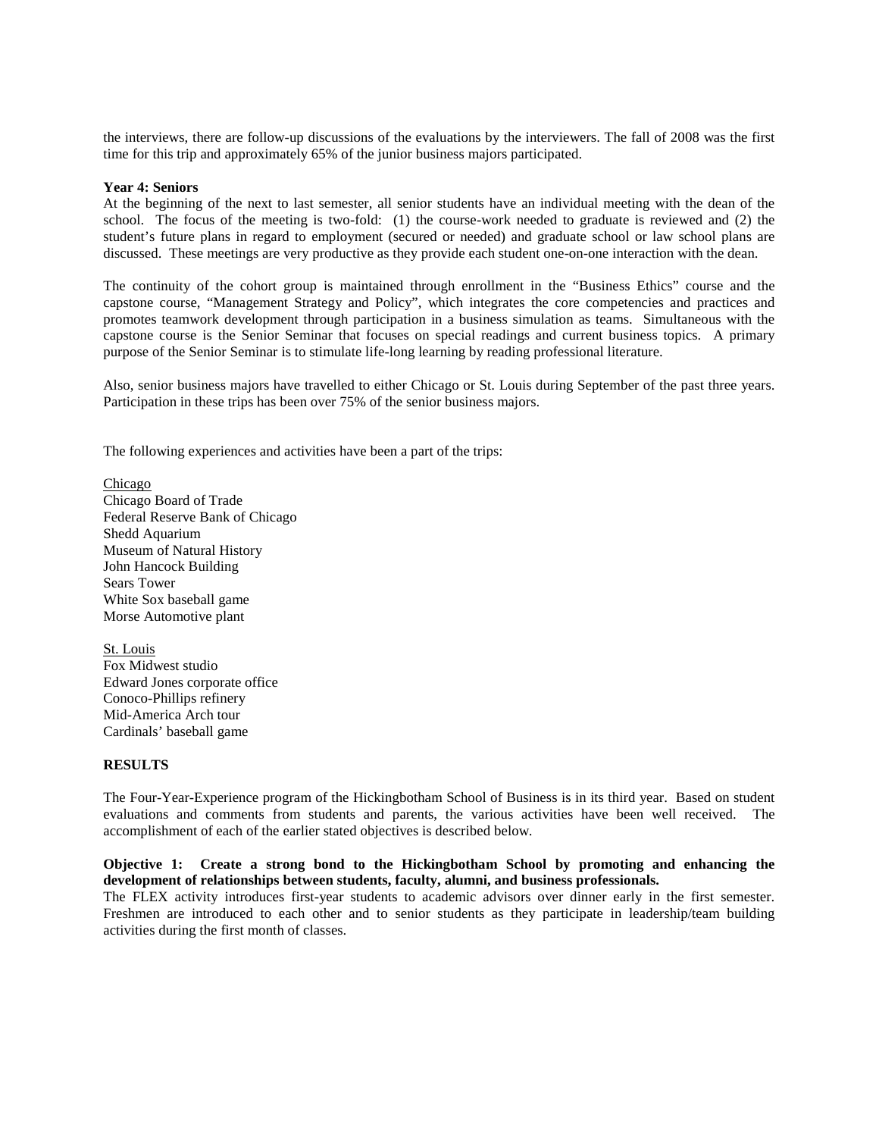the interviews, there are follow-up discussions of the evaluations by the interviewers. The fall of 2008 was the first time for this trip and approximately 65% of the junior business majors participated.

#### **Year 4: Seniors**

At the beginning of the next to last semester, all senior students have an individual meeting with the dean of the school. The focus of the meeting is two-fold: (1) the course-work needed to graduate is reviewed and (2) the student's future plans in regard to employment (secured or needed) and graduate school or law school plans are discussed. These meetings are very productive as they provide each student one-on-one interaction with the dean.

The continuity of the cohort group is maintained through enrollment in the "Business Ethics" course and the capstone course, "Management Strategy and Policy", which integrates the core competencies and practices and promotes teamwork development through participation in a business simulation as teams. Simultaneous with the capstone course is the Senior Seminar that focuses on special readings and current business topics. A primary purpose of the Senior Seminar is to stimulate life-long learning by reading professional literature.

Also, senior business majors have travelled to either Chicago or St. Louis during September of the past three years. Participation in these trips has been over 75% of the senior business majors.

The following experiences and activities have been a part of the trips:

Chicago Chicago Board of Trade Federal Reserve Bank of Chicago Shedd Aquarium Museum of Natural History John Hancock Building Sears Tower White Sox baseball game Morse Automotive plant

St. Louis Fox Midwest studio Edward Jones corporate office Conoco-Phillips refinery Mid-America Arch tour Cardinals' baseball game

#### **RESULTS**

The Four-Year-Experience program of the Hickingbotham School of Business is in its third year. Based on student evaluations and comments from students and parents, the various activities have been well received. The accomplishment of each of the earlier stated objectives is described below.

## **Objective 1: Create a strong bond to the Hickingbotham School by promoting and enhancing the development of relationships between students, faculty, alumni, and business professionals.**

The FLEX activity introduces first-year students to academic advisors over dinner early in the first semester. Freshmen are introduced to each other and to senior students as they participate in leadership/team building activities during the first month of classes.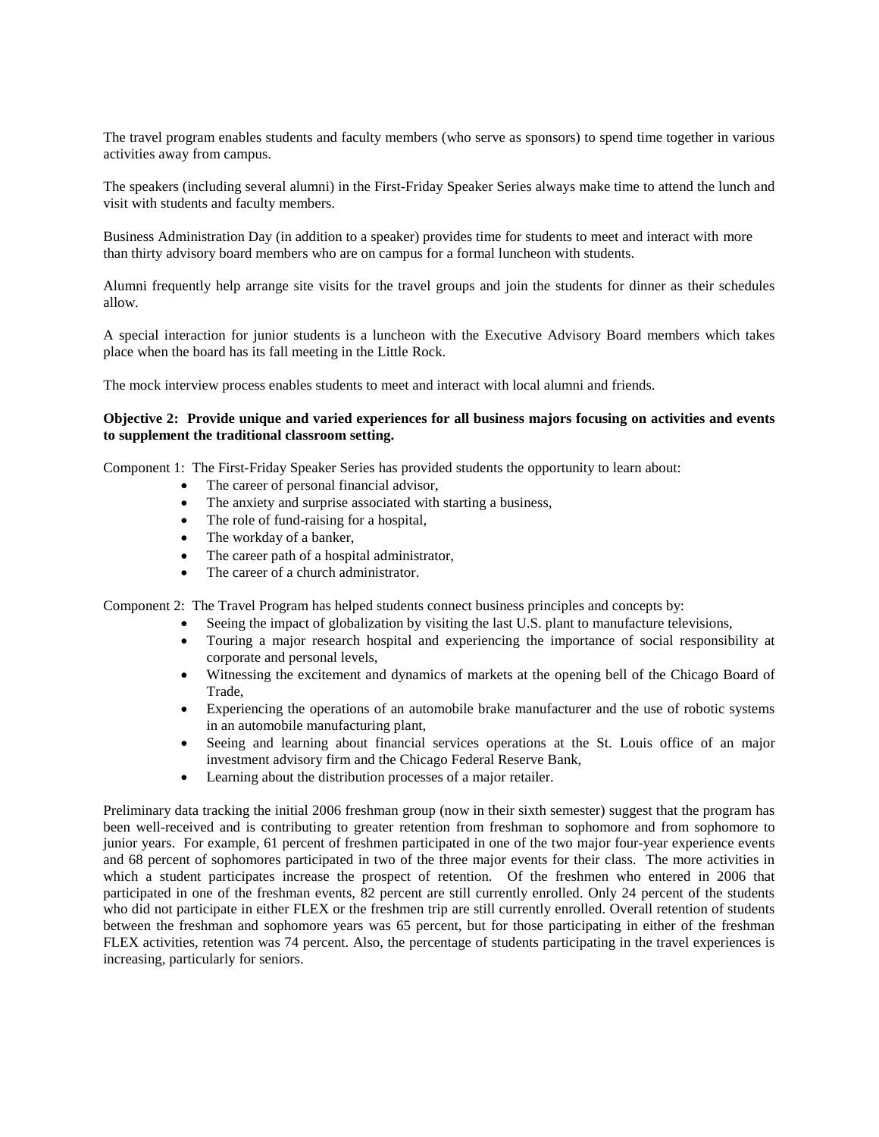The travel program enables students and faculty members (who serve as sponsors) to spend time together in various activities away from campus.

The speakers (including several alumni) in the First-Friday Speaker Series always make time to attend the lunch and visit with students and faculty members.

Business Administration Day (in addition to a speaker) provides time for students to meet and interact with more than thirty advisory board members who are on campus for a formal luncheon with students.

Alumni frequently help arrange site visits for the travel groups and join the students for dinner as their schedules allow.

A special interaction for junior students is a luncheon with the Executive Advisory Board members which takes place when the board has its fall meeting in the Little Rock.

The mock interview process enables students to meet and interact with local alumni and friends.

## **Objective 2: Provide unique and varied experiences for all business majors focusing on activities and events to supplement the traditional classroom setting.**

Component 1: The First-Friday Speaker Series has provided students the opportunity to learn about:

- The career of personal financial advisor.
- The anxiety and surprise associated with starting a business,
- The role of fund-raising for a hospital,
- The workday of a banker,
- The career path of a hospital administrator,
- The career of a church administrator.

Component 2: The Travel Program has helped students connect business principles and concepts by:

- Seeing the impact of globalization by visiting the last U.S. plant to manufacture televisions,
- Touring a major research hospital and experiencing the importance of social responsibility at corporate and personal levels,
- Witnessing the excitement and dynamics of markets at the opening bell of the Chicago Board of Trade,
- Experiencing the operations of an automobile brake manufacturer and the use of robotic systems in an automobile manufacturing plant,
- Seeing and learning about financial services operations at the St. Louis office of an major investment advisory firm and the Chicago Federal Reserve Bank,
- Learning about the distribution processes of a major retailer.

Preliminary data tracking the initial 2006 freshman group (now in their sixth semester) suggest that the program has been well-received and is contributing to greater retention from freshman to sophomore and from sophomore to junior years. For example, 61 percent of freshmen participated in one of the two major four-year experience events and 68 percent of sophomores participated in two of the three major events for their class. The more activities in which a student participates increase the prospect of retention. Of the freshmen who entered in 2006 that participated in one of the freshman events, 82 percent are still currently enrolled. Only 24 percent of the students who did not participate in either FLEX or the freshmen trip are still currently enrolled. Overall retention of students between the freshman and sophomore years was 65 percent, but for those participating in either of the freshman FLEX activities, retention was 74 percent. Also, the percentage of students participating in the travel experiences is increasing, particularly for seniors.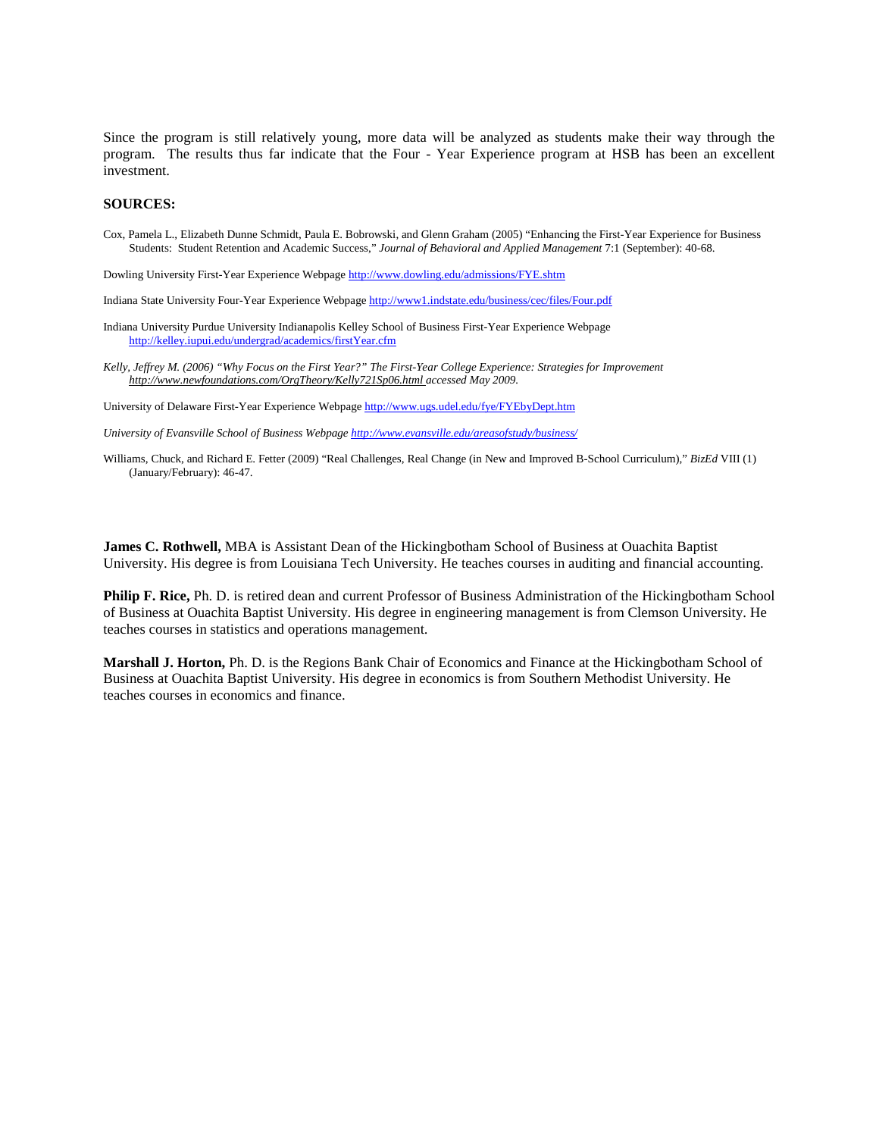Since the program is still relatively young, more data will be analyzed as students make their way through the program. The results thus far indicate that the Four - Year Experience program at HSB has been an excellent investment.

#### **SOURCES:**

Cox, Pamela L., Elizabeth Dunne Schmidt, Paula E. Bobrowski, and Glenn Graham (2005) "Enhancing the First-Year Experience for Business Students: Student Retention and Academic Success," *Journal of Behavioral and Applied Management* 7:1 (September): 40-68.

Dowling University First-Year Experience Webpage<http://www.dowling.edu/admissions/FYE.shtm>

- Indiana State University Four-Year Experience Webpag[e http://www1.indstate.edu/business/cec/files/Four.pdf](http://www1.indstate.edu/business/cec/files/Four.pdf)
- Indiana University Purdue University Indianapolis Kelley School of Business First-Year Experience Webpage <http://kelley.iupui.edu/undergrad/academics/firstYear.cfm>
- *Kelly, Jeffrey M. (2006) "Why Focus on the First Year?" The First-Year College Experience: Strategies for Improvement http://www.newfoundations.com/OrgTheory/Kelly721Sp06.html accessed May 2009.*

University of Delaware First-Year Experience Webpag[e http://www.ugs.udel.edu/fye/FYEbyDept.htm](http://www.ugs.udel.edu/fye/FYEbyDept.htm)

*University of Evansville School of Business Webpag[e http://www.evansville.edu/areasofstudy/business/](http://www.evansville.edu/areasofstudy/business/)*

Williams, Chuck, and Richard E. Fetter (2009) "Real Challenges, Real Change (in New and Improved B-School Curriculum)," *BizEd* VIII (1) (January/February): 46-47.

**James C. Rothwell,** MBA is Assistant Dean of the Hickingbotham School of Business at Ouachita Baptist University. His degree is from Louisiana Tech University. He teaches courses in auditing and financial accounting.

**Philip F. Rice,** Ph. D. is retired dean and current Professor of Business Administration of the Hickingbotham School of Business at Ouachita Baptist University. His degree in engineering management is from Clemson University. He teaches courses in statistics and operations management.

**Marshall J. Horton,** Ph. D. is the Regions Bank Chair of Economics and Finance at the Hickingbotham School of Business at Ouachita Baptist University. His degree in economics is from Southern Methodist University. He teaches courses in economics and finance.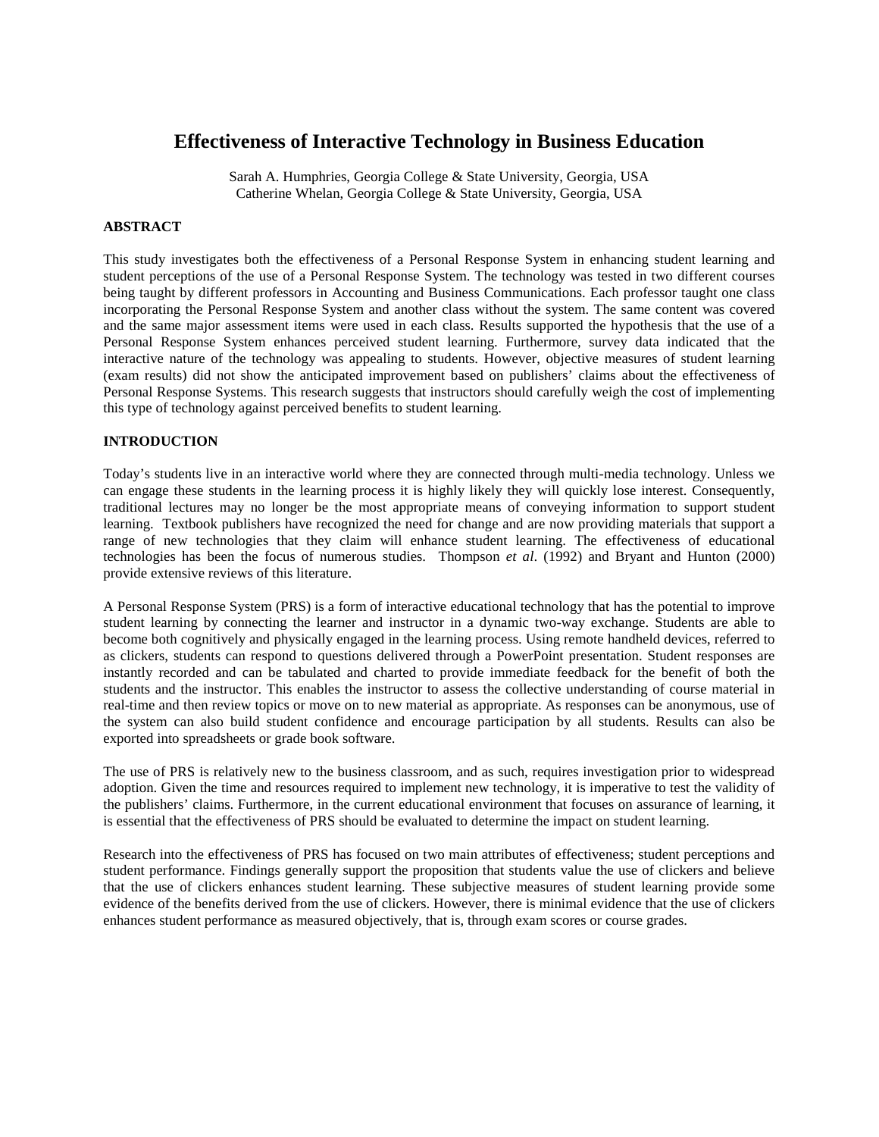# **Effectiveness of Interactive Technology in Business Education**

Sarah A. Humphries, Georgia College & State University, Georgia, USA Catherine Whelan, Georgia College & State University, Georgia, USA

## **ABSTRACT**

This study investigates both the effectiveness of a Personal Response System in enhancing student learning and student perceptions of the use of a Personal Response System. The technology was tested in two different courses being taught by different professors in Accounting and Business Communications. Each professor taught one class incorporating the Personal Response System and another class without the system. The same content was covered and the same major assessment items were used in each class. Results supported the hypothesis that the use of a Personal Response System enhances perceived student learning. Furthermore, survey data indicated that the interactive nature of the technology was appealing to students. However, objective measures of student learning (exam results) did not show the anticipated improvement based on publishers' claims about the effectiveness of Personal Response Systems. This research suggests that instructors should carefully weigh the cost of implementing this type of technology against perceived benefits to student learning.

## **INTRODUCTION**

Today's students live in an interactive world where they are connected through multi-media technology. Unless we can engage these students in the learning process it is highly likely they will quickly lose interest. Consequently, traditional lectures may no longer be the most appropriate means of conveying information to support student learning. Textbook publishers have recognized the need for change and are now providing materials that support a range of new technologies that they claim will enhance student learning. The effectiveness of educational technologies has been the focus of numerous studies. Thompson *et al*. (1992) and Bryant and Hunton (2000) provide extensive reviews of this literature.

A Personal Response System (PRS) is a form of interactive educational technology that has the potential to improve student learning by connecting the learner and instructor in a dynamic two-way exchange. Students are able to become both cognitively and physically engaged in the learning process. Using remote handheld devices, referred to as clickers, students can respond to questions delivered through a PowerPoint presentation. Student responses are instantly recorded and can be tabulated and charted to provide immediate feedback for the benefit of both the students and the instructor. This enables the instructor to assess the collective understanding of course material in real-time and then review topics or move on to new material as appropriate. As responses can be anonymous, use of the system can also build student confidence and encourage participation by all students. Results can also be exported into spreadsheets or grade book software.

The use of PRS is relatively new to the business classroom, and as such, requires investigation prior to widespread adoption. Given the time and resources required to implement new technology, it is imperative to test the validity of the publishers' claims. Furthermore, in the current educational environment that focuses on assurance of learning, it is essential that the effectiveness of PRS should be evaluated to determine the impact on student learning.

Research into the effectiveness of PRS has focused on two main attributes of effectiveness; student perceptions and student performance. Findings generally support the proposition that students value the use of clickers and believe that the use of clickers enhances student learning. These subjective measures of student learning provide some evidence of the benefits derived from the use of clickers. However, there is minimal evidence that the use of clickers enhances student performance as measured objectively, that is, through exam scores or course grades.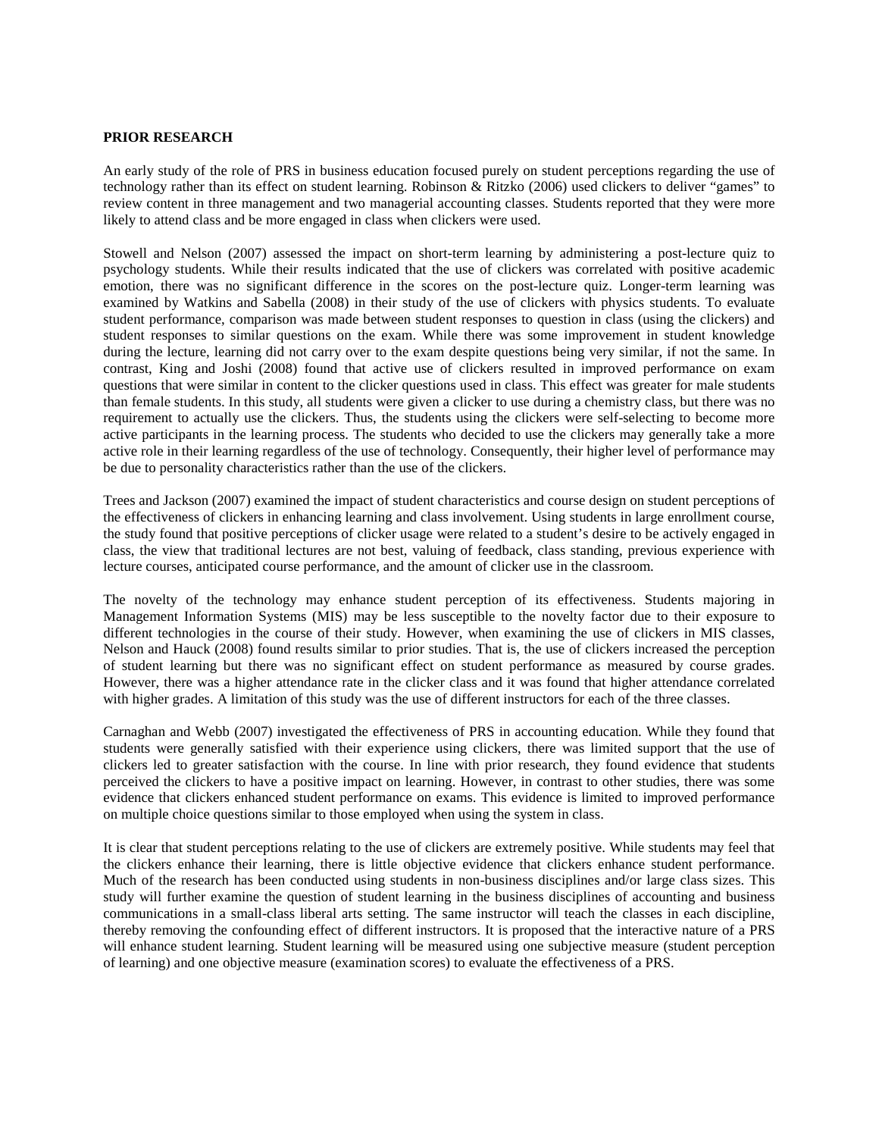## **PRIOR RESEARCH**

An early study of the role of PRS in business education focused purely on student perceptions regarding the use of technology rather than its effect on student learning. Robinson & Ritzko (2006) used clickers to deliver "games" to review content in three management and two managerial accounting classes. Students reported that they were more likely to attend class and be more engaged in class when clickers were used.

Stowell and Nelson (2007) assessed the impact on short-term learning by administering a post-lecture quiz to psychology students. While their results indicated that the use of clickers was correlated with positive academic emotion, there was no significant difference in the scores on the post-lecture quiz. Longer-term learning was examined by Watkins and Sabella (2008) in their study of the use of clickers with physics students. To evaluate student performance, comparison was made between student responses to question in class (using the clickers) and student responses to similar questions on the exam. While there was some improvement in student knowledge during the lecture, learning did not carry over to the exam despite questions being very similar, if not the same. In contrast, King and Joshi (2008) found that active use of clickers resulted in improved performance on exam questions that were similar in content to the clicker questions used in class. This effect was greater for male students than female students. In this study, all students were given a clicker to use during a chemistry class, but there was no requirement to actually use the clickers. Thus, the students using the clickers were self-selecting to become more active participants in the learning process. The students who decided to use the clickers may generally take a more active role in their learning regardless of the use of technology. Consequently, their higher level of performance may be due to personality characteristics rather than the use of the clickers.

Trees and Jackson (2007) examined the impact of student characteristics and course design on student perceptions of the effectiveness of clickers in enhancing learning and class involvement. Using students in large enrollment course, the study found that positive perceptions of clicker usage were related to a student's desire to be actively engaged in class, the view that traditional lectures are not best, valuing of feedback, class standing, previous experience with lecture courses, anticipated course performance, and the amount of clicker use in the classroom.

The novelty of the technology may enhance student perception of its effectiveness. Students majoring in Management Information Systems (MIS) may be less susceptible to the novelty factor due to their exposure to different technologies in the course of their study. However, when examining the use of clickers in MIS classes, Nelson and Hauck (2008) found results similar to prior studies. That is, the use of clickers increased the perception of student learning but there was no significant effect on student performance as measured by course grades. However, there was a higher attendance rate in the clicker class and it was found that higher attendance correlated with higher grades. A limitation of this study was the use of different instructors for each of the three classes.

Carnaghan and Webb (2007) investigated the effectiveness of PRS in accounting education. While they found that students were generally satisfied with their experience using clickers, there was limited support that the use of clickers led to greater satisfaction with the course. In line with prior research, they found evidence that students perceived the clickers to have a positive impact on learning. However, in contrast to other studies, there was some evidence that clickers enhanced student performance on exams. This evidence is limited to improved performance on multiple choice questions similar to those employed when using the system in class.

It is clear that student perceptions relating to the use of clickers are extremely positive. While students may feel that the clickers enhance their learning, there is little objective evidence that clickers enhance student performance. Much of the research has been conducted using students in non-business disciplines and/or large class sizes. This study will further examine the question of student learning in the business disciplines of accounting and business communications in a small-class liberal arts setting. The same instructor will teach the classes in each discipline, thereby removing the confounding effect of different instructors. It is proposed that the interactive nature of a PRS will enhance student learning. Student learning will be measured using one subjective measure (student perception of learning) and one objective measure (examination scores) to evaluate the effectiveness of a PRS.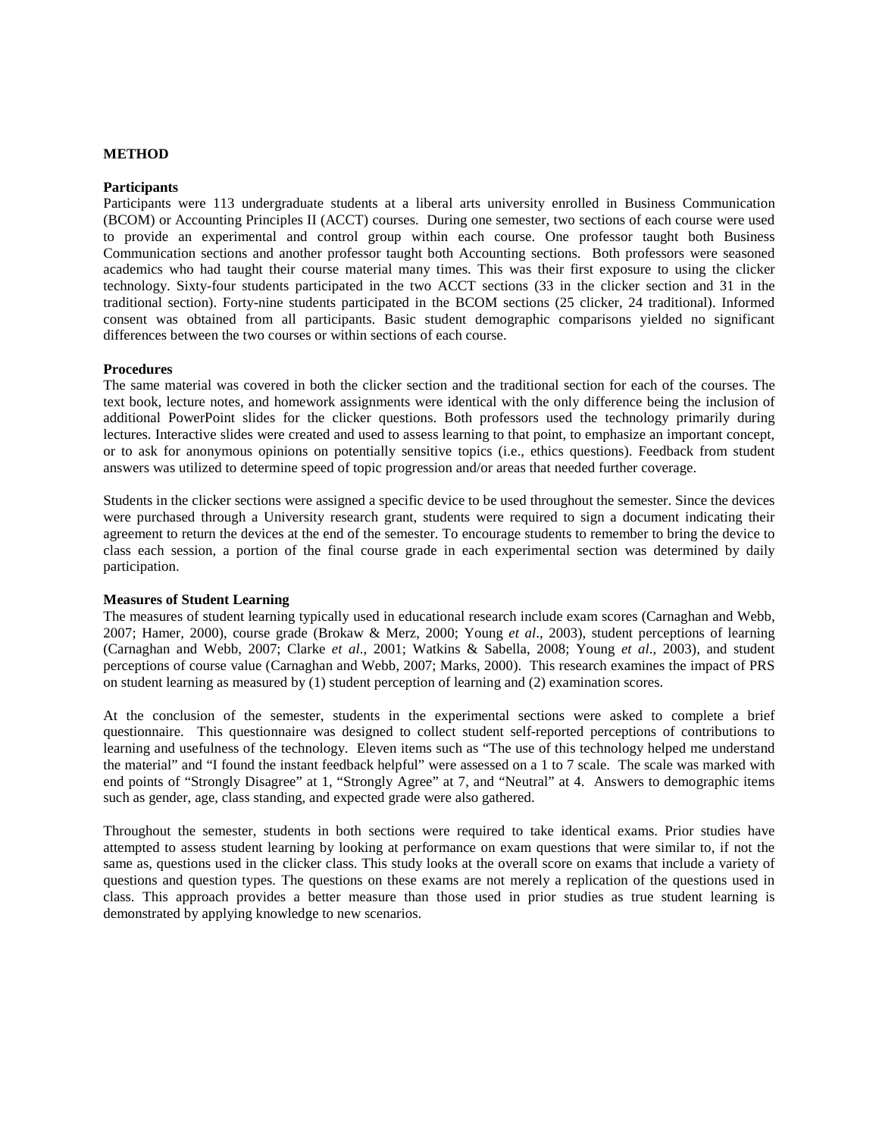#### **METHOD**

#### **Participants**

Participants were 113 undergraduate students at a liberal arts university enrolled in Business Communication (BCOM) or Accounting Principles II (ACCT) courses. During one semester, two sections of each course were used to provide an experimental and control group within each course. One professor taught both Business Communication sections and another professor taught both Accounting sections. Both professors were seasoned academics who had taught their course material many times. This was their first exposure to using the clicker technology. Sixty-four students participated in the two ACCT sections (33 in the clicker section and 31 in the traditional section). Forty-nine students participated in the BCOM sections (25 clicker, 24 traditional). Informed consent was obtained from all participants. Basic student demographic comparisons yielded no significant differences between the two courses or within sections of each course.

#### **Procedures**

The same material was covered in both the clicker section and the traditional section for each of the courses. The text book, lecture notes, and homework assignments were identical with the only difference being the inclusion of additional PowerPoint slides for the clicker questions. Both professors used the technology primarily during lectures. Interactive slides were created and used to assess learning to that point, to emphasize an important concept, or to ask for anonymous opinions on potentially sensitive topics (i.e., ethics questions). Feedback from student answers was utilized to determine speed of topic progression and/or areas that needed further coverage.

Students in the clicker sections were assigned a specific device to be used throughout the semester. Since the devices were purchased through a University research grant, students were required to sign a document indicating their agreement to return the devices at the end of the semester. To encourage students to remember to bring the device to class each session, a portion of the final course grade in each experimental section was determined by daily participation.

#### **Measures of Student Learning**

The measures of student learning typically used in educational research include exam scores (Carnaghan and Webb, 2007; Hamer, 2000), course grade (Brokaw & Merz, 2000; Young *et al*., 2003), student perceptions of learning (Carnaghan and Webb, 2007; Clarke *et al*., 2001; Watkins & Sabella, 2008; Young *et al*., 2003), and student perceptions of course value (Carnaghan and Webb, 2007; Marks, 2000). This research examines the impact of PRS on student learning as measured by (1) student perception of learning and (2) examination scores.

At the conclusion of the semester, students in the experimental sections were asked to complete a brief questionnaire. This questionnaire was designed to collect student self-reported perceptions of contributions to learning and usefulness of the technology. Eleven items such as "The use of this technology helped me understand the material" and "I found the instant feedback helpful" were assessed on a 1 to 7 scale. The scale was marked with end points of "Strongly Disagree" at 1, "Strongly Agree" at 7, and "Neutral" at 4. Answers to demographic items such as gender, age, class standing, and expected grade were also gathered.

Throughout the semester, students in both sections were required to take identical exams. Prior studies have attempted to assess student learning by looking at performance on exam questions that were similar to, if not the same as, questions used in the clicker class. This study looks at the overall score on exams that include a variety of questions and question types. The questions on these exams are not merely a replication of the questions used in class. This approach provides a better measure than those used in prior studies as true student learning is demonstrated by applying knowledge to new scenarios.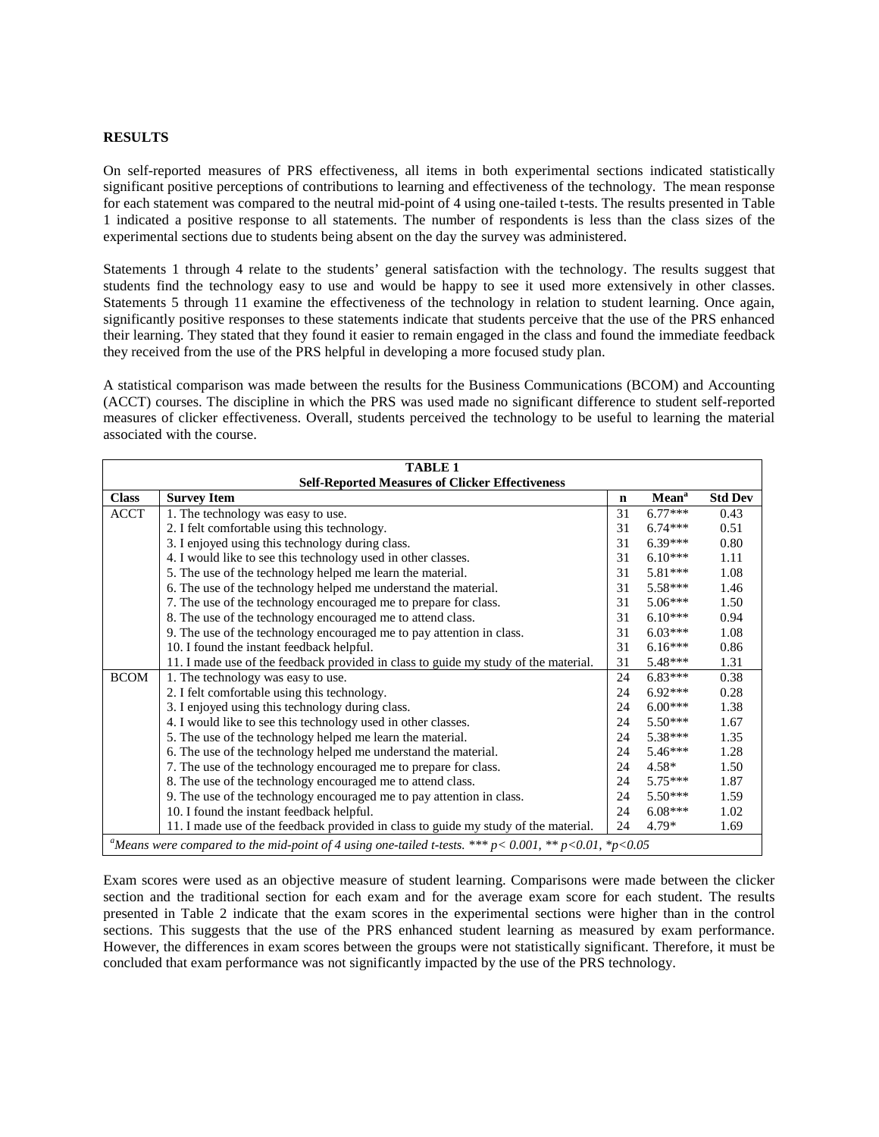#### **RESULTS**

On self-reported measures of PRS effectiveness, all items in both experimental sections indicated statistically significant positive perceptions of contributions to learning and effectiveness of the technology. The mean response for each statement was compared to the neutral mid-point of 4 using one-tailed t-tests. The results presented in Table 1 indicated a positive response to all statements. The number of respondents is less than the class sizes of the experimental sections due to students being absent on the day the survey was administered.

Statements 1 through 4 relate to the students' general satisfaction with the technology. The results suggest that students find the technology easy to use and would be happy to see it used more extensively in other classes. Statements 5 through 11 examine the effectiveness of the technology in relation to student learning. Once again, significantly positive responses to these statements indicate that students perceive that the use of the PRS enhanced their learning. They stated that they found it easier to remain engaged in the class and found the immediate feedback they received from the use of the PRS helpful in developing a more focused study plan.

A statistical comparison was made between the results for the Business Communications (BCOM) and Accounting (ACCT) courses. The discipline in which the PRS was used made no significant difference to student self-reported measures of clicker effectiveness. Overall, students perceived the technology to be useful to learning the material associated with the course.

| <b>TABLE 1</b>                                         |                                                                                                                    |             |                   |                |  |  |  |  |  |
|--------------------------------------------------------|--------------------------------------------------------------------------------------------------------------------|-------------|-------------------|----------------|--|--|--|--|--|
| <b>Self-Reported Measures of Clicker Effectiveness</b> |                                                                                                                    |             |                   |                |  |  |  |  |  |
| <b>Class</b>                                           | <b>Survey Item</b>                                                                                                 | $\mathbf n$ | Mean <sup>a</sup> | <b>Std Dev</b> |  |  |  |  |  |
| <b>ACCT</b>                                            | 1. The technology was easy to use.                                                                                 | 31          | $6.77***$         | 0.43           |  |  |  |  |  |
|                                                        | 2. I felt comfortable using this technology.                                                                       | 31          | $6.74***$         | 0.51           |  |  |  |  |  |
|                                                        | 3. I enjoyed using this technology during class.                                                                   | 31          | $6.39***$         | 0.80           |  |  |  |  |  |
|                                                        | 4. I would like to see this technology used in other classes.                                                      | 31          | $6.10***$         | 1.11           |  |  |  |  |  |
|                                                        | 5. The use of the technology helped me learn the material.                                                         | 31          | $5.81***$         | 1.08           |  |  |  |  |  |
|                                                        | 6. The use of the technology helped me understand the material.                                                    | 31          | $5.58***$         | 1.46           |  |  |  |  |  |
|                                                        | 7. The use of the technology encouraged me to prepare for class.                                                   | 31          | $5.06***$         | 1.50           |  |  |  |  |  |
|                                                        | 8. The use of the technology encouraged me to attend class.                                                        | 31          | $6.10***$         | 0.94           |  |  |  |  |  |
|                                                        | 9. The use of the technology encouraged me to pay attention in class.                                              | 31          | $6.03***$         | 1.08           |  |  |  |  |  |
|                                                        | 10. I found the instant feedback helpful.                                                                          | 31          | $6.16***$         | 0.86           |  |  |  |  |  |
|                                                        | 11. I made use of the feedback provided in class to guide my study of the material.                                | 31          | $5.48***$         | 1.31           |  |  |  |  |  |
| <b>BCOM</b>                                            | 1. The technology was easy to use.                                                                                 | 24          | $6.83***$         | 0.38           |  |  |  |  |  |
|                                                        | 2. I felt comfortable using this technology.                                                                       | 24          | $6.92***$         | 0.28           |  |  |  |  |  |
|                                                        | 3. I enjoyed using this technology during class.                                                                   | 24          | $6.00***$         | 1.38           |  |  |  |  |  |
|                                                        | 4. I would like to see this technology used in other classes.                                                      | 24          | $5.50***$         | 1.67           |  |  |  |  |  |
|                                                        | 5. The use of the technology helped me learn the material.                                                         | 24          | $5.38***$         | 1.35           |  |  |  |  |  |
|                                                        | 6. The use of the technology helped me understand the material.                                                    | 24          | $5.46***$         | 1.28           |  |  |  |  |  |
|                                                        | 7. The use of the technology encouraged me to prepare for class.                                                   | 24          | $4.58*$           | 1.50           |  |  |  |  |  |
|                                                        | 8. The use of the technology encouraged me to attend class.                                                        | 24          | $5.75***$         | 1.87           |  |  |  |  |  |
|                                                        | 9. The use of the technology encouraged me to pay attention in class.                                              | 24          | $5.50***$         | 1.59           |  |  |  |  |  |
|                                                        | 10. I found the instant feedback helpful.                                                                          | 24          | $6.08***$         | 1.02           |  |  |  |  |  |
|                                                        | 11. I made use of the feedback provided in class to guide my study of the material.                                | 24          | $4.79*$           | 1.69           |  |  |  |  |  |
|                                                        | "Means were compared to the mid-point of 4 using one-tailed t-tests. *** $p < 0.001$ , * $p < 0.01$ , * $p < 0.05$ |             |                   |                |  |  |  |  |  |

Exam scores were used as an objective measure of student learning. Comparisons were made between the clicker section and the traditional section for each exam and for the average exam score for each student. The results presented in Table 2 indicate that the exam scores in the experimental sections were higher than in the control sections. This suggests that the use of the PRS enhanced student learning as measured by exam performance. However, the differences in exam scores between the groups were not statistically significant. Therefore, it must be concluded that exam performance was not significantly impacted by the use of the PRS technology.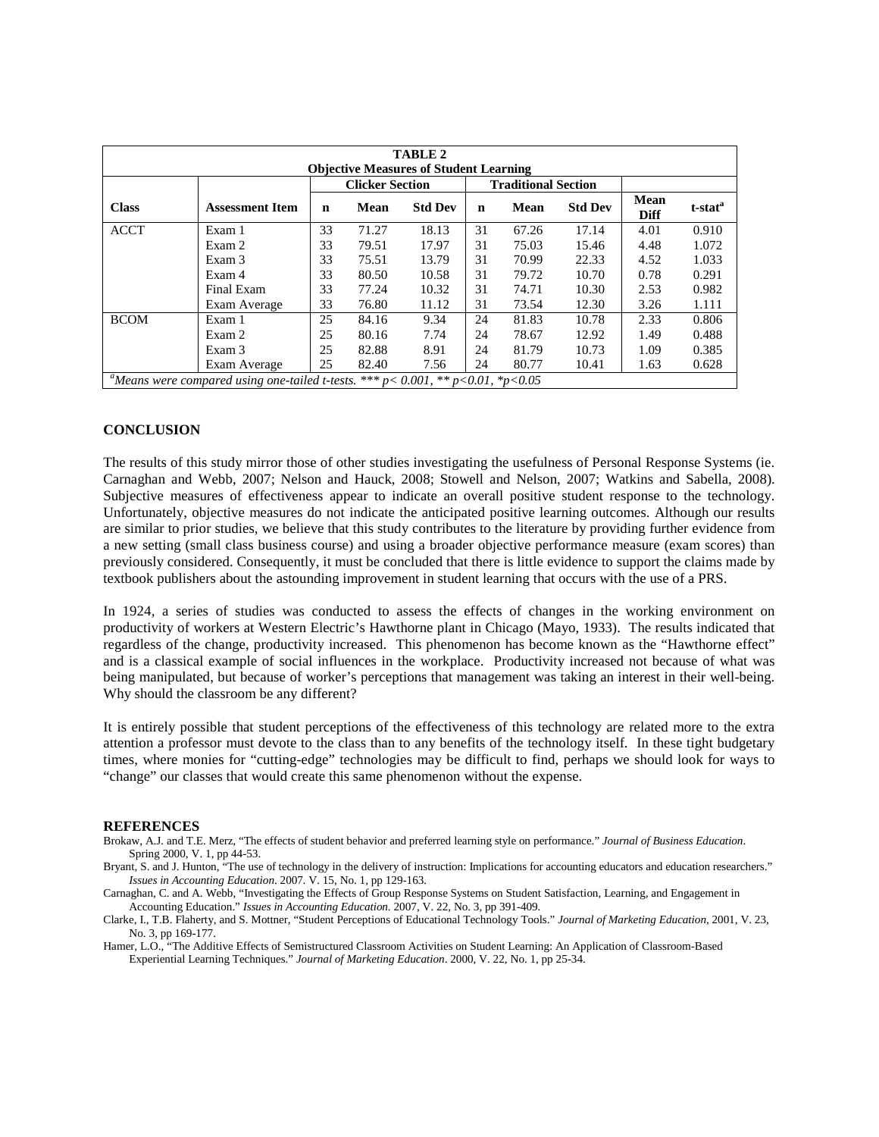| <b>TABLE 2</b>                                                                                        |                        |    |       |                |    |       |                |                     |                     |
|-------------------------------------------------------------------------------------------------------|------------------------|----|-------|----------------|----|-------|----------------|---------------------|---------------------|
| <b>Objective Measures of Student Learning</b><br><b>Clicker Section</b><br><b>Traditional Section</b> |                        |    |       |                |    |       |                |                     |                     |
| <b>Class</b>                                                                                          | <b>Assessment Item</b> | n  | Mean  | <b>Std Dev</b> | n  | Mean  | <b>Std Dev</b> | Mean<br><b>Diff</b> | t-stat <sup>a</sup> |
| <b>ACCT</b>                                                                                           | Exam 1                 | 33 | 71.27 | 18.13          | 31 | 67.26 | 17.14          | 4.01                | 0.910               |
|                                                                                                       | Exam 2                 | 33 | 79.51 | 17.97          | 31 | 75.03 | 15.46          | 4.48                | 1.072               |
|                                                                                                       | Exam 3                 | 33 | 75.51 | 13.79          | 31 | 70.99 | 22.33          | 4.52                | 1.033               |
|                                                                                                       | Exam 4                 | 33 | 80.50 | 10.58          | 31 | 79.72 | 10.70          | 0.78                | 0.291               |
|                                                                                                       | Final Exam             | 33 | 77.24 | 10.32          | 31 | 74.71 | 10.30          | 2.53                | 0.982               |
|                                                                                                       | Exam Average           | 33 | 76.80 | 11.12          | 31 | 73.54 | 12.30          | 3.26                | 1.111               |
| <b>BCOM</b>                                                                                           | Exam 1                 | 25 | 84.16 | 9.34           | 24 | 81.83 | 10.78          | 2.33                | 0.806               |
|                                                                                                       | Exam 2                 | 25 | 80.16 | 7.74           | 24 | 78.67 | 12.92          | 1.49                | 0.488               |
|                                                                                                       | Exam 3                 | 25 | 82.88 | 8.91           | 24 | 81.79 | 10.73          | 1.09                | 0.385               |
|                                                                                                       | Exam Average           | 25 | 82.40 | 7.56           | 24 | 80.77 | 10.41          | 1.63                | 0.628               |
| <sup>a</sup> Means were compared using one-tailed t-tests. *** p< 0.001, ** p<0.01, *p<0.05           |                        |    |       |                |    |       |                |                     |                     |

## **CONCLUSION**

The results of this study mirror those of other studies investigating the usefulness of Personal Response Systems (ie. Carnaghan and Webb, 2007; Nelson and Hauck, 2008; Stowell and Nelson, 2007; Watkins and Sabella, 2008). Subjective measures of effectiveness appear to indicate an overall positive student response to the technology. Unfortunately, objective measures do not indicate the anticipated positive learning outcomes. Although our results are similar to prior studies, we believe that this study contributes to the literature by providing further evidence from a new setting (small class business course) and using a broader objective performance measure (exam scores) than previously considered. Consequently, it must be concluded that there is little evidence to support the claims made by textbook publishers about the astounding improvement in student learning that occurs with the use of a PRS.

In 1924, a series of studies was conducted to assess the effects of changes in the working environment on productivity of workers at Western Electric's Hawthorne plant in Chicago (Mayo, 1933). The results indicated that regardless of the change, productivity increased. This phenomenon has become known as the "Hawthorne effect" and is a classical example of social influences in the workplace. Productivity increased not because of what was being manipulated, but because of worker's perceptions that management was taking an interest in their well-being. Why should the classroom be any different?

It is entirely possible that student perceptions of the effectiveness of this technology are related more to the extra attention a professor must devote to the class than to any benefits of the technology itself. In these tight budgetary times, where monies for "cutting-edge" technologies may be difficult to find, perhaps we should look for ways to "change" our classes that would create this same phenomenon without the expense.

#### **REFERENCES**

Brokaw, A.J. and T.E. Merz, "The effects of student behavior and preferred learning style on performance." *Journal of Business Education*. Spring 2000, V. 1, pp 44-53.

Bryant, S. and J. Hunton, "The use of technology in the delivery of instruction: Implications for accounting educators and education researchers." *Issues in Accounting Education*. 2007. V. 15, No. 1, pp 129-163.

Carnaghan, C. and A. Webb, "Investigating the Effects of Group Response Systems on Student Satisfaction, Learning, and Engagement in Accounting Education." *Issues in Accounting Education.* 2007, V. 22, No. 3, pp 391-409.

Clarke, I., T.B. Flaherty, and S. Mottner, "Student Perceptions of Educational Technology Tools." *Journal of Marketing Education*, 2001, V. 23, No. 3, pp 169-177.

Hamer, L.O., "The Additive Effects of Semistructured Classroom Activities on Student Learning: An Application of Classroom-Based Experiential Learning Techniques." *Journal of Marketing Education*. 2000, V. 22, No. 1, pp 25-34.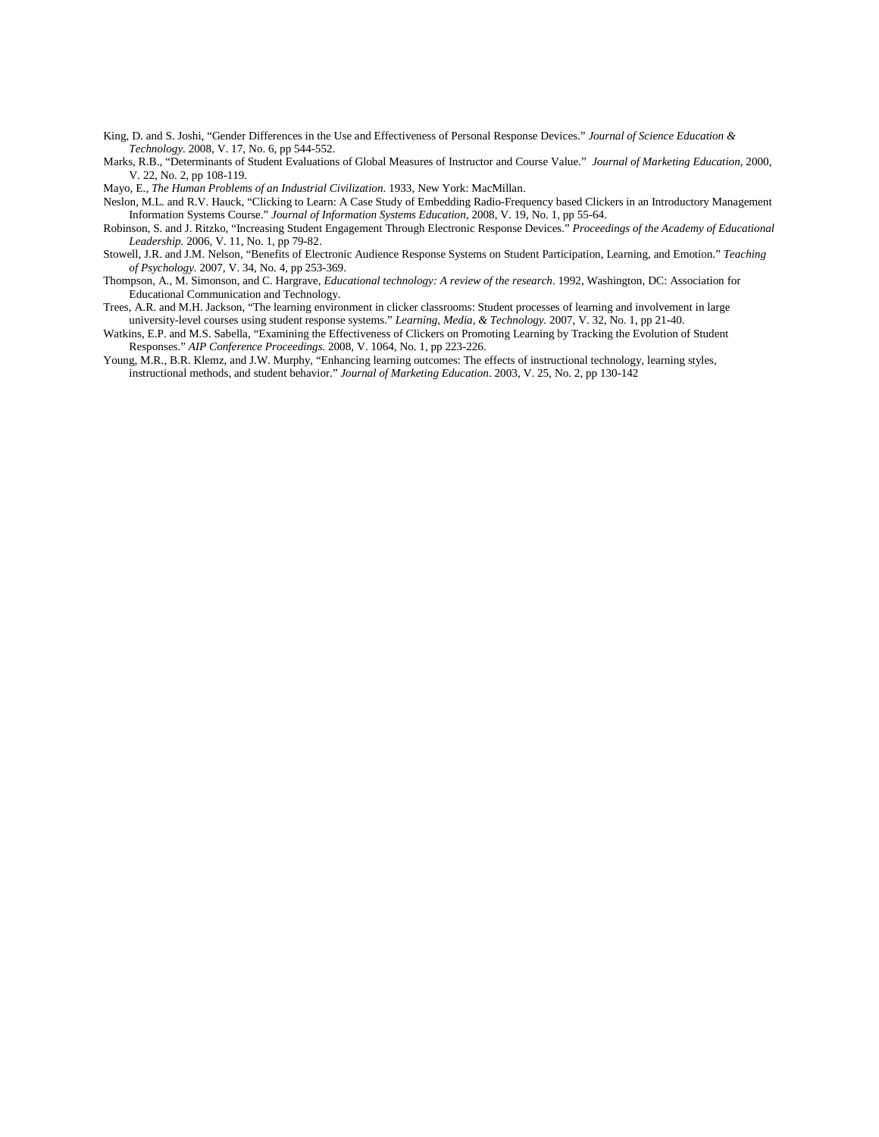- King, D. and S. Joshi, "Gender Differences in the Use and Effectiveness of Personal Response Devices." *Journal of Science Education & Technology.* 2008, V. 17, No. 6, pp 544-552.
- Marks, R.B., "Determinants of Student Evaluations of Global Measures of Instructor and Course Value." *Journal of Marketing Education*, 2000, V. 22, No. 2, pp 108-119.

Mayo, E., *The Human Problems of an Industrial Civilization*. 1933, New York: MacMillan.

- Neslon, M.L. and R.V. Hauck, "Clicking to Learn: A Case Study of Embedding Radio-Frequency based Clickers in an Introductory Management Information Systems Course." *Journal of Information Systems Education*, 2008, V. 19, No. 1, pp 55-64.
- Robinson, S. and J. Ritzko, "Increasing Student Engagement Through Electronic Response Devices." *Proceedings of the Academy of Educational Leadership.* 2006, V. 11, No. 1, pp 79-82.
- Stowell, J.R. and J.M. Nelson, "Benefits of Electronic Audience Response Systems on Student Participation, Learning, and Emotion." *Teaching of Psychology.* 2007, V. 34, No. 4, pp 253-369.
- Thompson, A., M. Simonson, and C. Hargrave, *Educational technology: A review of the research*. 1992, Washington, DC: Association for Educational Communication and Technology.
- Trees, A.R. and M.H. Jackson, "The learning environment in clicker classrooms: Student processes of learning and involvement in large university-level courses using student response systems." *Learning, Media, & Technology.* 2007, V. 32, No. 1, pp 21-40.
- Watkins, E.P. and M.S. Sabella, "Examining the Effectiveness of Clickers on Promoting Learning by Tracking the Evolution of Student Responses." *AIP Conference Proceedings.* 2008, V. 1064, No. 1, pp 223-226.
- Young, M.R., B.R. Klemz, and J.W. Murphy, "Enhancing learning outcomes: The effects of instructional technology, learning styles, instructional methods, and student behavior." *Journal of Marketing Education*. 2003, V. 25, No. 2, pp 130-142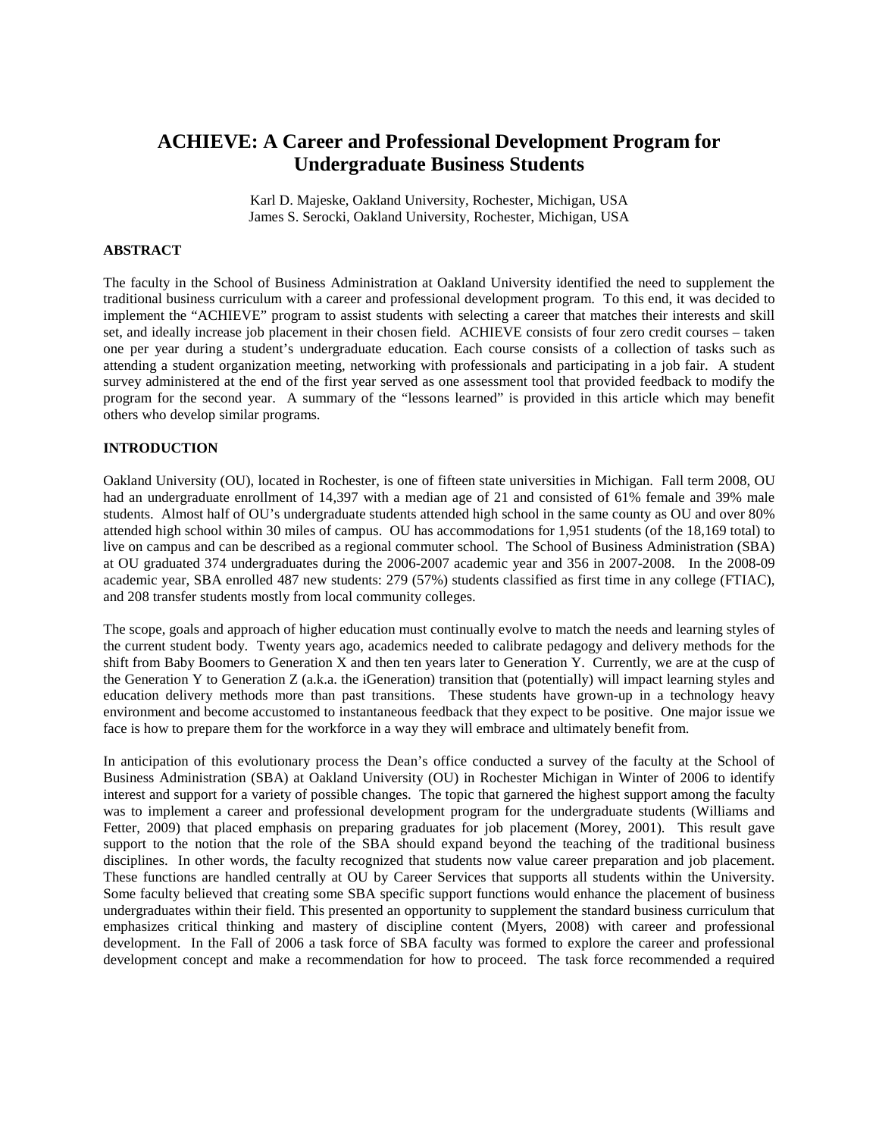# **ACHIEVE: A Career and Professional Development Program for Undergraduate Business Students**

Karl D. Majeske, Oakland University, Rochester, Michigan, USA James S. Serocki, Oakland University, Rochester, Michigan, USA

## **ABSTRACT**

The faculty in the School of Business Administration at Oakland University identified the need to supplement the traditional business curriculum with a career and professional development program. To this end, it was decided to implement the "ACHIEVE" program to assist students with selecting a career that matches their interests and skill set, and ideally increase job placement in their chosen field. ACHIEVE consists of four zero credit courses – taken one per year during a student's undergraduate education. Each course consists of a collection of tasks such as attending a student organization meeting, networking with professionals and participating in a job fair. A student survey administered at the end of the first year served as one assessment tool that provided feedback to modify the program for the second year. A summary of the "lessons learned" is provided in this article which may benefit others who develop similar programs.

## **INTRODUCTION**

Oakland University (OU), located in Rochester, is one of fifteen state universities in Michigan. Fall term 2008, OU had an undergraduate enrollment of 14,397 with a median age of 21 and consisted of 61% female and 39% male students. Almost half of OU's undergraduate students attended high school in the same county as OU and over 80% attended high school within 30 miles of campus. OU has accommodations for 1,951 students (of the 18,169 total) to live on campus and can be described as a regional commuter school. The School of Business Administration (SBA) at OU graduated 374 undergraduates during the 2006-2007 academic year and 356 in 2007-2008. In the 2008-09 academic year, SBA enrolled 487 new students: 279 (57%) students classified as first time in any college (FTIAC), and 208 transfer students mostly from local community colleges.

The scope, goals and approach of higher education must continually evolve to match the needs and learning styles of the current student body. Twenty years ago, academics needed to calibrate pedagogy and delivery methods for the shift from Baby Boomers to Generation X and then ten years later to Generation Y. Currently, we are at the cusp of the Generation Y to Generation Z (a.k.a. the iGeneration) transition that (potentially) will impact learning styles and education delivery methods more than past transitions. These students have grown-up in a technology heavy environment and become accustomed to instantaneous feedback that they expect to be positive. One major issue we face is how to prepare them for the workforce in a way they will embrace and ultimately benefit from.

In anticipation of this evolutionary process the Dean's office conducted a survey of the faculty at the School of Business Administration (SBA) at Oakland University (OU) in Rochester Michigan in Winter of 2006 to identify interest and support for a variety of possible changes. The topic that garnered the highest support among the faculty was to implement a career and professional development program for the undergraduate students (Williams and Fetter, 2009) that placed emphasis on preparing graduates for job placement (Morey, 2001). This result gave support to the notion that the role of the SBA should expand beyond the teaching of the traditional business disciplines. In other words, the faculty recognized that students now value career preparation and job placement. These functions are handled centrally at OU by Career Services that supports all students within the University. Some faculty believed that creating some SBA specific support functions would enhance the placement of business undergraduates within their field. This presented an opportunity to supplement the standard business curriculum that emphasizes critical thinking and mastery of discipline content (Myers, 2008) with career and professional development. In the Fall of 2006 a task force of SBA faculty was formed to explore the career and professional development concept and make a recommendation for how to proceed. The task force recommended a required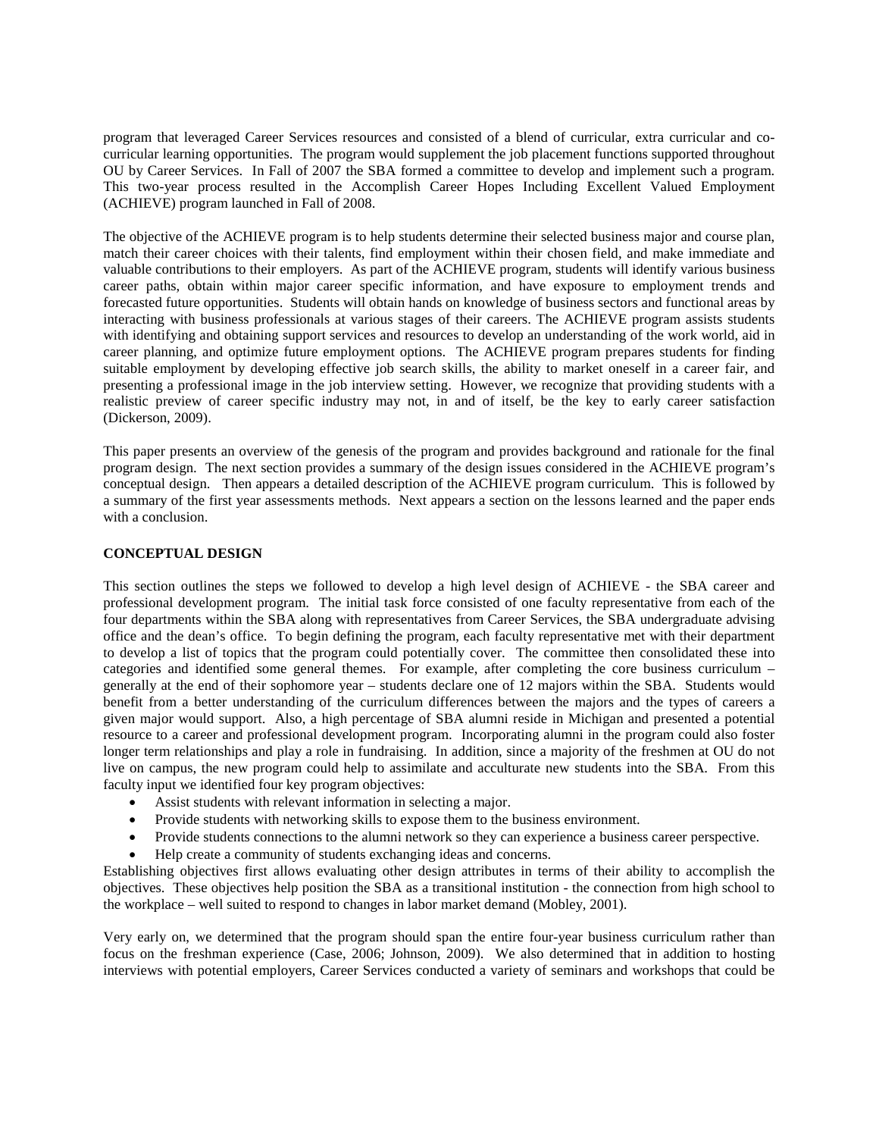program that leveraged Career Services resources and consisted of a blend of curricular, extra curricular and cocurricular learning opportunities. The program would supplement the job placement functions supported throughout OU by Career Services. In Fall of 2007 the SBA formed a committee to develop and implement such a program. This two-year process resulted in the Accomplish Career Hopes Including Excellent Valued Employment (ACHIEVE) program launched in Fall of 2008.

The objective of the ACHIEVE program is to help students determine their selected business major and course plan, match their career choices with their talents, find employment within their chosen field, and make immediate and valuable contributions to their employers. As part of the ACHIEVE program, students will identify various business career paths, obtain within major career specific information, and have exposure to employment trends and forecasted future opportunities. Students will obtain hands on knowledge of business sectors and functional areas by interacting with business professionals at various stages of their careers. The ACHIEVE program assists students with identifying and obtaining support services and resources to develop an understanding of the work world, aid in career planning, and optimize future employment options. The ACHIEVE program prepares students for finding suitable employment by developing effective job search skills, the ability to market oneself in a career fair, and presenting a professional image in the job interview setting. However, we recognize that providing students with a realistic preview of career specific industry may not, in and of itself, be the key to early career satisfaction (Dickerson, 2009).

This paper presents an overview of the genesis of the program and provides background and rationale for the final program design. The next section provides a summary of the design issues considered in the ACHIEVE program's conceptual design. Then appears a detailed description of the ACHIEVE program curriculum. This is followed by a summary of the first year assessments methods. Next appears a section on the lessons learned and the paper ends with a conclusion.

## **CONCEPTUAL DESIGN**

This section outlines the steps we followed to develop a high level design of ACHIEVE - the SBA career and professional development program. The initial task force consisted of one faculty representative from each of the four departments within the SBA along with representatives from Career Services, the SBA undergraduate advising office and the dean's office. To begin defining the program, each faculty representative met with their department to develop a list of topics that the program could potentially cover. The committee then consolidated these into categories and identified some general themes. For example, after completing the core business curriculum – generally at the end of their sophomore year – students declare one of 12 majors within the SBA. Students would benefit from a better understanding of the curriculum differences between the majors and the types of careers a given major would support. Also, a high percentage of SBA alumni reside in Michigan and presented a potential resource to a career and professional development program. Incorporating alumni in the program could also foster longer term relationships and play a role in fundraising. In addition, since a majority of the freshmen at OU do not live on campus, the new program could help to assimilate and acculturate new students into the SBA. From this faculty input we identified four key program objectives:

- Assist students with relevant information in selecting a major.
- Provide students with networking skills to expose them to the business environment.
- Provide students connections to the alumni network so they can experience a business career perspective.
- Help create a community of students exchanging ideas and concerns.

Establishing objectives first allows evaluating other design attributes in terms of their ability to accomplish the objectives. These objectives help position the SBA as a transitional institution - the connection from high school to the workplace – well suited to respond to changes in labor market demand (Mobley, 2001).

Very early on, we determined that the program should span the entire four-year business curriculum rather than focus on the freshman experience (Case, 2006; Johnson, 2009). We also determined that in addition to hosting interviews with potential employers, Career Services conducted a variety of seminars and workshops that could be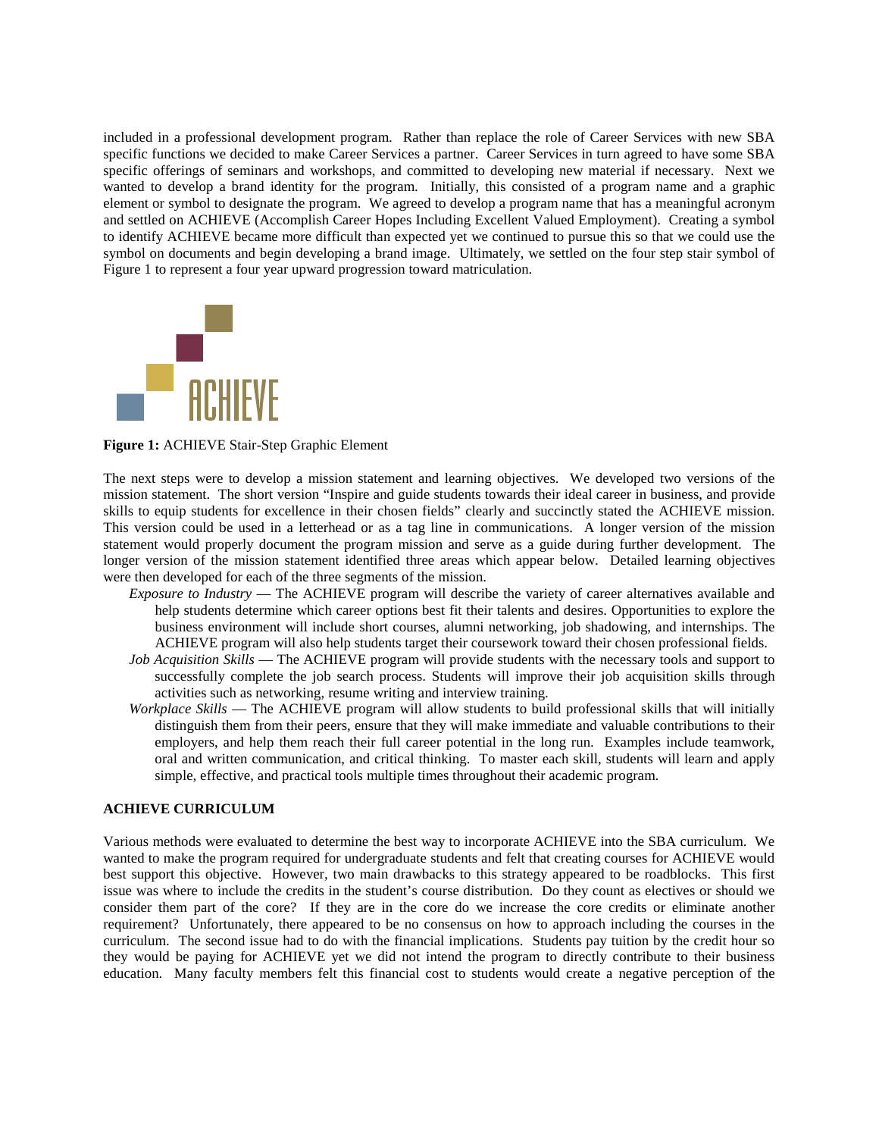included in a professional development program. Rather than replace the role of Career Services with new SBA specific functions we decided to make Career Services a partner. Career Services in turn agreed to have some SBA specific offerings of seminars and workshops, and committed to developing new material if necessary. Next we wanted to develop a brand identity for the program. Initially, this consisted of a program name and a graphic element or symbol to designate the program. We agreed to develop a program name that has a meaningful acronym and settled on ACHIEVE (Accomplish Career Hopes Including Excellent Valued Employment). Creating a symbol to identify ACHIEVE became more difficult than expected yet we continued to pursue this so that we could use the symbol on documents and begin developing a brand image. Ultimately, we settled on the four step stair symbol of Figure 1 to represent a four year upward progression toward matriculation.



**Figure 1:** ACHIEVE Stair-Step Graphic Element

The next steps were to develop a mission statement and learning objectives. We developed two versions of the mission statement. The short version "Inspire and guide students towards their ideal career in business, and provide skills to equip students for excellence in their chosen fields" clearly and succinctly stated the ACHIEVE mission. This version could be used in a letterhead or as a tag line in communications. A longer version of the mission statement would properly document the program mission and serve as a guide during further development. The longer version of the mission statement identified three areas which appear below. Detailed learning objectives were then developed for each of the three segments of the mission.

- *Exposure to Industry* The ACHIEVE program will describe the variety of career alternatives available and help students determine which career options best fit their talents and desires. Opportunities to explore the business environment will include short courses, alumni networking, job shadowing, and internships. The ACHIEVE program will also help students target their coursework toward their chosen professional fields.
- *Job Acquisition Skills* The ACHIEVE program will provide students with the necessary tools and support to successfully complete the job search process. Students will improve their job acquisition skills through activities such as networking, resume writing and interview training.
- *Workplace Skills* The ACHIEVE program will allow students to build professional skills that will initially distinguish them from their peers, ensure that they will make immediate and valuable contributions to their employers, and help them reach their full career potential in the long run. Examples include teamwork, oral and written communication, and critical thinking. To master each skill, students will learn and apply simple, effective, and practical tools multiple times throughout their academic program.

## **ACHIEVE CURRICULUM**

Various methods were evaluated to determine the best way to incorporate ACHIEVE into the SBA curriculum. We wanted to make the program required for undergraduate students and felt that creating courses for ACHIEVE would best support this objective. However, two main drawbacks to this strategy appeared to be roadblocks. This first issue was where to include the credits in the student's course distribution. Do they count as electives or should we consider them part of the core? If they are in the core do we increase the core credits or eliminate another requirement? Unfortunately, there appeared to be no consensus on how to approach including the courses in the curriculum. The second issue had to do with the financial implications. Students pay tuition by the credit hour so they would be paying for ACHIEVE yet we did not intend the program to directly contribute to their business education. Many faculty members felt this financial cost to students would create a negative perception of the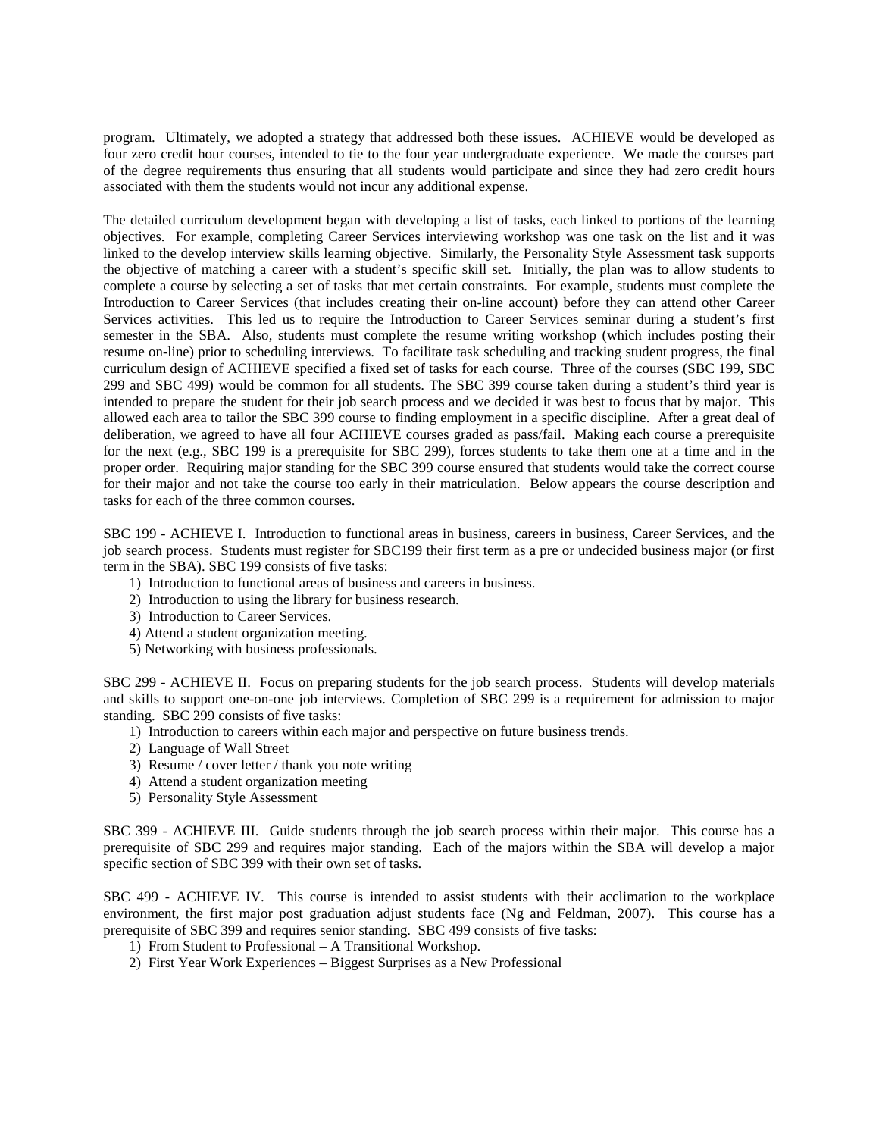program. Ultimately, we adopted a strategy that addressed both these issues. ACHIEVE would be developed as four zero credit hour courses, intended to tie to the four year undergraduate experience. We made the courses part of the degree requirements thus ensuring that all students would participate and since they had zero credit hours associated with them the students would not incur any additional expense.

The detailed curriculum development began with developing a list of tasks, each linked to portions of the learning objectives. For example, completing Career Services interviewing workshop was one task on the list and it was linked to the develop interview skills learning objective. Similarly, the Personality Style Assessment task supports the objective of matching a career with a student's specific skill set. Initially, the plan was to allow students to complete a course by selecting a set of tasks that met certain constraints. For example, students must complete the Introduction to Career Services (that includes creating their on-line account) before they can attend other Career Services activities. This led us to require the Introduction to Career Services seminar during a student's first semester in the SBA. Also, students must complete the resume writing workshop (which includes posting their resume on-line) prior to scheduling interviews. To facilitate task scheduling and tracking student progress, the final curriculum design of ACHIEVE specified a fixed set of tasks for each course. Three of the courses (SBC 199, SBC 299 and SBC 499) would be common for all students. The SBC 399 course taken during a student's third year is intended to prepare the student for their job search process and we decided it was best to focus that by major. This allowed each area to tailor the SBC 399 course to finding employment in a specific discipline. After a great deal of deliberation, we agreed to have all four ACHIEVE courses graded as pass/fail. Making each course a prerequisite for the next (e.g., SBC 199 is a prerequisite for SBC 299), forces students to take them one at a time and in the proper order. Requiring major standing for the SBC 399 course ensured that students would take the correct course for their major and not take the course too early in their matriculation. Below appears the course description and tasks for each of the three common courses.

SBC 199 - ACHIEVE I. Introduction to functional areas in business, careers in business, Career Services, and the job search process. Students must register for SBC199 their first term as a pre or undecided business major (or first term in the SBA). SBC 199 consists of five tasks:

- 1) Introduction to functional areas of business and careers in business.
- 2) Introduction to using the library for business research.
- 3) Introduction to Career Services.
- 4) Attend a student organization meeting.
- 5) Networking with business professionals.

SBC 299 - ACHIEVE II. Focus on preparing students for the job search process. Students will develop materials and skills to support one-on-one job interviews. Completion of SBC 299 is a requirement for admission to major standing. SBC 299 consists of five tasks:

- 1) Introduction to careers within each major and perspective on future business trends.
- 2) Language of Wall Street
- 3) Resume / cover letter / thank you note writing
- 4) Attend a student organization meeting
- 5) Personality Style Assessment

SBC 399 - ACHIEVE III. Guide students through the job search process within their major. This course has a prerequisite of SBC 299 and requires major standing. Each of the majors within the SBA will develop a major specific section of SBC 399 with their own set of tasks.

SBC 499 - ACHIEVE IV. This course is intended to assist students with their acclimation to the workplace environment, the first major post graduation adjust students face (Ng and Feldman, 2007). This course has a prerequisite of SBC 399 and requires senior standing. SBC 499 consists of five tasks:

1) From Student to Professional – A Transitional Workshop.

2) First Year Work Experiences – Biggest Surprises as a New Professional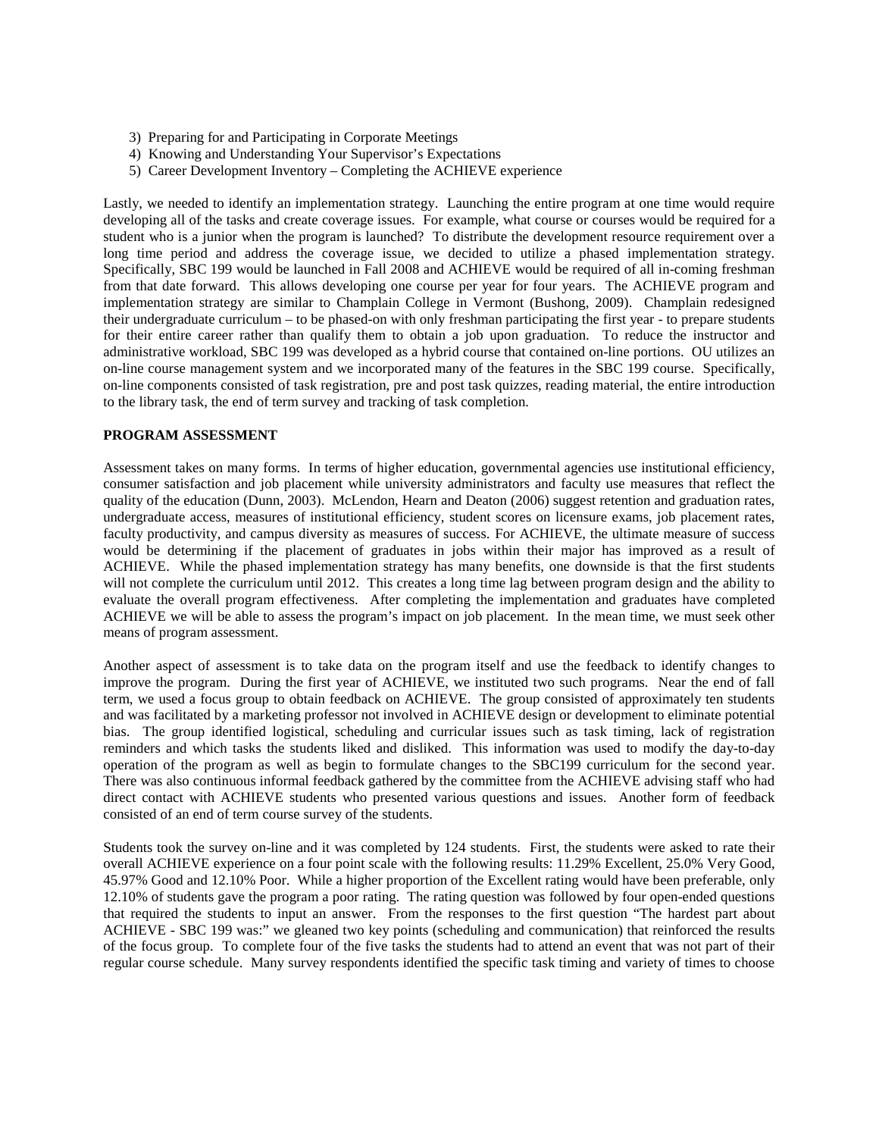- 3) Preparing for and Participating in Corporate Meetings
- 4) Knowing and Understanding Your Supervisor's Expectations
- 5) Career Development Inventory Completing the ACHIEVE experience

Lastly, we needed to identify an implementation strategy. Launching the entire program at one time would require developing all of the tasks and create coverage issues. For example, what course or courses would be required for a student who is a junior when the program is launched? To distribute the development resource requirement over a long time period and address the coverage issue, we decided to utilize a phased implementation strategy. Specifically, SBC 199 would be launched in Fall 2008 and ACHIEVE would be required of all in-coming freshman from that date forward. This allows developing one course per year for four years. The ACHIEVE program and implementation strategy are similar to Champlain College in Vermont (Bushong, 2009). Champlain redesigned their undergraduate curriculum – to be phased-on with only freshman participating the first year - to prepare students for their entire career rather than qualify them to obtain a job upon graduation. To reduce the instructor and administrative workload, SBC 199 was developed as a hybrid course that contained on-line portions. OU utilizes an on-line course management system and we incorporated many of the features in the SBC 199 course. Specifically, on-line components consisted of task registration, pre and post task quizzes, reading material, the entire introduction to the library task, the end of term survey and tracking of task completion.

## **PROGRAM ASSESSMENT**

Assessment takes on many forms. In terms of higher education, governmental agencies use institutional efficiency, consumer satisfaction and job placement while university administrators and faculty use measures that reflect the quality of the education (Dunn, 2003). McLendon, Hearn and Deaton (2006) suggest retention and graduation rates, undergraduate access, measures of institutional efficiency, student scores on licensure exams, job placement rates, faculty productivity, and campus diversity as measures of success. For ACHIEVE, the ultimate measure of success would be determining if the placement of graduates in jobs within their major has improved as a result of ACHIEVE. While the phased implementation strategy has many benefits, one downside is that the first students will not complete the curriculum until 2012. This creates a long time lag between program design and the ability to evaluate the overall program effectiveness. After completing the implementation and graduates have completed ACHIEVE we will be able to assess the program's impact on job placement. In the mean time, we must seek other means of program assessment.

Another aspect of assessment is to take data on the program itself and use the feedback to identify changes to improve the program. During the first year of ACHIEVE, we instituted two such programs. Near the end of fall term, we used a focus group to obtain feedback on ACHIEVE. The group consisted of approximately ten students and was facilitated by a marketing professor not involved in ACHIEVE design or development to eliminate potential bias. The group identified logistical, scheduling and curricular issues such as task timing, lack of registration reminders and which tasks the students liked and disliked. This information was used to modify the day-to-day operation of the program as well as begin to formulate changes to the SBC199 curriculum for the second year. There was also continuous informal feedback gathered by the committee from the ACHIEVE advising staff who had direct contact with ACHIEVE students who presented various questions and issues. Another form of feedback consisted of an end of term course survey of the students.

Students took the survey on-line and it was completed by 124 students. First, the students were asked to rate their overall ACHIEVE experience on a four point scale with the following results: 11.29% Excellent, 25.0% Very Good, 45.97% Good and 12.10% Poor. While a higher proportion of the Excellent rating would have been preferable, only 12.10% of students gave the program a poor rating. The rating question was followed by four open-ended questions that required the students to input an answer. From the responses to the first question "The hardest part about ACHIEVE - SBC 199 was:" we gleaned two key points (scheduling and communication) that reinforced the results of the focus group. To complete four of the five tasks the students had to attend an event that was not part of their regular course schedule. Many survey respondents identified the specific task timing and variety of times to choose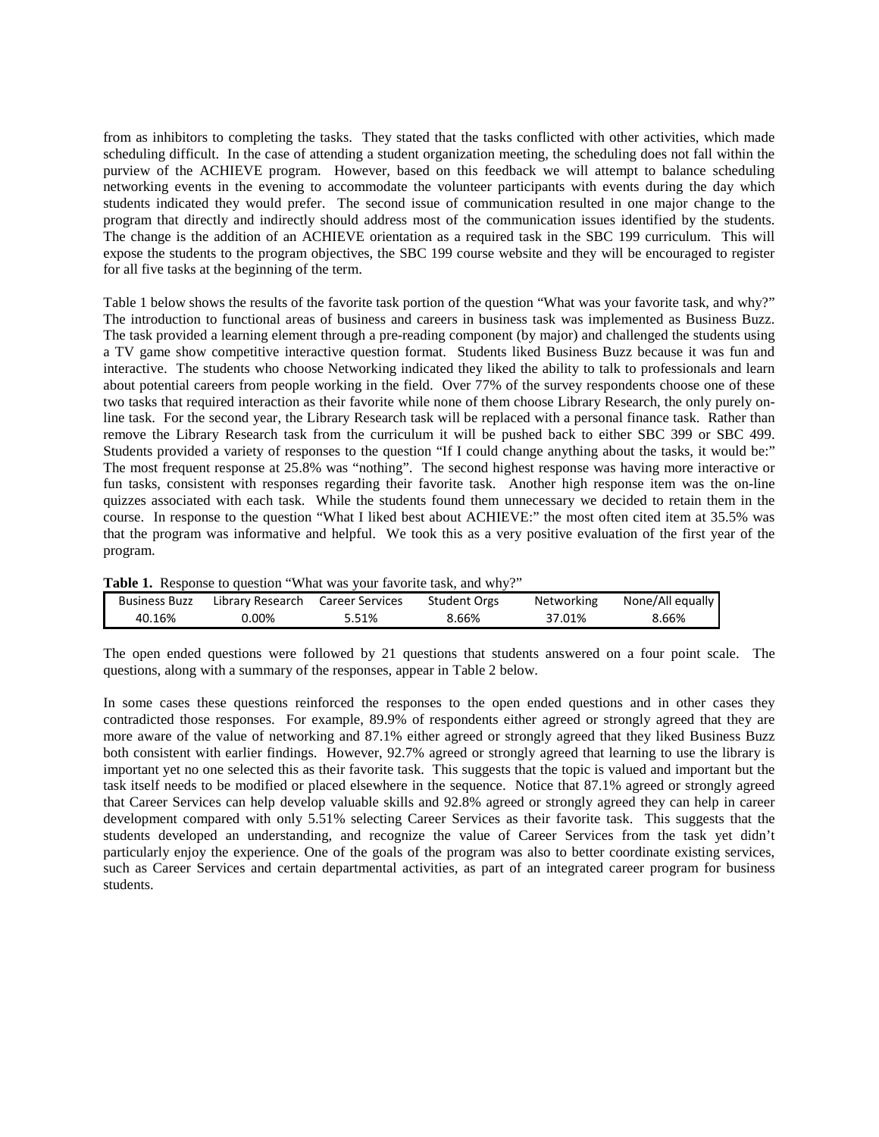from as inhibitors to completing the tasks. They stated that the tasks conflicted with other activities, which made scheduling difficult. In the case of attending a student organization meeting, the scheduling does not fall within the purview of the ACHIEVE program. However, based on this feedback we will attempt to balance scheduling networking events in the evening to accommodate the volunteer participants with events during the day which students indicated they would prefer. The second issue of communication resulted in one major change to the program that directly and indirectly should address most of the communication issues identified by the students. The change is the addition of an ACHIEVE orientation as a required task in the SBC 199 curriculum. This will expose the students to the program objectives, the SBC 199 course website and they will be encouraged to register for all five tasks at the beginning of the term.

Table 1 below shows the results of the favorite task portion of the question "What was your favorite task, and why?" The introduction to functional areas of business and careers in business task was implemented as Business Buzz. The task provided a learning element through a pre-reading component (by major) and challenged the students using a TV game show competitive interactive question format. Students liked Business Buzz because it was fun and interactive. The students who choose Networking indicated they liked the ability to talk to professionals and learn about potential careers from people working in the field. Over 77% of the survey respondents choose one of these two tasks that required interaction as their favorite while none of them choose Library Research, the only purely online task. For the second year, the Library Research task will be replaced with a personal finance task. Rather than remove the Library Research task from the curriculum it will be pushed back to either SBC 399 or SBC 499. Students provided a variety of responses to the question "If I could change anything about the tasks, it would be:" The most frequent response at 25.8% was "nothing". The second highest response was having more interactive or fun tasks, consistent with responses regarding their favorite task. Another high response item was the on-line quizzes associated with each task. While the students found them unnecessary we decided to retain them in the course. In response to the question "What I liked best about ACHIEVE:" the most often cited item at 35.5% was that the program was informative and helpful. We took this as a very positive evaluation of the first year of the program.

|  |  |  |  |  | Table 1. Response to question "What was your favorite task, and why?" |
|--|--|--|--|--|-----------------------------------------------------------------------|
|--|--|--|--|--|-----------------------------------------------------------------------|

| <b>Business Buzz</b> | Library Research | Career Services | <b>Student Orgs</b> | Networking | None/All equally |
|----------------------|------------------|-----------------|---------------------|------------|------------------|
| 40.16%               | 0.00%            | 5.51%           | 8.66%               | 37.01%     | 8.66%            |

The open ended questions were followed by 21 questions that students answered on a four point scale. The questions, along with a summary of the responses, appear in Table 2 below.

In some cases these questions reinforced the responses to the open ended questions and in other cases they contradicted those responses. For example, 89.9% of respondents either agreed or strongly agreed that they are more aware of the value of networking and 87.1% either agreed or strongly agreed that they liked Business Buzz both consistent with earlier findings. However, 92.7% agreed or strongly agreed that learning to use the library is important yet no one selected this as their favorite task. This suggests that the topic is valued and important but the task itself needs to be modified or placed elsewhere in the sequence. Notice that 87.1% agreed or strongly agreed that Career Services can help develop valuable skills and 92.8% agreed or strongly agreed they can help in career development compared with only 5.51% selecting Career Services as their favorite task. This suggests that the students developed an understanding, and recognize the value of Career Services from the task yet didn't particularly enjoy the experience. One of the goals of the program was also to better coordinate existing services, such as Career Services and certain departmental activities, as part of an integrated career program for business students.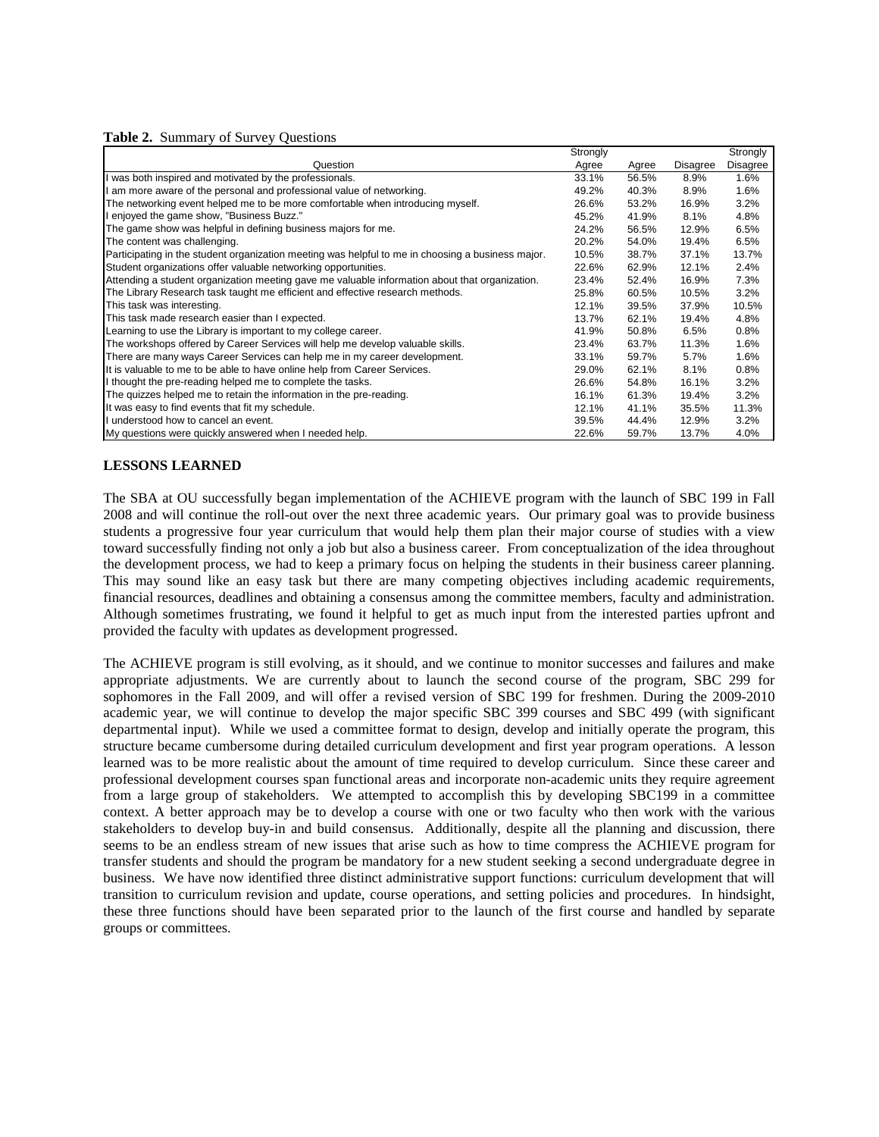|                                                                                                   | Strongly |       |                 | Strongly        |
|---------------------------------------------------------------------------------------------------|----------|-------|-----------------|-----------------|
| Question                                                                                          | Agree    | Agree | <b>Disagree</b> | <b>Disagree</b> |
| I was both inspired and motivated by the professionals.                                           | 33.1%    | 56.5% | 8.9%            | 1.6%            |
| I am more aware of the personal and professional value of networking.                             | 49.2%    | 40.3% | 8.9%            | 1.6%            |
| The networking event helped me to be more comfortable when introducing myself.                    | 26.6%    | 53.2% | 16.9%           | 3.2%            |
| I enjoyed the game show, "Business Buzz."                                                         | 45.2%    | 41.9% | 8.1%            | 4.8%            |
| The game show was helpful in defining business majors for me.                                     | 24.2%    | 56.5% | 12.9%           | 6.5%            |
| The content was challenging.                                                                      | 20.2%    | 54.0% | 19.4%           | 6.5%            |
| Participating in the student organization meeting was helpful to me in choosing a business major. | 10.5%    | 38.7% | 37.1%           | 13.7%           |
| Student organizations offer valuable networking opportunities.                                    | 22.6%    | 62.9% | 12.1%           | 2.4%            |
| Attending a student organization meeting gave me valuable information about that organization.    | 23.4%    | 52.4% | 16.9%           | 7.3%            |
| The Library Research task taught me efficient and effective research methods.                     | 25.8%    | 60.5% | 10.5%           | 3.2%            |
| This task was interesting.                                                                        | 12.1%    | 39.5% | 37.9%           | 10.5%           |
| This task made research easier than I expected.                                                   | 13.7%    | 62.1% | 19.4%           | 4.8%            |
| Learning to use the Library is important to my college career.                                    | 41.9%    | 50.8% | 6.5%            | 0.8%            |
| The workshops offered by Career Services will help me develop valuable skills.                    | 23.4%    | 63.7% | 11.3%           | 1.6%            |
| There are many ways Career Services can help me in my career development.                         | 33.1%    | 59.7% | 5.7%            | 1.6%            |
| It is valuable to me to be able to have online help from Career Services.                         | 29.0%    | 62.1% | 8.1%            | 0.8%            |
| I thought the pre-reading helped me to complete the tasks.                                        | 26.6%    | 54.8% | 16.1%           | 3.2%            |
| The quizzes helped me to retain the information in the pre-reading.                               | 16.1%    | 61.3% | 19.4%           | 3.2%            |
| It was easy to find events that fit my schedule.                                                  | 12.1%    | 41.1% | 35.5%           | 11.3%           |
| I understood how to cancel an event.                                                              | 39.5%    | 44.4% | 12.9%           | 3.2%            |
| My questions were quickly answered when I needed help.                                            | 22.6%    | 59.7% | 13.7%           | 4.0%            |

## **LESSONS LEARNED**

The SBA at OU successfully began implementation of the ACHIEVE program with the launch of SBC 199 in Fall 2008 and will continue the roll-out over the next three academic years. Our primary goal was to provide business students a progressive four year curriculum that would help them plan their major course of studies with a view toward successfully finding not only a job but also a business career. From conceptualization of the idea throughout the development process, we had to keep a primary focus on helping the students in their business career planning. This may sound like an easy task but there are many competing objectives including academic requirements, financial resources, deadlines and obtaining a consensus among the committee members, faculty and administration. Although sometimes frustrating, we found it helpful to get as much input from the interested parties upfront and provided the faculty with updates as development progressed.

The ACHIEVE program is still evolving, as it should, and we continue to monitor successes and failures and make appropriate adjustments. We are currently about to launch the second course of the program, SBC 299 for sophomores in the Fall 2009, and will offer a revised version of SBC 199 for freshmen. During the 2009-2010 academic year, we will continue to develop the major specific SBC 399 courses and SBC 499 (with significant departmental input). While we used a committee format to design, develop and initially operate the program, this structure became cumbersome during detailed curriculum development and first year program operations. A lesson learned was to be more realistic about the amount of time required to develop curriculum. Since these career and professional development courses span functional areas and incorporate non-academic units they require agreement from a large group of stakeholders. We attempted to accomplish this by developing SBC199 in a committee context. A better approach may be to develop a course with one or two faculty who then work with the various stakeholders to develop buy-in and build consensus. Additionally, despite all the planning and discussion, there seems to be an endless stream of new issues that arise such as how to time compress the ACHIEVE program for transfer students and should the program be mandatory for a new student seeking a second undergraduate degree in business. We have now identified three distinct administrative support functions: curriculum development that will transition to curriculum revision and update, course operations, and setting policies and procedures. In hindsight, these three functions should have been separated prior to the launch of the first course and handled by separate groups or committees.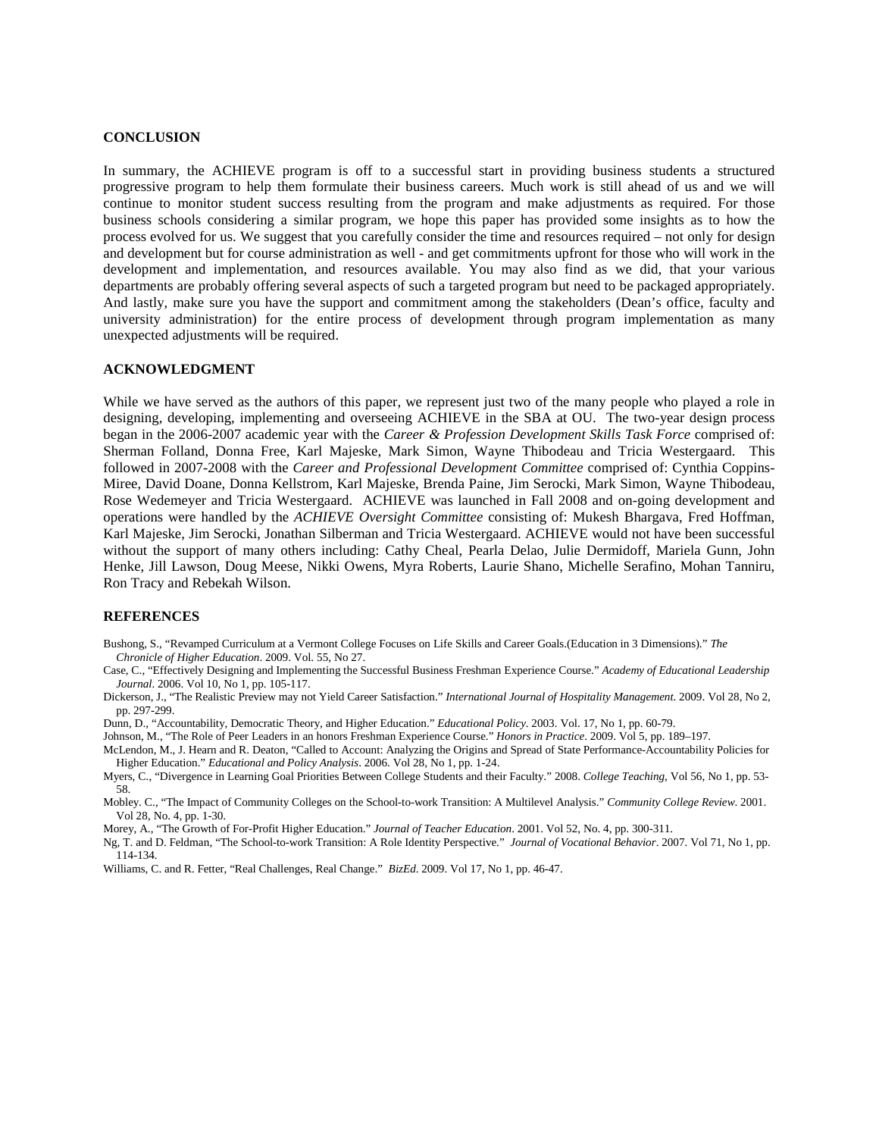#### **CONCLUSION**

In summary, the ACHIEVE program is off to a successful start in providing business students a structured progressive program to help them formulate their business careers. Much work is still ahead of us and we will continue to monitor student success resulting from the program and make adjustments as required. For those business schools considering a similar program, we hope this paper has provided some insights as to how the process evolved for us. We suggest that you carefully consider the time and resources required – not only for design and development but for course administration as well - and get commitments upfront for those who will work in the development and implementation, and resources available. You may also find as we did, that your various departments are probably offering several aspects of such a targeted program but need to be packaged appropriately. And lastly, make sure you have the support and commitment among the stakeholders (Dean's office, faculty and university administration) for the entire process of development through program implementation as many unexpected adjustments will be required.

#### **ACKNOWLEDGMENT**

While we have served as the authors of this paper, we represent just two of the many people who played a role in designing, developing, implementing and overseeing ACHIEVE in the SBA at OU. The two-year design process began in the 2006-2007 academic year with the *Career & Profession Development Skills Task Force* comprised of: Sherman Folland, Donna Free, Karl Majeske, Mark Simon, Wayne Thibodeau and Tricia Westergaard. This followed in 2007-2008 with the *Career and Professional Development Committee* comprised of: Cynthia Coppins-Miree, David Doane, Donna Kellstrom, Karl Majeske, Brenda Paine, Jim Serocki, Mark Simon, Wayne Thibodeau, Rose Wedemeyer and Tricia Westergaard. ACHIEVE was launched in Fall 2008 and on-going development and operations were handled by the *ACHIEVE Oversight Committee* consisting of: Mukesh Bhargava, Fred Hoffman, Karl Majeske, Jim Serocki, Jonathan Silberman and Tricia Westergaard. ACHIEVE would not have been successful without the support of many others including: Cathy Cheal, Pearla Delao, Julie Dermidoff, Mariela Gunn, John Henke, Jill Lawson, Doug Meese, Nikki Owens, Myra Roberts, Laurie Shano, Michelle Serafino, Mohan Tanniru, Ron Tracy and Rebekah Wilson.

#### **REFERENCES**

- Bushong, S., "Revamped Curriculum at a Vermont College Focuses on Life Skills and Career Goals.(Education in 3 Dimensions)." *The Chronicle of Higher Education*. 2009. Vol. 55, No 27.
- Case, C., "Effectively Designing and Implementing the Successful Business Freshman Experience Course." *Academy of Educational Leadership Journal*. 2006. Vol 10, No 1, pp. 105-117.
- Dickerson, J., "The Realistic Preview may not Yield Career Satisfaction." *International Journal of Hospitality Management*. 2009. Vol 28, No 2, pp. 297-299.
- Dunn, D., "Accountability, Democratic Theory, and Higher Education." *Educational Policy*. 2003. Vol. 17, No 1, pp. 60-79.
- Johnson, M., "The Role of Peer Leaders in an honors Freshman Experience Course." *Honors in Practice*. 2009. Vol 5, pp. 189–197.
- McLendon, M., J. Hearn and R. Deaton, "Called to Account: Analyzing the Origins and Spread of State Performance-Accountability Policies for Higher Education." *Educational and Policy Analysis*. 2006. Vol 28, No 1, pp. 1-24.
- Myers, C., "Divergence in Learning Goal Priorities Between College Students and their Faculty." 2008. *College Teaching*, Vol 56, No 1, pp. 53- 58.
- Mobley. C., "The Impact of Community Colleges on the School-to-work Transition: A Multilevel Analysis." *Community College Review*. 2001. Vol 28, No. 4, pp. 1-30.
- Morey, A., "The Growth of For-Profit Higher Education." *Journal of Teacher Education*. 2001. Vol 52, No. 4, pp. 300-311.
- Ng, T. and D. Feldman, "The School-to-work Transition: A Role Identity Perspective." *Journal of Vocational Behavior*. 2007. Vol 71, No 1, pp. 114-134.
- Williams, C. and R. Fetter, "Real Challenges, Real Change." *BizEd*. 2009. Vol 17, No 1, pp. 46-47.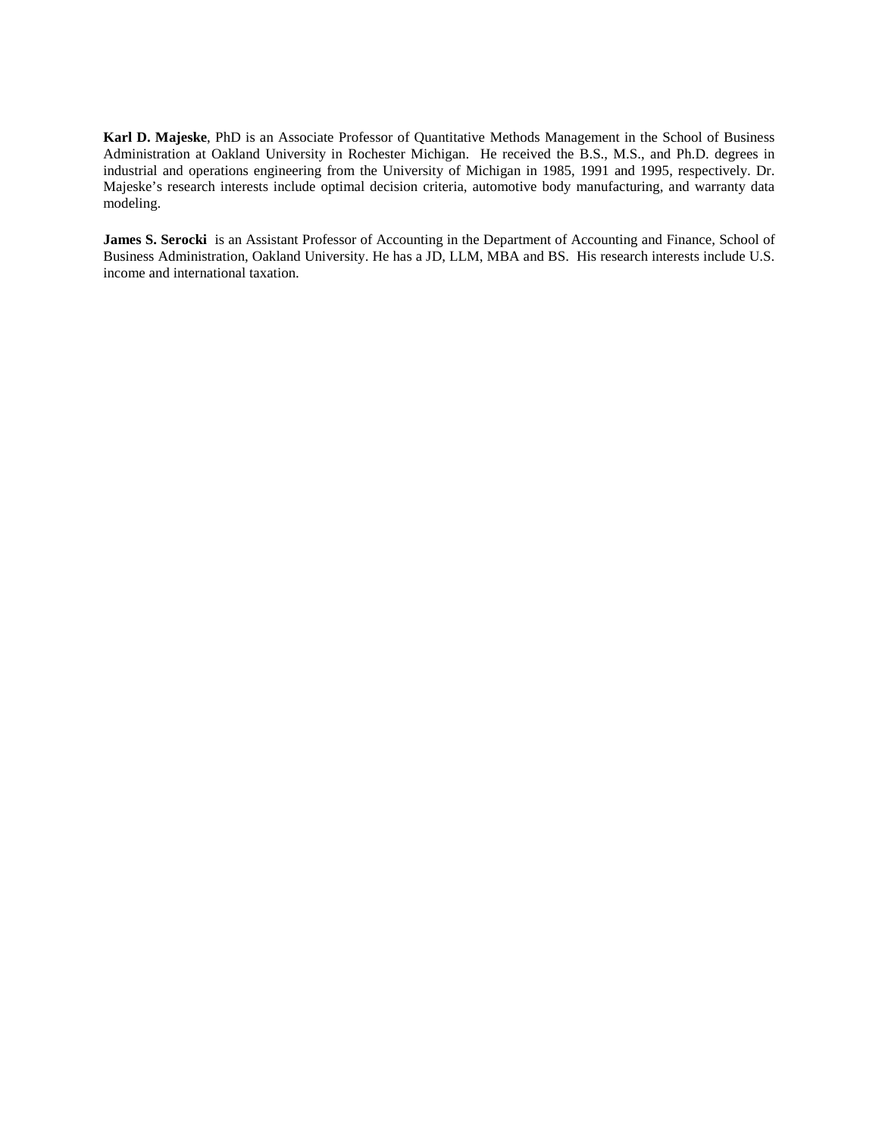**Karl D. Majeske**, PhD is an Associate Professor of Quantitative Methods Management in the School of Business Administration at Oakland University in Rochester Michigan. He received the B.S., M.S., and Ph.D. degrees in industrial and operations engineering from the University of Michigan in 1985, 1991 and 1995, respectively. Dr. Majeske's research interests include optimal decision criteria, automotive body manufacturing, and warranty data modeling.

**James S. Serocki** is an Assistant Professor of Accounting in the Department of Accounting and Finance, School of Business Administration, Oakland University. He has a JD, LLM, MBA and BS. His research interests include U.S. income and international taxation.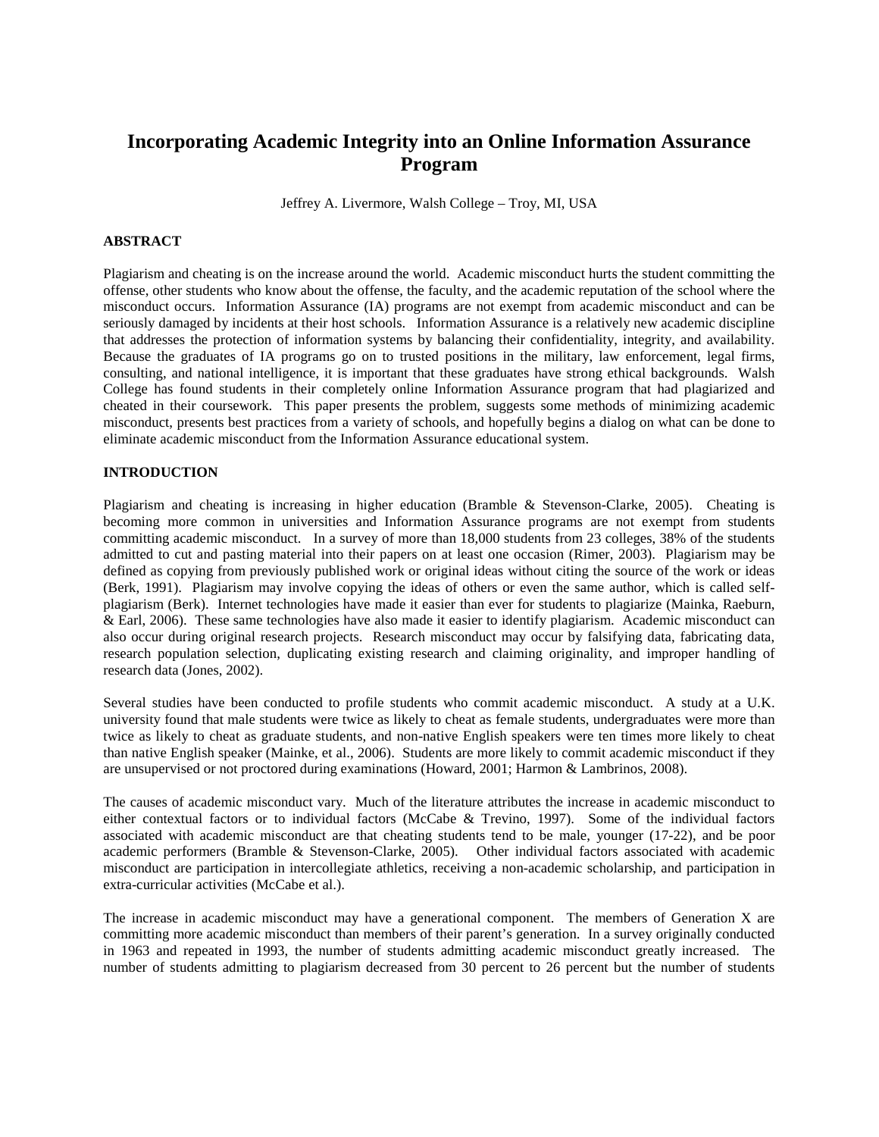# **Incorporating Academic Integrity into an Online Information Assurance Program**

Jeffrey A. Livermore, Walsh College – Troy, MI, USA

# **ABSTRACT**

Plagiarism and cheating is on the increase around the world. Academic misconduct hurts the student committing the offense, other students who know about the offense, the faculty, and the academic reputation of the school where the misconduct occurs. Information Assurance (IA) programs are not exempt from academic misconduct and can be seriously damaged by incidents at their host schools. Information Assurance is a relatively new academic discipline that addresses the protection of information systems by balancing their confidentiality, integrity, and availability. Because the graduates of IA programs go on to trusted positions in the military, law enforcement, legal firms, consulting, and national intelligence, it is important that these graduates have strong ethical backgrounds. Walsh College has found students in their completely online Information Assurance program that had plagiarized and cheated in their coursework. This paper presents the problem, suggests some methods of minimizing academic misconduct, presents best practices from a variety of schools, and hopefully begins a dialog on what can be done to eliminate academic misconduct from the Information Assurance educational system.

## **INTRODUCTION**

Plagiarism and cheating is increasing in higher education (Bramble & Stevenson-Clarke, 2005). Cheating is becoming more common in universities and Information Assurance programs are not exempt from students committing academic misconduct. In a survey of more than 18,000 students from 23 colleges, 38% of the students admitted to cut and pasting material into their papers on at least one occasion (Rimer, 2003). Plagiarism may be defined as copying from previously published work or original ideas without citing the source of the work or ideas (Berk, 1991). Plagiarism may involve copying the ideas of others or even the same author, which is called selfplagiarism (Berk). Internet technologies have made it easier than ever for students to plagiarize (Mainka, Raeburn, & Earl, 2006). These same technologies have also made it easier to identify plagiarism. Academic misconduct can also occur during original research projects. Research misconduct may occur by falsifying data, fabricating data, research population selection, duplicating existing research and claiming originality, and improper handling of research data (Jones, 2002).

Several studies have been conducted to profile students who commit academic misconduct. A study at a U.K. university found that male students were twice as likely to cheat as female students, undergraduates were more than twice as likely to cheat as graduate students, and non-native English speakers were ten times more likely to cheat than native English speaker (Mainke, et al., 2006). Students are more likely to commit academic misconduct if they are unsupervised or not proctored during examinations (Howard, 2001; Harmon & Lambrinos, 2008).

The causes of academic misconduct vary. Much of the literature attributes the increase in academic misconduct to either contextual factors or to individual factors (McCabe & Trevino, 1997). Some of the individual factors associated with academic misconduct are that cheating students tend to be male, younger (17-22), and be poor academic performers (Bramble & Stevenson-Clarke, 2005). Other individual factors associated with academic misconduct are participation in intercollegiate athletics, receiving a non-academic scholarship, and participation in extra-curricular activities (McCabe et al.).

The increase in academic misconduct may have a generational component. The members of Generation X are committing more academic misconduct than members of their parent's generation. In a survey originally conducted in 1963 and repeated in 1993, the number of students admitting academic misconduct greatly increased. The number of students admitting to plagiarism decreased from 30 percent to 26 percent but the number of students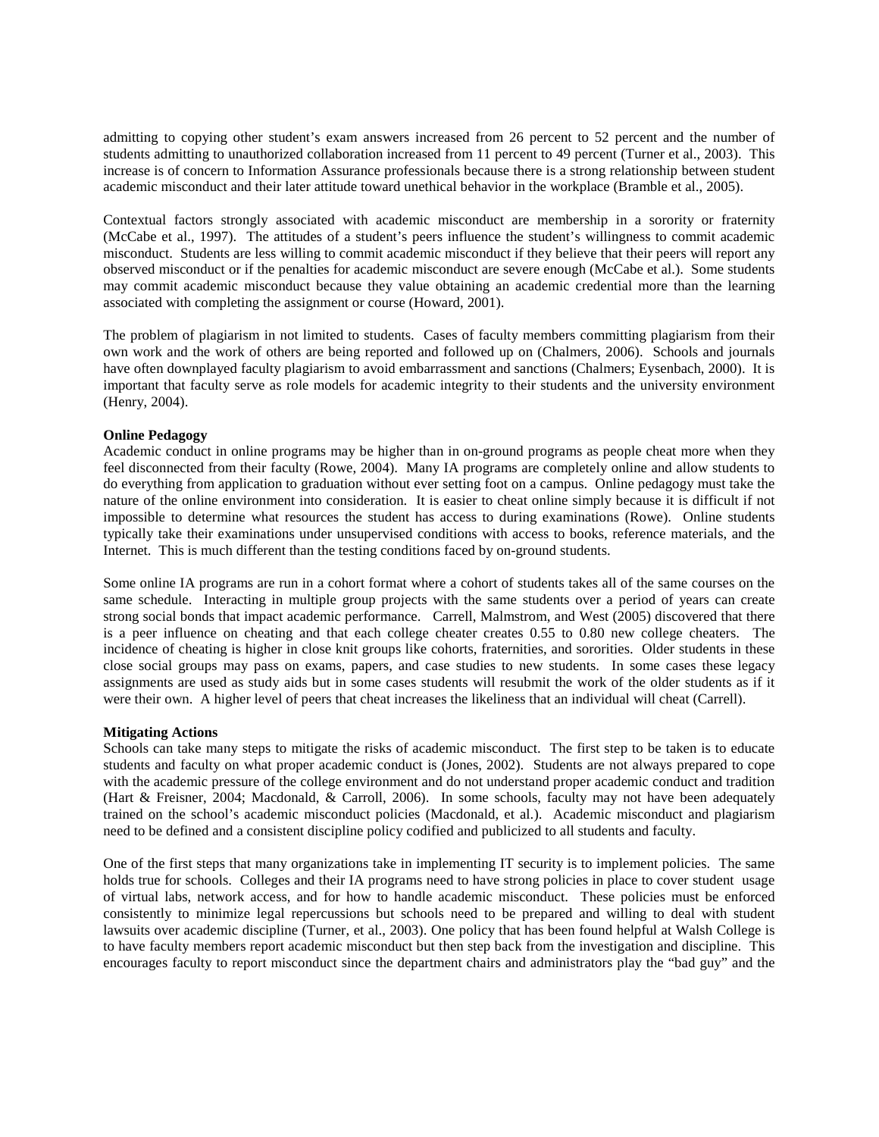admitting to copying other student's exam answers increased from 26 percent to 52 percent and the number of students admitting to unauthorized collaboration increased from 11 percent to 49 percent (Turner et al., 2003). This increase is of concern to Information Assurance professionals because there is a strong relationship between student academic misconduct and their later attitude toward unethical behavior in the workplace (Bramble et al., 2005).

Contextual factors strongly associated with academic misconduct are membership in a sorority or fraternity (McCabe et al., 1997). The attitudes of a student's peers influence the student's willingness to commit academic misconduct. Students are less willing to commit academic misconduct if they believe that their peers will report any observed misconduct or if the penalties for academic misconduct are severe enough (McCabe et al.). Some students may commit academic misconduct because they value obtaining an academic credential more than the learning associated with completing the assignment or course (Howard, 2001).

The problem of plagiarism in not limited to students. Cases of faculty members committing plagiarism from their own work and the work of others are being reported and followed up on (Chalmers, 2006). Schools and journals have often downplayed faculty plagiarism to avoid embarrassment and sanctions (Chalmers; Eysenbach, 2000). It is important that faculty serve as role models for academic integrity to their students and the university environment (Henry, 2004).

## **Online Pedagogy**

Academic conduct in online programs may be higher than in on-ground programs as people cheat more when they feel disconnected from their faculty (Rowe, 2004). Many IA programs are completely online and allow students to do everything from application to graduation without ever setting foot on a campus. Online pedagogy must take the nature of the online environment into consideration. It is easier to cheat online simply because it is difficult if not impossible to determine what resources the student has access to during examinations (Rowe). Online students typically take their examinations under unsupervised conditions with access to books, reference materials, and the Internet. This is much different than the testing conditions faced by on-ground students.

Some online IA programs are run in a cohort format where a cohort of students takes all of the same courses on the same schedule. Interacting in multiple group projects with the same students over a period of years can create strong social bonds that impact academic performance. Carrell, Malmstrom, and West (2005) discovered that there is a peer influence on cheating and that each college cheater creates 0.55 to 0.80 new college cheaters. The incidence of cheating is higher in close knit groups like cohorts, fraternities, and sororities. Older students in these close social groups may pass on exams, papers, and case studies to new students. In some cases these legacy assignments are used as study aids but in some cases students will resubmit the work of the older students as if it were their own. A higher level of peers that cheat increases the likeliness that an individual will cheat (Carrell).

## **Mitigating Actions**

Schools can take many steps to mitigate the risks of academic misconduct. The first step to be taken is to educate students and faculty on what proper academic conduct is (Jones, 2002). Students are not always prepared to cope with the academic pressure of the college environment and do not understand proper academic conduct and tradition (Hart & Freisner, 2004; Macdonald, & Carroll, 2006). In some schools, faculty may not have been adequately trained on the school's academic misconduct policies (Macdonald, et al.). Academic misconduct and plagiarism need to be defined and a consistent discipline policy codified and publicized to all students and faculty.

One of the first steps that many organizations take in implementing IT security is to implement policies. The same holds true for schools. Colleges and their IA programs need to have strong policies in place to cover student usage of virtual labs, network access, and for how to handle academic misconduct. These policies must be enforced consistently to minimize legal repercussions but schools need to be prepared and willing to deal with student lawsuits over academic discipline (Turner, et al., 2003). One policy that has been found helpful at Walsh College is to have faculty members report academic misconduct but then step back from the investigation and discipline. This encourages faculty to report misconduct since the department chairs and administrators play the "bad guy" and the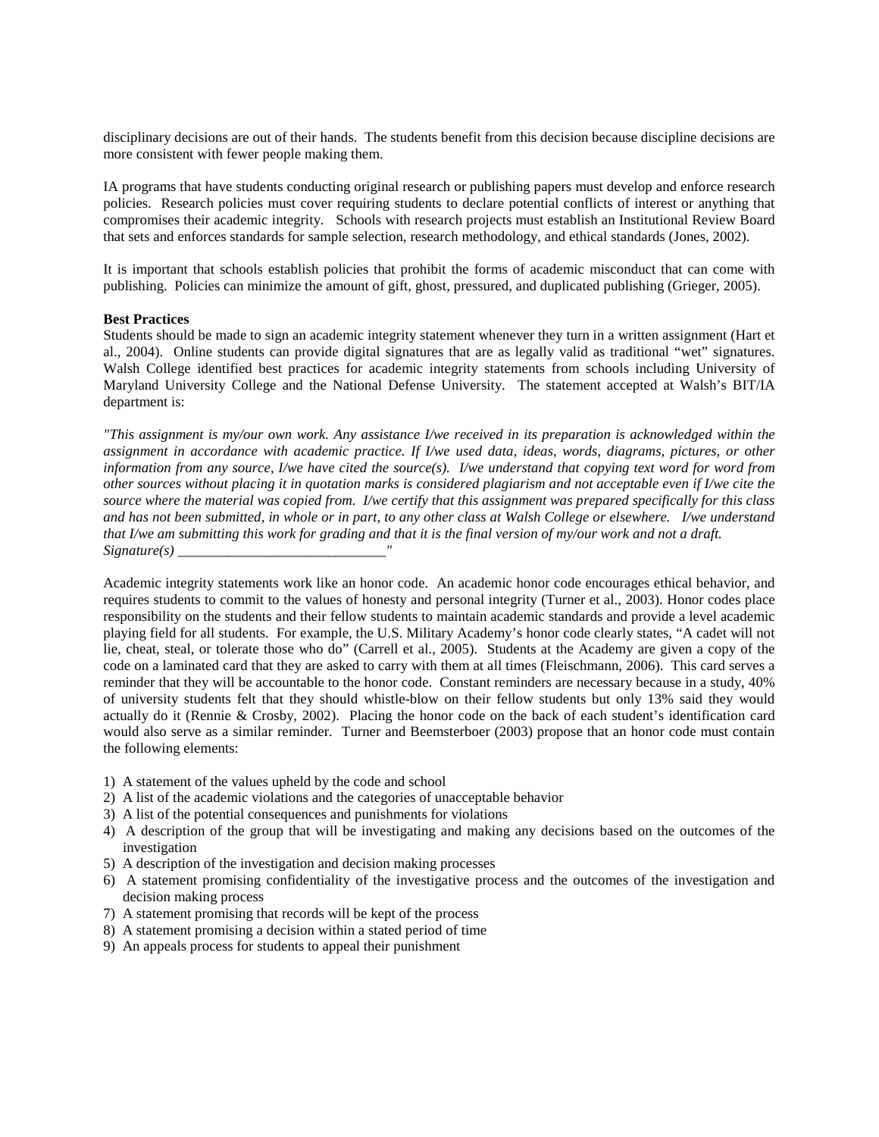disciplinary decisions are out of their hands. The students benefit from this decision because discipline decisions are more consistent with fewer people making them.

IA programs that have students conducting original research or publishing papers must develop and enforce research policies. Research policies must cover requiring students to declare potential conflicts of interest or anything that compromises their academic integrity. Schools with research projects must establish an Institutional Review Board that sets and enforces standards for sample selection, research methodology, and ethical standards (Jones, 2002).

It is important that schools establish policies that prohibit the forms of academic misconduct that can come with publishing. Policies can minimize the amount of gift, ghost, pressured, and duplicated publishing (Grieger, 2005).

## **Best Practices**

Students should be made to sign an academic integrity statement whenever they turn in a written assignment (Hart et al., 2004). Online students can provide digital signatures that are as legally valid as traditional "wet" signatures. Walsh College identified best practices for academic integrity statements from schools including University of Maryland University College and the National Defense University. The statement accepted at Walsh's BIT/IA department is:

*"This assignment is my/our own work. Any assistance I/we received in its preparation is acknowledged within the assignment in accordance with academic practice. If I/we used data, ideas, words, diagrams, pictures, or other information from any source, I/we have cited the source(s). I/we understand that copying text word for word from other sources without placing it in quotation marks is considered plagiarism and not acceptable even if I/we cite the source where the material was copied from. I/we certify that this assignment was prepared specifically for this class and has not been submitted, in whole or in part, to any other class at Walsh College or elsewhere. I/we understand that I/we am submitting this work for grading and that it is the final version of my/our work and not a draft. Signature(s) \_\_\_\_\_\_\_\_\_\_\_\_\_\_\_\_\_\_\_\_\_\_\_\_\_\_\_\_\_"* 

Academic integrity statements work like an honor code. An academic honor code encourages ethical behavior, and requires students to commit to the values of honesty and personal integrity (Turner et al., 2003). Honor codes place responsibility on the students and their fellow students to maintain academic standards and provide a level academic playing field for all students. For example, the U.S. Military Academy's honor code clearly states, "A cadet will not lie, cheat, steal, or tolerate those who do" (Carrell et al., 2005). Students at the Academy are given a copy of the code on a laminated card that they are asked to carry with them at all times (Fleischmann, 2006). This card serves a reminder that they will be accountable to the honor code. Constant reminders are necessary because in a study, 40% of university students felt that they should whistle-blow on their fellow students but only 13% said they would actually do it (Rennie & Crosby, 2002). Placing the honor code on the back of each student's identification card would also serve as a similar reminder. Turner and Beemsterboer (2003) propose that an honor code must contain the following elements:

- 1) A statement of the values upheld by the code and school
- 2) A list of the academic violations and the categories of unacceptable behavior
- 3) A list of the potential consequences and punishments for violations
- 4) A description of the group that will be investigating and making any decisions based on the outcomes of the investigation
- 5) A description of the investigation and decision making processes
- 6) A statement promising confidentiality of the investigative process and the outcomes of the investigation and decision making process
- 7) A statement promising that records will be kept of the process
- 8) A statement promising a decision within a stated period of time
- 9) An appeals process for students to appeal their punishment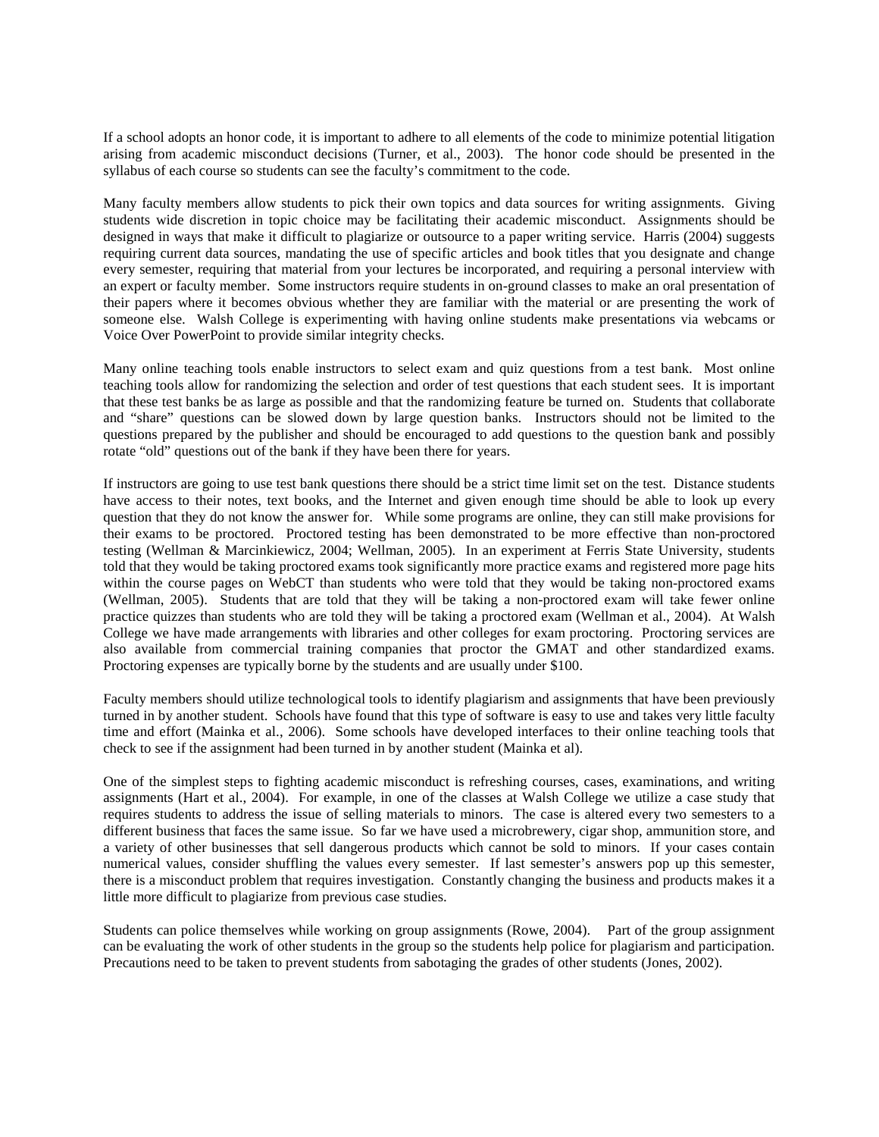If a school adopts an honor code, it is important to adhere to all elements of the code to minimize potential litigation arising from academic misconduct decisions (Turner, et al., 2003). The honor code should be presented in the syllabus of each course so students can see the faculty's commitment to the code.

Many faculty members allow students to pick their own topics and data sources for writing assignments. Giving students wide discretion in topic choice may be facilitating their academic misconduct. Assignments should be designed in ways that make it difficult to plagiarize or outsource to a paper writing service. Harris (2004) suggests requiring current data sources, mandating the use of specific articles and book titles that you designate and change every semester, requiring that material from your lectures be incorporated, and requiring a personal interview with an expert or faculty member. Some instructors require students in on-ground classes to make an oral presentation of their papers where it becomes obvious whether they are familiar with the material or are presenting the work of someone else. Walsh College is experimenting with having online students make presentations via webcams or Voice Over PowerPoint to provide similar integrity checks.

Many online teaching tools enable instructors to select exam and quiz questions from a test bank. Most online teaching tools allow for randomizing the selection and order of test questions that each student sees. It is important that these test banks be as large as possible and that the randomizing feature be turned on. Students that collaborate and "share" questions can be slowed down by large question banks. Instructors should not be limited to the questions prepared by the publisher and should be encouraged to add questions to the question bank and possibly rotate "old" questions out of the bank if they have been there for years.

If instructors are going to use test bank questions there should be a strict time limit set on the test. Distance students have access to their notes, text books, and the Internet and given enough time should be able to look up every question that they do not know the answer for. While some programs are online, they can still make provisions for their exams to be proctored. Proctored testing has been demonstrated to be more effective than non-proctored testing (Wellman & Marcinkiewicz, 2004; Wellman, 2005). In an experiment at Ferris State University, students told that they would be taking proctored exams took significantly more practice exams and registered more page hits within the course pages on WebCT than students who were told that they would be taking non-proctored exams (Wellman, 2005). Students that are told that they will be taking a non-proctored exam will take fewer online practice quizzes than students who are told they will be taking a proctored exam (Wellman et al., 2004). At Walsh College we have made arrangements with libraries and other colleges for exam proctoring. Proctoring services are also available from commercial training companies that proctor the GMAT and other standardized exams. Proctoring expenses are typically borne by the students and are usually under \$100.

Faculty members should utilize technological tools to identify plagiarism and assignments that have been previously turned in by another student. Schools have found that this type of software is easy to use and takes very little faculty time and effort (Mainka et al., 2006). Some schools have developed interfaces to their online teaching tools that check to see if the assignment had been turned in by another student (Mainka et al).

One of the simplest steps to fighting academic misconduct is refreshing courses, cases, examinations, and writing assignments (Hart et al., 2004). For example, in one of the classes at Walsh College we utilize a case study that requires students to address the issue of selling materials to minors. The case is altered every two semesters to a different business that faces the same issue. So far we have used a microbrewery, cigar shop, ammunition store, and a variety of other businesses that sell dangerous products which cannot be sold to minors. If your cases contain numerical values, consider shuffling the values every semester. If last semester's answers pop up this semester, there is a misconduct problem that requires investigation. Constantly changing the business and products makes it a little more difficult to plagiarize from previous case studies.

Students can police themselves while working on group assignments (Rowe, 2004). Part of the group assignment can be evaluating the work of other students in the group so the students help police for plagiarism and participation. Precautions need to be taken to prevent students from sabotaging the grades of other students (Jones, 2002).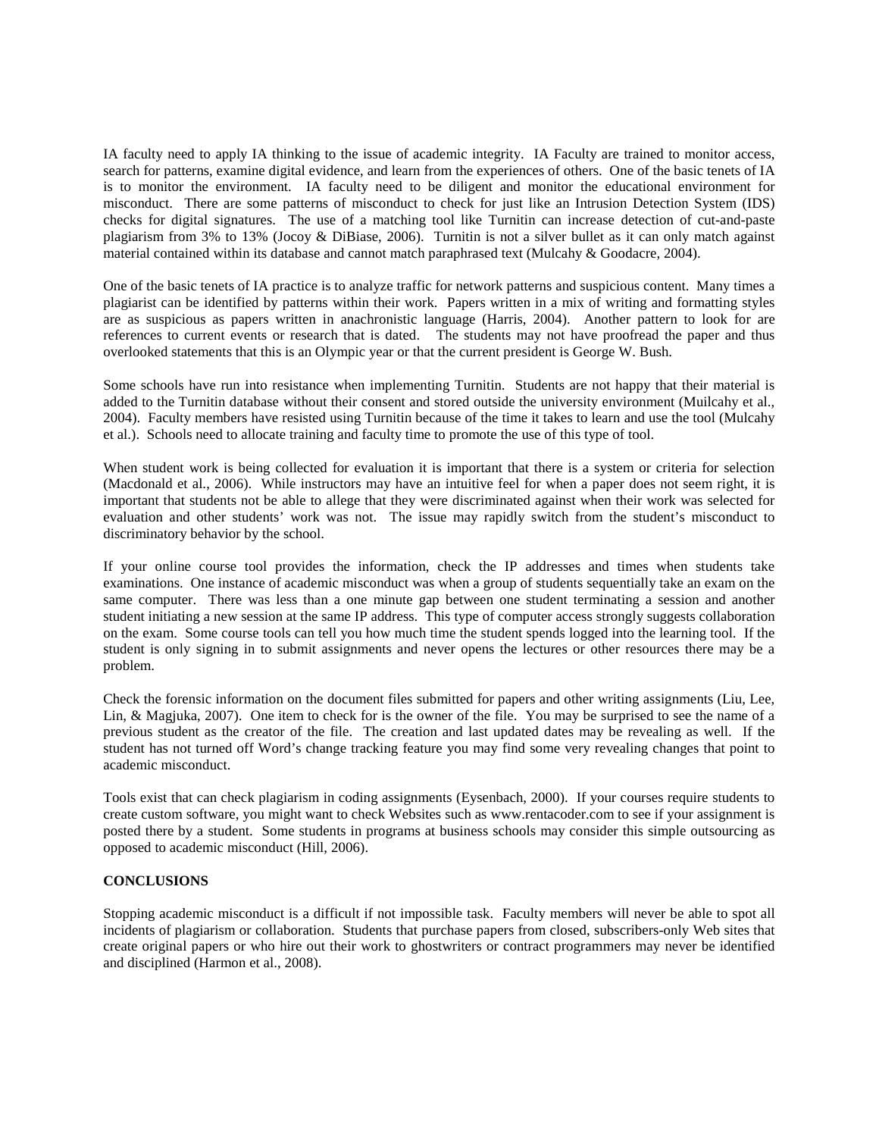IA faculty need to apply IA thinking to the issue of academic integrity. IA Faculty are trained to monitor access, search for patterns, examine digital evidence, and learn from the experiences of others. One of the basic tenets of IA is to monitor the environment. IA faculty need to be diligent and monitor the educational environment for misconduct. There are some patterns of misconduct to check for just like an Intrusion Detection System (IDS) checks for digital signatures. The use of a matching tool like Turnitin can increase detection of cut-and-paste plagiarism from 3% to 13% (Jocoy & DiBiase, 2006). Turnitin is not a silver bullet as it can only match against material contained within its database and cannot match paraphrased text (Mulcahy & Goodacre, 2004).

One of the basic tenets of IA practice is to analyze traffic for network patterns and suspicious content. Many times a plagiarist can be identified by patterns within their work. Papers written in a mix of writing and formatting styles are as suspicious as papers written in anachronistic language (Harris, 2004). Another pattern to look for are references to current events or research that is dated. The students may not have proofread the paper and thus overlooked statements that this is an Olympic year or that the current president is George W. Bush.

Some schools have run into resistance when implementing Turnitin. Students are not happy that their material is added to the Turnitin database without their consent and stored outside the university environment (Muilcahy et al., 2004). Faculty members have resisted using Turnitin because of the time it takes to learn and use the tool (Mulcahy et al.). Schools need to allocate training and faculty time to promote the use of this type of tool.

When student work is being collected for evaluation it is important that there is a system or criteria for selection (Macdonald et al., 2006). While instructors may have an intuitive feel for when a paper does not seem right, it is important that students not be able to allege that they were discriminated against when their work was selected for evaluation and other students' work was not. The issue may rapidly switch from the student's misconduct to discriminatory behavior by the school.

If your online course tool provides the information, check the IP addresses and times when students take examinations. One instance of academic misconduct was when a group of students sequentially take an exam on the same computer. There was less than a one minute gap between one student terminating a session and another student initiating a new session at the same IP address. This type of computer access strongly suggests collaboration on the exam. Some course tools can tell you how much time the student spends logged into the learning tool. If the student is only signing in to submit assignments and never opens the lectures or other resources there may be a problem.

Check the forensic information on the document files submitted for papers and other writing assignments (Liu, Lee, Lin, & Magjuka, 2007). One item to check for is the owner of the file. You may be surprised to see the name of a previous student as the creator of the file. The creation and last updated dates may be revealing as well. If the student has not turned off Word's change tracking feature you may find some very revealing changes that point to academic misconduct.

Tools exist that can check plagiarism in coding assignments (Eysenbach, 2000). If your courses require students to create custom software, you might want to check Websites such as www.rentacoder.com to see if your assignment is posted there by a student. Some students in programs at business schools may consider this simple outsourcing as opposed to academic misconduct (Hill, 2006).

## **CONCLUSIONS**

Stopping academic misconduct is a difficult if not impossible task. Faculty members will never be able to spot all incidents of plagiarism or collaboration. Students that purchase papers from closed, subscribers-only Web sites that create original papers or who hire out their work to ghostwriters or contract programmers may never be identified and disciplined (Harmon et al., 2008).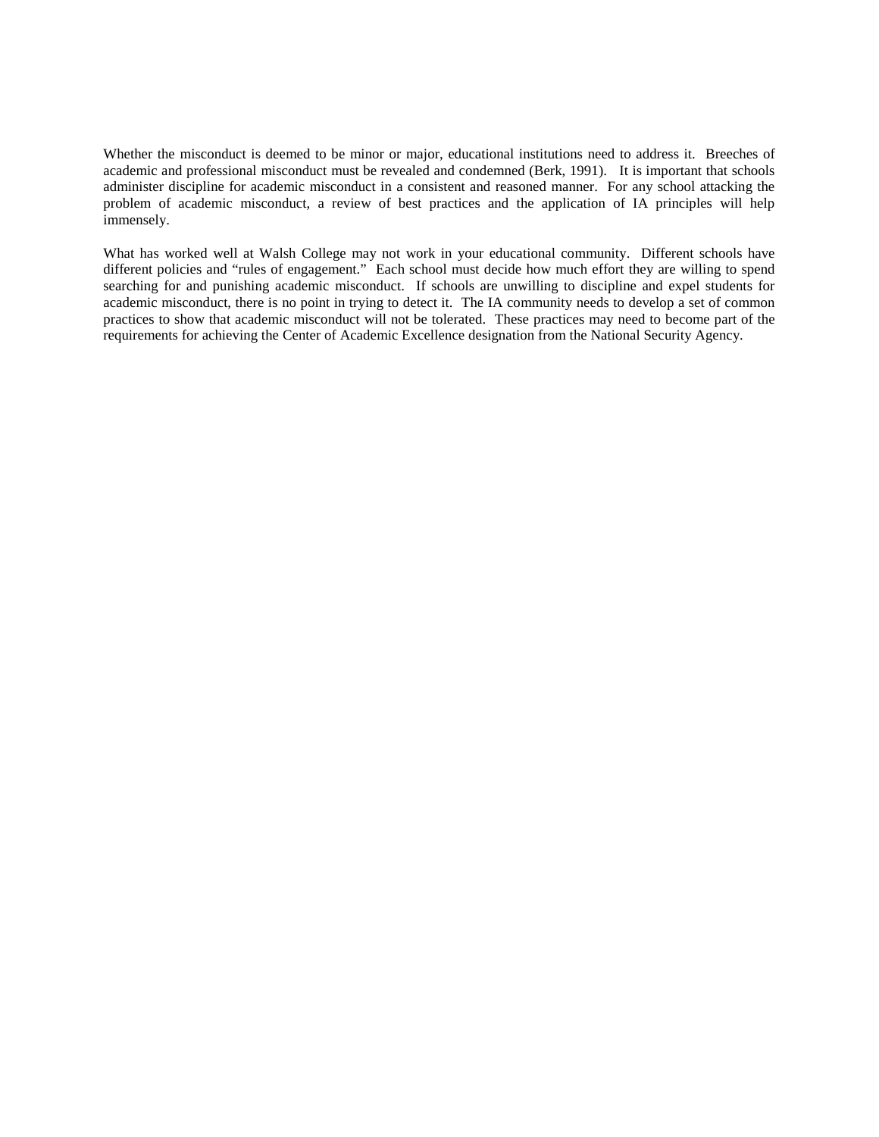Whether the misconduct is deemed to be minor or major, educational institutions need to address it. Breeches of academic and professional misconduct must be revealed and condemned (Berk, 1991). It is important that schools administer discipline for academic misconduct in a consistent and reasoned manner. For any school attacking the problem of academic misconduct, a review of best practices and the application of IA principles will help immensely.

What has worked well at Walsh College may not work in your educational community. Different schools have different policies and "rules of engagement." Each school must decide how much effort they are willing to spend searching for and punishing academic misconduct. If schools are unwilling to discipline and expel students for academic misconduct, there is no point in trying to detect it. The IA community needs to develop a set of common practices to show that academic misconduct will not be tolerated. These practices may need to become part of the requirements for achieving the Center of Academic Excellence designation from the National Security Agency.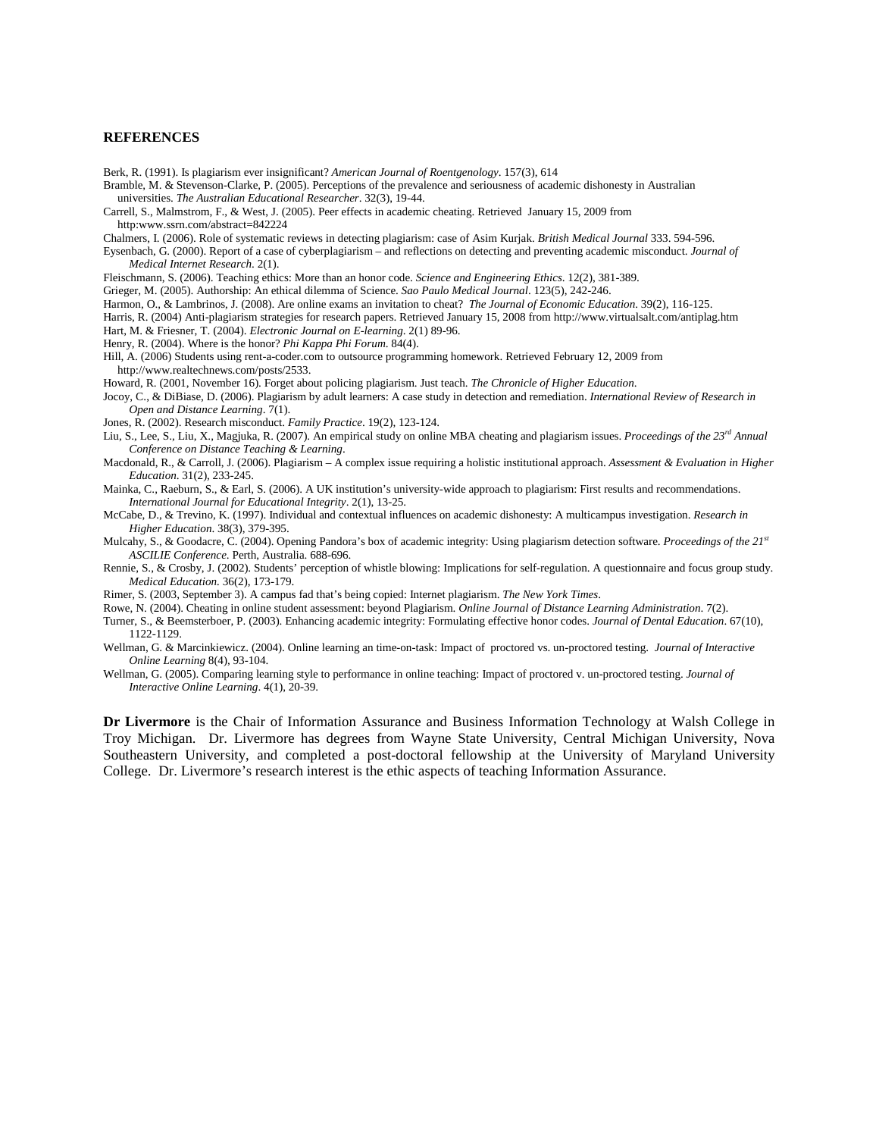#### **REFERENCES**

Berk, R. (1991). Is plagiarism ever insignificant? *American Journal of Roentgenology*. 157(3), 614

Bramble, M. & Stevenson-Clarke, P. (2005). Perceptions of the prevalence and seriousness of academic dishonesty in Australian universities. *The Australian Educational Researcher*. 32(3), 19-44.

Carrell, S., Malmstrom, F., & West, J. (2005). Peer effects in academic cheating. Retrieved January 15, 2009 from http:www.ssrn.com/abstract=842224

Chalmers, I. (2006). Role of systematic reviews in detecting plagiarism: case of Asim Kurjak. *British Medical Journal* 333. 594-596.

Eysenbach, G. (2000). Report of a case of cyberplagiarism – and reflections on detecting and preventing academic misconduct. *Journal of Medical Internet Research*. 2(1).

Fleischmann, S. (2006). Teaching ethics: More than an honor code. *Science and Engineering Ethics*. 12(2), 381-389.

Grieger, M. (2005). Authorship: An ethical dilemma of Science. *Sao Paulo Medical Journal*. 123(5), 242-246.

Harmon, O., & Lambrinos, J. (2008). Are online exams an invitation to cheat? *The Journal of Economic Education*. 39(2), 116-125. Harris, R. (2004) Anti-plagiarism strategies for research papers. Retrieved January 15, 2008 from http://www.virtualsalt.com/antiplag.htm Hart, M. & Friesner, T. (2004). *Electronic Journal on E-learning*. 2(1) 89-96.

Henry, R. (2004). Where is the honor? *Phi Kappa Phi Forum*. 84(4).

Hill, A. (2006) Students using rent-a-coder.com to outsource programming homework. Retrieved February 12, 2009 from http://www.realtechnews.com/posts/2533.

Howard, R. (2001, November 16). Forget about policing plagiarism. Just teach. *The Chronicle of Higher Education*.

Jocoy, C., & DiBiase, D. (2006). Plagiarism by adult learners: A case study in detection and remediation. *International Review of Research in Open and Distance Learning*. 7(1).

Jones, R. (2002). Research misconduct. *Family Practice*. 19(2), 123-124.

Liu, S., Lee, S., Liu, X., Magjuka, R. (2007). An empirical study on online MBA cheating and plagiarism issues. *Proceedings of the 23rd Annual Conference on Distance Teaching & Learning*.

Macdonald, R., & Carroll, J. (2006). Plagiarism – A complex issue requiring a holistic institutional approach. *Assessment & Evaluation in Higher Education*. 31(2), 233-245.

Mainka, C., Raeburn, S., & Earl, S. (2006). A UK institution's university-wide approach to plagiarism: First results and recommendations. *International Journal for Educational Integrity*. 2(1), 13-25.

McCabe, D., & Trevino, K. (1997). Individual and contextual influences on academic dishonesty: A multicampus investigation. *Research in Higher Education*. 38(3), 379-395.

Mulcahy, S., & Goodacre, C. (2004). Opening Pandora's box of academic integrity: Using plagiarism detection software. *Proceedings of the 21st ASCILIE Conference*. Perth, Australia. 688-696.

Rennie, S., & Crosby, J. (2002). Students' perception of whistle blowing: Implications for self-regulation. A questionnaire and focus group study. *Medical Education.* 36(2), 173-179.

Rimer, S. (2003, September 3). A campus fad that's being copied: Internet plagiarism. *The New York Times*.

Rowe, N. (2004). Cheating in online student assessment: beyond Plagiarism. *Online Journal of Distance Learning Administration*. 7(2).

- Turner, S., & Beemsterboer, P. (2003). Enhancing academic integrity: Formulating effective honor codes. *Journal of Dental Education*. 67(10), 1122-1129.
- Wellman, G. & Marcinkiewicz. (2004). Online learning an time-on-task: Impact of proctored vs. un-proctored testing. *Journal of Interactive Online Learning* 8(4), 93-104.

Wellman, G. (2005). Comparing learning style to performance in online teaching: Impact of proctored v. un-proctored testing. *Journal of Interactive Online Learning*. 4(1), 20-39.

**Dr Livermore** is the Chair of Information Assurance and Business Information Technology at Walsh College in Troy Michigan. Dr. Livermore has degrees from Wayne State University, Central Michigan University, Nova Southeastern University, and completed a post-doctoral fellowship at the University of Maryland University College. Dr. Livermore's research interest is the ethic aspects of teaching Information Assurance.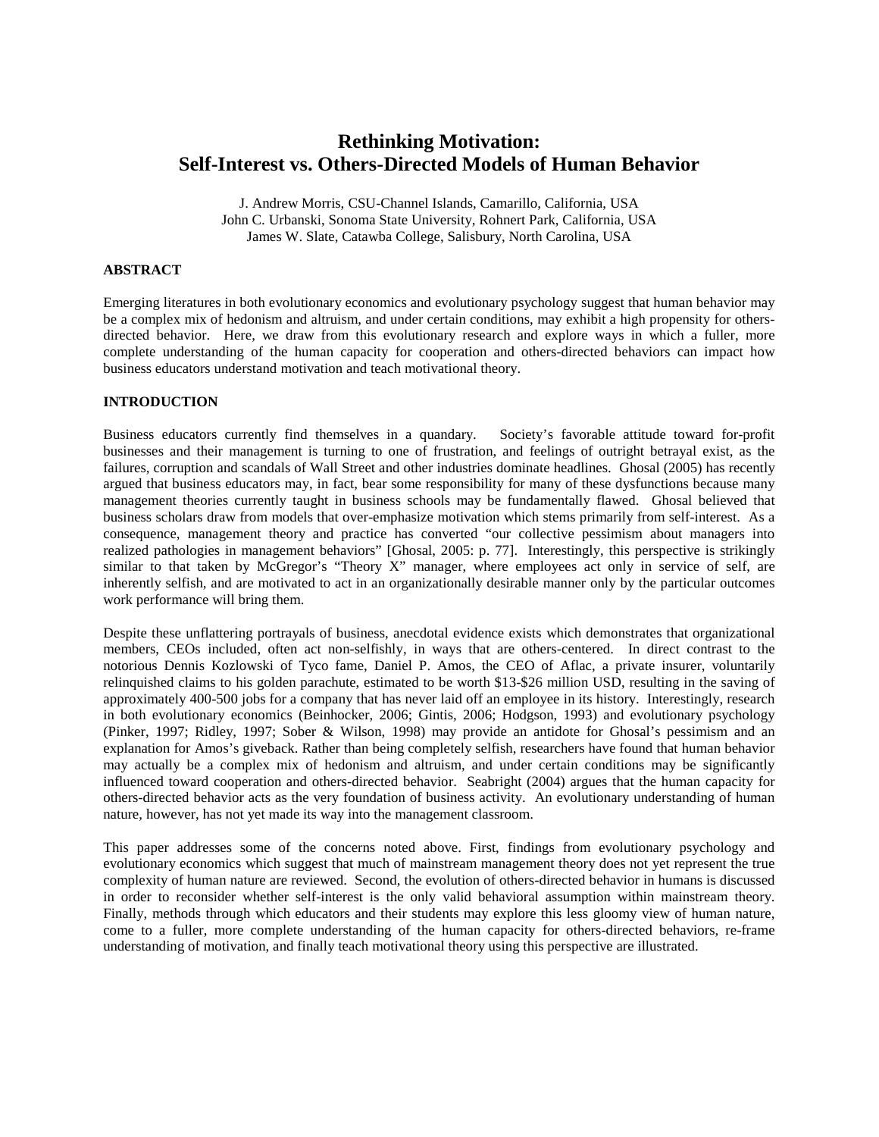# **Rethinking Motivation: Self-Interest vs. Others-Directed Models of Human Behavior**

J. Andrew Morris, CSU-Channel Islands, Camarillo, California, USA John C. Urbanski, Sonoma State University, Rohnert Park, California, USA James W. Slate, Catawba College, Salisbury, North Carolina, USA

## **ABSTRACT**

Emerging literatures in both evolutionary economics and evolutionary psychology suggest that human behavior may be a complex mix of hedonism and altruism, and under certain conditions, may exhibit a high propensity for othersdirected behavior. Here, we draw from this evolutionary research and explore ways in which a fuller, more complete understanding of the human capacity for cooperation and others-directed behaviors can impact how business educators understand motivation and teach motivational theory.

## **INTRODUCTION**

Business educators currently find themselves in a quandary. Society's favorable attitude toward for-profit businesses and their management is turning to one of frustration, and feelings of outright betrayal exist, as the failures, corruption and scandals of Wall Street and other industries dominate headlines. Ghosal (2005) has recently argued that business educators may, in fact, bear some responsibility for many of these dysfunctions because many management theories currently taught in business schools may be fundamentally flawed. Ghosal believed that business scholars draw from models that over-emphasize motivation which stems primarily from self-interest. As a consequence, management theory and practice has converted "our collective pessimism about managers into realized pathologies in management behaviors" [Ghosal, 2005: p. 77]. Interestingly, this perspective is strikingly similar to that taken by McGregor's "Theory X" manager, where employees act only in service of self, are inherently selfish, and are motivated to act in an organizationally desirable manner only by the particular outcomes work performance will bring them.

Despite these unflattering portrayals of business, anecdotal evidence exists which demonstrates that organizational members, CEOs included, often act non-selfishly, in ways that are others-centered. In direct contrast to the notorious Dennis Kozlowski of Tyco fame, Daniel P. Amos, the CEO of Aflac, a private insurer, voluntarily relinquished claims to his golden parachute, estimated to be worth \$13-\$26 million USD, resulting in the saving of approximately 400-500 jobs for a company that has never laid off an employee in its history. Interestingly, research in both evolutionary economics (Beinhocker, 2006; Gintis, 2006; Hodgson, 1993) and evolutionary psychology (Pinker, 1997; Ridley, 1997; Sober & Wilson, 1998) may provide an antidote for Ghosal's pessimism and an explanation for Amos's giveback. Rather than being completely selfish, researchers have found that human behavior may actually be a complex mix of hedonism and altruism, and under certain conditions may be significantly influenced toward cooperation and others-directed behavior. Seabright (2004) argues that the human capacity for others-directed behavior acts as the very foundation of business activity. An evolutionary understanding of human nature, however, has not yet made its way into the management classroom.

This paper addresses some of the concerns noted above. First, findings from evolutionary psychology and evolutionary economics which suggest that much of mainstream management theory does not yet represent the true complexity of human nature are reviewed. Second, the evolution of others-directed behavior in humans is discussed in order to reconsider whether self-interest is the only valid behavioral assumption within mainstream theory. Finally, methods through which educators and their students may explore this less gloomy view of human nature, come to a fuller, more complete understanding of the human capacity for others-directed behaviors, re-frame understanding of motivation, and finally teach motivational theory using this perspective are illustrated.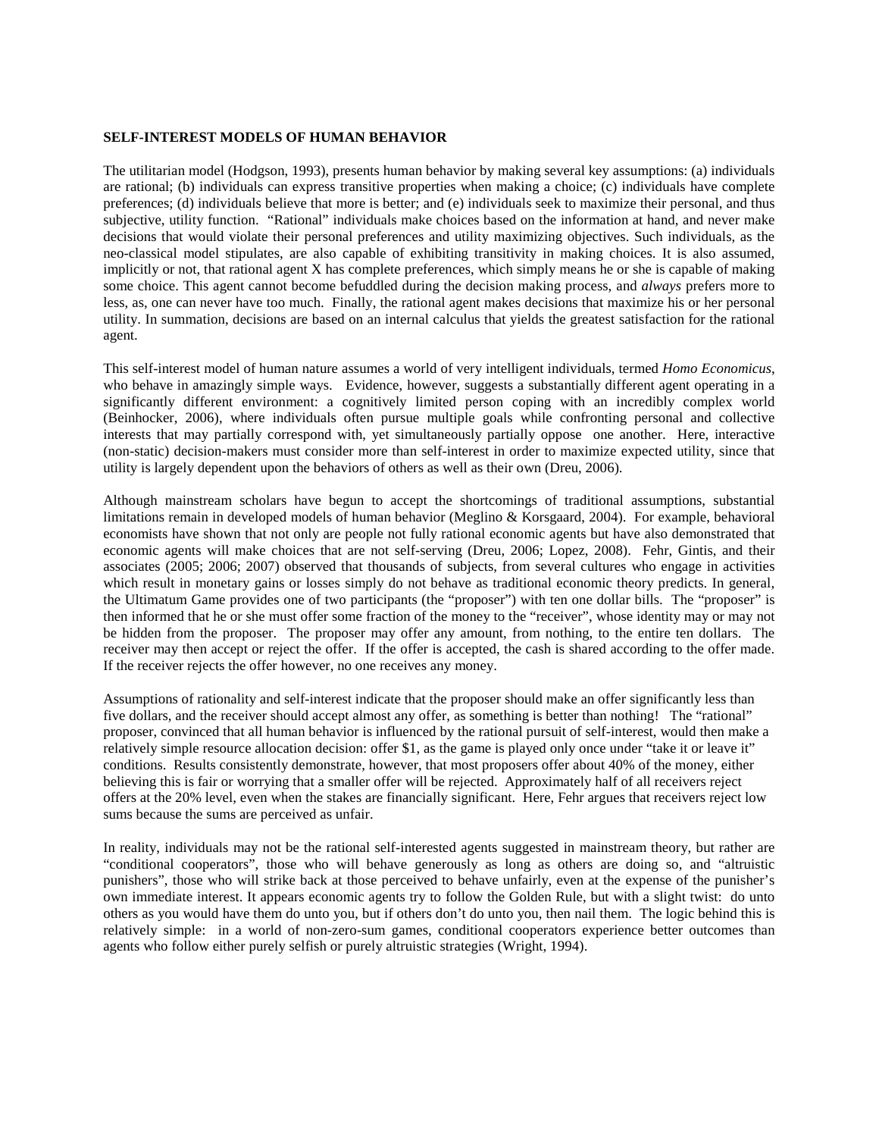#### **SELF-INTEREST MODELS OF HUMAN BEHAVIOR**

The utilitarian model (Hodgson, 1993), presents human behavior by making several key assumptions: (a) individuals are rational; (b) individuals can express transitive properties when making a choice; (c) individuals have complete preferences; (d) individuals believe that more is better; and (e) individuals seek to maximize their personal, and thus subjective, utility function. "Rational" individuals make choices based on the information at hand, and never make decisions that would violate their personal preferences and utility maximizing objectives. Such individuals, as the neo-classical model stipulates, are also capable of exhibiting transitivity in making choices. It is also assumed, implicitly or not, that rational agent X has complete preferences, which simply means he or she is capable of making some choice. This agent cannot become befuddled during the decision making process, and *always* prefers more to less, as, one can never have too much. Finally, the rational agent makes decisions that maximize his or her personal utility. In summation, decisions are based on an internal calculus that yields the greatest satisfaction for the rational agent.

This self-interest model of human nature assumes a world of very intelligent individuals, termed *Homo Economicus*, who behave in amazingly simple ways. Evidence, however, suggests a substantially different agent operating in a significantly different environment: a cognitively limited person coping with an incredibly complex world (Beinhocker, 2006), where individuals often pursue multiple goals while confronting personal and collective interests that may partially correspond with, yet simultaneously partially oppose one another. Here, interactive (non-static) decision-makers must consider more than self-interest in order to maximize expected utility, since that utility is largely dependent upon the behaviors of others as well as their own (Dreu, 2006).

Although mainstream scholars have begun to accept the shortcomings of traditional assumptions, substantial limitations remain in developed models of human behavior (Meglino & Korsgaard, 2004). For example, behavioral economists have shown that not only are people not fully rational economic agents but have also demonstrated that economic agents will make choices that are not self-serving (Dreu, 2006; Lopez, 2008). Fehr, Gintis, and their associates (2005; 2006; 2007) observed that thousands of subjects, from several cultures who engage in activities which result in monetary gains or losses simply do not behave as traditional economic theory predicts. In general, the Ultimatum Game provides one of two participants (the "proposer") with ten one dollar bills. The "proposer" is then informed that he or she must offer some fraction of the money to the "receiver", whose identity may or may not be hidden from the proposer. The proposer may offer any amount, from nothing, to the entire ten dollars. The receiver may then accept or reject the offer. If the offer is accepted, the cash is shared according to the offer made. If the receiver rejects the offer however, no one receives any money.

Assumptions of rationality and self-interest indicate that the proposer should make an offer significantly less than five dollars, and the receiver should accept almost any offer, as something is better than nothing! The "rational" proposer, convinced that all human behavior is influenced by the rational pursuit of self-interest, would then make a relatively simple resource allocation decision: offer \$1, as the game is played only once under "take it or leave it" conditions. Results consistently demonstrate, however, that most proposers offer about 40% of the money, either believing this is fair or worrying that a smaller offer will be rejected. Approximately half of all receivers reject offers at the 20% level, even when the stakes are financially significant. Here, Fehr argues that receivers reject low sums because the sums are perceived as unfair.

In reality, individuals may not be the rational self-interested agents suggested in mainstream theory, but rather are "conditional cooperators", those who will behave generously as long as others are doing so, and "altruistic punishers", those who will strike back at those perceived to behave unfairly, even at the expense of the punisher's own immediate interest. It appears economic agents try to follow the Golden Rule, but with a slight twist: do unto others as you would have them do unto you, but if others don't do unto you, then nail them. The logic behind this is relatively simple: in a world of non-zero-sum games, conditional cooperators experience better outcomes than agents who follow either purely selfish or purely altruistic strategies (Wright, 1994).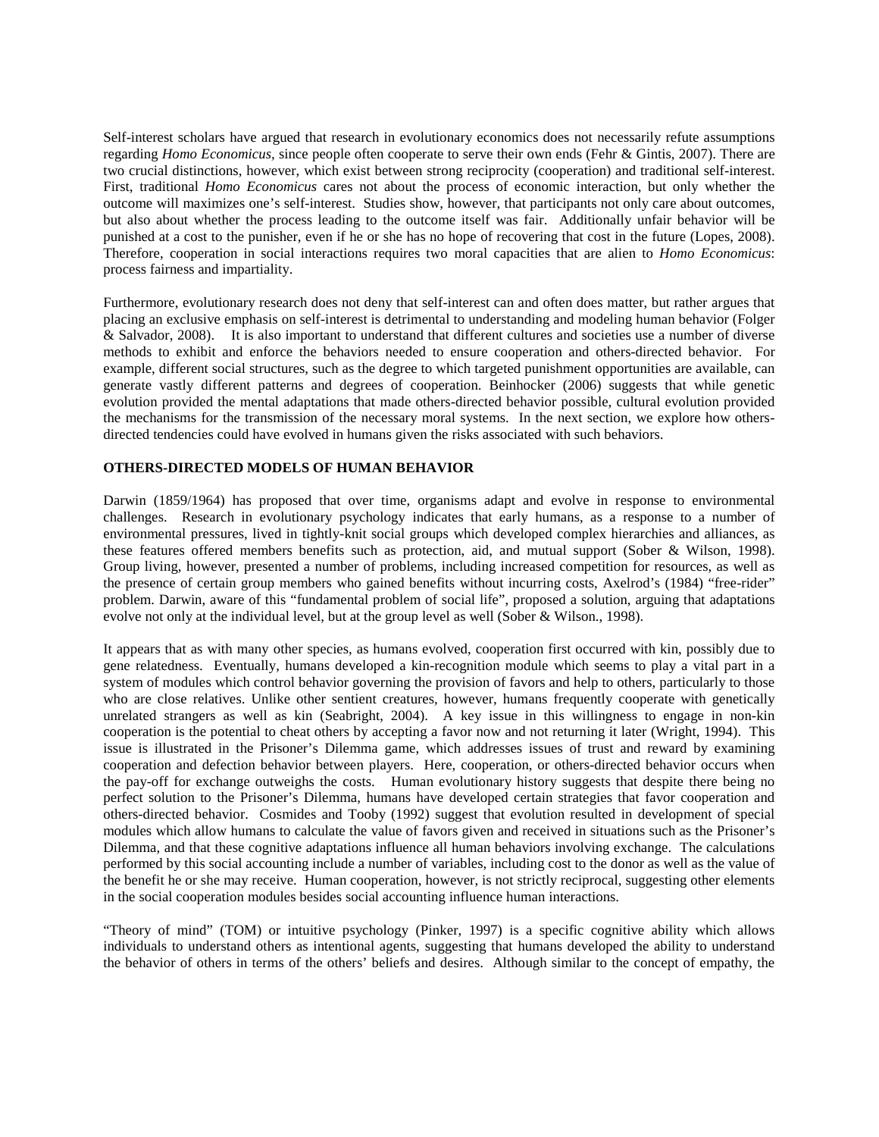Self-interest scholars have argued that research in evolutionary economics does not necessarily refute assumptions regarding *Homo Economicus,* since people often cooperate to serve their own ends (Fehr & Gintis, 2007). There are two crucial distinctions, however, which exist between strong reciprocity (cooperation) and traditional self-interest. First, traditional *Homo Economicus* cares not about the process of economic interaction, but only whether the outcome will maximizes one's self-interest. Studies show, however, that participants not only care about outcomes, but also about whether the process leading to the outcome itself was fair. Additionally unfair behavior will be punished at a cost to the punisher, even if he or she has no hope of recovering that cost in the future (Lopes, 2008). Therefore, cooperation in social interactions requires two moral capacities that are alien to *Homo Economicus*: process fairness and impartiality.

Furthermore, evolutionary research does not deny that self-interest can and often does matter, but rather argues that placing an exclusive emphasis on self-interest is detrimental to understanding and modeling human behavior (Folger & Salvador, 2008). It is also important to understand that different cultures and societies use a number of diverse methods to exhibit and enforce the behaviors needed to ensure cooperation and others-directed behavior. For example, different social structures, such as the degree to which targeted punishment opportunities are available, can generate vastly different patterns and degrees of cooperation. Beinhocker (2006) suggests that while genetic evolution provided the mental adaptations that made others-directed behavior possible, cultural evolution provided the mechanisms for the transmission of the necessary moral systems. In the next section, we explore how othersdirected tendencies could have evolved in humans given the risks associated with such behaviors.

## **OTHERS-DIRECTED MODELS OF HUMAN BEHAVIOR**

Darwin (1859/1964) has proposed that over time, organisms adapt and evolve in response to environmental challenges. Research in evolutionary psychology indicates that early humans, as a response to a number of environmental pressures, lived in tightly-knit social groups which developed complex hierarchies and alliances, as these features offered members benefits such as protection, aid, and mutual support (Sober & Wilson, 1998). Group living, however, presented a number of problems, including increased competition for resources, as well as the presence of certain group members who gained benefits without incurring costs, Axelrod's (1984) "free-rider" problem. Darwin, aware of this "fundamental problem of social life", proposed a solution, arguing that adaptations evolve not only at the individual level, but at the group level as well (Sober & Wilson., 1998).

It appears that as with many other species, as humans evolved, cooperation first occurred with kin, possibly due to gene relatedness. Eventually, humans developed a kin-recognition module which seems to play a vital part in a system of modules which control behavior governing the provision of favors and help to others, particularly to those who are close relatives. Unlike other sentient creatures, however, humans frequently cooperate with genetically unrelated strangers as well as kin (Seabright, 2004). A key issue in this willingness to engage in non-kin cooperation is the potential to cheat others by accepting a favor now and not returning it later (Wright, 1994). This issue is illustrated in the Prisoner's Dilemma game, which addresses issues of trust and reward by examining cooperation and defection behavior between players. Here, cooperation, or others-directed behavior occurs when the pay-off for exchange outweighs the costs. Human evolutionary history suggests that despite there being no perfect solution to the Prisoner's Dilemma, humans have developed certain strategies that favor cooperation and others-directed behavior. Cosmides and Tooby (1992) suggest that evolution resulted in development of special modules which allow humans to calculate the value of favors given and received in situations such as the Prisoner's Dilemma, and that these cognitive adaptations influence all human behaviors involving exchange. The calculations performed by this social accounting include a number of variables, including cost to the donor as well as the value of the benefit he or she may receive. Human cooperation, however, is not strictly reciprocal, suggesting other elements in the social cooperation modules besides social accounting influence human interactions.

"Theory of mind" (TOM) or intuitive psychology (Pinker, 1997) is a specific cognitive ability which allows individuals to understand others as intentional agents, suggesting that humans developed the ability to understand the behavior of others in terms of the others' beliefs and desires. Although similar to the concept of empathy, the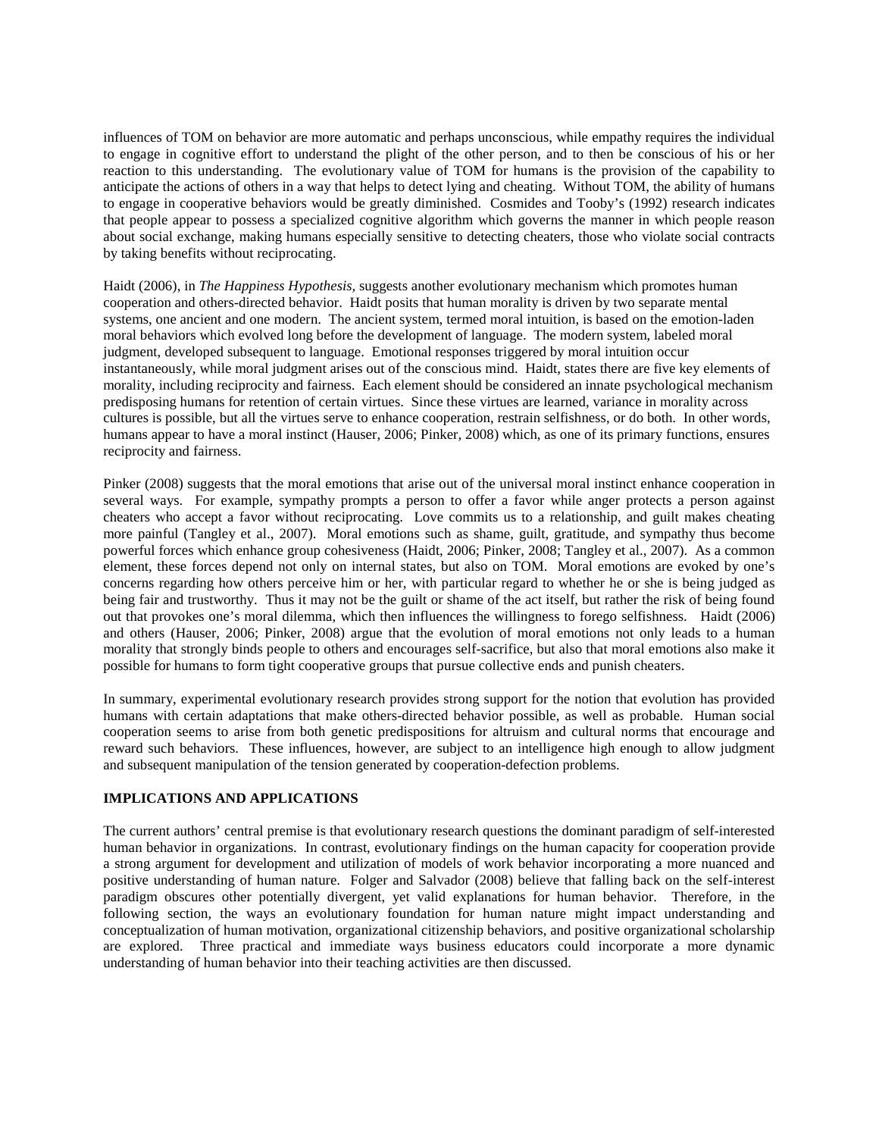influences of TOM on behavior are more automatic and perhaps unconscious, while empathy requires the individual to engage in cognitive effort to understand the plight of the other person, and to then be conscious of his or her reaction to this understanding. The evolutionary value of TOM for humans is the provision of the capability to anticipate the actions of others in a way that helps to detect lying and cheating. Without TOM, the ability of humans to engage in cooperative behaviors would be greatly diminished. Cosmides and Tooby's (1992) research indicates that people appear to possess a specialized cognitive algorithm which governs the manner in which people reason about social exchange, making humans especially sensitive to detecting cheaters, those who violate social contracts by taking benefits without reciprocating.

Haidt (2006), in *The Happiness Hypothesis,* suggests another evolutionary mechanism which promotes human cooperation and others-directed behavior. Haidt posits that human morality is driven by two separate mental systems, one ancient and one modern. The ancient system, termed moral intuition, is based on the emotion-laden moral behaviors which evolved long before the development of language. The modern system, labeled moral judgment, developed subsequent to language. Emotional responses triggered by moral intuition occur instantaneously, while moral judgment arises out of the conscious mind. Haidt, states there are five key elements of morality, including reciprocity and fairness. Each element should be considered an innate psychological mechanism predisposing humans for retention of certain virtues. Since these virtues are learned, variance in morality across cultures is possible, but all the virtues serve to enhance cooperation, restrain selfishness, or do both. In other words, humans appear to have a moral instinct (Hauser, 2006; Pinker, 2008) which, as one of its primary functions, ensures reciprocity and fairness.

Pinker (2008) suggests that the moral emotions that arise out of the universal moral instinct enhance cooperation in several ways. For example, sympathy prompts a person to offer a favor while anger protects a person against cheaters who accept a favor without reciprocating. Love commits us to a relationship, and guilt makes cheating more painful (Tangley et al., 2007). Moral emotions such as shame, guilt, gratitude, and sympathy thus become powerful forces which enhance group cohesiveness (Haidt, 2006; Pinker, 2008; Tangley et al., 2007). As a common element, these forces depend not only on internal states, but also on TOM. Moral emotions are evoked by one's concerns regarding how others perceive him or her, with particular regard to whether he or she is being judged as being fair and trustworthy. Thus it may not be the guilt or shame of the act itself, but rather the risk of being found out that provokes one's moral dilemma, which then influences the willingness to forego selfishness. Haidt (2006) and others (Hauser, 2006; Pinker, 2008) argue that the evolution of moral emotions not only leads to a human morality that strongly binds people to others and encourages self-sacrifice, but also that moral emotions also make it possible for humans to form tight cooperative groups that pursue collective ends and punish cheaters.

In summary, experimental evolutionary research provides strong support for the notion that evolution has provided humans with certain adaptations that make others-directed behavior possible, as well as probable. Human social cooperation seems to arise from both genetic predispositions for altruism and cultural norms that encourage and reward such behaviors. These influences, however, are subject to an intelligence high enough to allow judgment and subsequent manipulation of the tension generated by cooperation-defection problems.

## **IMPLICATIONS AND APPLICATIONS**

The current authors' central premise is that evolutionary research questions the dominant paradigm of self-interested human behavior in organizations. In contrast, evolutionary findings on the human capacity for cooperation provide a strong argument for development and utilization of models of work behavior incorporating a more nuanced and positive understanding of human nature. Folger and Salvador (2008) believe that falling back on the self-interest paradigm obscures other potentially divergent, yet valid explanations for human behavior. Therefore, in the following section, the ways an evolutionary foundation for human nature might impact understanding and conceptualization of human motivation, organizational citizenship behaviors, and positive organizational scholarship are explored. Three practical and immediate ways business educators could incorporate a more dynamic understanding of human behavior into their teaching activities are then discussed.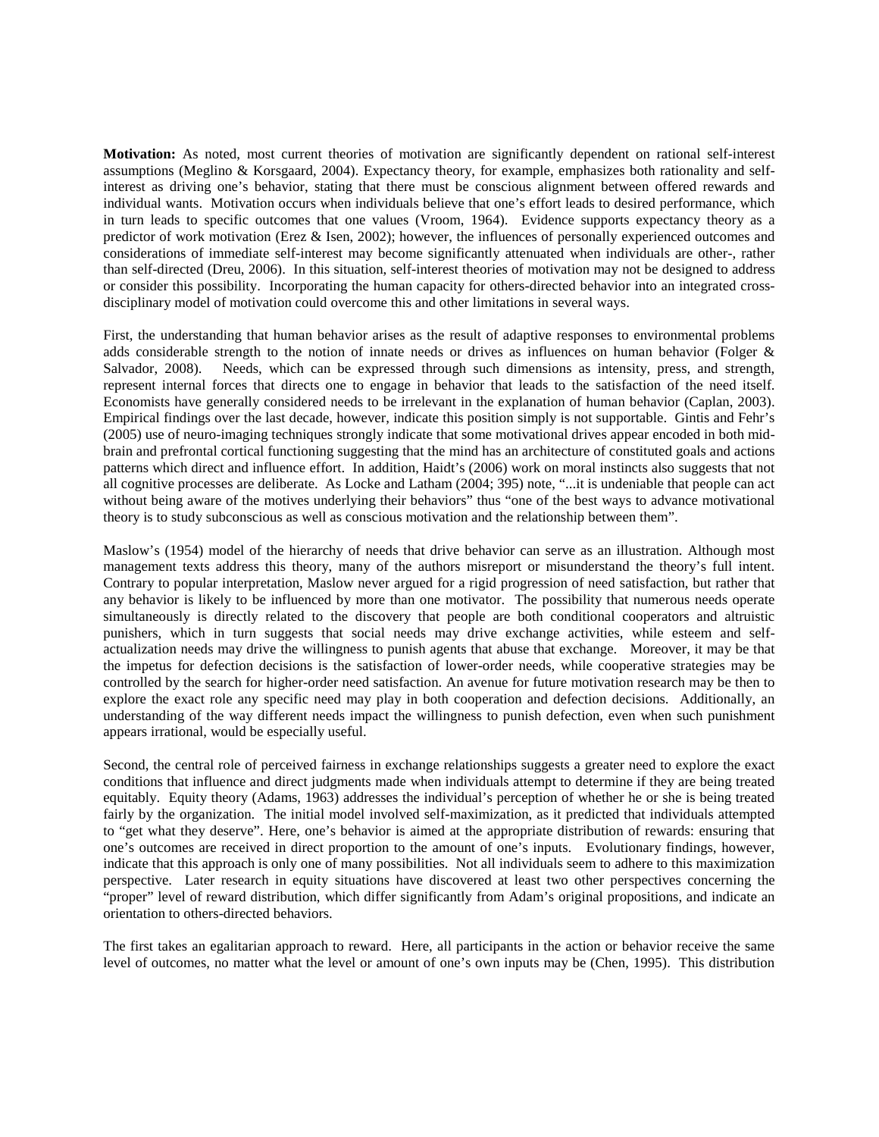**Motivation:** As noted, most current theories of motivation are significantly dependent on rational self-interest assumptions (Meglino & Korsgaard, 2004). Expectancy theory, for example, emphasizes both rationality and selfinterest as driving one's behavior, stating that there must be conscious alignment between offered rewards and individual wants. Motivation occurs when individuals believe that one's effort leads to desired performance, which in turn leads to specific outcomes that one values (Vroom, 1964). Evidence supports expectancy theory as a predictor of work motivation (Erez & Isen, 2002); however, the influences of personally experienced outcomes and considerations of immediate self-interest may become significantly attenuated when individuals are other-, rather than self-directed (Dreu, 2006). In this situation, self-interest theories of motivation may not be designed to address or consider this possibility. Incorporating the human capacity for others-directed behavior into an integrated crossdisciplinary model of motivation could overcome this and other limitations in several ways.

First, the understanding that human behavior arises as the result of adaptive responses to environmental problems adds considerable strength to the notion of innate needs or drives as influences on human behavior (Folger & Salvador, 2008). Needs, which can be expressed through such dimensions as intensity, press, and strength, represent internal forces that directs one to engage in behavior that leads to the satisfaction of the need itself. Economists have generally considered needs to be irrelevant in the explanation of human behavior (Caplan, 2003). Empirical findings over the last decade, however, indicate this position simply is not supportable. Gintis and Fehr's (2005) use of neuro-imaging techniques strongly indicate that some motivational drives appear encoded in both midbrain and prefrontal cortical functioning suggesting that the mind has an architecture of constituted goals and actions patterns which direct and influence effort. In addition, Haidt's (2006) work on moral instincts also suggests that not all cognitive processes are deliberate. As Locke and Latham (2004; 395) note, "...it is undeniable that people can act an edginate processes are denotions. The motive and natural control of the best ways to advance motivational without being aware of the motives underlying their behaviors" thus "one of the best ways to advance motivational theory is to study subconscious as well as conscious motivation and the relationship between them".

Maslow's (1954) model of the hierarchy of needs that drive behavior can serve as an illustration. Although most management texts address this theory, many of the authors misreport or misunderstand the theory's full intent. Contrary to popular interpretation, Maslow never argued for a rigid progression of need satisfaction, but rather that any behavior is likely to be influenced by more than one motivator. The possibility that numerous needs operate simultaneously is directly related to the discovery that people are both conditional cooperators and altruistic punishers, which in turn suggests that social needs may drive exchange activities, while esteem and selfactualization needs may drive the willingness to punish agents that abuse that exchange. Moreover, it may be that the impetus for defection decisions is the satisfaction of lower-order needs, while cooperative strategies may be controlled by the search for higher-order need satisfaction. An avenue for future motivation research may be then to explore the exact role any specific need may play in both cooperation and defection decisions. Additionally, an understanding of the way different needs impact the willingness to punish defection, even when such punishment appears irrational, would be especially useful.

Second, the central role of perceived fairness in exchange relationships suggests a greater need to explore the exact conditions that influence and direct judgments made when individuals attempt to determine if they are being treated equitably. Equity theory (Adams, 1963) addresses the individual's perception of whether he or she is being treated fairly by the organization. The initial model involved self-maximization, as it predicted that individuals attempted to "get what they deserve". Here, one's behavior is aimed at the appropriate distribution of rewards: ensuring that one's outcomes are received in direct proportion to the amount of one's inputs. Evolutionary findings, however, indicate that this approach is only one of many possibilities. Not all individuals seem to adhere to this maximization perspective. Later research in equity situations have discovered at least two other perspectives concerning the "proper" level of reward distribution, which differ significantly from Adam's original propositions, and indicate an orientation to others-directed behaviors.

The first takes an egalitarian approach to reward. Here, all participants in the action or behavior receive the same level of outcomes, no matter what the level or amount of one's own inputs may be (Chen, 1995). This distribution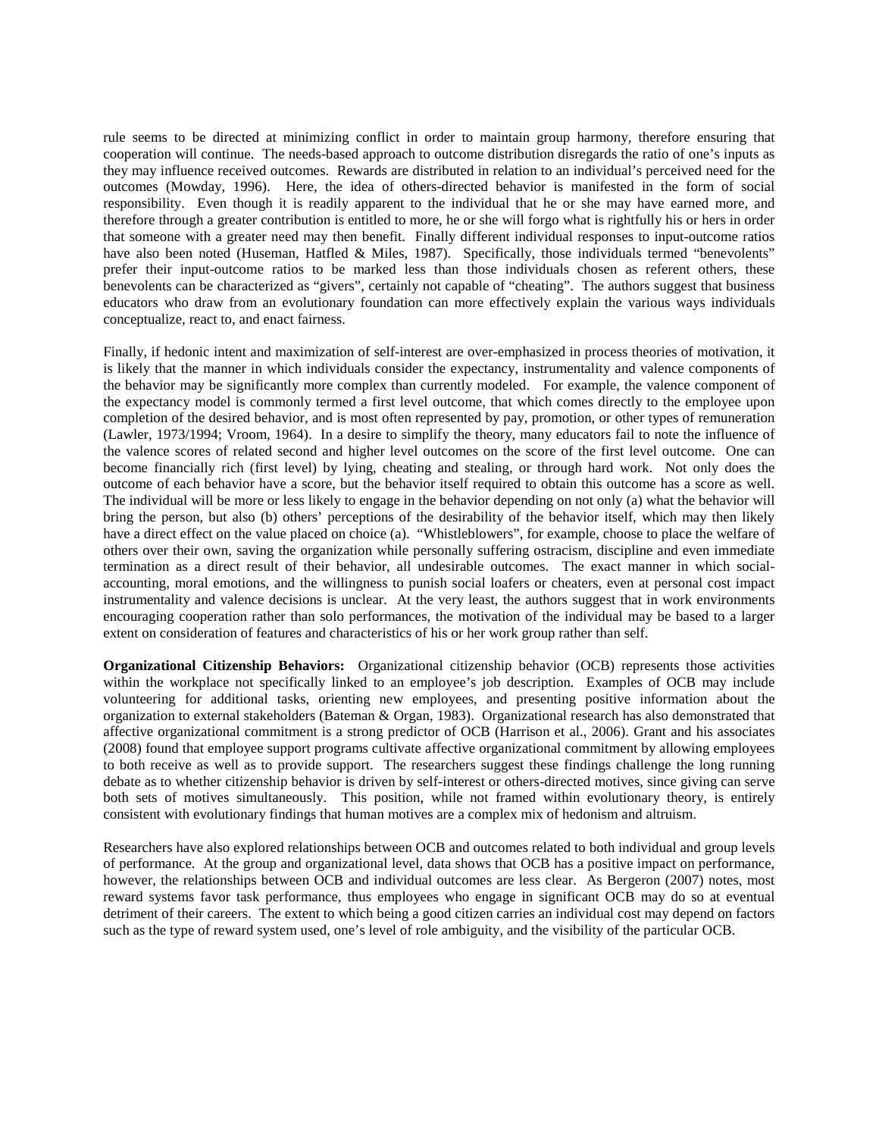rule seems to be directed at minimizing conflict in order to maintain group harmony, therefore ensuring that cooperation will continue. The needs-based approach to outcome distribution disregards the ratio of one's inputs as they may influence received outcomes. Rewards are distributed in relation to an individual's perceived need for the outcomes (Mowday, 1996). Here, the idea of others-directed behavior is manifested in the form of social responsibility. Even though it is readily apparent to the individual that he or she may have earned more, and therefore through a greater contribution is entitled to more, he or she will forgo what is rightfully his or hers in order that someone with a greater need may then benefit. Finally different individual responses to input-outcome ratios have also been noted (Huseman, Hatfled & Miles, 1987). Specifically, those individuals termed "benevolents" prefer their input-outcome ratios to be marked less than those individuals chosen as referent others, these benevolents can be characterized as "givers", certainly not capable of "cheating". The authors suggest that business educators who draw from an evolutionary foundation can more effectively explain the various ways individuals conceptualize, react to, and enact fairness.

Finally, if hedonic intent and maximization of self-interest are over-emphasized in process theories of motivation, it is likely that the manner in which individuals consider the expectancy, instrumentality and valence components of the behavior may be significantly more complex than currently modeled. For example, the valence component of the expectancy model is commonly termed a first level outcome, that which comes directly to the employee upon completion of the desired behavior, and is most often represented by pay, promotion, or other types of remuneration (Lawler, 1973/1994; Vroom, 1964). In a desire to simplify the theory, many educators fail to note the influence of the valence scores of related second and higher level outcomes on the score of the first level outcome. One can become financially rich (first level) by lying, cheating and stealing, or through hard work. Not only does the outcome of each behavior have a score, but the behavior itself required to obtain this outcome has a score as well. The individual will be more or less likely to engage in the behavior depending on not only (a) what the behavior will bring the person, but also (b) others' perceptions of the desirability of the behavior itself, which may then likely have a direct effect on the value placed on choice (a). "Whistleblowers", for example, choose to place the welfare of others over their own, saving the organization while personally suffering ostracism, discipline and even immediate termination as a direct result of their behavior, all undesirable outcomes. The exact manner in which socialaccounting, moral emotions, and the willingness to punish social loafers or cheaters, even at personal cost impact instrumentality and valence decisions is unclear. At the very least, the authors suggest that in work environments encouraging cooperation rather than solo performances, the motivation of the individual may be based to a larger extent on consideration of features and characteristics of his or her work group rather than self.

**Organizational Citizenship Behaviors:** Organizational citizenship behavior (OCB) represents those activities within the workplace not specifically linked to an employee's job description. Examples of OCB may include volunteering for additional tasks, orienting new employees, and presenting positive information about the organization to external stakeholders (Bateman & Organ, 1983). Organizational research has also demonstrated that affective organizational commitment is a strong predictor of OCB (Harrison et al., 2006). Grant and his associates (2008) found that employee support programs cultivate affective organizational commitment by allowing employees to both receive as well as to provide support. The researchers suggest these findings challenge the long running debate as to whether citizenship behavior is driven by self-interest or others-directed motives, since giving can serve both sets of motives simultaneously. This position, while not framed within evolutionary theory, is entirely consistent with evolutionary findings that human motives are a complex mix of hedonism and altruism.

Researchers have also explored relationships between OCB and outcomes related to both individual and group levels of performance. At the group and organizational level, data shows that OCB has a positive impact on performance, however, the relationships between OCB and individual outcomes are less clear. As Bergeron (2007) notes, most reward systems favor task performance, thus employees who engage in significant OCB may do so at eventual detriment of their careers. The extent to which being a good citizen carries an individual cost may depend on factors such as the type of reward system used, one's level of role ambiguity, and the visibility of the particular OCB.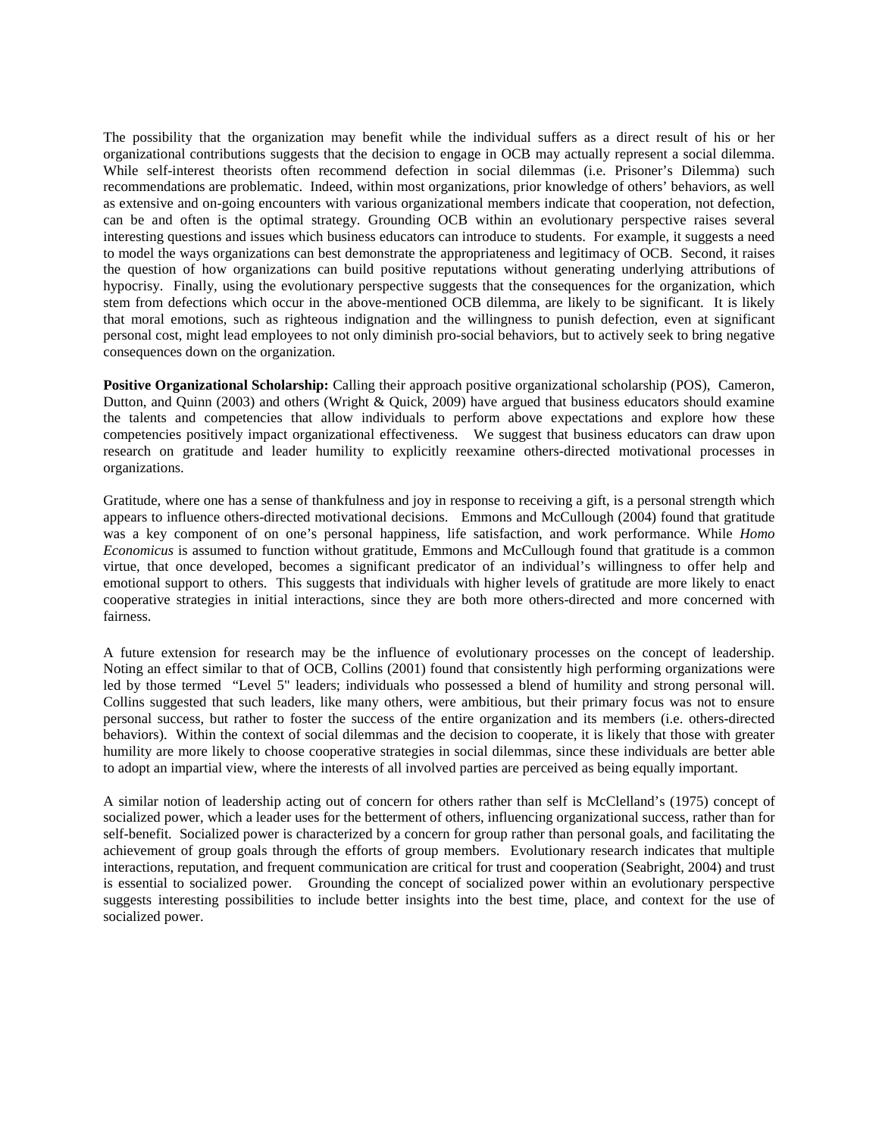The possibility that the organization may benefit while the individual suffers as a direct result of his or her organizational contributions suggests that the decision to engage in OCB may actually represent a social dilemma. While self-interest theorists often recommend defection in social dilemmas (i.e. Prisoner's Dilemma) such recommendations are problematic. Indeed, within most organizations, prior knowledge of others' behaviors, as well as extensive and on-going encounters with various organizational members indicate that cooperation, not defection, can be and often is the optimal strategy. Grounding OCB within an evolutionary perspective raises several interesting questions and issues which business educators can introduce to students. For example, it suggests a need to model the ways organizations can best demonstrate the appropriateness and legitimacy of OCB. Second, it raises the question of how organizations can build positive reputations without generating underlying attributions of hypocrisy. Finally, using the evolutionary perspective suggests that the consequences for the organization, which stem from defections which occur in the above-mentioned OCB dilemma, are likely to be significant. It is likely that moral emotions, such as righteous indignation and the willingness to punish defection, even at significant personal cost, might lead employees to not only diminish pro-social behaviors, but to actively seek to bring negative consequences down on the organization.

**Positive Organizational Scholarship:** Calling their approach positive organizational scholarship (POS), Cameron, Dutton, and Quinn (2003) and others (Wright & Quick, 2009) have argued that business educators should examine the talents and competencies that allow individuals to perform above expectations and explore how these competencies positively impact organizational effectiveness. We suggest that business educators can draw upon research on gratitude and leader humility to explicitly reexamine others-directed motivational processes in organizations.

Gratitude, where one has a sense of thankfulness and joy in response to receiving a gift, is a personal strength which appears to influence others-directed motivational decisions. Emmons and McCullough (2004) found that gratitude was a key component of on one's personal happiness, life satisfaction, and work performance. While *Homo Economicus* is assumed to function without gratitude, Emmons and McCullough found that gratitude is a common virtue, that once developed, becomes a significant predicator of an individual's willingness to offer help and emotional support to others. This suggests that individuals with higher levels of gratitude are more likely to enact cooperative strategies in initial interactions, since they are both more others-directed and more concerned with fairness.

A future extension for research may be the influence of evolutionary processes on the concept of leadership. Noting an effect similar to that of OCB, Collins (2001) found that consistently high performing organizations were led by those termed "Level 5" leaders; individuals who possessed a blend of humility and strong personal will. Collins suggested that such leaders, like many others, were ambitious, but their primary focus was not to ensure personal success, but rather to foster the success of the entire organization and its members (i.e. others-directed behaviors). Within the context of social dilemmas and the decision to cooperate, it is likely that those with greater humility are more likely to choose cooperative strategies in social dilemmas, since these individuals are better able to adopt an impartial view, where the interests of all involved parties are perceived as being equally important.

A similar notion of leadership acting out of concern for others rather than self is McClelland's (1975) concept of socialized power, which a leader uses for the betterment of others, influencing organizational success, rather than for self-benefit. Socialized power is characterized by a concern for group rather than personal goals, and facilitating the achievement of group goals through the efforts of group members. Evolutionary research indicates that multiple interactions, reputation, and frequent communication are critical for trust and cooperation (Seabright, 2004) and trust is essential to socialized power. Grounding the concept of socialized power within an evolutionary perspective suggests interesting possibilities to include better insights into the best time, place, and context for the use of socialized power.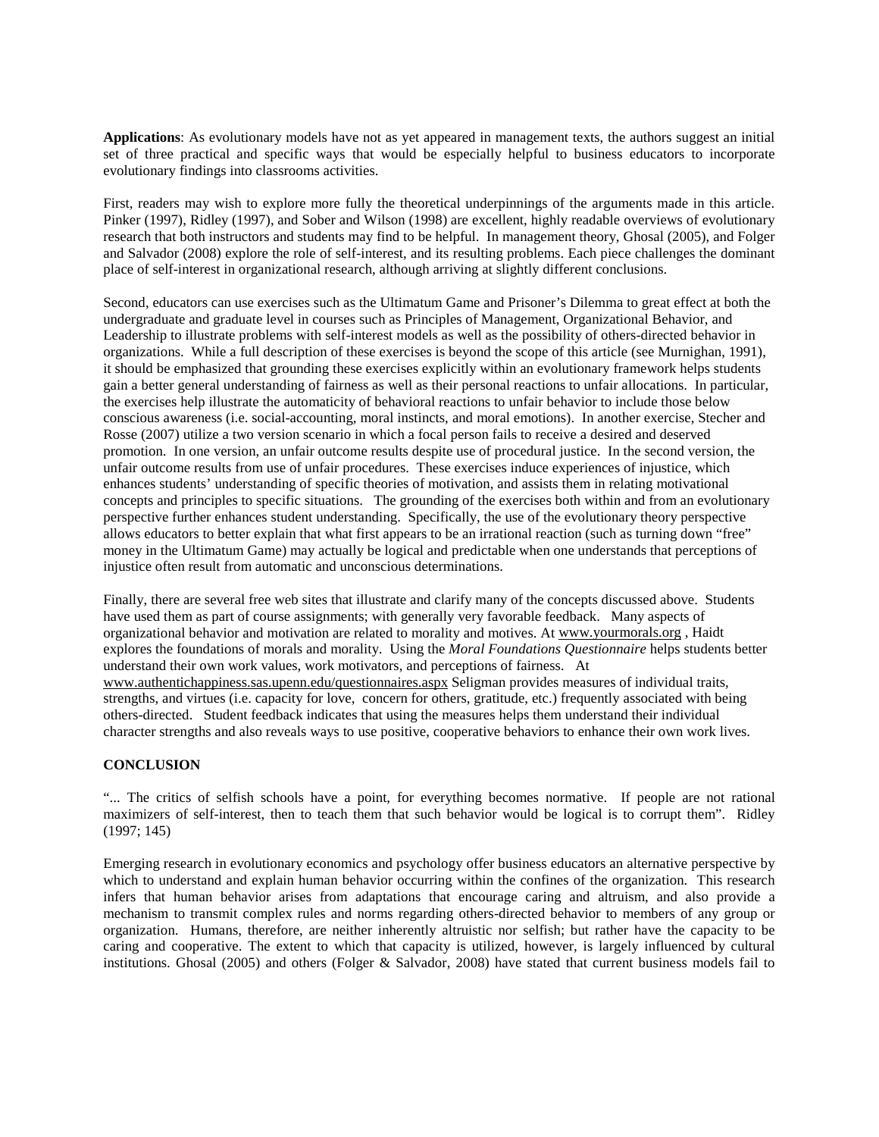**Applications**: As evolutionary models have not as yet appeared in management texts, the authors suggest an initial set of three practical and specific ways that would be especially helpful to business educators to incorporate evolutionary findings into classrooms activities.

First, readers may wish to explore more fully the theoretical underpinnings of the arguments made in this article. Pinker (1997), Ridley (1997), and Sober and Wilson (1998) are excellent, highly readable overviews of evolutionary research that both instructors and students may find to be helpful. In management theory, Ghosal (2005), and Folger and Salvador (2008) explore the role of self-interest, and its resulting problems. Each piece challenges the dominant place of self-interest in organizational research, although arriving at slightly different conclusions.

Second, educators can use exercises such as the Ultimatum Game and Prisoner's Dilemma to great effect at both the undergraduate and graduate level in courses such as Principles of Management, Organizational Behavior, and Leadership to illustrate problems with self-interest models as well as the possibility of others-directed behavior in organizations. While a full description of these exercises is beyond the scope of this article (see Murnighan, 1991), it should be emphasized that grounding these exercises explicitly within an evolutionary framework helps students gain a better general understanding of fairness as well as their personal reactions to unfair allocations. In particular, the exercises help illustrate the automaticity of behavioral reactions to unfair behavior to include those below conscious awareness (i.e. social-accounting, moral instincts, and moral emotions). In another exercise, Stecher and Rosse (2007) utilize a two version scenario in which a focal person fails to receive a desired and deserved promotion. In one version, an unfair outcome results despite use of procedural justice. In the second version, the unfair outcome results from use of unfair procedures. These exercises induce experiences of injustice, which enhances students' understanding of specific theories of motivation, and assists them in relating motivational concepts and principles to specific situations. The grounding of the exercises both within and from an evolutionary perspective further enhances student understanding. Specifically, the use of the evolutionary theory perspective allows educators to better explain that what first appears to be an irrational reaction (such as turning down "free" money in the Ultimatum Game) may actually be logical and predictable when one understands that perceptions of injustice often result from automatic and unconscious determinations.

Finally, there are several free web sites that illustrate and clarify many of the concepts discussed above. Students have used them as part of course assignments; with generally very favorable feedback. Many aspects of organizational behavior and motivation are related to morality and motives. At [www.yourmorals.org](http://www.yourmorals.org/) , Haidt explores the foundations of morals and morality. Using the *Moral Foundations Questionnaire* helps students better understand their own work values, work motivators, and perceptions of fairness. At [www.authentichappiness.sas.upenn.edu/questionnaires.aspx](http://www.authentichappiness.sas.upenn.edu/questionnaires.aspx) Seligman provides measures of individual traits, strengths, and virtues (i.e. capacity for love, concern for others, gratitude, etc.) frequently associated with being others-directed. Student feedback indicates that using the measures helps them understand their individual character strengths and also reveals ways to use positive, cooperative behaviors to enhance their own work lives.

## **CONCLUSION**

"... The critics of selfish schools have a point, for everything becomes normative. If people are not rational maximizers of self-interest, then to teach them that such behavior would be logical is to corrupt them". Ridley (1997; 145)

Emerging research in evolutionary economics and psychology offer business educators an alternative perspective by which to understand and explain human behavior occurring within the confines of the organization. This research infers that human behavior arises from adaptations that encourage caring and altruism, and also provide a mechanism to transmit complex rules and norms regarding others-directed behavior to members of any group or organization. Humans, therefore, are neither inherently altruistic nor selfish; but rather have the capacity to be caring and cooperative. The extent to which that capacity is utilized, however, is largely influenced by cultural institutions. Ghosal (2005) and others (Folger & Salvador, 2008) have stated that current business models fail to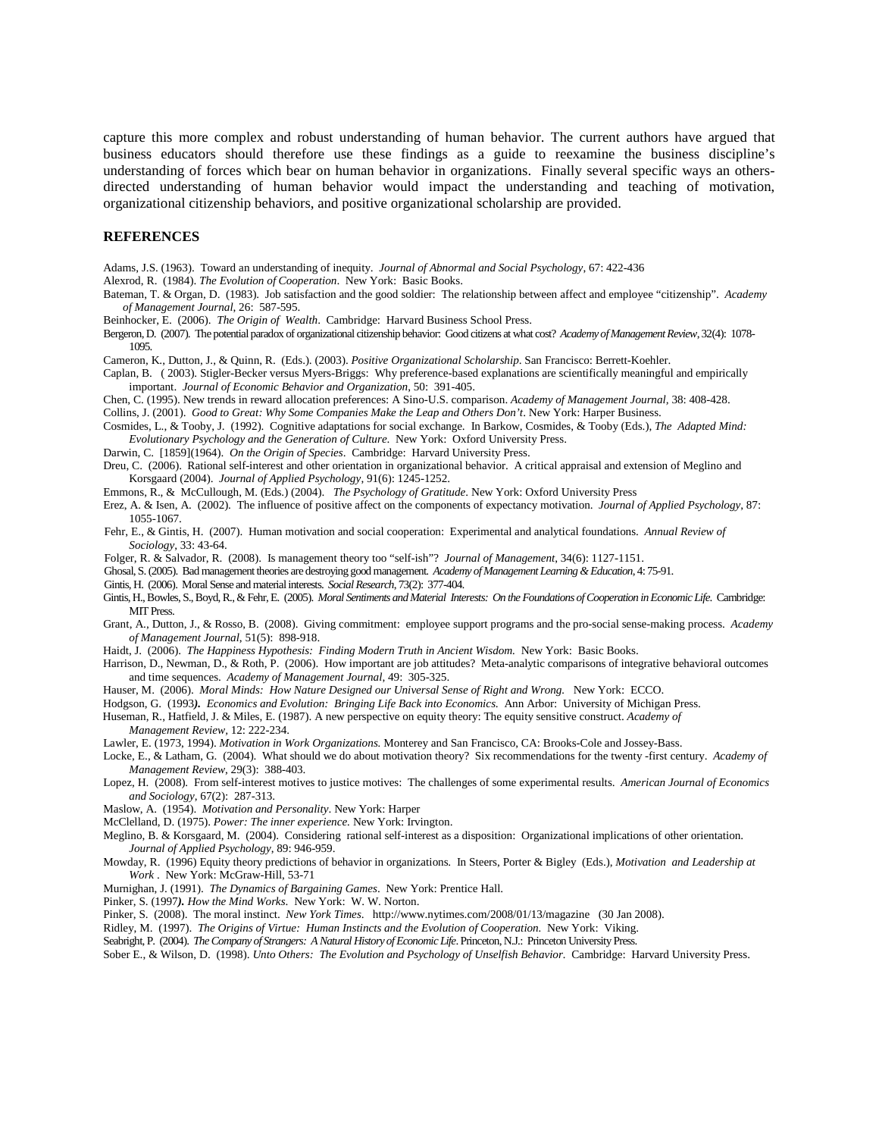capture this more complex and robust understanding of human behavior. The current authors have argued that business educators should therefore use these findings as a guide to reexamine the business discipline's understanding of forces which bear on human behavior in organizations. Finally several specific ways an othersdirected understanding of human behavior would impact the understanding and teaching of motivation, organizational citizenship behaviors, and positive organizational scholarship are provided.

#### **REFERENCES**

Adams, J.S. (1963). Toward an understanding of inequity. *Journal of Abnormal and Social Psychology*, 67: 422-436

Alexrod, R. (1984). *The Evolution of Cooperation*. New York: Basic Books.

Bateman, T. & Organ, D. (1983). Job satisfaction and the good soldier: The relationship between affect and employee "citizenship". *Academy of Management Journal*, 26: 587-595.

Beinhocker, E. (2006). *The Origin of Wealth*. Cambridge: Harvard Business School Press.

Bergeron, D. (2007). The potential paradox of organizational citizenship behavior: Good citizens at what cost? *Academy of Management Review*, 32(4): 1078- 1095.

Cameron, K., Dutton, J., & Quinn, R. (Eds.). (2003). *Positive Organizational Scholarship*. San Francisco: Berrett-Koehler.

Caplan, B. ( 2003). Stigler-Becker versus Myers-Briggs: Why preference-based explanations are scientifically meaningful and empirically important. *Journal of Economic Behavior and Organization*, 50: 391-405.

Chen, C. (1995). New trends in reward allocation preferences: A Sino-U.S. comparison. *Academy of Management Journal,* 38: 408-428. Collins, J. (2001). *Good to Great: Why Some Companies Make the Leap and Others Don't*. New York: Harper Business.

Cosmides, L., & Tooby, J. (1992). Cognitive adaptations for social exchange. In Barkow, Cosmides, & Tooby (Eds.), *The Adapted Mind: Evolutionary Psychology and the Generation of Culture*. New York: Oxford University Press.

Darwin, C. [1859](1964). *On the Origin of Species*. Cambridge: Harvard University Press.

Dreu, C. (2006). Rational self-interest and other orientation in organizational behavior. A critical appraisal and extension of Meglino and Korsgaard (2004). *Journal of Applied Psychology*, 91(6): 1245-1252.

Emmons, R., & McCullough, M. (Eds.) (2004). *The Psychology of Gratitude*. New York: Oxford University Press

- Erez, A. & Isen, A. (2002). The influence of positive affect on the components of expectancy motivation. *Journal of Applied Psychology*, 87: 1055-1067.
- Fehr, E., & Gintis, H. (2007). Human motivation and social cooperation: Experimental and analytical foundations. *Annual Review of Sociology*, 33: 43-64.
- Folger, R. & Salvador, R. (2008). Is management theory too "self-ish"? *Journal of Management*, 34(6): 1127-1151.
- Ghosal, S. (2005). Bad management theories are destroying good management. *Academy of Management Learning & Education*, 4: 75-91.
- Gintis, H. (2006). Moral Sense and material interests. *Social Research*, 73(2): 377-404.
- Gintis, H., Bowles, S., Boyd, R., & Fehr, E. (2005). *Moral Sentiments and Material Interests: On the Foundations of Cooperation in Economic Life*. Cambridge: MIT Press.
- Grant, A., Dutton, J., & Rosso, B. (2008). Giving commitment: employee support programs and the pro-social sense-making process. *Academy of Management Journal*, 51(5): 898-918.
- Haidt, J. (2006). *The Happiness Hypothesis: Finding Modern Truth in Ancient Wisdom.* New York: Basic Books.
- Harrison, D., Newman, D., & Roth, P. (2006). How important are job attitudes? Meta-analytic comparisons of integrative behavioral outcomes and time sequences. *Academy of Management Journal*, 49: 305-325.

Hauser, M. (2006). *Moral Minds: How Nature Designed our Universal Sense of Right and Wrong.* New York: ECCO.

- Hodgson, G. (1993*). Economics and Evolution: Bringing Life Back into Economics*. Ann Arbor: University of Michigan Press.
- Huseman, R., Hatfield, J. & Miles, E. (1987). A new perspective on equity theory: The equity sensitive construct. *Academy of Management Review,* 12: 222-234.

Lawler, E. (1973, 1994). *Motivation in Work Organizations.* Monterey and San Francisco, CA: Brooks-Cole and Jossey-Bass.

Locke, E., & Latham, G. (2004). What should we do about motivation theory? Six recommendations for the twenty -first century. *Academy of Management Review*, 29(3): 388-403.

Lopez, H. (2008). From self-interest motives to justice motives: The challenges of some experimental results. *American Journal of Economics and Sociology*, 67(2): 287-313.

Maslow, A. (1954). *Motivation and Personality*. New York: Harper

McClelland, D. (1975). *Power: The inner experience.* New York: Irvington.

- Meglino, B. & Korsgaard, M. (2004). Considering rational self-interest as a disposition: Organizational implications of other orientation. *Journal of Applied Psychology*, 89: 946-959.
- Mowday, R. (1996) Equity theory predictions of behavior in organizations. In Steers, Porter & Bigley (Eds.), *Motivation and Leadership at Work* . New York: McGraw-Hill, 53-71

Murnighan, J. (1991). *The Dynamics of Bargaining Games*. New York: Prentice Hall.

Pinker, S. (1997*). How the Mind Works*. New York: W. W. Norton.

Pinker, S. (2008). The moral instinct. *New York Times*. http://www.nytimes.com/2008/01/13/magazine (30 Jan 2008).

Ridley, M. (1997). *The Origins of Virtue: Human Instincts and the Evolution of Cooperation.* New York: Viking.

Seabright, P. (2004). *The Company of Strangers: A Natural History of Economic Life*. Princeton, N.J.: Princeton University Press.

Sober E., & Wilson, D. (1998). *Unto Others: The Evolution and Psychology of Unselfish Behavior.* Cambridge: Harvard University Press.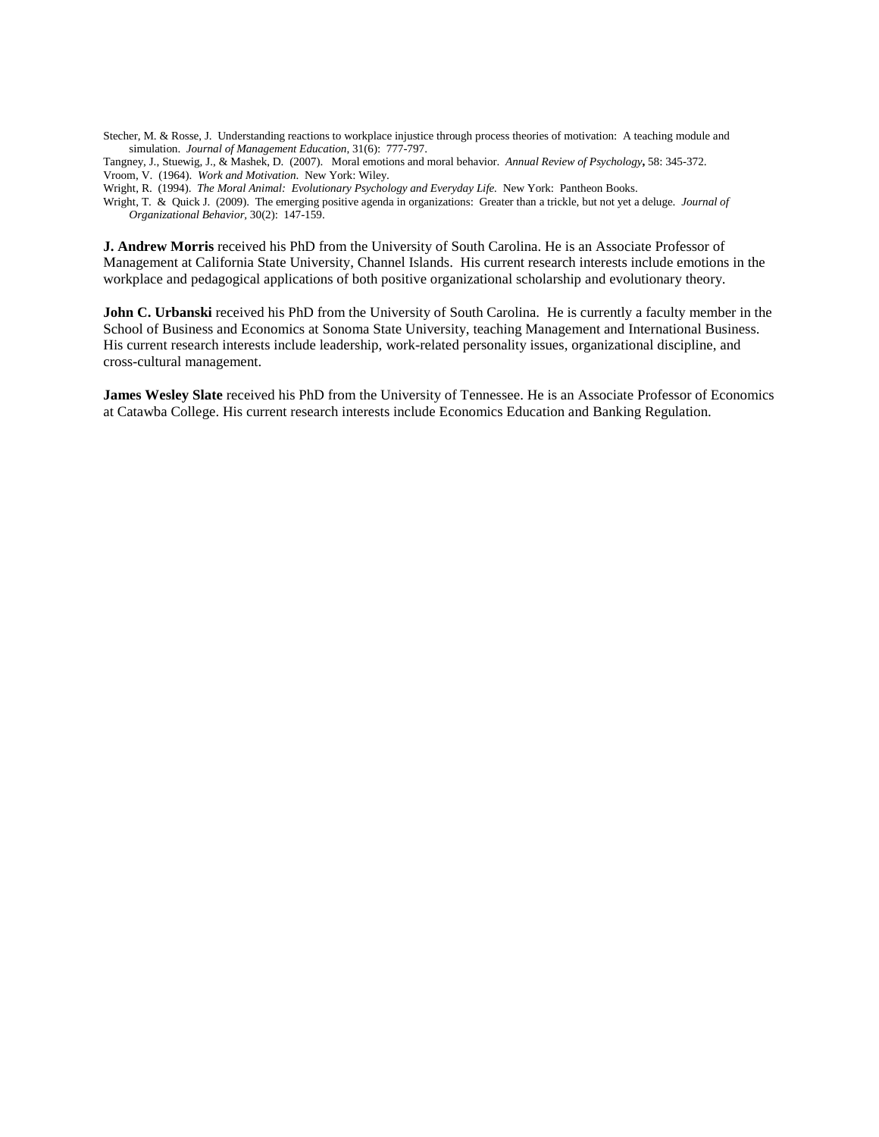Stecher, M. & Rosse, J. Understanding reactions to workplace injustice through process theories of motivation: A teaching module and simulation. *Journal of Management Education*, 31(6): 777-797.

Tangney, J., Stuewig, J., & Mashek, D. (2007). Moral emotions and moral behavior. *Annual Review of Psychology***,** 58: 345-372. Vroom, V. (1964). *Work and Motivation*. New York: Wiley.

Wright, R. (1994). *The Moral Animal: Evolutionary Psychology and Everyday Life.* New York: Pantheon Books.

Wright, T. & Quick J. (2009). The emerging positive agenda in organizations: Greater than a trickle, but not yet a deluge. *Journal of Organizational Behavior,* 30(2): 147-159.

**J. Andrew Morris** received his PhD from the University of South Carolina. He is an Associate Professor of Management at California State University, Channel Islands. His current research interests include emotions in the workplace and pedagogical applications of both positive organizational scholarship and evolutionary theory.

**John C. Urbanski** received his PhD from the University of South Carolina. He is currently a faculty member in the School of Business and Economics at Sonoma State University, teaching Management and International Business. His current research interests include leadership, work-related personality issues, organizational discipline, and cross-cultural management.

**James Wesley Slate** received his PhD from the University of Tennessee. He is an Associate Professor of Economics at Catawba College. His current research interests include Economics Education and Banking Regulation.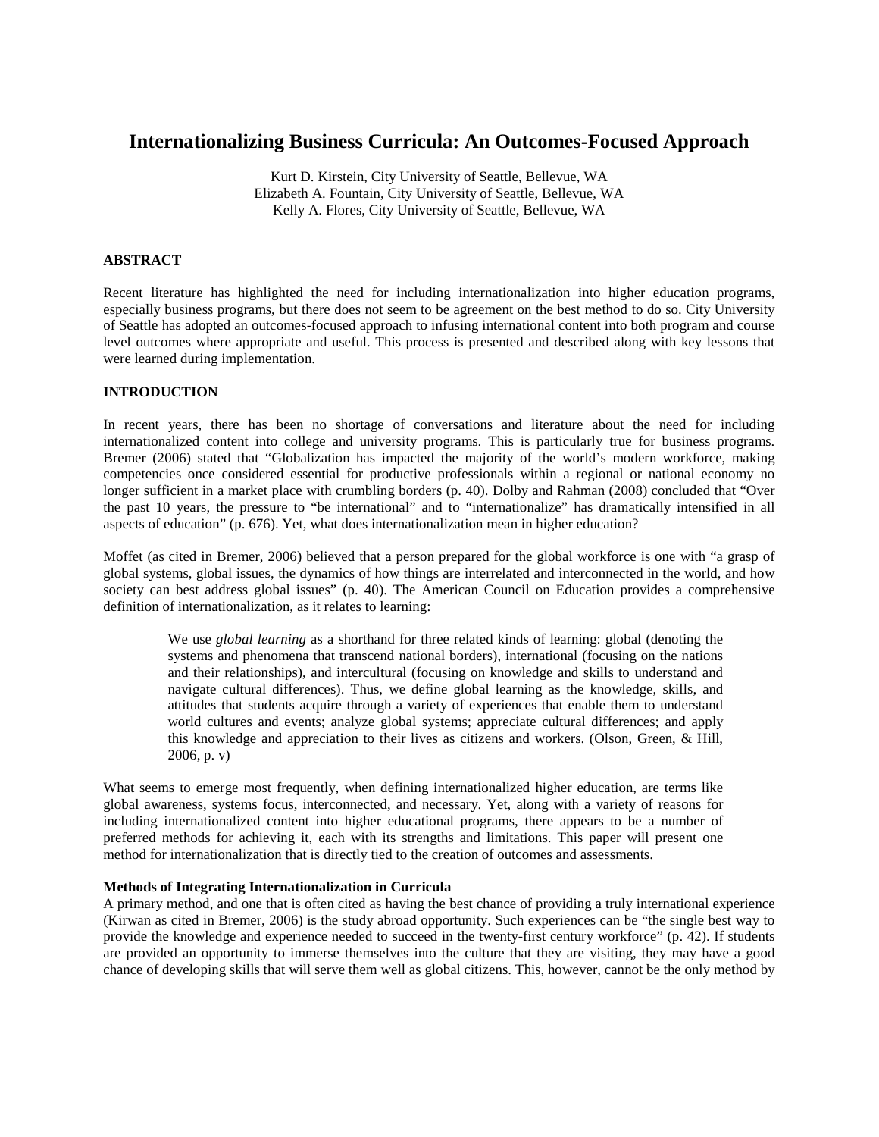# **Internationalizing Business Curricula: An Outcomes-Focused Approach**

Kurt D. Kirstein, City University of Seattle, Bellevue, WA Elizabeth A. Fountain, City University of Seattle, Bellevue, WA Kelly A. Flores, City University of Seattle, Bellevue, WA

## **ABSTRACT**

Recent literature has highlighted the need for including internationalization into higher education programs, especially business programs, but there does not seem to be agreement on the best method to do so. City University of Seattle has adopted an outcomes-focused approach to infusing international content into both program and course level outcomes where appropriate and useful. This process is presented and described along with key lessons that were learned during implementation.

## **INTRODUCTION**

In recent years, there has been no shortage of conversations and literature about the need for including internationalized content into college and university programs. This is particularly true for business programs. Bremer (2006) stated that "Globalization has impacted the majority of the world's modern workforce, making competencies once considered essential for productive professionals within a regional or national economy no longer sufficient in a market place with crumbling borders (p. 40). Dolby and Rahman (2008) concluded that "Over the past 10 years, the pressure to "be international" and to "internationalize" has dramatically intensified in all aspects of education" (p. 676). Yet, what does internationalization mean in higher education?

Moffet (as cited in Bremer, 2006) believed that a person prepared for the global workforce is one with "a grasp of global systems, global issues, the dynamics of how things are interrelated and interconnected in the world, and how society can best address global issues" (p. 40). The American Council on Education provides a comprehensive definition of internationalization, as it relates to learning:

We use *global learning* as a shorthand for three related kinds of learning: global (denoting the systems and phenomena that transcend national borders), international (focusing on the nations and their relationships), and intercultural (focusing on knowledge and skills to understand and navigate cultural differences). Thus, we define global learning as the knowledge, skills, and attitudes that students acquire through a variety of experiences that enable them to understand world cultures and events; analyze global systems; appreciate cultural differences; and apply this knowledge and appreciation to their lives as citizens and workers. (Olson, Green, & Hill, 2006, p. v)

What seems to emerge most frequently, when defining internationalized higher education, are terms like global awareness, systems focus, interconnected, and necessary. Yet, along with a variety of reasons for including internationalized content into higher educational programs, there appears to be a number of preferred methods for achieving it, each with its strengths and limitations. This paper will present one method for internationalization that is directly tied to the creation of outcomes and assessments.

## **Methods of Integrating Internationalization in Curricula**

A primary method, and one that is often cited as having the best chance of providing a truly international experience (Kirwan as cited in Bremer, 2006) is the study abroad opportunity. Such experiences can be "the single best way to provide the knowledge and experience needed to succeed in the twenty-first century workforce" (p. 42). If students are provided an opportunity to immerse themselves into the culture that they are visiting, they may have a good chance of developing skills that will serve them well as global citizens. This, however, cannot be the only method by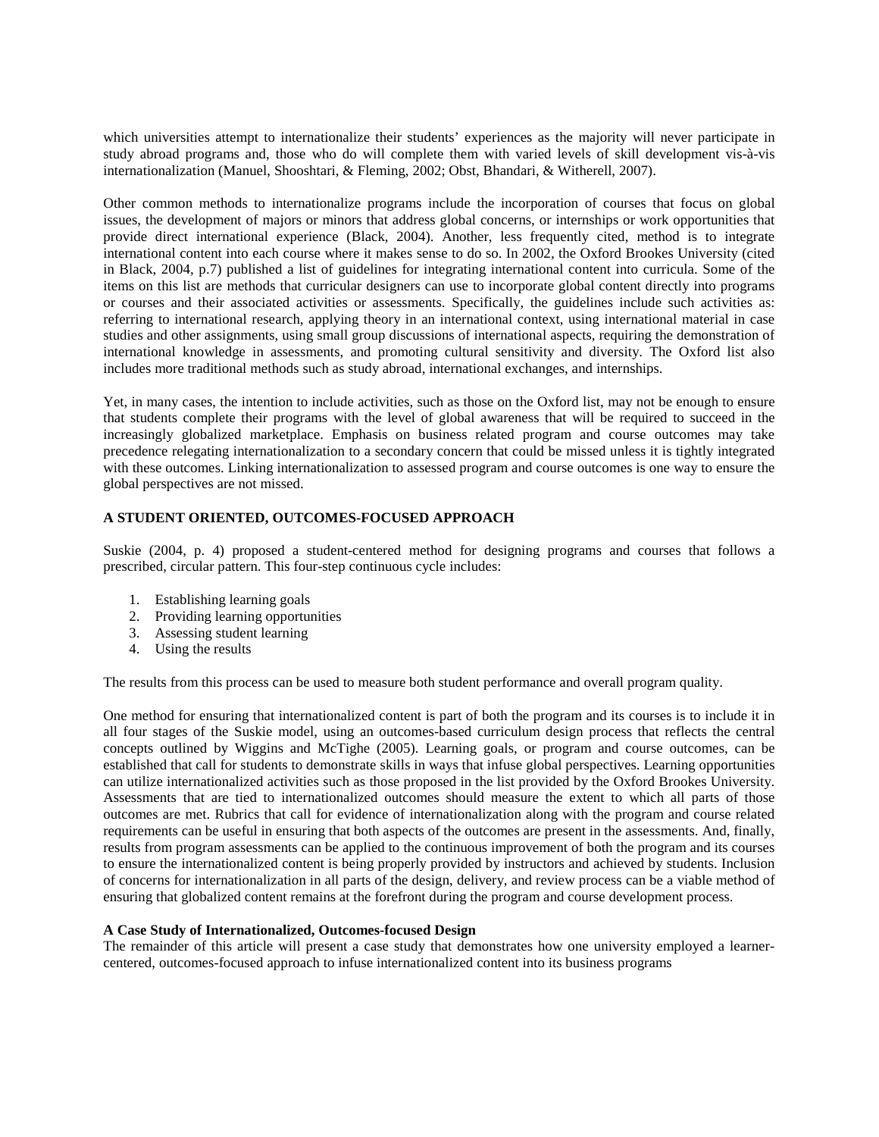which universities attempt to internationalize their students' experiences as the majority will never participate in study abroad programs and, those who do will complete them with varied levels of skill development vis-à-vis internationalization (Manuel, Shooshtari, & Fleming, 2002; Obst, Bhandari, & Witherell, 2007).

Other common methods to internationalize programs include the incorporation of courses that focus on global issues, the development of majors or minors that address global concerns, or internships or work opportunities that provide direct international experience (Black, 2004). Another, less frequently cited, method is to integrate international content into each course where it makes sense to do so. In 2002, the Oxford Brookes University (cited in Black, 2004, p.7) published a list of guidelines for integrating international content into curricula. Some of the items on this list are methods that curricular designers can use to incorporate global content directly into programs or courses and their associated activities or assessments. Specifically, the guidelines include such activities as: referring to international research, applying theory in an international context, using international material in case studies and other assignments, using small group discussions of international aspects, requiring the demonstration of international knowledge in assessments, and promoting cultural sensitivity and diversity. The Oxford list also includes more traditional methods such as study abroad, international exchanges, and internships.

Yet, in many cases, the intention to include activities, such as those on the Oxford list, may not be enough to ensure that students complete their programs with the level of global awareness that will be required to succeed in the increasingly globalized marketplace. Emphasis on business related program and course outcomes may take precedence relegating internationalization to a secondary concern that could be missed unless it is tightly integrated with these outcomes. Linking internationalization to assessed program and course outcomes is one way to ensure the global perspectives are not missed.

## **A STUDENT ORIENTED, OUTCOMES-FOCUSED APPROACH**

Suskie (2004, p. 4) proposed a student-centered method for designing programs and courses that follows a prescribed, circular pattern. This four-step continuous cycle includes:

- 1. Establishing learning goals
- 2. Providing learning opportunities
- 3. Assessing student learning
- 4. Using the results

The results from this process can be used to measure both student performance and overall program quality.

One method for ensuring that internationalized content is part of both the program and its courses is to include it in all four stages of the Suskie model, using an outcomes-based curriculum design process that reflects the central concepts outlined by Wiggins and McTighe (2005). Learning goals, or program and course outcomes, can be established that call for students to demonstrate skills in ways that infuse global perspectives. Learning opportunities can utilize internationalized activities such as those proposed in the list provided by the Oxford Brookes University. Assessments that are tied to internationalized outcomes should measure the extent to which all parts of those outcomes are met. Rubrics that call for evidence of internationalization along with the program and course related requirements can be useful in ensuring that both aspects of the outcomes are present in the assessments. And, finally, results from program assessments can be applied to the continuous improvement of both the program and its courses to ensure the internationalized content is being properly provided by instructors and achieved by students. Inclusion of concerns for internationalization in all parts of the design, delivery, and review process can be a viable method of ensuring that globalized content remains at the forefront during the program and course development process.

## **A Case Study of Internationalized, Outcomes-focused Design**

The remainder of this article will present a case study that demonstrates how one university employed a learnercentered, outcomes-focused approach to infuse internationalized content into its business programs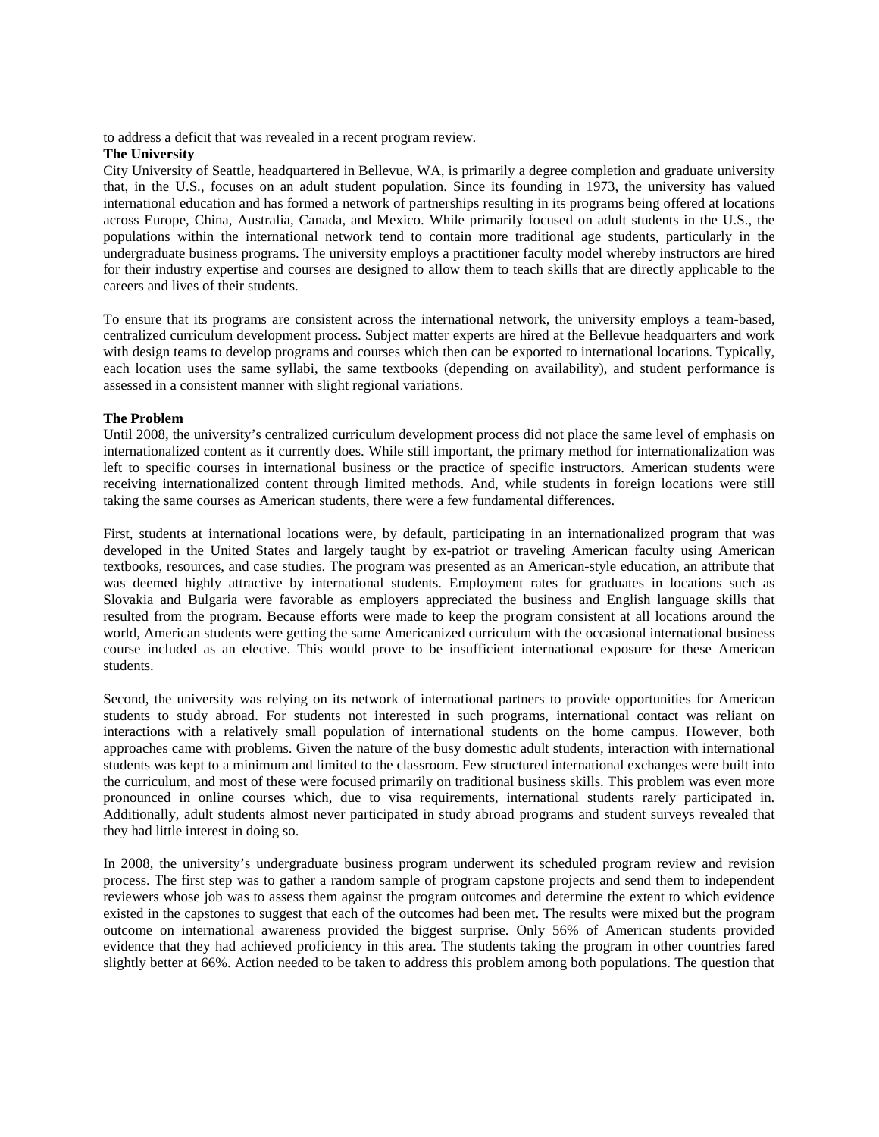to address a deficit that was revealed in a recent program review.

## **The University**

City University of Seattle, headquartered in Bellevue, WA, is primarily a degree completion and graduate university that, in the U.S., focuses on an adult student population. Since its founding in 1973, the university has valued international education and has formed a network of partnerships resulting in its programs being offered at locations across Europe, China, Australia, Canada, and Mexico. While primarily focused on adult students in the U.S., the populations within the international network tend to contain more traditional age students, particularly in the undergraduate business programs. The university employs a practitioner faculty model whereby instructors are hired for their industry expertise and courses are designed to allow them to teach skills that are directly applicable to the careers and lives of their students.

To ensure that its programs are consistent across the international network, the university employs a team-based, centralized curriculum development process. Subject matter experts are hired at the Bellevue headquarters and work with design teams to develop programs and courses which then can be exported to international locations. Typically, each location uses the same syllabi, the same textbooks (depending on availability), and student performance is assessed in a consistent manner with slight regional variations.

## **The Problem**

Until 2008, the university's centralized curriculum development process did not place the same level of emphasis on internationalized content as it currently does. While still important, the primary method for internationalization was left to specific courses in international business or the practice of specific instructors. American students were receiving internationalized content through limited methods. And, while students in foreign locations were still taking the same courses as American students, there were a few fundamental differences.

First, students at international locations were, by default, participating in an internationalized program that was developed in the United States and largely taught by ex-patriot or traveling American faculty using American textbooks, resources, and case studies. The program was presented as an American-style education, an attribute that was deemed highly attractive by international students. Employment rates for graduates in locations such as Slovakia and Bulgaria were favorable as employers appreciated the business and English language skills that resulted from the program. Because efforts were made to keep the program consistent at all locations around the world, American students were getting the same Americanized curriculum with the occasional international business course included as an elective. This would prove to be insufficient international exposure for these American students.

Second, the university was relying on its network of international partners to provide opportunities for American students to study abroad. For students not interested in such programs, international contact was reliant on interactions with a relatively small population of international students on the home campus. However, both approaches came with problems. Given the nature of the busy domestic adult students, interaction with international students was kept to a minimum and limited to the classroom. Few structured international exchanges were built into the curriculum, and most of these were focused primarily on traditional business skills. This problem was even more pronounced in online courses which, due to visa requirements, international students rarely participated in. Additionally, adult students almost never participated in study abroad programs and student surveys revealed that they had little interest in doing so.

In 2008, the university's undergraduate business program underwent its scheduled program review and revision process. The first step was to gather a random sample of program capstone projects and send them to independent reviewers whose job was to assess them against the program outcomes and determine the extent to which evidence existed in the capstones to suggest that each of the outcomes had been met. The results were mixed but the program outcome on international awareness provided the biggest surprise. Only 56% of American students provided evidence that they had achieved proficiency in this area. The students taking the program in other countries fared slightly better at 66%. Action needed to be taken to address this problem among both populations. The question that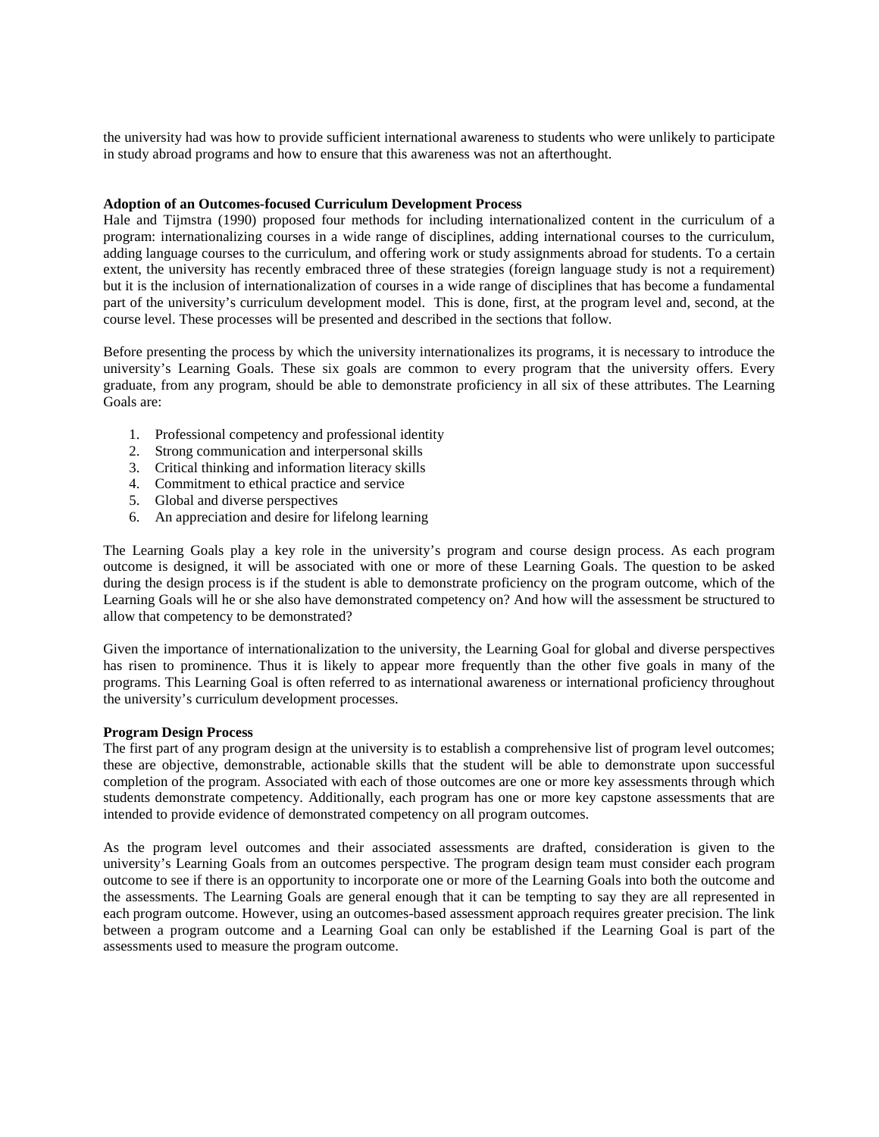the university had was how to provide sufficient international awareness to students who were unlikely to participate in study abroad programs and how to ensure that this awareness was not an afterthought.

#### **Adoption of an Outcomes-focused Curriculum Development Process**

Hale and Tijmstra (1990) proposed four methods for including internationalized content in the curriculum of a program: internationalizing courses in a wide range of disciplines, adding international courses to the curriculum, adding language courses to the curriculum, and offering work or study assignments abroad for students. To a certain extent, the university has recently embraced three of these strategies (foreign language study is not a requirement) but it is the inclusion of internationalization of courses in a wide range of disciplines that has become a fundamental part of the university's curriculum development model. This is done, first, at the program level and, second, at the course level. These processes will be presented and described in the sections that follow.

Before presenting the process by which the university internationalizes its programs, it is necessary to introduce the university's Learning Goals. These six goals are common to every program that the university offers. Every graduate, from any program, should be able to demonstrate proficiency in all six of these attributes. The Learning Goals are:

- 1. Professional competency and professional identity
- 2. Strong communication and interpersonal skills
- 3. Critical thinking and information literacy skills
- 4. Commitment to ethical practice and service
- 5. Global and diverse perspectives
- 6. An appreciation and desire for lifelong learning

The Learning Goals play a key role in the university's program and course design process. As each program outcome is designed, it will be associated with one or more of these Learning Goals. The question to be asked during the design process is if the student is able to demonstrate proficiency on the program outcome, which of the Learning Goals will he or she also have demonstrated competency on? And how will the assessment be structured to allow that competency to be demonstrated?

Given the importance of internationalization to the university, the Learning Goal for global and diverse perspectives has risen to prominence. Thus it is likely to appear more frequently than the other five goals in many of the programs. This Learning Goal is often referred to as international awareness or international proficiency throughout the university's curriculum development processes.

## **Program Design Process**

The first part of any program design at the university is to establish a comprehensive list of program level outcomes; these are objective, demonstrable, actionable skills that the student will be able to demonstrate upon successful completion of the program. Associated with each of those outcomes are one or more key assessments through which students demonstrate competency. Additionally, each program has one or more key capstone assessments that are intended to provide evidence of demonstrated competency on all program outcomes.

As the program level outcomes and their associated assessments are drafted, consideration is given to the university's Learning Goals from an outcomes perspective. The program design team must consider each program outcome to see if there is an opportunity to incorporate one or more of the Learning Goals into both the outcome and the assessments. The Learning Goals are general enough that it can be tempting to say they are all represented in each program outcome. However, using an outcomes-based assessment approach requires greater precision. The link between a program outcome and a Learning Goal can only be established if the Learning Goal is part of the assessments used to measure the program outcome.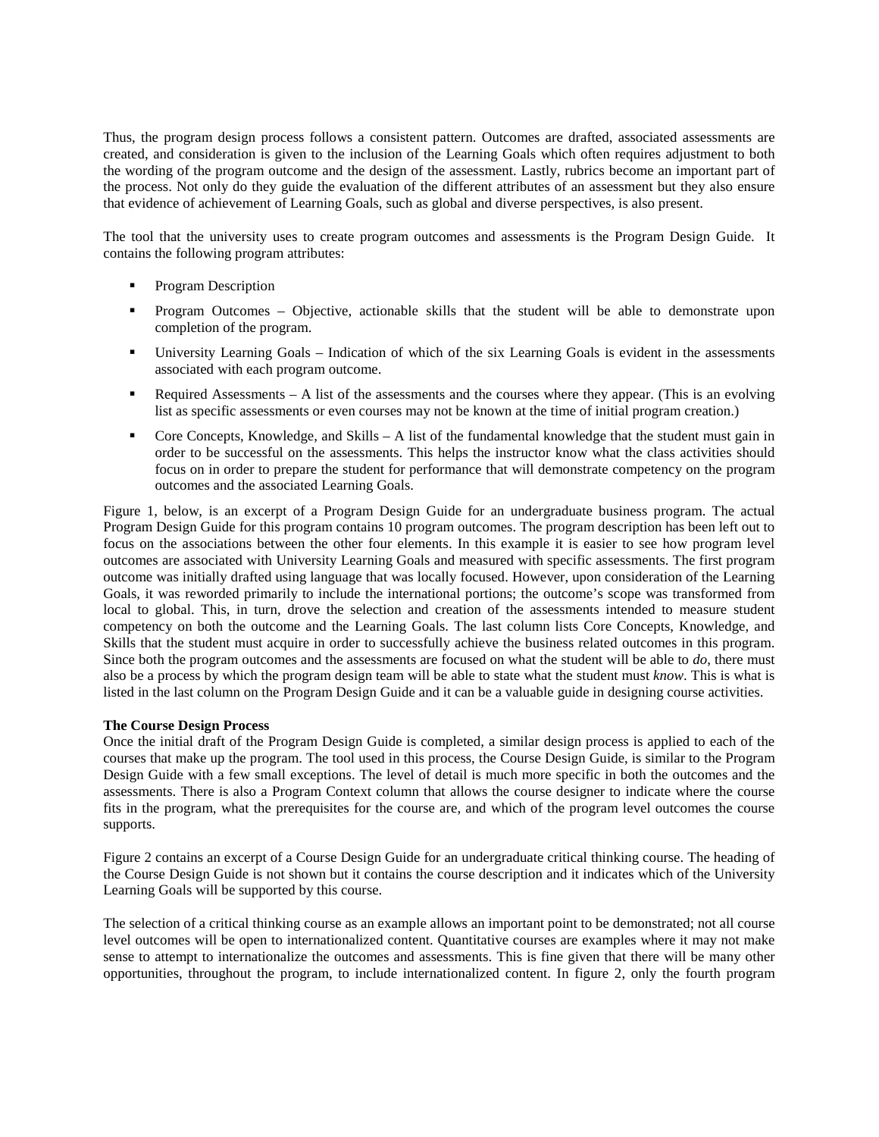Thus, the program design process follows a consistent pattern. Outcomes are drafted, associated assessments are created, and consideration is given to the inclusion of the Learning Goals which often requires adjustment to both the wording of the program outcome and the design of the assessment. Lastly, rubrics become an important part of the process. Not only do they guide the evaluation of the different attributes of an assessment but they also ensure that evidence of achievement of Learning Goals, such as global and diverse perspectives, is also present.

The tool that the university uses to create program outcomes and assessments is the Program Design Guide. It contains the following program attributes:

- **Program Description**
- Program Outcomes Objective, actionable skills that the student will be able to demonstrate upon completion of the program.
- University Learning Goals Indication of which of the six Learning Goals is evident in the assessments associated with each program outcome.
- Required Assessments A list of the assessments and the courses where they appear. (This is an evolving list as specific assessments or even courses may not be known at the time of initial program creation.)
- Core Concepts, Knowledge, and Skills A list of the fundamental knowledge that the student must gain in order to be successful on the assessments. This helps the instructor know what the class activities should focus on in order to prepare the student for performance that will demonstrate competency on the program outcomes and the associated Learning Goals.

Figure 1, below, is an excerpt of a Program Design Guide for an undergraduate business program. The actual Program Design Guide for this program contains 10 program outcomes. The program description has been left out to focus on the associations between the other four elements. In this example it is easier to see how program level outcomes are associated with University Learning Goals and measured with specific assessments. The first program outcome was initially drafted using language that was locally focused. However, upon consideration of the Learning Goals, it was reworded primarily to include the international portions; the outcome's scope was transformed from local to global. This, in turn, drove the selection and creation of the assessments intended to measure student competency on both the outcome and the Learning Goals. The last column lists Core Concepts, Knowledge, and Skills that the student must acquire in order to successfully achieve the business related outcomes in this program. Since both the program outcomes and the assessments are focused on what the student will be able to *do*, there must also be a process by which the program design team will be able to state what the student must *know*. This is what is listed in the last column on the Program Design Guide and it can be a valuable guide in designing course activities.

## **The Course Design Process**

Once the initial draft of the Program Design Guide is completed, a similar design process is applied to each of the courses that make up the program. The tool used in this process, the Course Design Guide, is similar to the Program Design Guide with a few small exceptions. The level of detail is much more specific in both the outcomes and the assessments. There is also a Program Context column that allows the course designer to indicate where the course fits in the program, what the prerequisites for the course are, and which of the program level outcomes the course supports.

Figure 2 contains an excerpt of a Course Design Guide for an undergraduate critical thinking course. The heading of the Course Design Guide is not shown but it contains the course description and it indicates which of the University Learning Goals will be supported by this course.

The selection of a critical thinking course as an example allows an important point to be demonstrated; not all course level outcomes will be open to internationalized content. Quantitative courses are examples where it may not make sense to attempt to internationalize the outcomes and assessments. This is fine given that there will be many other opportunities, throughout the program, to include internationalized content. In figure 2, only the fourth program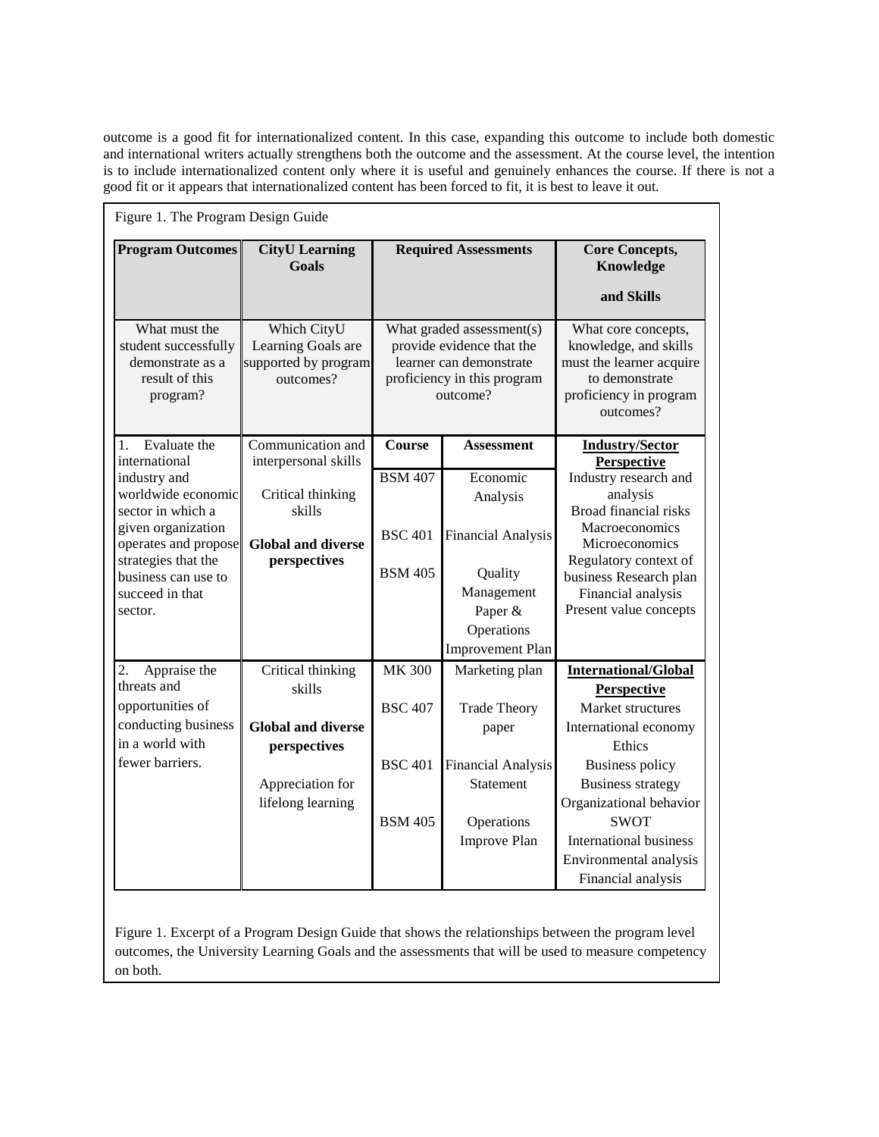outcome is a good fit for internationalized content. In this case, expanding this outcome to include both domestic and international writers actually strengthens both the outcome and the assessment. At the course level, the intention is to include internationalized content only where it is useful and genuinely enhances the course. If there is not a good fit or it appears that internationalized content has been forced to fit, it is best to leave it out.

| Figure 1. The Program Design Guide                                                                                                                                                |                                                                                                                   |                                                                     |                                                                                                                                |                                                                                                                                                                                                                                            |  |  |  |
|-----------------------------------------------------------------------------------------------------------------------------------------------------------------------------------|-------------------------------------------------------------------------------------------------------------------|---------------------------------------------------------------------|--------------------------------------------------------------------------------------------------------------------------------|--------------------------------------------------------------------------------------------------------------------------------------------------------------------------------------------------------------------------------------------|--|--|--|
| <b>Program Outcomes</b>                                                                                                                                                           | <b>CityU</b> Learning<br><b>Goals</b>                                                                             | <b>Required Assessments</b>                                         |                                                                                                                                | <b>Core Concepts,</b><br>Knowledge<br>and Skills                                                                                                                                                                                           |  |  |  |
| What must the<br>student successfully<br>demonstrate as a<br>result of this<br>program?                                                                                           | Which CityU<br>Learning Goals are<br>supported by program<br>outcomes?                                            |                                                                     | What graded assessment(s)<br>provide evidence that the<br>learner can demonstrate<br>proficiency in this program<br>outcome?   | What core concepts,<br>knowledge, and skills<br>must the learner acquire<br>to demonstrate<br>proficiency in program<br>outcomes?                                                                                                          |  |  |  |
| Evaluate the<br>1.<br>international                                                                                                                                               | Communication and<br>interpersonal skills                                                                         | Course                                                              | <b>Assessment</b>                                                                                                              | <b>Industry/Sector</b>                                                                                                                                                                                                                     |  |  |  |
| industry and<br>worldwide economic<br>sector in which a<br>given organization<br>operates and propose<br>strategies that the<br>business can use to<br>succeed in that<br>sector. | Critical thinking<br>skills<br><b>Global and diverse</b><br>perspectives                                          | <b>BSM 407</b><br><b>BSC 401</b><br><b>BSM 405</b>                  | Economic<br>Analysis<br><b>Financial Analysis</b><br>Quality<br>Management<br>Paper &<br>Operations<br><b>Improvement Plan</b> | <b>Perspective</b><br>Industry research and<br>analysis<br>Broad financial risks<br>Macroeconomics<br>Microeconomics<br>Regulatory context of<br>business Research plan<br>Financial analysis<br>Present value concepts                    |  |  |  |
| 2.<br>Appraise the<br>threats and<br>opportunities of<br>conducting business<br>in a world with<br>fewer barriers.                                                                | Critical thinking<br>skills<br><b>Global and diverse</b><br>perspectives<br>Appreciation for<br>lifelong learning | <b>MK 300</b><br><b>BSC 407</b><br><b>BSC 401</b><br><b>BSM 405</b> | Marketing plan<br><b>Trade Theory</b><br>paper<br><b>Financial Analysis</b><br>Statement<br>Operations<br>Improve Plan         | <b>International/Global</b><br><b>Perspective</b><br>Market structures<br>International economy<br>Ethics<br><b>Business policy</b><br><b>Business strategy</b><br>Organizational behavior<br><b>SWOT</b><br><b>International business</b> |  |  |  |
|                                                                                                                                                                                   |                                                                                                                   |                                                                     |                                                                                                                                | Environmental analysis<br>Financial analysis                                                                                                                                                                                               |  |  |  |

Figure 1. Excerpt of a Program Design Guide that shows the relationships between the program level outcomes, the University Learning Goals and the assessments that will be used to measure competency on both.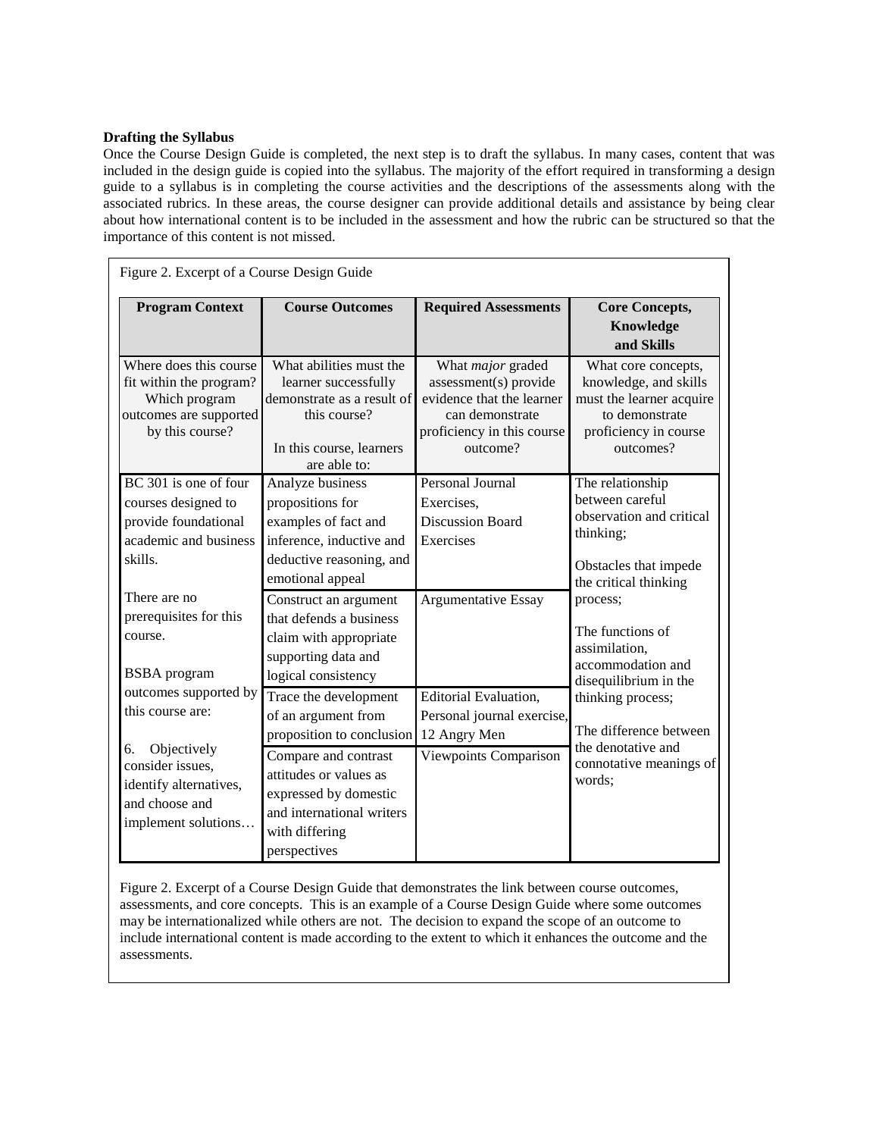## **Drafting the Syllabus**

Once the Course Design Guide is completed, the next step is to draft the syllabus. In many cases, content that was included in the design guide is copied into the syllabus. The majority of the effort required in transforming a design guide to a syllabus is in completing the course activities and the descriptions of the assessments along with the associated rubrics. In these areas, the course designer can provide additional details and assistance by being clear about how international content is to be included in the assessment and how the rubric can be structured so that the importance of this content is not missed.

| Figure 2. Excerpt of a Course Design Guide                                                                                                                                           |                                                                                                                                                                                                                                                                      |                                                                                                                                             |                                                                                                                                                                                                                                                                                                                                         |  |  |  |  |  |
|--------------------------------------------------------------------------------------------------------------------------------------------------------------------------------------|----------------------------------------------------------------------------------------------------------------------------------------------------------------------------------------------------------------------------------------------------------------------|---------------------------------------------------------------------------------------------------------------------------------------------|-----------------------------------------------------------------------------------------------------------------------------------------------------------------------------------------------------------------------------------------------------------------------------------------------------------------------------------------|--|--|--|--|--|
| <b>Program Context</b>                                                                                                                                                               | <b>Course Outcomes</b>                                                                                                                                                                                                                                               | <b>Required Assessments</b>                                                                                                                 | <b>Core Concepts,</b><br>Knowledge<br>and Skills                                                                                                                                                                                                                                                                                        |  |  |  |  |  |
| Where does this course<br>fit within the program?<br>Which program<br>outcomes are supported<br>by this course?                                                                      | What abilities must the<br>learner successfully<br>demonstrate as a result of<br>this course?<br>In this course, learners<br>are able to:                                                                                                                            | What <i>major</i> graded<br>assessment(s) provide<br>evidence that the learner<br>can demonstrate<br>proficiency in this course<br>outcome? | What core concepts,<br>knowledge, and skills<br>must the learner acquire<br>to demonstrate<br>proficiency in course<br>outcomes?                                                                                                                                                                                                        |  |  |  |  |  |
| BC 301 is one of four<br>courses designed to<br>provide foundational<br>academic and business<br>skills.<br>There are no<br>prerequisites for this<br>course.<br><b>BSBA</b> program | Analyze business<br>propositions for<br>examples of fact and<br>inference, inductive and<br>deductive reasoning, and<br>emotional appeal<br>Construct an argument<br>that defends a business<br>claim with appropriate<br>supporting data and<br>logical consistency | Personal Journal<br>Exercises,<br><b>Discussion Board</b><br>Exercises<br>Argumentative Essay                                               | The relationship<br>between careful<br>observation and critical<br>thinking;<br>Obstacles that impede<br>the critical thinking<br>process;<br>The functions of<br>assimilation,<br>accommodation and<br>disequilibrium in the<br>thinking process;<br>The difference between<br>the denotative and<br>connotative meanings of<br>words; |  |  |  |  |  |
| outcomes supported by<br>this course are:<br>6.<br>Objectively<br>consider issues,<br>identify alternatives,<br>and choose and<br>implement solutions                                | Trace the development<br>of an argument from<br>proposition to conclusion<br>Compare and contrast<br>attitudes or values as<br>expressed by domestic<br>and international writers<br>with differing<br>perspectives                                                  | <b>Editorial Evaluation,</b><br>Personal journal exercise,<br>12 Angry Men<br>Viewpoints Comparison                                         |                                                                                                                                                                                                                                                                                                                                         |  |  |  |  |  |

Figure 2. Excerpt of a Course Design Guide that demonstrates the link between course outcomes, assessments, and core concepts. This is an example of a Course Design Guide where some outcomes may be internationalized while others are not. The decision to expand the scope of an outcome to include international content is made according to the extent to which it enhances the outcome and the assessments.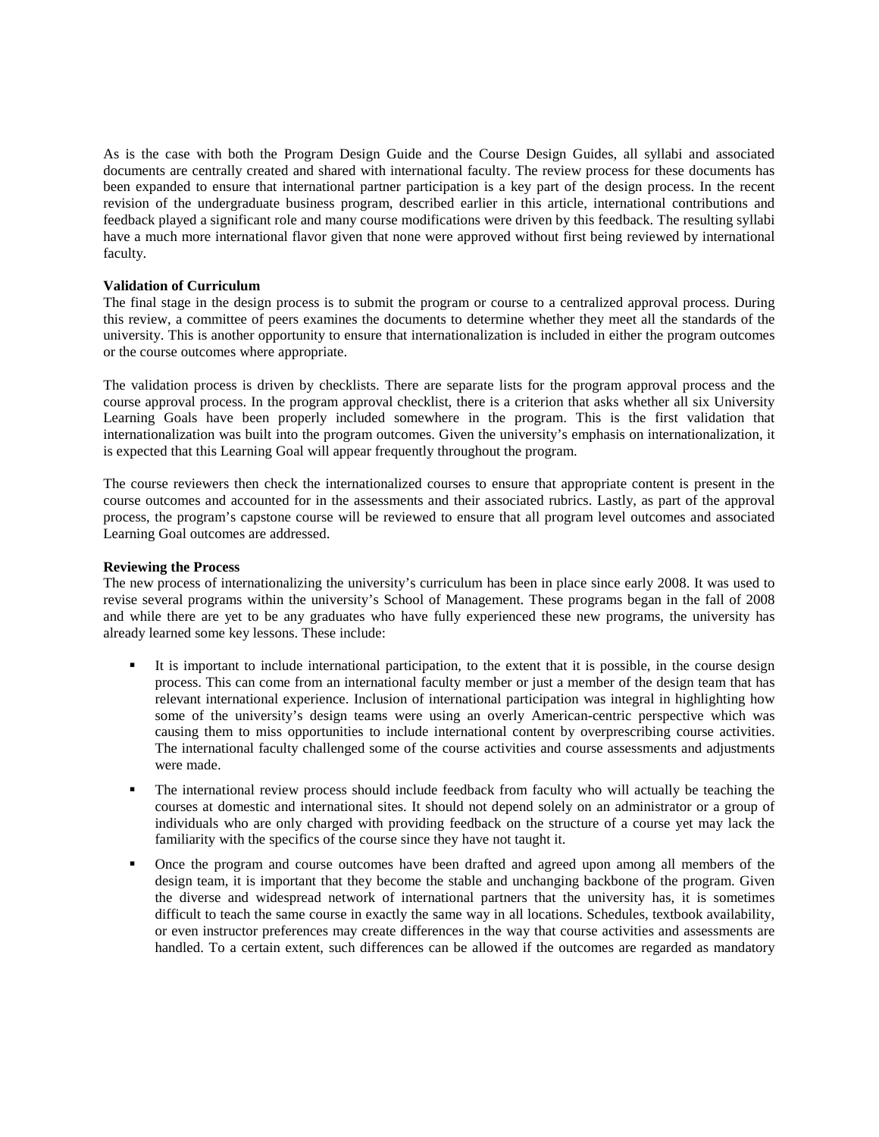As is the case with both the Program Design Guide and the Course Design Guides, all syllabi and associated documents are centrally created and shared with international faculty. The review process for these documents has been expanded to ensure that international partner participation is a key part of the design process. In the recent revision of the undergraduate business program, described earlier in this article, international contributions and feedback played a significant role and many course modifications were driven by this feedback. The resulting syllabi have a much more international flavor given that none were approved without first being reviewed by international faculty.

## **Validation of Curriculum**

The final stage in the design process is to submit the program or course to a centralized approval process. During this review, a committee of peers examines the documents to determine whether they meet all the standards of the university. This is another opportunity to ensure that internationalization is included in either the program outcomes or the course outcomes where appropriate.

The validation process is driven by checklists. There are separate lists for the program approval process and the course approval process. In the program approval checklist, there is a criterion that asks whether all six University Learning Goals have been properly included somewhere in the program. This is the first validation that internationalization was built into the program outcomes. Given the university's emphasis on internationalization, it is expected that this Learning Goal will appear frequently throughout the program.

The course reviewers then check the internationalized courses to ensure that appropriate content is present in the course outcomes and accounted for in the assessments and their associated rubrics. Lastly, as part of the approval process, the program's capstone course will be reviewed to ensure that all program level outcomes and associated Learning Goal outcomes are addressed.

#### **Reviewing the Process**

The new process of internationalizing the university's curriculum has been in place since early 2008. It was used to revise several programs within the university's School of Management. These programs began in the fall of 2008 and while there are yet to be any graduates who have fully experienced these new programs, the university has already learned some key lessons. These include:

- It is important to include international participation, to the extent that it is possible, in the course design process. This can come from an international faculty member or just a member of the design team that has relevant international experience. Inclusion of international participation was integral in highlighting how some of the university's design teams were using an overly American-centric perspective which was causing them to miss opportunities to include international content by overprescribing course activities. The international faculty challenged some of the course activities and course assessments and adjustments were made.
- The international review process should include feedback from faculty who will actually be teaching the courses at domestic and international sites. It should not depend solely on an administrator or a group of individuals who are only charged with providing feedback on the structure of a course yet may lack the familiarity with the specifics of the course since they have not taught it.
- Once the program and course outcomes have been drafted and agreed upon among all members of the design team, it is important that they become the stable and unchanging backbone of the program. Given the diverse and widespread network of international partners that the university has, it is sometimes difficult to teach the same course in exactly the same way in all locations. Schedules, textbook availability, or even instructor preferences may create differences in the way that course activities and assessments are handled. To a certain extent, such differences can be allowed if the outcomes are regarded as mandatory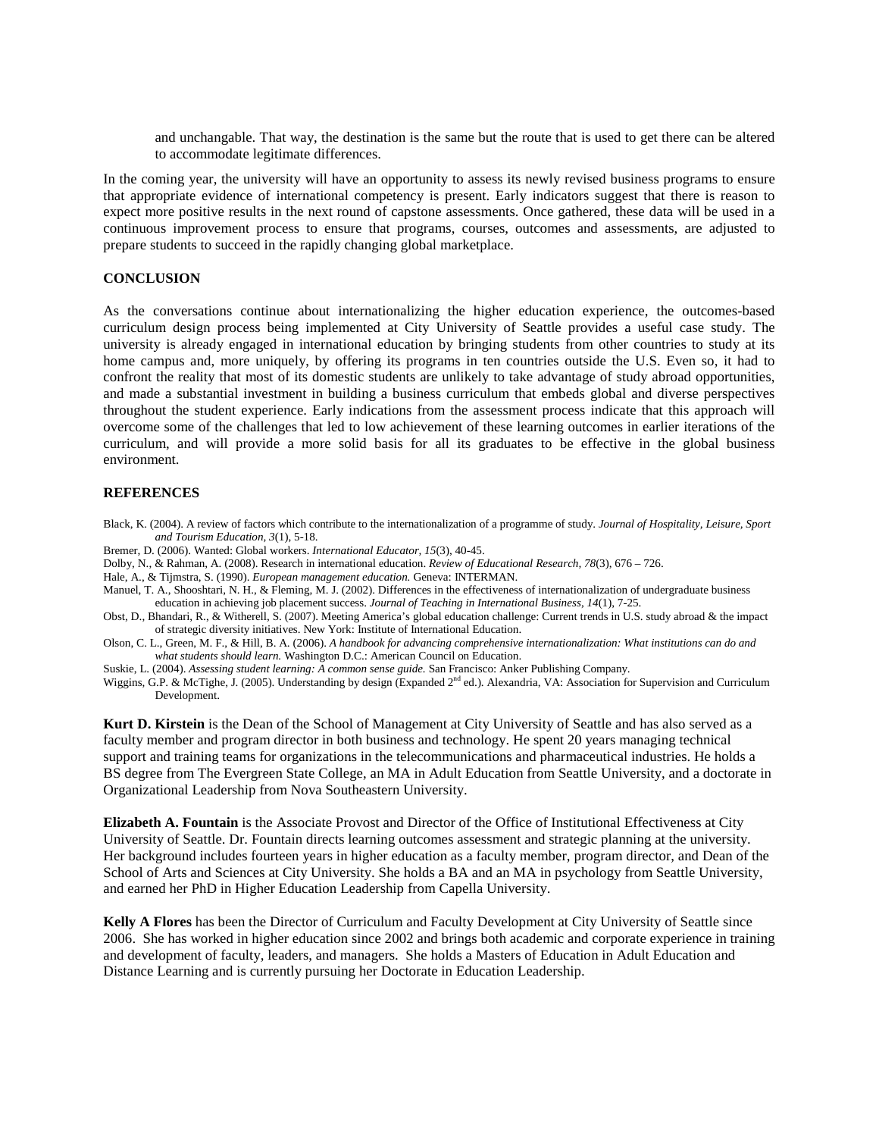and unchangable. That way, the destination is the same but the route that is used to get there can be altered to accommodate legitimate differences.

In the coming year, the university will have an opportunity to assess its newly revised business programs to ensure that appropriate evidence of international competency is present. Early indicators suggest that there is reason to expect more positive results in the next round of capstone assessments. Once gathered, these data will be used in a continuous improvement process to ensure that programs, courses, outcomes and assessments, are adjusted to prepare students to succeed in the rapidly changing global marketplace.

#### **CONCLUSION**

As the conversations continue about internationalizing the higher education experience, the outcomes-based curriculum design process being implemented at City University of Seattle provides a useful case study. The university is already engaged in international education by bringing students from other countries to study at its home campus and, more uniquely, by offering its programs in ten countries outside the U.S. Even so, it had to confront the reality that most of its domestic students are unlikely to take advantage of study abroad opportunities, and made a substantial investment in building a business curriculum that embeds global and diverse perspectives throughout the student experience. Early indications from the assessment process indicate that this approach will overcome some of the challenges that led to low achievement of these learning outcomes in earlier iterations of the curriculum, and will provide a more solid basis for all its graduates to be effective in the global business environment.

#### **REFERENCES**

- Black, K. (2004). A review of factors which contribute to the internationalization of a programme of study. *Journal of Hospitality, Leisure, Sport and Tourism Education, 3*(1), 5-18.
- Bremer, D. (2006). Wanted: Global workers. *International Educator, 15*(3), 40-45.
- Dolby, N., & Rahman, A. (2008). Research in international education. *Review of Educational Research, 78*(3), 676 726.
- Hale, A., & Tijmstra, S. (1990). *European management education.* Geneva: INTERMAN.
- Manuel, T. A., Shooshtari, N. H., & Fleming, M. J. (2002). Differences in the effectiveness of internationalization of undergraduate business education in achieving job placement success. *Journal of Teaching in International Business, 14*(1), 7-25.
- Obst, D., Bhandari, R., & Witherell, S. (2007). Meeting America's global education challenge: Current trends in U.S. study abroad & the impact of strategic diversity initiatives. New York: Institute of International Education.
- Olson, C. L., Green, M. F., & Hill, B. A. (2006). *A handbook for advancing comprehensive internationalization: What institutions can do and what students should learn.* Washington D.C.: American Council on Education.
- Suskie, L. (2004). *Assessing student learning: A common sense guide.* San Francisco: Anker Publishing Company.

Wiggins, G.P. & McTighe, J. (2005). Understanding by design (Expanded 2<sup>nd</sup> ed.). Alexandria, VA: Association for Supervision and Curriculum Development.

**Kurt D. Kirstein** is the Dean of the School of Management at City University of Seattle and has also served as a faculty member and program director in both business and technology. He spent 20 years managing technical support and training teams for organizations in the telecommunications and pharmaceutical industries. He holds a BS degree from The Evergreen State College, an MA in Adult Education from Seattle University, and a doctorate in Organizational Leadership from Nova Southeastern University.

**Elizabeth A. Fountain** is the Associate Provost and Director of the Office of Institutional Effectiveness at City University of Seattle. Dr. Fountain directs learning outcomes assessment and strategic planning at the university. Her background includes fourteen years in higher education as a faculty member, program director, and Dean of the School of Arts and Sciences at City University. She holds a BA and an MA in psychology from Seattle University, and earned her PhD in Higher Education Leadership from Capella University.

**Kelly A Flores** has been the Director of Curriculum and Faculty Development at City University of Seattle since 2006. She has worked in higher education since 2002 and brings both academic and corporate experience in training and development of faculty, leaders, and managers. She holds a Masters of Education in Adult Education and Distance Learning and is currently pursuing her Doctorate in Education Leadership.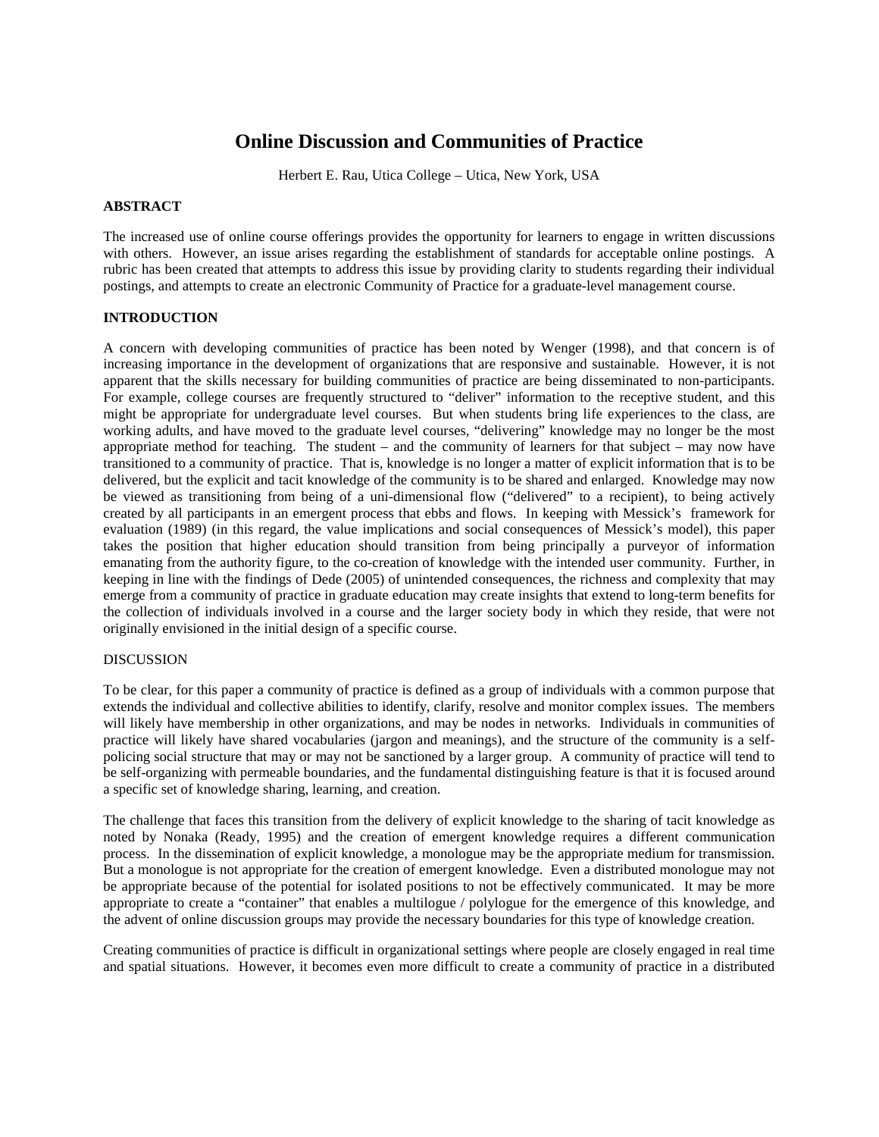# **Online Discussion and Communities of Practice**

Herbert E. Rau, Utica College – Utica, New York, USA

## **ABSTRACT**

The increased use of online course offerings provides the opportunity for learners to engage in written discussions with others. However, an issue arises regarding the establishment of standards for acceptable online postings. A rubric has been created that attempts to address this issue by providing clarity to students regarding their individual postings, and attempts to create an electronic Community of Practice for a graduate-level management course.

## **INTRODUCTION**

A concern with developing communities of practice has been noted by Wenger (1998), and that concern is of increasing importance in the development of organizations that are responsive and sustainable. However, it is not apparent that the skills necessary for building communities of practice are being disseminated to non-participants. For example, college courses are frequently structured to "deliver" information to the receptive student, and this might be appropriate for undergraduate level courses. But when students bring life experiences to the class, are working adults, and have moved to the graduate level courses, "delivering" knowledge may no longer be the most appropriate method for teaching. The student – and the community of learners for that subject – may now have transitioned to a community of practice. That is, knowledge is no longer a matter of explicit information that is to be delivered, but the explicit and tacit knowledge of the community is to be shared and enlarged. Knowledge may now be viewed as transitioning from being of a uni-dimensional flow ("delivered" to a recipient), to being actively created by all participants in an emergent process that ebbs and flows. In keeping with Messick's framework for evaluation (1989) (in this regard, the value implications and social consequences of Messick's model), this paper takes the position that higher education should transition from being principally a purveyor of information emanating from the authority figure, to the co-creation of knowledge with the intended user community. Further, in keeping in line with the findings of Dede (2005) of unintended consequences, the richness and complexity that may emerge from a community of practice in graduate education may create insights that extend to long-term benefits for the collection of individuals involved in a course and the larger society body in which they reside, that were not originally envisioned in the initial design of a specific course.

## DISCUSSION

To be clear, for this paper a community of practice is defined as a group of individuals with a common purpose that extends the individual and collective abilities to identify, clarify, resolve and monitor complex issues. The members will likely have membership in other organizations, and may be nodes in networks. Individuals in communities of practice will likely have shared vocabularies (jargon and meanings), and the structure of the community is a selfpolicing social structure that may or may not be sanctioned by a larger group. A community of practice will tend to be self-organizing with permeable boundaries, and the fundamental distinguishing feature is that it is focused around a specific set of knowledge sharing, learning, and creation.

The challenge that faces this transition from the delivery of explicit knowledge to the sharing of tacit knowledge as noted by Nonaka (Ready, 1995) and the creation of emergent knowledge requires a different communication process. In the dissemination of explicit knowledge, a monologue may be the appropriate medium for transmission. But a monologue is not appropriate for the creation of emergent knowledge. Even a distributed monologue may not be appropriate because of the potential for isolated positions to not be effectively communicated. It may be more appropriate to create a "container" that enables a multilogue / polylogue for the emergence of this knowledge, and the advent of online discussion groups may provide the necessary boundaries for this type of knowledge creation.

Creating communities of practice is difficult in organizational settings where people are closely engaged in real time and spatial situations. However, it becomes even more difficult to create a community of practice in a distributed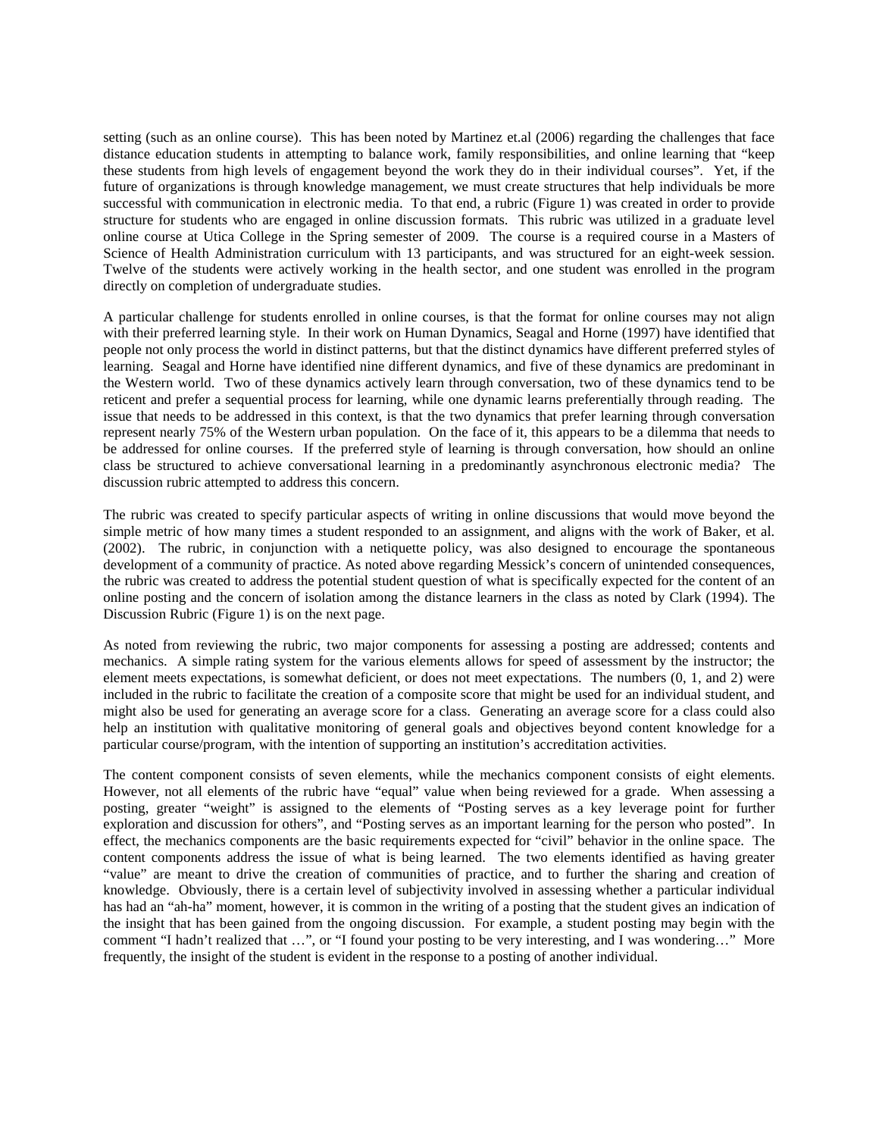setting (such as an online course). This has been noted by Martinez et.al (2006) regarding the challenges that face distance education students in attempting to balance work, family responsibilities, and online learning that "keep these students from high levels of engagement beyond the work they do in their individual courses". Yet, if the future of organizations is through knowledge management, we must create structures that help individuals be more successful with communication in electronic media. To that end, a rubric (Figure 1) was created in order to provide structure for students who are engaged in online discussion formats. This rubric was utilized in a graduate level online course at Utica College in the Spring semester of 2009. The course is a required course in a Masters of Science of Health Administration curriculum with 13 participants, and was structured for an eight-week session. Twelve of the students were actively working in the health sector, and one student was enrolled in the program directly on completion of undergraduate studies.

A particular challenge for students enrolled in online courses, is that the format for online courses may not align with their preferred learning style. In their work on Human Dynamics, Seagal and Horne (1997) have identified that people not only process the world in distinct patterns, but that the distinct dynamics have different preferred styles of learning. Seagal and Horne have identified nine different dynamics, and five of these dynamics are predominant in the Western world. Two of these dynamics actively learn through conversation, two of these dynamics tend to be reticent and prefer a sequential process for learning, while one dynamic learns preferentially through reading. The issue that needs to be addressed in this context, is that the two dynamics that prefer learning through conversation represent nearly 75% of the Western urban population. On the face of it, this appears to be a dilemma that needs to be addressed for online courses. If the preferred style of learning is through conversation, how should an online class be structured to achieve conversational learning in a predominantly asynchronous electronic media? The discussion rubric attempted to address this concern.

The rubric was created to specify particular aspects of writing in online discussions that would move beyond the simple metric of how many times a student responded to an assignment, and aligns with the work of Baker, et al. (2002). The rubric, in conjunction with a netiquette policy, was also designed to encourage the spontaneous development of a community of practice. As noted above regarding Messick's concern of unintended consequences, the rubric was created to address the potential student question of what is specifically expected for the content of an online posting and the concern of isolation among the distance learners in the class as noted by Clark (1994). The Discussion Rubric (Figure 1) is on the next page.

As noted from reviewing the rubric, two major components for assessing a posting are addressed; contents and mechanics. A simple rating system for the various elements allows for speed of assessment by the instructor; the element meets expectations, is somewhat deficient, or does not meet expectations. The numbers (0, 1, and 2) were included in the rubric to facilitate the creation of a composite score that might be used for an individual student, and might also be used for generating an average score for a class. Generating an average score for a class could also help an institution with qualitative monitoring of general goals and objectives beyond content knowledge for a particular course/program, with the intention of supporting an institution's accreditation activities.

The content component consists of seven elements, while the mechanics component consists of eight elements. However, not all elements of the rubric have "equal" value when being reviewed for a grade. When assessing a posting, greater "weight" is assigned to the elements of "Posting serves as a key leverage point for further exploration and discussion for others", and "Posting serves as an important learning for the person who posted". In effect, the mechanics components are the basic requirements expected for "civil" behavior in the online space. The content components address the issue of what is being learned. The two elements identified as having greater "value" are meant to drive the creation of communities of practice, and to further the sharing and creation of knowledge. Obviously, there is a certain level of subjectivity involved in assessing whether a particular individual has had an "ah-ha" moment, however, it is common in the writing of a posting that the student gives an indication of the insight that has been gained from the ongoing discussion. For example, a student posting may begin with the comment "I hadn't realized that ...", or "I found your posting to be very interesting, and I was wondering..." More frequently, the insight of the student is evident in the response to a posting of another individual.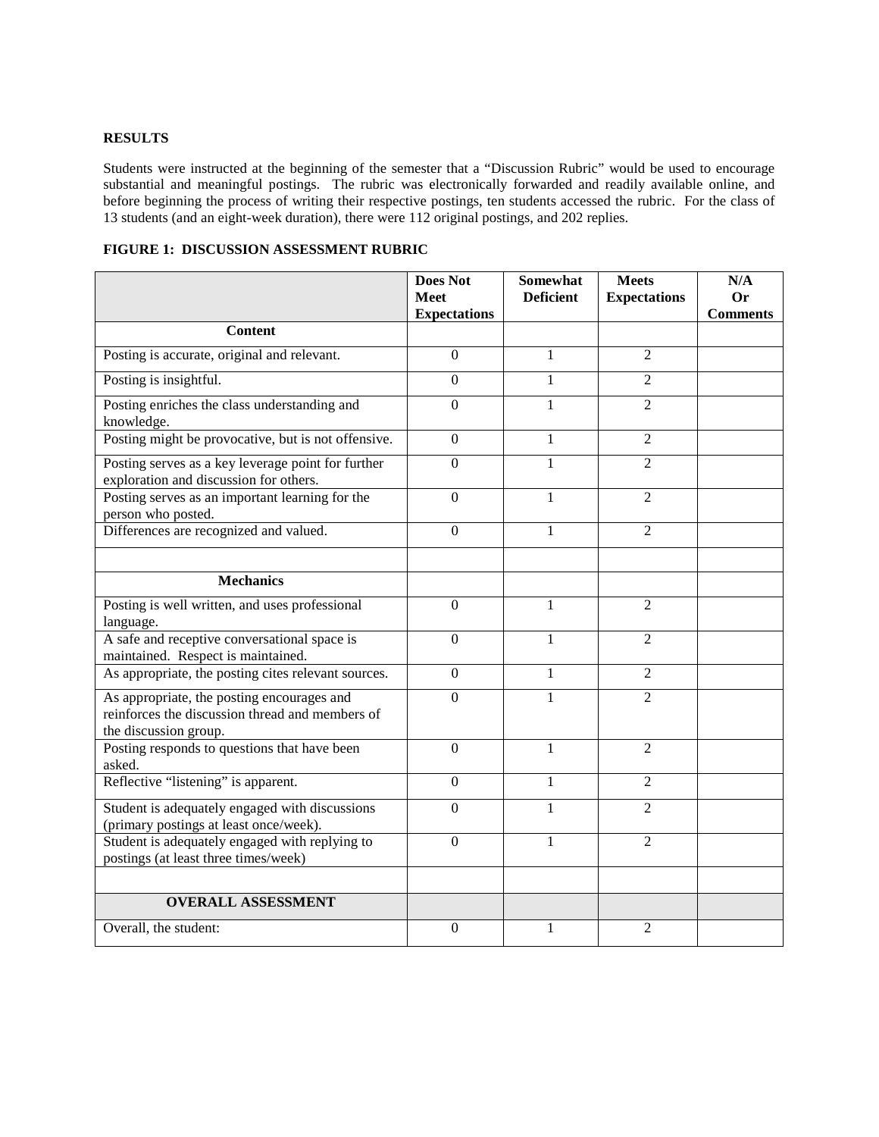## **RESULTS**

Students were instructed at the beginning of the semester that a "Discussion Rubric" would be used to encourage substantial and meaningful postings. The rubric was electronically forwarded and readily available online, and before beginning the process of writing their respective postings, ten students accessed the rubric. For the class of 13 students (and an eight-week duration), there were 112 original postings, and 202 replies.

|                                                                                                                        | <b>Does Not</b><br><b>Meet</b> | <b>Somewhat</b><br><b>Deficient</b> | <b>Meets</b><br><b>Expectations</b> | N/A<br>Or       |
|------------------------------------------------------------------------------------------------------------------------|--------------------------------|-------------------------------------|-------------------------------------|-----------------|
|                                                                                                                        | <b>Expectations</b>            |                                     |                                     | <b>Comments</b> |
| <b>Content</b>                                                                                                         |                                |                                     |                                     |                 |
| Posting is accurate, original and relevant.                                                                            | $\overline{0}$                 | $\mathbf{1}$                        | $\overline{2}$                      |                 |
| Posting is insightful.                                                                                                 | $\boldsymbol{0}$               | $\mathbf{1}$                        | $\overline{2}$                      |                 |
| Posting enriches the class understanding and<br>knowledge.                                                             | $\boldsymbol{0}$               | $\mathbf{1}$                        | $\overline{2}$                      |                 |
| Posting might be provocative, but is not offensive.                                                                    | $\overline{0}$                 | 1                                   | $\overline{2}$                      |                 |
| Posting serves as a key leverage point for further<br>exploration and discussion for others.                           | $\overline{0}$                 | $\mathbf{1}$                        | $\overline{2}$                      |                 |
| Posting serves as an important learning for the<br>person who posted.                                                  | $\boldsymbol{0}$               | 1                                   | $\overline{2}$                      |                 |
| Differences are recognized and valued.                                                                                 | $\overline{0}$                 | 1                                   | $\overline{2}$                      |                 |
|                                                                                                                        |                                |                                     |                                     |                 |
| <b>Mechanics</b>                                                                                                       |                                |                                     |                                     |                 |
| Posting is well written, and uses professional<br>language.                                                            | $\overline{0}$                 | 1                                   | $\overline{2}$                      |                 |
| A safe and receptive conversational space is<br>maintained. Respect is maintained.                                     | $\overline{0}$                 | 1                                   | $\overline{2}$                      |                 |
| As appropriate, the posting cites relevant sources.                                                                    | $\mathbf{0}$                   | 1                                   | $\overline{2}$                      |                 |
| As appropriate, the posting encourages and<br>reinforces the discussion thread and members of<br>the discussion group. | $\overline{0}$                 | $\mathbf{1}$                        | $\overline{2}$                      |                 |
| Posting responds to questions that have been<br>asked.                                                                 | $\boldsymbol{0}$               | 1                                   | $\overline{2}$                      |                 |
| Reflective "listening" is apparent.                                                                                    | $\mathbf{0}$                   | 1                                   | $\overline{2}$                      |                 |
| Student is adequately engaged with discussions<br>(primary postings at least once/week).                               | $\mathbf{0}$                   | $\mathbf{1}$                        | $\overline{2}$                      |                 |
| Student is adequately engaged with replying to<br>postings (at least three times/week)                                 | $\overline{0}$                 | $\mathbf{1}$                        | $\overline{2}$                      |                 |
|                                                                                                                        |                                |                                     |                                     |                 |
| <b>OVERALL ASSESSMENT</b>                                                                                              |                                |                                     |                                     |                 |
| Overall, the student:                                                                                                  | $\boldsymbol{0}$               | $\mathbf{1}$                        | $\overline{2}$                      |                 |

**FIGURE 1: DISCUSSION ASSESSMENT RUBRIC**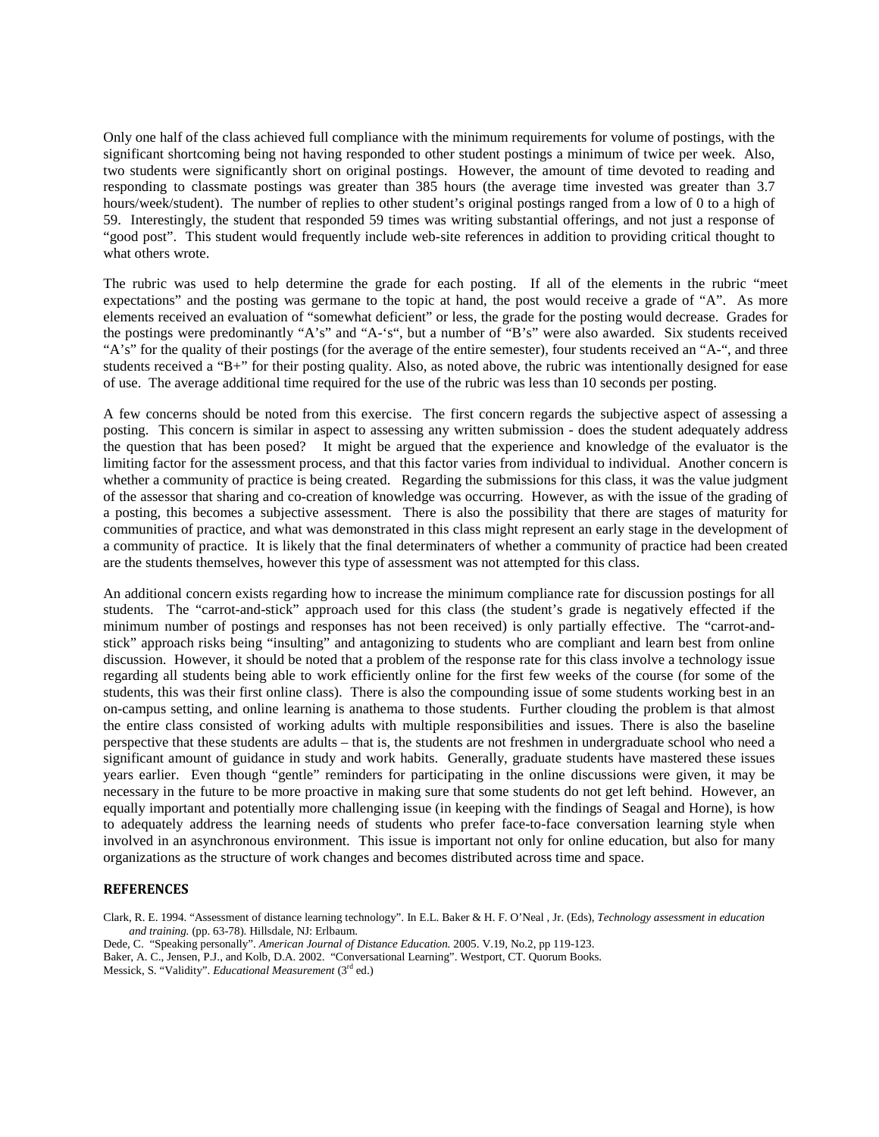Only one half of the class achieved full compliance with the minimum requirements for volume of postings, with the significant shortcoming being not having responded to other student postings a minimum of twice per week. Also, two students were significantly short on original postings. However, the amount of time devoted to reading and responding to classmate postings was greater than 385 hours (the average time invested was greater than 3.7 hours/week/student). The number of replies to other student's original postings ranged from a low of 0 to a high of 59. Interestingly, the student that responded 59 times was writing substantial offerings, and not just a response of "good post". This student would frequently include web-site references in addition to providing critical thought to what others wrote.

The rubric was used to help determine the grade for each posting. If all of the elements in the rubric "meet expectations" and the posting was germane to the topic at hand, the post would receive a grade of "A". As more elements received an evaluation of "somewhat deficient" or less, the grade for the posting would decrease. Grades for the postings were predominantly "A's" and "A-'s", but a number of "B's" were also awarded. Six students received "A's" for the quality of their postings (for the average of the entire semester), four students received an "A-", and three students received a "B+" for their posting quality. Also, as noted above, the rubric was intentionally designed for ease of use. The average additional time required for the use of the rubric was less than 10 seconds per posting.

A few concerns should be noted from this exercise. The first concern regards the subjective aspect of assessing a posting. This concern is similar in aspect to assessing any written submission - does the student adequately address the question that has been posed? It might be argued that the experience and knowledge of the evaluator is the limiting factor for the assessment process, and that this factor varies from individual to individual. Another concern is whether a community of practice is being created. Regarding the submissions for this class, it was the value judgment of the assessor that sharing and co-creation of knowledge was occurring. However, as with the issue of the grading of a posting, this becomes a subjective assessment. There is also the possibility that there are stages of maturity for communities of practice, and what was demonstrated in this class might represent an early stage in the development of a community of practice. It is likely that the final determinaters of whether a community of practice had been created are the students themselves, however this type of assessment was not attempted for this class.

An additional concern exists regarding how to increase the minimum compliance rate for discussion postings for all students. The "carrot-and-stick" approach used for this class (the student's grade is negatively effected if the minimum number of postings and responses has not been received) is only partially effective. The "carrot-andstick" approach risks being "insulting" and antagonizing to students who are compliant and learn best from online discussion. However, it should be noted that a problem of the response rate for this class involve a technology issue regarding all students being able to work efficiently online for the first few weeks of the course (for some of the students, this was their first online class). There is also the compounding issue of some students working best in an on-campus setting, and online learning is anathema to those students. Further clouding the problem is that almost the entire class consisted of working adults with multiple responsibilities and issues. There is also the baseline perspective that these students are adults – that is, the students are not freshmen in undergraduate school who need a significant amount of guidance in study and work habits. Generally, graduate students have mastered these issues years earlier. Even though "gentle" reminders for participating in the online discussions were given, it may be necessary in the future to be more proactive in making sure that some students do not get left behind. However, an equally important and potentially more challenging issue (in keeping with the findings of Seagal and Horne), is how to adequately address the learning needs of students who prefer face-to-face conversation learning style when involved in an asynchronous environment. This issue is important not only for online education, but also for many organizations as the structure of work changes and becomes distributed across time and space.

## **REFERENCES**

Clark, R. E. 1994. "Assessment of distance learning technology". In E.L. Baker & H. F. O'Neal , Jr. (Eds), *Technology assessment in education and training.* (pp. 63-78). Hillsdale, NJ: Erlbaum.

Dede, C. "Speaking personally". *American Journal of Distance Education.* 2005. V.19, No.2, pp 119-123.

Baker, A. C., Jensen, P.J., and Kolb, D.A. 2002. "Conversational Learning". Westport, CT. Quorum Books. Messick, S. "Validity". *Educational Measurement* (3rd ed.)